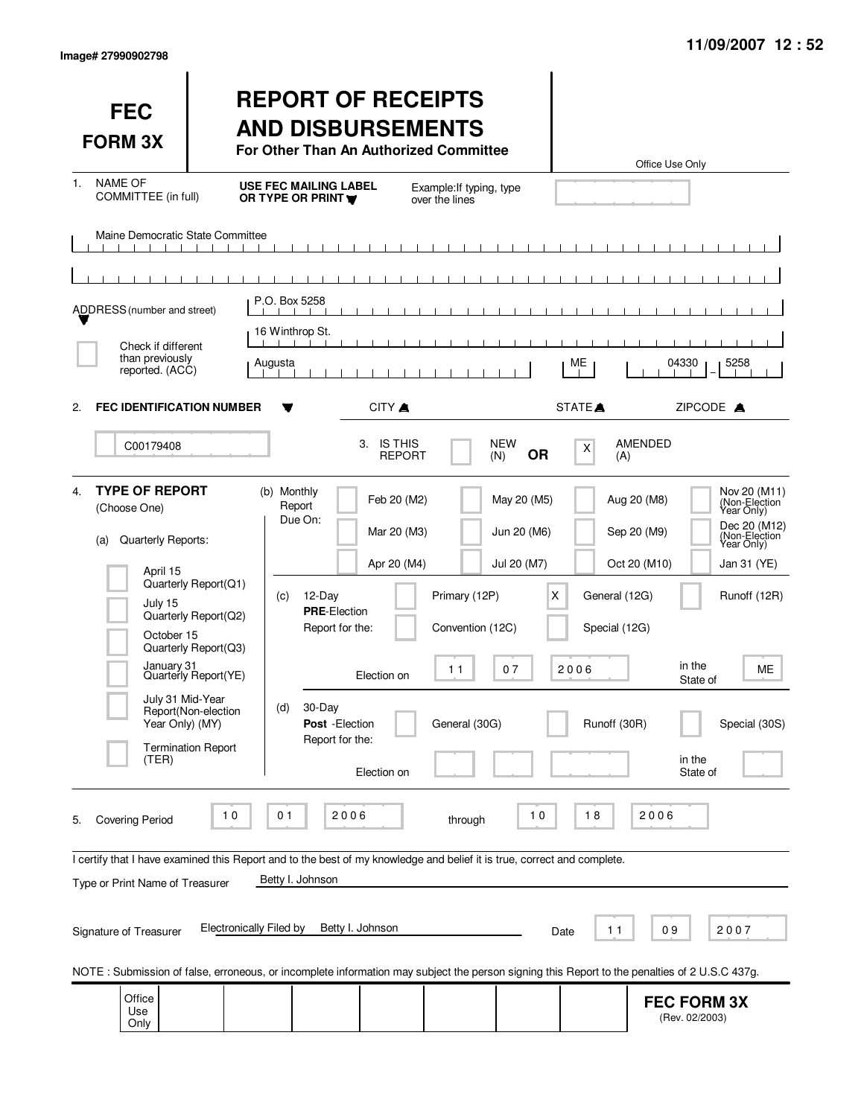| <b>FEC</b><br><b>FORM 3X</b>                                                                                                                                                |                                                                                                                                                  | <b>REPORT OF RECEIPTS</b><br><b>AND DISBURSEMENTS</b><br>For Other Than An Authorized Committee                                                                                                                                                                                                                               |                                                          |                                                              | Office Use Only                                                                                                                          |                                                                                                                                                  |
|-----------------------------------------------------------------------------------------------------------------------------------------------------------------------------|--------------------------------------------------------------------------------------------------------------------------------------------------|-------------------------------------------------------------------------------------------------------------------------------------------------------------------------------------------------------------------------------------------------------------------------------------------------------------------------------|----------------------------------------------------------|--------------------------------------------------------------|------------------------------------------------------------------------------------------------------------------------------------------|--------------------------------------------------------------------------------------------------------------------------------------------------|
| <b>NAME OF</b><br>1.<br>COMMITTEE (in full)                                                                                                                                 |                                                                                                                                                  | <b>USE FEC MAILING LABEL</b><br>OR TYPE OR PRINT                                                                                                                                                                                                                                                                              | Example: If typing, type<br>over the lines               |                                                              |                                                                                                                                          |                                                                                                                                                  |
| Maine Democratic State Committee<br>- 11<br>$\sim$ 1 $\sim$ 1                                                                                                               | $\blacksquare$                                                                                                                                   |                                                                                                                                                                                                                                                                                                                               |                                                          |                                                              |                                                                                                                                          |                                                                                                                                                  |
|                                                                                                                                                                             |                                                                                                                                                  | P.O. Box 5258                                                                                                                                                                                                                                                                                                                 |                                                          |                                                              |                                                                                                                                          |                                                                                                                                                  |
| ADDRESS (number and street)                                                                                                                                                 |                                                                                                                                                  | 16 Winthrop St.                                                                                                                                                                                                                                                                                                               |                                                          |                                                              |                                                                                                                                          |                                                                                                                                                  |
| Check if different<br>than previously<br>reported. (ACC)                                                                                                                    | Augusta                                                                                                                                          |                                                                                                                                                                                                                                                                                                                               |                                                          | ME                                                           | 04330                                                                                                                                    | 5258                                                                                                                                             |
| <b>FEC IDENTIFICATION NUMBER</b><br>2.                                                                                                                                      |                                                                                                                                                  | CITY A<br>Y                                                                                                                                                                                                                                                                                                                   |                                                          | STATE <sup>A</sup>                                           | ZIPCODE A                                                                                                                                |                                                                                                                                                  |
| C00179408                                                                                                                                                                   |                                                                                                                                                  | 3. IS THIS<br><b>REPORT</b>                                                                                                                                                                                                                                                                                                   | <b>NEW</b><br>(N)                                        | X<br><b>OR</b>                                               | <b>AMENDED</b><br>(A)                                                                                                                    |                                                                                                                                                  |
| <b>TYPE OF REPORT</b><br>4.<br>(Choose One)<br>Quarterly Reports:<br>(a)<br>April 15<br>July 15<br>October 15<br>January 31<br>July 31 Mid-Year<br>Year Only) (MY)<br>(TER) | Quarterly Report(Q1)<br>Quarterly Report(Q2)<br>Quarterly Report(Q3)<br>Quarterly Report(YE)<br>Report(Non-election<br><b>Termination Report</b> | (b) Monthly<br>Feb 20 (M2)<br>Report<br>Due On:<br>Mar 20 (M3)<br>Apr 20 (M4)<br>12-Day<br>(c)<br><b>PRE-Election</b><br>Report for the:<br>Election on<br>30-Day<br>(d)<br>Post - Election<br>Report for the:<br>Election on                                                                                                 | Primary (12P)<br>Convention (12C)<br>11<br>General (30G) | May 20 (M5)<br>Jun 20 (M6)<br>Jul 20 (M7)<br>Χ<br>2006<br>07 | Aug 20 (M8)<br>Sep 20 (M9)<br>Oct 20 (M10)<br>General (12G)<br>Special (12G)<br>in the<br>State of<br>Runoff (30R)<br>in the<br>State of | Nov 20 (M11)<br>(Non-Election<br>Year Only)<br>Dec 20 (M12)<br>(Non-Election<br>Year Only)<br>Jan 31 (YE)<br>Runoff (12R)<br>ME<br>Special (30S) |
| <b>Covering Period</b><br>5.<br>Type or Print Name of Treasurer<br>Signature of Treasurer                                                                                   | 10<br>Electronically Filed by                                                                                                                    | 2006<br>01<br>I certify that I have examined this Report and to the best of my knowledge and belief it is true, correct and complete.<br>Betty I. Johnson<br>Betty I. Johnson<br>NOTE: Submission of false, erroneous, or incomplete information may subject the person signing this Report to the penalties of 2 U.S.C 437g. | through                                                  | $10$<br>18<br>Date                                           | 2006<br>09<br>11                                                                                                                         | 2007                                                                                                                                             |
| Office<br>Use<br>Only                                                                                                                                                       |                                                                                                                                                  |                                                                                                                                                                                                                                                                                                                               |                                                          |                                                              | <b>FEC FORM 3X</b><br>(Rev. 02/2003)                                                                                                     |                                                                                                                                                  |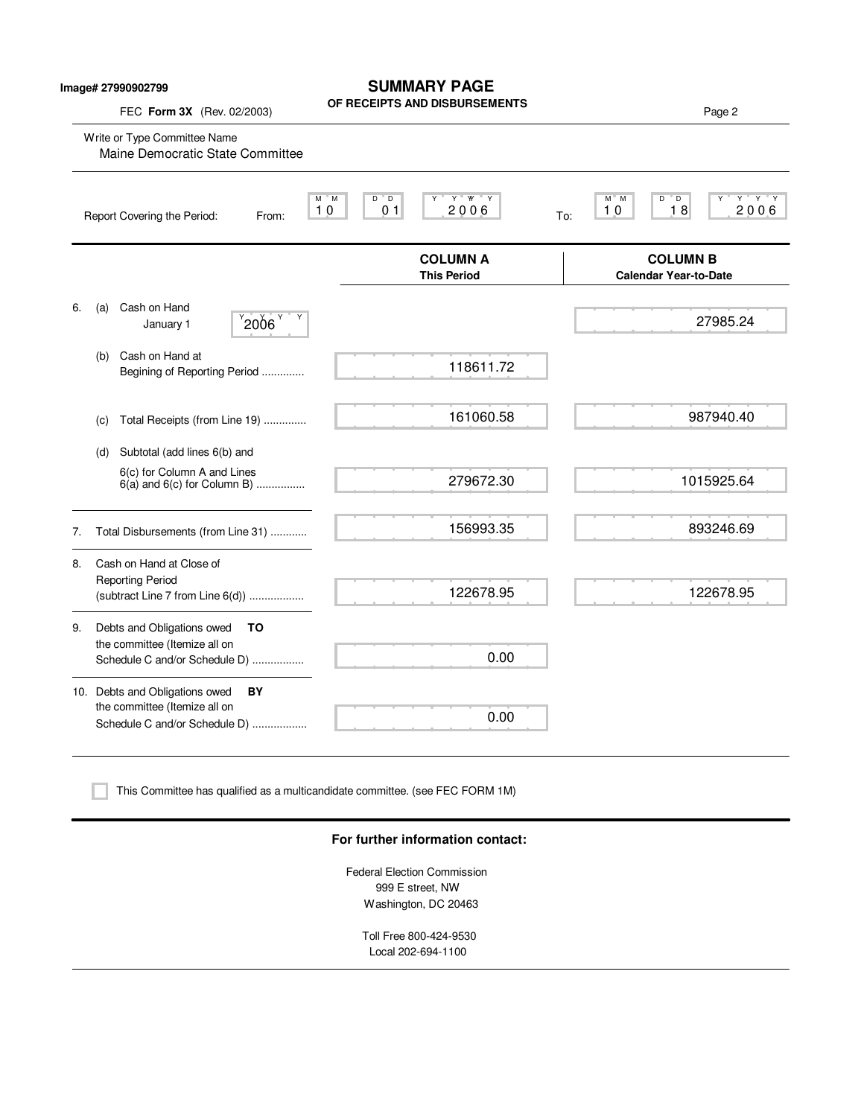|    | Image# 27990902799<br>FEC Form 3X (Rev. 02/2003)                                                       | <b>SUMMARY PAGE</b><br>OF RECEIPTS AND DISBURSEMENTS                   | Page 2                                                          |
|----|--------------------------------------------------------------------------------------------------------|------------------------------------------------------------------------|-----------------------------------------------------------------|
|    | Write or Type Committee Name<br>Maine Democratic State Committee                                       |                                                                        |                                                                 |
|    | Report Covering the Period:<br>From:                                                                   | $D^{\prime\prime}$ $D$<br>Y W Y<br>M M<br>2006<br>0 <sub>1</sub><br>10 | $Y$ $Y$ $Y$<br>M M<br>$D^{\prime}$ D<br>18<br>2006<br>10<br>To: |
|    |                                                                                                        | <b>COLUMN A</b><br><b>This Period</b>                                  | <b>COLUMN B</b><br><b>Calendar Year-to-Date</b>                 |
| 6. | Cash on Hand<br>(a)<br>$^{9}$ 2006 $^{9}$<br>Y<br>January 1                                            |                                                                        | 27985.24                                                        |
|    | Cash on Hand at<br>(b)<br>Begining of Reporting Period                                                 | 118611.72                                                              |                                                                 |
|    | Total Receipts (from Line 19)<br>(c)                                                                   | 161060.58                                                              | 987940.40                                                       |
|    | Subtotal (add lines 6(b) and<br>(d)<br>6(c) for Column A and Lines<br>$6(a)$ and $6(c)$ for Column B)  | 279672.30                                                              | 1015925.64                                                      |
| 7. | Total Disbursements (from Line 31)                                                                     | 156993.35                                                              | 893246.69                                                       |
| 8. | Cash on Hand at Close of<br><b>Reporting Period</b><br>(subtract Line 7 from Line 6(d))                | 122678.95                                                              | 122678.95                                                       |
| 9. | Debts and Obligations owed<br>TO<br>the committee (Itemize all on<br>Schedule C and/or Schedule D)     | 0.00                                                                   |                                                                 |
|    | 10. Debts and Obligations owed<br>BY<br>the committee (Itemize all on<br>Schedule C and/or Schedule D) | 0.00                                                                   |                                                                 |

This Committee has qualified as a multicandidate committee. (see FEC FORM 1M)

#### **For further information contact:**

Federal Election Commission 999 E street, NW Washington, DC 20463

> Toll Free 800-424-9530 Local 202-694-1100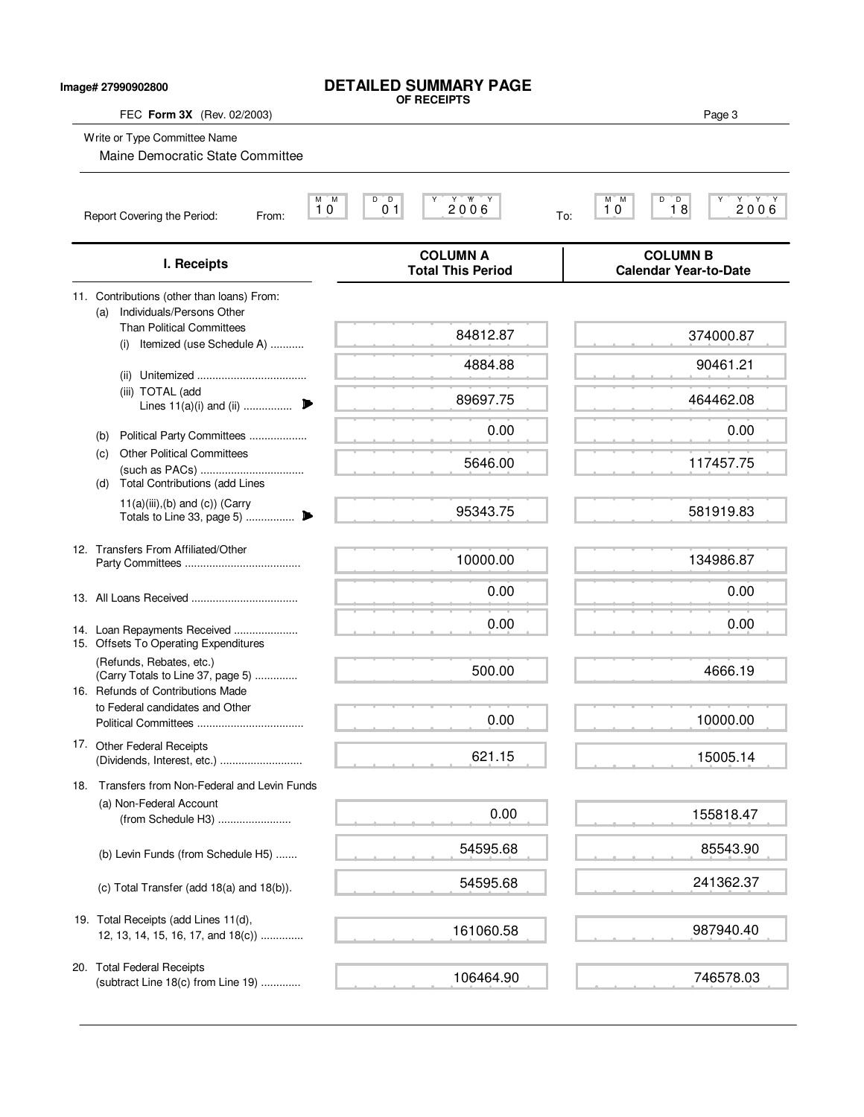| <b>DETAILED SUMMARY PAGE</b> |
|------------------------------|
| OF RECEIPTS                  |

**Image# 27990902800**

### FEC **Form 3X** (Rev. 02/2003) Page 3

Write or Type Committee Name

Maine Democratic State Committee

|                                                                                |                                                                                                    | <b>COLUMN A</b>          | <b>COLUMN B</b>              |
|--------------------------------------------------------------------------------|----------------------------------------------------------------------------------------------------|--------------------------|------------------------------|
|                                                                                | I. Receipts                                                                                        | <b>Total This Period</b> | <b>Calendar Year-to-Date</b> |
| 11. Contributions (other than loans) From:<br>Individuals/Persons Other<br>(a) |                                                                                                    |                          |                              |
|                                                                                | <b>Than Political Committees</b><br>Itemized (use Schedule A)<br>(i)                               | 84812.87                 | 374000.87                    |
|                                                                                | (ii)                                                                                               | 4884.88                  | 90461.21                     |
|                                                                                | (iii) TOTAL (add<br>Lines 11(a)(i) and (ii)                                                        | 89697.75                 | 464462.08                    |
|                                                                                | Political Party Committees<br>(b)                                                                  | 0.00                     | 0.00                         |
|                                                                                | <b>Other Political Committees</b><br>(c)<br><b>Total Contributions (add Lines</b><br>(d)           | 5646.00                  | 117457.75                    |
|                                                                                | $11(a)(iii),(b)$ and $(c)$ ) (Carry                                                                | 95343.75                 | 581919.83                    |
|                                                                                | 12. Transfers From Affiliated/Other                                                                | 10000.00                 | 134986.87                    |
|                                                                                |                                                                                                    | 0.00                     | 0.00                         |
|                                                                                | 14. Loan Repayments Received<br>15. Offsets To Operating Expenditures                              | 0.00                     | 0.00                         |
|                                                                                | (Refunds, Rebates, etc.)<br>(Carry Totals to Line 37, page 5)<br>16. Refunds of Contributions Made | 500.00                   | 4666.19                      |
|                                                                                | to Federal candidates and Other                                                                    | 0.00                     | 10000.00                     |
|                                                                                | 17. Other Federal Receipts<br>(Dividends, Interest, etc.)                                          | 621.15                   | 15005.14                     |
|                                                                                | 18. Transfers from Non-Federal and Levin Funds                                                     |                          |                              |
|                                                                                | (a) Non-Federal Account<br>(from Schedule H3)                                                      | 0.00                     | 155818.47                    |
|                                                                                | (b) Levin Funds (from Schedule H5)                                                                 | 54595.68                 | 85543.90                     |
|                                                                                | (c) Total Transfer (add 18(a) and 18(b)).                                                          | 54595.68                 | 241362.37                    |
|                                                                                | 19. Total Receipts (add Lines 11(d),<br>12, 13, 14, 15, 16, 17, and 18(c))                         | 161060.58                | 987940.40                    |
|                                                                                | 20. Total Federal Receipts<br>(subtract Line 18(c) from Line 19)                                   | 106464.90                | 746578.03                    |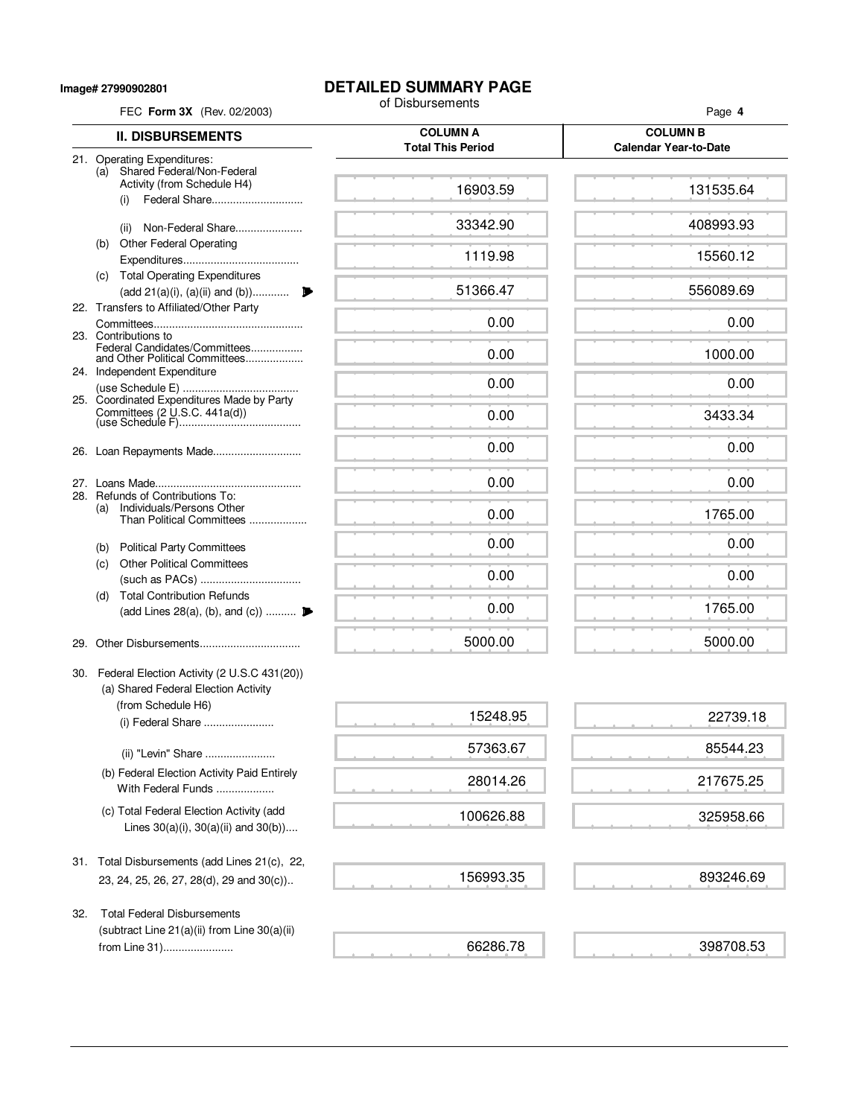**Image# 27990902801**

# **DETAILED SUMMARY PAGE**<br>of Disbursements

| FEC Form 3X (Rev. 02/2003) |                                                                                                                         | of Disbursements                            | Page 4                                          |  |  |
|----------------------------|-------------------------------------------------------------------------------------------------------------------------|---------------------------------------------|-------------------------------------------------|--|--|
|                            | <b>II. DISBURSEMENTS</b>                                                                                                | <b>COLUMN A</b><br><b>Total This Period</b> | <b>COLUMN B</b><br><b>Calendar Year-to-Date</b> |  |  |
|                            | 21. Operating Expenditures:<br>Shared Federal/Non-Federal<br>(a)<br>Activity (from Schedule H4)<br>Federal Share<br>(i) | 16903.59                                    | 131535.64                                       |  |  |
|                            | Non-Federal Share<br>(ii)                                                                                               | 33342.90                                    | 408993.93                                       |  |  |
|                            | <b>Other Federal Operating</b><br>(b)                                                                                   | 1119.98                                     | 15560.12                                        |  |  |
|                            | (c) Total Operating Expenditures                                                                                        |                                             |                                                 |  |  |
|                            | (add 21(a)(i), (a)(ii) and (b))<br>22. Transfers to Affiliated/Other Party                                              | 51366.47                                    | 556089.69                                       |  |  |
|                            | 23. Contributions to<br>Federal Candidates/Committees                                                                   | 0.00                                        | 0.00                                            |  |  |
|                            | and Other Political Committees<br>24. Independent Expenditure                                                           | 0.00                                        | 1000.00                                         |  |  |
|                            | 25. Coordinated Expenditures Made by Party                                                                              | 0.00                                        | 0.00                                            |  |  |
|                            |                                                                                                                         | 0.00                                        | 3433.34                                         |  |  |
|                            |                                                                                                                         | 0.00                                        | 0.00                                            |  |  |
|                            | 28. Refunds of Contributions To:                                                                                        | 0.00                                        | 0.00                                            |  |  |
|                            | Individuals/Persons Other<br>(a)<br>Than Political Committees                                                           | 0.00                                        | 1765.00                                         |  |  |
|                            | <b>Political Party Committees</b><br>(b)                                                                                | 0.00                                        | 0.00                                            |  |  |
|                            | <b>Other Political Committees</b><br>(c)                                                                                | 0.00                                        | 0.00                                            |  |  |
|                            | <b>Total Contribution Refunds</b><br>(d)<br>(add Lines 28(a), (b), and (c))                                             | 0.00                                        | 1765.00                                         |  |  |
| 29.                        |                                                                                                                         | 5000.00                                     | 5000.00                                         |  |  |
|                            | 30. Federal Election Activity (2 U.S.C 431(20))<br>(a) Shared Federal Election Activity<br>(from Schedule H6)           |                                             |                                                 |  |  |
|                            | (i) Federal Share                                                                                                       | 15248.95                                    | 22739.18                                        |  |  |
|                            | (ii) "Levin" Share                                                                                                      | 57363.67                                    | 85544.23                                        |  |  |
|                            | (b) Federal Election Activity Paid Entirely<br>With Federal Funds                                                       | 28014.26                                    | 217675.25                                       |  |  |
|                            | (c) Total Federal Election Activity (add<br>Lines $30(a)(i)$ , $30(a)(ii)$ and $30(b)$ )                                | 100626.88                                   | 325958.66                                       |  |  |
|                            | 31. Total Disbursements (add Lines 21(c), 22,<br>23, 24, 25, 26, 27, 28(d), 29 and 30(c))                               | 156993.35                                   | 893246.69                                       |  |  |
| 32.                        | <b>Total Federal Disbursements</b><br>(subtract Line 21(a)(ii) from Line 30(a)(ii)<br>from Line 31)                     | 66286.78                                    | 398708.53                                       |  |  |

**Contractor**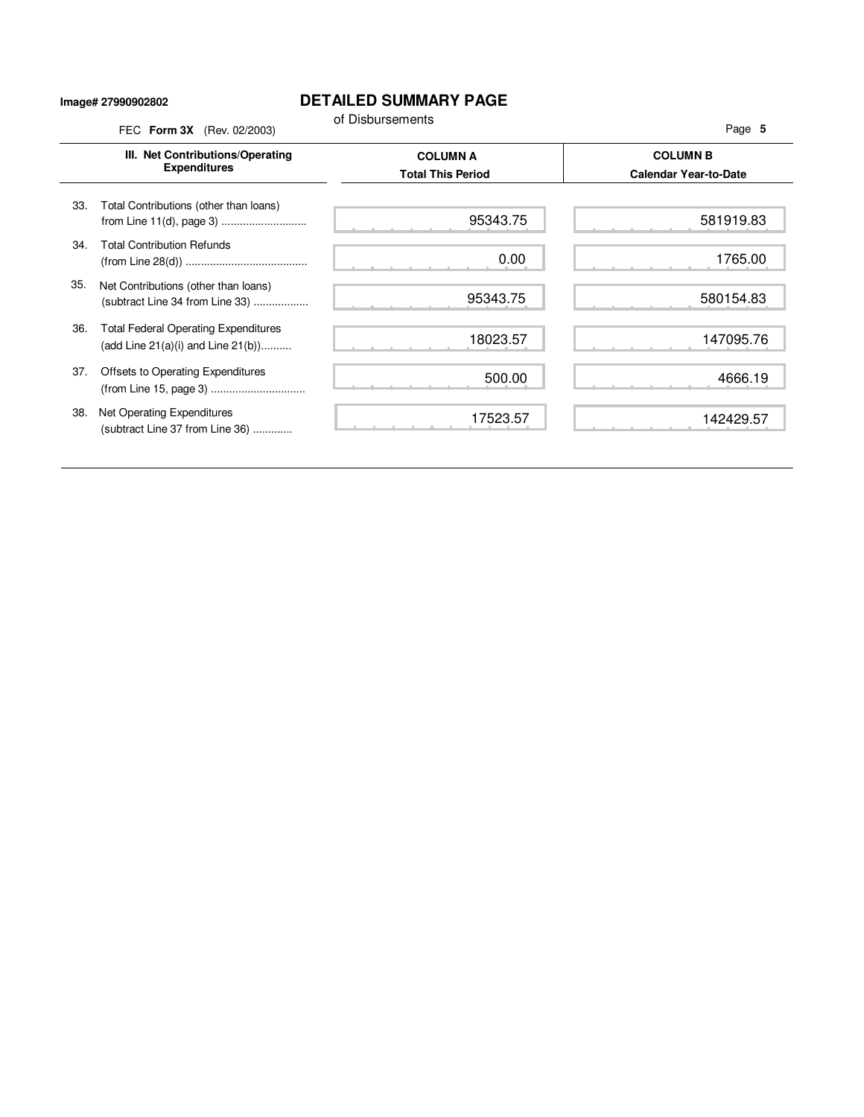## **Image# 27990902802**

## **DETAILED SUMMARY PAGE**

|     | FEC Form 3X (Rev. 02/2003)                                                             | of Disbursements                            | Page 5                                          |
|-----|----------------------------------------------------------------------------------------|---------------------------------------------|-------------------------------------------------|
|     | III. Net Contributions/Operating<br><b>Expenditures</b>                                | <b>COLUMN A</b><br><b>Total This Period</b> | <b>COLUMN B</b><br><b>Calendar Year-to-Date</b> |
| 33. | Total Contributions (other than loans)<br>from Line 11(d), page 3)                     | 95343.75                                    | 581919.83                                       |
| 34. | <b>Total Contribution Refunds</b>                                                      | 0.00                                        | 1765.00                                         |
| 35. | Net Contributions (other than loans)<br>(subtract Line 34 from Line 33)                | 95343.75                                    | 580154.83                                       |
| 36. | <b>Total Federal Operating Expenditures</b><br>(add Line $21(a)(i)$ and Line $21(b)$ ) | 18023.57                                    | 147095.76                                       |
| 37. | Offsets to Operating Expenditures                                                      | 500.00                                      | 4666.19                                         |
| 38. | Net Operating Expenditures<br>(subtract Line 37 from Line 36)                          | 17523.57                                    | 142429.57                                       |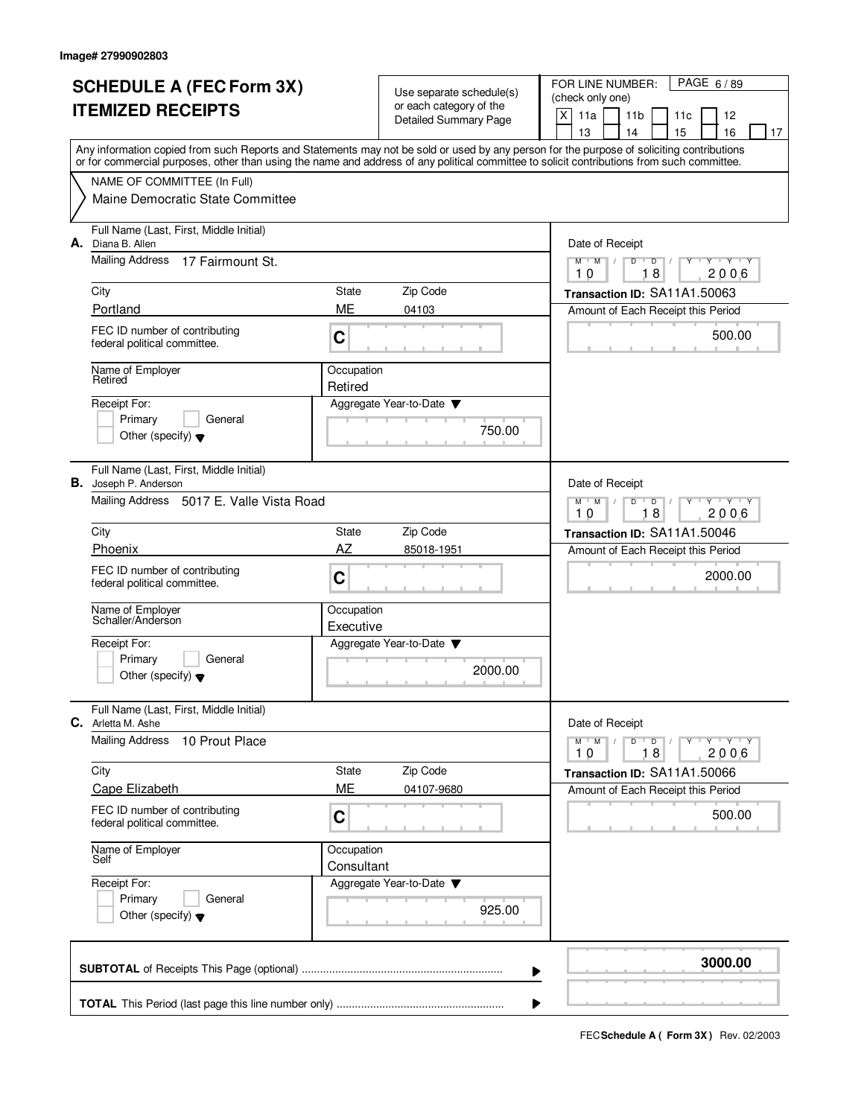| <b>SCHEDULE A (FEC Form 3X)</b> |                                                                                                                                            | Use separate schedule(s)<br>or each category of the |                              | PAGE 6/89<br>FOR LINE NUMBER:<br>(check only one)                                                         |  |  |  |  |  |  |
|---------------------------------|--------------------------------------------------------------------------------------------------------------------------------------------|-----------------------------------------------------|------------------------------|-----------------------------------------------------------------------------------------------------------|--|--|--|--|--|--|
|                                 | <b>ITEMIZED RECEIPTS</b>                                                                                                                   |                                                     | <b>Detailed Summary Page</b> | X<br>11a<br>11 <sub>b</sub><br>12<br>11c                                                                  |  |  |  |  |  |  |
|                                 | Any information copied from such Reports and Statements may not be sold or used by any person for the purpose of soliciting contributions  |                                                     |                              | 13<br>14<br>15<br>16<br>17                                                                                |  |  |  |  |  |  |
|                                 | or for commercial purposes, other than using the name and address of any political committee to solicit contributions from such committee. |                                                     |                              |                                                                                                           |  |  |  |  |  |  |
|                                 | NAME OF COMMITTEE (In Full)                                                                                                                |                                                     |                              |                                                                                                           |  |  |  |  |  |  |
|                                 | Maine Democratic State Committee                                                                                                           |                                                     |                              |                                                                                                           |  |  |  |  |  |  |
|                                 | Full Name (Last, First, Middle Initial)<br><b>A.</b> Diana B. Allen                                                                        |                                                     |                              | Date of Receipt                                                                                           |  |  |  |  |  |  |
|                                 | Mailing Address<br>17 Fairmount St.                                                                                                        |                                                     |                              | $\overline{Y}$ $\overline{Y}$ $\overline{Y}$<br>$M$ $M$ /<br>D<br>$\overline{D}$<br>Y<br>18<br>2006<br>10 |  |  |  |  |  |  |
|                                 | City                                                                                                                                       | State                                               | Zip Code                     | Transaction ID: SA11A1.50063                                                                              |  |  |  |  |  |  |
|                                 | Portland                                                                                                                                   | ME                                                  | 04103                        | Amount of Each Receipt this Period                                                                        |  |  |  |  |  |  |
|                                 | FEC ID number of contributing<br>federal political committee.                                                                              | C                                                   |                              | 500.00                                                                                                    |  |  |  |  |  |  |
|                                 | Name of Employer<br>Retired                                                                                                                | Occupation<br>Retired                               |                              |                                                                                                           |  |  |  |  |  |  |
|                                 | Receipt For:                                                                                                                               |                                                     | Aggregate Year-to-Date       |                                                                                                           |  |  |  |  |  |  |
|                                 | Primary<br>General<br>Other (specify) $\blacktriangledown$                                                                                 |                                                     | 750.00                       |                                                                                                           |  |  |  |  |  |  |
|                                 | Full Name (Last, First, Middle Initial)<br><b>B.</b> Joseph P. Anderson                                                                    |                                                     |                              | Date of Receipt                                                                                           |  |  |  |  |  |  |
|                                 | Mailing Address 5017 E. Valle Vista Road                                                                                                   |                                                     |                              | $Y - Y - Y$<br>$M$ M<br>D<br>$\Box$<br>18<br>2006<br>10                                                   |  |  |  |  |  |  |
|                                 | City                                                                                                                                       | State                                               | Zip Code                     | Transaction ID: SA11A1.50046                                                                              |  |  |  |  |  |  |
|                                 | Phoenix                                                                                                                                    | AZ                                                  | 85018-1951                   | Amount of Each Receipt this Period                                                                        |  |  |  |  |  |  |
|                                 | FEC ID number of contributing<br>federal political committee.                                                                              | C                                                   |                              | 2000.00                                                                                                   |  |  |  |  |  |  |
|                                 | Name of Employer<br>Schaller/Anderson                                                                                                      | Occupation<br>Executive                             |                              |                                                                                                           |  |  |  |  |  |  |
|                                 | Receipt For:                                                                                                                               |                                                     | Aggregate Year-to-Date ▼     |                                                                                                           |  |  |  |  |  |  |
|                                 | Primary<br>General<br>Other (specify) $\blacktriangledown$                                                                                 |                                                     | 2000.00                      |                                                                                                           |  |  |  |  |  |  |
|                                 | Full Name (Last, First, Middle Initial)<br>C. Arletta M. Ashe                                                                              |                                                     |                              | Date of Receipt                                                                                           |  |  |  |  |  |  |
|                                 | <b>Mailing Address</b><br>10 Prout Place                                                                                                   |                                                     |                              | Y Y Y Y<br>$M$ $M$<br>$D$ $D$<br>2006<br>10<br>18                                                         |  |  |  |  |  |  |
|                                 | City                                                                                                                                       | State                                               | Zip Code                     | Transaction ID: SA11A1.50066                                                                              |  |  |  |  |  |  |
|                                 | Cape Elizabeth                                                                                                                             | ME                                                  | 04107-9680                   | Amount of Each Receipt this Period                                                                        |  |  |  |  |  |  |
|                                 | FEC ID number of contributing<br>federal political committee.                                                                              | C                                                   |                              | 500.00                                                                                                    |  |  |  |  |  |  |
|                                 | Name of Employer<br>Self                                                                                                                   | Occupation<br>Consultant                            |                              |                                                                                                           |  |  |  |  |  |  |
|                                 | Receipt For:                                                                                                                               |                                                     | Aggregate Year-to-Date ▼     |                                                                                                           |  |  |  |  |  |  |
|                                 | Primary<br>General<br>Other (specify) $\blacktriangledown$                                                                                 |                                                     | 925.00                       |                                                                                                           |  |  |  |  |  |  |
|                                 |                                                                                                                                            |                                                     | ▶                            | 3000.00                                                                                                   |  |  |  |  |  |  |
|                                 |                                                                                                                                            |                                                     | ▶                            |                                                                                                           |  |  |  |  |  |  |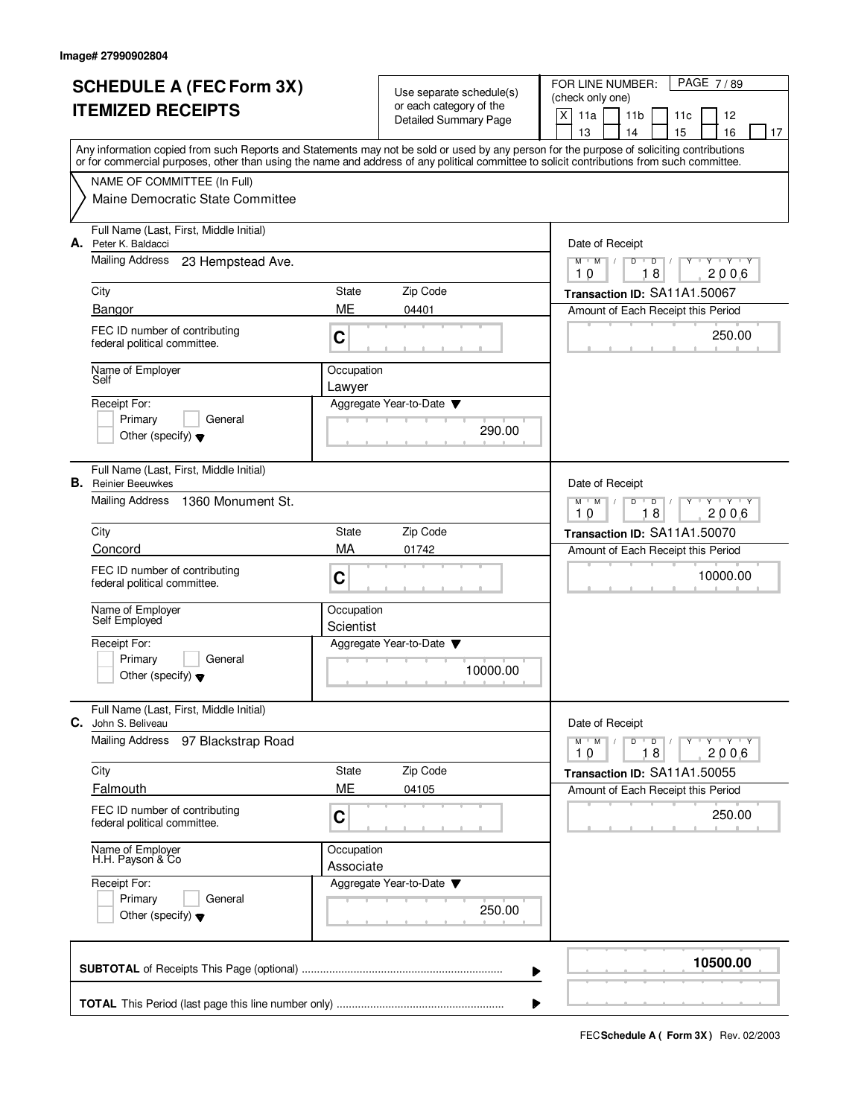| <b>SCHEDULE A (FEC Form 3X)</b> |                                                                                                                                                                                                                                                                                         |                         | Use separate schedule(s)<br>or each category of the |                 | PAGE 7/89<br>FOR LINE NUMBER:<br>(check only one) |                |          |                     |    |  |  |
|---------------------------------|-----------------------------------------------------------------------------------------------------------------------------------------------------------------------------------------------------------------------------------------------------------------------------------------|-------------------------|-----------------------------------------------------|-----------------|---------------------------------------------------|----------------|----------|---------------------|----|--|--|
|                                 | <b>ITEMIZED RECEIPTS</b>                                                                                                                                                                                                                                                                |                         | <b>Detailed Summary Page</b>                        | X<br>11a        | 11 <sub>b</sub><br>11c<br>12                      |                |          |                     |    |  |  |
|                                 |                                                                                                                                                                                                                                                                                         |                         |                                                     | 13              | 14                                                | 15             |          | 16                  | 17 |  |  |
|                                 | Any information copied from such Reports and Statements may not be sold or used by any person for the purpose of soliciting contributions<br>or for commercial purposes, other than using the name and address of any political committee to solicit contributions from such committee. |                         |                                                     |                 |                                                   |                |          |                     |    |  |  |
|                                 | NAME OF COMMITTEE (In Full)                                                                                                                                                                                                                                                             |                         |                                                     |                 |                                                   |                |          |                     |    |  |  |
|                                 | Maine Democratic State Committee                                                                                                                                                                                                                                                        |                         |                                                     |                 |                                                   |                |          |                     |    |  |  |
|                                 | Full Name (Last, First, Middle Initial)<br>A. Peter K. Baldacci                                                                                                                                                                                                                         |                         |                                                     | Date of Receipt |                                                   |                |          |                     |    |  |  |
|                                 | Mailing Address<br>23 Hempstead Ave.                                                                                                                                                                                                                                                    |                         |                                                     | $M$ $M$ /<br>10 | D<br>$\overline{D}$<br>18                         |                |          | $Y - Y - Y$<br>2006 |    |  |  |
|                                 | City                                                                                                                                                                                                                                                                                    | State                   | Zip Code                                            |                 | Transaction ID: SA11A1.50067                      |                |          |                     |    |  |  |
|                                 | Bangor                                                                                                                                                                                                                                                                                  | ME                      | 04401                                               |                 | Amount of Each Receipt this Period                |                |          |                     |    |  |  |
|                                 | FEC ID number of contributing<br>federal political committee.                                                                                                                                                                                                                           | C                       |                                                     |                 |                                                   |                |          | 250.00              |    |  |  |
|                                 | Name of Employer<br>Self                                                                                                                                                                                                                                                                | Occupation<br>Lawyer    |                                                     |                 |                                                   |                |          |                     |    |  |  |
|                                 | Receipt For:                                                                                                                                                                                                                                                                            |                         | Aggregate Year-to-Date                              |                 |                                                   |                |          |                     |    |  |  |
|                                 | Primary<br>General                                                                                                                                                                                                                                                                      |                         |                                                     |                 |                                                   |                |          |                     |    |  |  |
|                                 | Other (specify) $\blacktriangledown$                                                                                                                                                                                                                                                    |                         | 290.00                                              |                 |                                                   |                |          |                     |    |  |  |
|                                 | Full Name (Last, First, Middle Initial)<br><b>B.</b> Reinier Beeuwkes                                                                                                                                                                                                                   |                         |                                                     | Date of Receipt |                                                   |                |          |                     |    |  |  |
|                                 | Mailing Address<br>1360 Monument St.                                                                                                                                                                                                                                                    |                         |                                                     | $M$ $M$ /<br>10 | D<br>18                                           | $\overline{D}$ |          | $Y - Y - Y$<br>2006 |    |  |  |
|                                 | City                                                                                                                                                                                                                                                                                    | State                   | Zip Code                                            |                 | Transaction ID: SA11A1.50070                      |                |          |                     |    |  |  |
|                                 | Concord                                                                                                                                                                                                                                                                                 | MA                      | 01742                                               |                 | Amount of Each Receipt this Period                |                |          |                     |    |  |  |
|                                 | FEC ID number of contributing<br>federal political committee.                                                                                                                                                                                                                           | C                       |                                                     |                 |                                                   |                | 10000.00 |                     |    |  |  |
|                                 | Name of Employer<br>Self Employed                                                                                                                                                                                                                                                       | Occupation<br>Scientist |                                                     |                 |                                                   |                |          |                     |    |  |  |
|                                 | Receipt For:                                                                                                                                                                                                                                                                            |                         | Aggregate Year-to-Date                              |                 |                                                   |                |          |                     |    |  |  |
|                                 | Primary<br>General<br>Other (specify) $\blacktriangledown$                                                                                                                                                                                                                              |                         | 10000.00                                            |                 |                                                   |                |          |                     |    |  |  |
| C.                              | Full Name (Last, First, Middle Initial)<br>John S. Beliveau                                                                                                                                                                                                                             |                         |                                                     | Date of Receipt |                                                   |                |          |                     |    |  |  |
|                                 | <b>Mailing Address</b><br>97 Blackstrap Road                                                                                                                                                                                                                                            |                         |                                                     | $M$ $M$<br>10   | $D$ $D$<br>18                                     |                |          | $Y + Y + Y$<br>2006 |    |  |  |
|                                 | City                                                                                                                                                                                                                                                                                    | State                   | Zip Code                                            |                 | Transaction ID: SA11A1.50055                      |                |          |                     |    |  |  |
|                                 | Falmouth                                                                                                                                                                                                                                                                                | ME                      | 04105                                               |                 | Amount of Each Receipt this Period                |                |          |                     |    |  |  |
|                                 | FEC ID number of contributing<br>federal political committee.                                                                                                                                                                                                                           | С                       |                                                     |                 |                                                   |                |          | 250.00              |    |  |  |
|                                 | Name of Employer<br>H.H. Payson & Co                                                                                                                                                                                                                                                    | Occupation<br>Associate |                                                     |                 |                                                   |                |          |                     |    |  |  |
|                                 | Receipt For:                                                                                                                                                                                                                                                                            |                         | Aggregate Year-to-Date ▼                            |                 |                                                   |                |          |                     |    |  |  |
|                                 | Primary<br>General                                                                                                                                                                                                                                                                      |                         |                                                     |                 |                                                   |                |          |                     |    |  |  |
|                                 | Other (specify) $\blacktriangledown$                                                                                                                                                                                                                                                    |                         | 250.00                                              |                 |                                                   |                |          |                     |    |  |  |
|                                 |                                                                                                                                                                                                                                                                                         |                         | ▶                                                   |                 |                                                   |                | 10500.00 |                     |    |  |  |
|                                 |                                                                                                                                                                                                                                                                                         |                         | ▶                                                   |                 |                                                   |                |          |                     |    |  |  |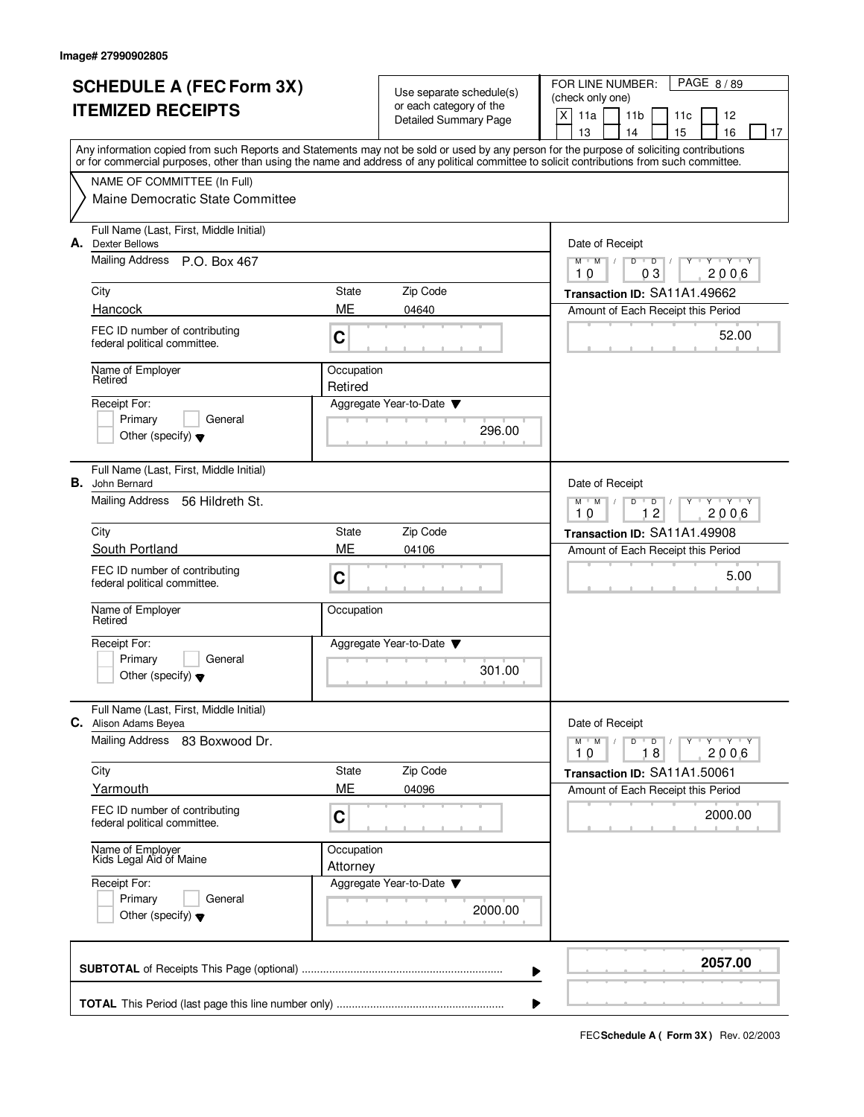| <b>SCHEDULE A (FEC Form 3X)</b> |                                                                                                                                                                                                                                                                                         |                        | Use separate schedule(s)                         |                                          | PAGE 8/89<br>FOR LINE NUMBER:<br>(check only one) |                      |    |                     |    |  |  |
|---------------------------------|-----------------------------------------------------------------------------------------------------------------------------------------------------------------------------------------------------------------------------------------------------------------------------------------|------------------------|--------------------------------------------------|------------------------------------------|---------------------------------------------------|----------------------|----|---------------------|----|--|--|
|                                 | <b>ITEMIZED RECEIPTS</b>                                                                                                                                                                                                                                                                |                        | or each category of the<br>Detailed Summary Page | X<br>11a<br>11 <sub>b</sub><br>12<br>11c |                                                   |                      |    |                     |    |  |  |
|                                 |                                                                                                                                                                                                                                                                                         |                        |                                                  | 13                                       | 14                                                |                      | 15 | 16                  | 17 |  |  |
|                                 | Any information copied from such Reports and Statements may not be sold or used by any person for the purpose of soliciting contributions<br>or for commercial purposes, other than using the name and address of any political committee to solicit contributions from such committee. |                        |                                                  |                                          |                                                   |                      |    |                     |    |  |  |
|                                 | NAME OF COMMITTEE (In Full)                                                                                                                                                                                                                                                             |                        |                                                  |                                          |                                                   |                      |    |                     |    |  |  |
|                                 | Maine Democratic State Committee                                                                                                                                                                                                                                                        |                        |                                                  |                                          |                                                   |                      |    |                     |    |  |  |
|                                 | Full Name (Last, First, Middle Initial)<br><b>A.</b> Dexter Bellows                                                                                                                                                                                                                     |                        |                                                  |                                          | Date of Receipt                                   |                      |    |                     |    |  |  |
|                                 | Mailing Address P.O. Box 467                                                                                                                                                                                                                                                            |                        |                                                  | $M$ $M$ /<br>10                          | D                                                 | $\overline{D}$<br>03 |    | $Y + Y + Y$<br>2006 |    |  |  |
|                                 | City                                                                                                                                                                                                                                                                                    | State                  | Zip Code                                         |                                          | Transaction ID: SA11A1.49662                      |                      |    |                     |    |  |  |
|                                 | Hancock                                                                                                                                                                                                                                                                                 | ME                     | 04640                                            |                                          | Amount of Each Receipt this Period                |                      |    |                     |    |  |  |
|                                 | FEC ID number of contributing<br>federal political committee.                                                                                                                                                                                                                           | C                      |                                                  |                                          |                                                   |                      |    | 52.00               |    |  |  |
|                                 | Name of Employer<br>Retired                                                                                                                                                                                                                                                             | Occupation<br>Retired  |                                                  |                                          |                                                   |                      |    |                     |    |  |  |
|                                 | Receipt For:                                                                                                                                                                                                                                                                            |                        | Aggregate Year-to-Date                           |                                          |                                                   |                      |    |                     |    |  |  |
|                                 | Primary<br>General<br>Other (specify) $\blacktriangledown$                                                                                                                                                                                                                              |                        | 296.00                                           |                                          |                                                   |                      |    |                     |    |  |  |
|                                 | Full Name (Last, First, Middle Initial)                                                                                                                                                                                                                                                 |                        |                                                  |                                          |                                                   |                      |    |                     |    |  |  |
|                                 | <b>B.</b> John Bernard                                                                                                                                                                                                                                                                  |                        |                                                  |                                          | Date of Receipt                                   |                      |    |                     |    |  |  |
|                                 | Mailing Address<br>56 Hildreth St.                                                                                                                                                                                                                                                      |                        |                                                  | $M$ M<br>10                              | D                                                 | D<br>12              |    | $Y - Y - Y$<br>2006 |    |  |  |
|                                 | City                                                                                                                                                                                                                                                                                    | State                  | Zip Code                                         |                                          | Transaction ID: SA11A1.49908                      |                      |    |                     |    |  |  |
|                                 | South Portland                                                                                                                                                                                                                                                                          | ME                     | 04106                                            |                                          | Amount of Each Receipt this Period                |                      |    |                     |    |  |  |
|                                 | FEC ID number of contributing<br>federal political committee.                                                                                                                                                                                                                           | C                      |                                                  |                                          |                                                   |                      |    | 5.00                |    |  |  |
|                                 | Name of Employer<br>Retired                                                                                                                                                                                                                                                             | Occupation             |                                                  |                                          |                                                   |                      |    |                     |    |  |  |
|                                 | Receipt For:                                                                                                                                                                                                                                                                            |                        | Aggregate Year-to-Date                           |                                          |                                                   |                      |    |                     |    |  |  |
|                                 | Primary<br>General<br>Other (specify) $\blacktriangledown$                                                                                                                                                                                                                              |                        | 301.00                                           |                                          |                                                   |                      |    |                     |    |  |  |
|                                 | Full Name (Last, First, Middle Initial)<br>C. Alison Adams Beyea                                                                                                                                                                                                                        |                        |                                                  |                                          | Date of Receipt                                   |                      |    |                     |    |  |  |
|                                 | Mailing Address<br>83 Boxwood Dr.                                                                                                                                                                                                                                                       |                        |                                                  | $M$ $M$<br>10                            | $D$ $D$                                           | 18                   |    | $Y$ $Y$ $Y$<br>2006 |    |  |  |
|                                 | City                                                                                                                                                                                                                                                                                    | State                  | Zip Code                                         |                                          | Transaction ID: SA11A1.50061                      |                      |    |                     |    |  |  |
|                                 | Yarmouth                                                                                                                                                                                                                                                                                | ME                     | 04096                                            |                                          | Amount of Each Receipt this Period                |                      |    |                     |    |  |  |
|                                 | FEC ID number of contributing<br>federal political committee.                                                                                                                                                                                                                           | C                      |                                                  |                                          |                                                   |                      |    | 2000.00             |    |  |  |
|                                 | Name of Employer<br>Kids Legal Aid of Maine                                                                                                                                                                                                                                             | Occupation<br>Attorney |                                                  |                                          |                                                   |                      |    |                     |    |  |  |
|                                 | Receipt For:                                                                                                                                                                                                                                                                            |                        | Aggregate Year-to-Date ▼                         |                                          |                                                   |                      |    |                     |    |  |  |
|                                 | Primary<br>General<br>Other (specify) $\blacktriangledown$                                                                                                                                                                                                                              |                        | 2000.00                                          |                                          |                                                   |                      |    |                     |    |  |  |
|                                 |                                                                                                                                                                                                                                                                                         |                        | ▶                                                |                                          |                                                   |                      |    | 2057.00             |    |  |  |
|                                 |                                                                                                                                                                                                                                                                                         |                        | ▶                                                |                                          |                                                   |                      |    |                     |    |  |  |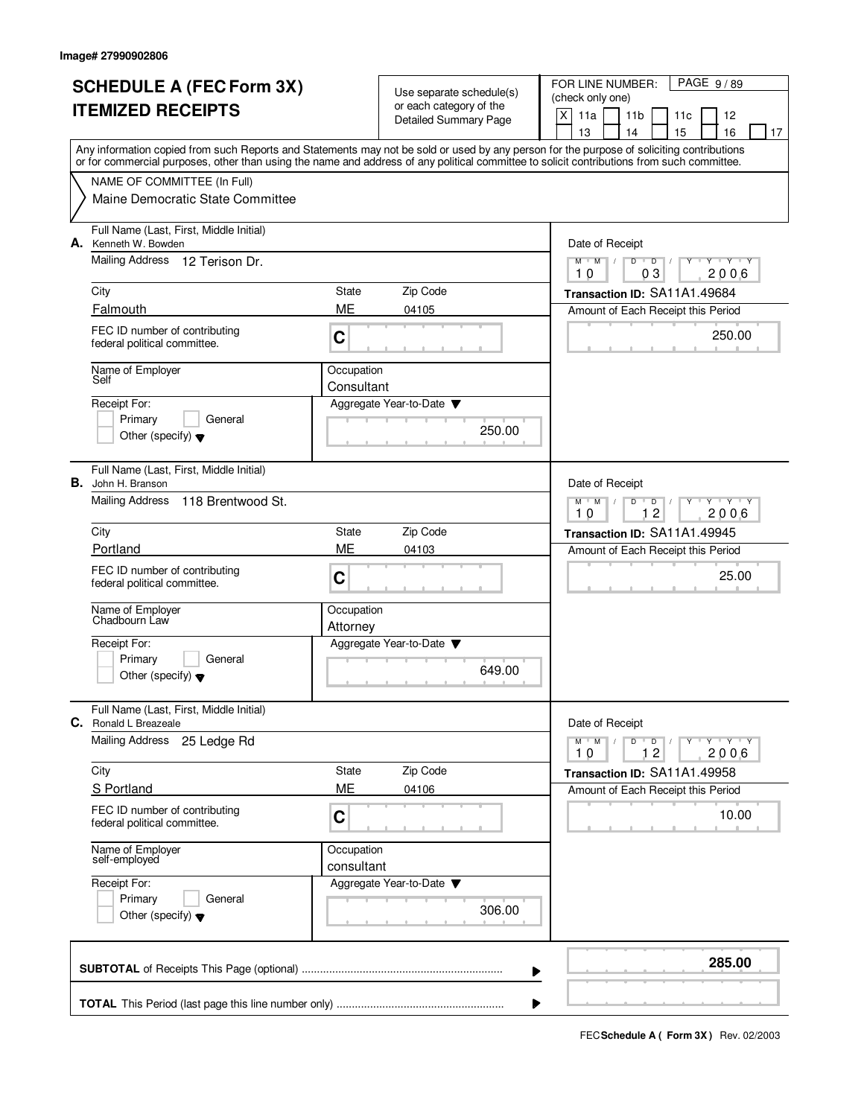| <b>SCHEDULE A (FEC Form 3X)</b> |                                                                                                                                                                                                                                                                                         |                          | Use separate schedule(s)     | FOR LINE NUMBER:<br>PAGE 9/89<br>(check only one)                             |    |  |  |  |  |  |
|---------------------------------|-----------------------------------------------------------------------------------------------------------------------------------------------------------------------------------------------------------------------------------------------------------------------------------------|--------------------------|------------------------------|-------------------------------------------------------------------------------|----|--|--|--|--|--|
|                                 | <b>ITEMIZED RECEIPTS</b>                                                                                                                                                                                                                                                                |                          |                              | $\mathsf{X}$<br>11a<br>11 <sub>b</sub><br>11c<br>12                           |    |  |  |  |  |  |
|                                 |                                                                                                                                                                                                                                                                                         |                          | <b>Detailed Summary Page</b> | 16<br>13<br>14<br>15                                                          | 17 |  |  |  |  |  |
|                                 | Any information copied from such Reports and Statements may not be sold or used by any person for the purpose of soliciting contributions<br>or for commercial purposes, other than using the name and address of any political committee to solicit contributions from such committee. |                          |                              |                                                                               |    |  |  |  |  |  |
|                                 | NAME OF COMMITTEE (In Full)                                                                                                                                                                                                                                                             |                          |                              |                                                                               |    |  |  |  |  |  |
|                                 | Maine Democratic State Committee                                                                                                                                                                                                                                                        |                          |                              |                                                                               |    |  |  |  |  |  |
|                                 | Full Name (Last, First, Middle Initial)<br>A. Kenneth W. Bowden                                                                                                                                                                                                                         |                          |                              | Date of Receipt                                                               |    |  |  |  |  |  |
|                                 | Mailing Address 12 Terison Dr.                                                                                                                                                                                                                                                          |                          |                              | $M-M$ /<br>$D$ $D$<br>$Y - Y - Y$<br>03<br>2006<br>10                         |    |  |  |  |  |  |
|                                 | City                                                                                                                                                                                                                                                                                    | State                    | Zip Code                     | Transaction ID: SA11A1.49684                                                  |    |  |  |  |  |  |
|                                 | Falmouth                                                                                                                                                                                                                                                                                | ME                       | 04105                        | Amount of Each Receipt this Period                                            |    |  |  |  |  |  |
|                                 | FEC ID number of contributing<br>federal political committee.                                                                                                                                                                                                                           | C                        |                              | 250.00                                                                        |    |  |  |  |  |  |
|                                 | Name of Employer<br>Self                                                                                                                                                                                                                                                                | Occupation<br>Consultant |                              |                                                                               |    |  |  |  |  |  |
|                                 | Receipt For:                                                                                                                                                                                                                                                                            |                          | Aggregate Year-to-Date       |                                                                               |    |  |  |  |  |  |
|                                 | General<br>Primary                                                                                                                                                                                                                                                                      |                          | 250.00                       |                                                                               |    |  |  |  |  |  |
|                                 | Other (specify) $\blacktriangledown$                                                                                                                                                                                                                                                    |                          |                              |                                                                               |    |  |  |  |  |  |
|                                 | Full Name (Last, First, Middle Initial)<br><b>B.</b> John H. Branson                                                                                                                                                                                                                    |                          |                              | Date of Receipt                                                               |    |  |  |  |  |  |
|                                 | Mailing Address<br>118 Brentwood St.                                                                                                                                                                                                                                                    |                          |                              | $T - Y - T Y$<br>$M$ <sup>U</sup><br>M<br>D<br>D<br>12<br>2006<br>10          |    |  |  |  |  |  |
|                                 | City                                                                                                                                                                                                                                                                                    | State                    | Zip Code                     | Transaction ID: SA11A1.49945                                                  |    |  |  |  |  |  |
|                                 | Portland                                                                                                                                                                                                                                                                                | <b>ME</b>                | 04103                        | Amount of Each Receipt this Period                                            |    |  |  |  |  |  |
|                                 | FEC ID number of contributing<br>federal political committee.                                                                                                                                                                                                                           | C                        |                              | 25.00                                                                         |    |  |  |  |  |  |
|                                 | Name of Employer<br>Chadbourn Law                                                                                                                                                                                                                                                       | Occupation<br>Attorney   |                              |                                                                               |    |  |  |  |  |  |
|                                 | Receipt For:                                                                                                                                                                                                                                                                            |                          | Aggregate Year-to-Date       |                                                                               |    |  |  |  |  |  |
|                                 | Primary<br>General<br>Other (specify) $\blacktriangledown$                                                                                                                                                                                                                              |                          | 649.00                       |                                                                               |    |  |  |  |  |  |
| С.                              | Full Name (Last, First, Middle Initial)<br>Ronald L Breazeale                                                                                                                                                                                                                           |                          |                              | Date of Receipt                                                               |    |  |  |  |  |  |
|                                 | Mailing Address<br>25 Ledge Rd                                                                                                                                                                                                                                                          |                          |                              | $Y$ $Y$ $Y$ $Y$<br>$M$ $M$<br>$D$ $D$<br>$Y$ <sup>U</sup><br>10<br>12<br>2006 |    |  |  |  |  |  |
|                                 | City                                                                                                                                                                                                                                                                                    | State                    | Zip Code                     | Transaction ID: SA11A1.49958                                                  |    |  |  |  |  |  |
|                                 | S Portland                                                                                                                                                                                                                                                                              | ME                       | 04106                        | Amount of Each Receipt this Period                                            |    |  |  |  |  |  |
|                                 | FEC ID number of contributing<br>federal political committee.                                                                                                                                                                                                                           | С                        |                              | 10.00                                                                         |    |  |  |  |  |  |
|                                 | Name of Employer<br>self-employed                                                                                                                                                                                                                                                       | Occupation<br>consultant |                              |                                                                               |    |  |  |  |  |  |
|                                 | Receipt For:                                                                                                                                                                                                                                                                            |                          | Aggregate Year-to-Date       |                                                                               |    |  |  |  |  |  |
|                                 | Primary<br>General                                                                                                                                                                                                                                                                      |                          | 306.00                       |                                                                               |    |  |  |  |  |  |
|                                 | Other (specify) $\blacktriangledown$                                                                                                                                                                                                                                                    |                          |                              |                                                                               |    |  |  |  |  |  |
|                                 |                                                                                                                                                                                                                                                                                         |                          |                              | 285.00<br>▶                                                                   |    |  |  |  |  |  |
|                                 |                                                                                                                                                                                                                                                                                         |                          |                              | ▶                                                                             |    |  |  |  |  |  |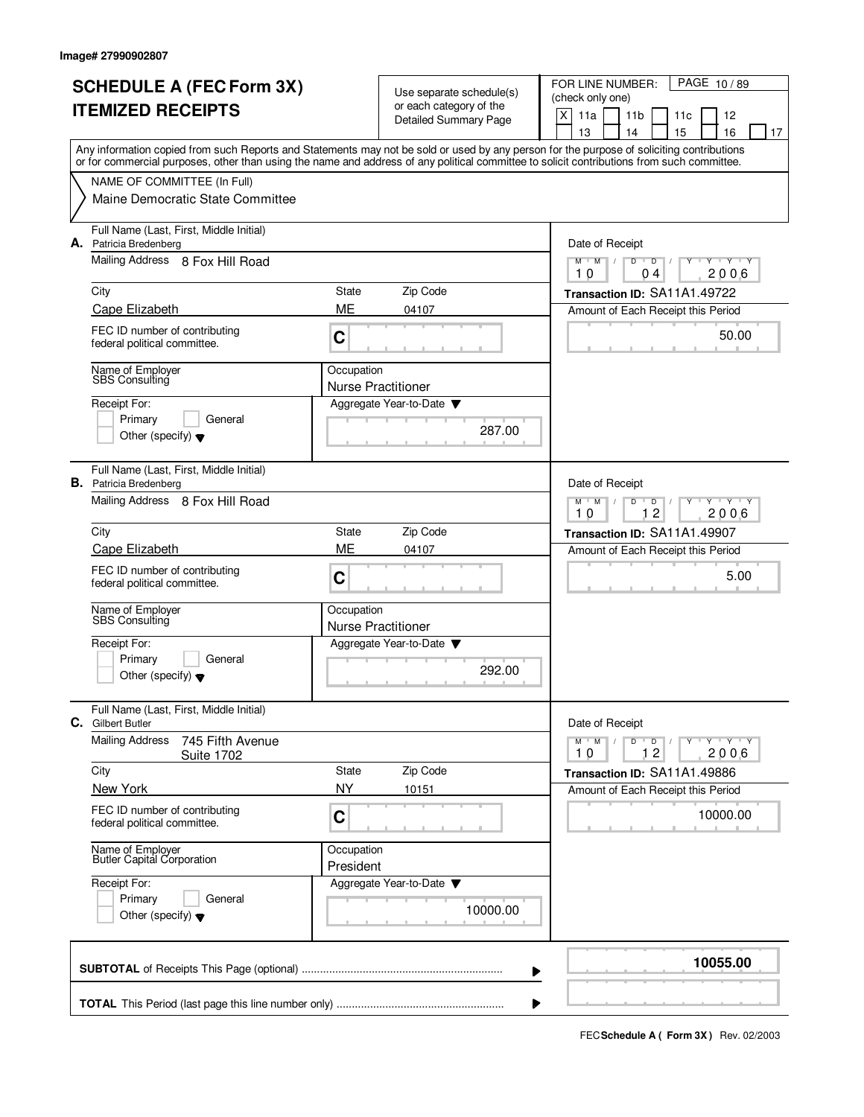| <b>SCHEDULE A (FEC Form 3X)</b> |                                                                                                                                                                                                                                                                                         |                                         | Use separate schedule(s)                            | FOR LINE NUMBER:<br>PAGE 10/89                                                       |  |  |  |  |  |  |
|---------------------------------|-----------------------------------------------------------------------------------------------------------------------------------------------------------------------------------------------------------------------------------------------------------------------------------------|-----------------------------------------|-----------------------------------------------------|--------------------------------------------------------------------------------------|--|--|--|--|--|--|
|                                 | <b>ITEMIZED RECEIPTS</b>                                                                                                                                                                                                                                                                | or each category of the                 |                                                     | (check only one)<br>$X$ 11a<br>11 <sub>b</sub><br>11c<br>12                          |  |  |  |  |  |  |
|                                 |                                                                                                                                                                                                                                                                                         |                                         | <b>Detailed Summary Page</b>                        | 16<br>13<br>14<br>15<br>17                                                           |  |  |  |  |  |  |
|                                 | Any information copied from such Reports and Statements may not be sold or used by any person for the purpose of soliciting contributions<br>or for commercial purposes, other than using the name and address of any political committee to solicit contributions from such committee. |                                         |                                                     |                                                                                      |  |  |  |  |  |  |
|                                 | NAME OF COMMITTEE (In Full)                                                                                                                                                                                                                                                             |                                         |                                                     |                                                                                      |  |  |  |  |  |  |
|                                 | Maine Democratic State Committee                                                                                                                                                                                                                                                        |                                         |                                                     |                                                                                      |  |  |  |  |  |  |
|                                 | Full Name (Last, First, Middle Initial)<br>A. Patricia Bredenberg                                                                                                                                                                                                                       |                                         |                                                     | Date of Receipt                                                                      |  |  |  |  |  |  |
|                                 | Mailing Address 8 Fox Hill Road                                                                                                                                                                                                                                                         |                                         |                                                     | $M$ $M$ $M$<br>D<br>$\overline{D}$<br><b>TY TY TY</b><br>$\perp$<br>10<br>2006<br>04 |  |  |  |  |  |  |
|                                 | City                                                                                                                                                                                                                                                                                    | State                                   | Zip Code                                            | Transaction ID: SA11A1.49722                                                         |  |  |  |  |  |  |
|                                 | Cape Elizabeth                                                                                                                                                                                                                                                                          | ME                                      | 04107                                               | Amount of Each Receipt this Period                                                   |  |  |  |  |  |  |
|                                 | FEC ID number of contributing<br>federal political committee.                                                                                                                                                                                                                           | C                                       |                                                     | 50.00                                                                                |  |  |  |  |  |  |
|                                 | Name of Employer<br>SBS Consulting                                                                                                                                                                                                                                                      | Occupation                              |                                                     |                                                                                      |  |  |  |  |  |  |
|                                 | Receipt For:                                                                                                                                                                                                                                                                            |                                         | <b>Nurse Practitioner</b><br>Aggregate Year-to-Date |                                                                                      |  |  |  |  |  |  |
|                                 | Primary<br>General                                                                                                                                                                                                                                                                      |                                         |                                                     |                                                                                      |  |  |  |  |  |  |
|                                 | Other (specify) $\blacktriangledown$                                                                                                                                                                                                                                                    |                                         | 287.00                                              |                                                                                      |  |  |  |  |  |  |
|                                 | Full Name (Last, First, Middle Initial)<br><b>B.</b> Patricia Bredenberg                                                                                                                                                                                                                |                                         |                                                     | Date of Receipt                                                                      |  |  |  |  |  |  |
|                                 | Mailing Address 8 Fox Hill Road                                                                                                                                                                                                                                                         |                                         |                                                     | $M$ <sup>U</sup><br>M<br>D<br>$T - Y$<br>D<br>12<br>2006<br>10                       |  |  |  |  |  |  |
|                                 | City                                                                                                                                                                                                                                                                                    | State                                   | Zip Code                                            | Transaction ID: SA11A1.49907                                                         |  |  |  |  |  |  |
|                                 | Cape Elizabeth                                                                                                                                                                                                                                                                          | ME                                      | 04107                                               | Amount of Each Receipt this Period                                                   |  |  |  |  |  |  |
|                                 | FEC ID number of contributing<br>federal political committee.                                                                                                                                                                                                                           | C                                       |                                                     | 5.00                                                                                 |  |  |  |  |  |  |
|                                 | Name of Employer<br><b>SBS</b> Consulting                                                                                                                                                                                                                                               | Occupation<br><b>Nurse Practitioner</b> |                                                     |                                                                                      |  |  |  |  |  |  |
|                                 | Receipt For:                                                                                                                                                                                                                                                                            |                                         | Aggregate Year-to-Date                              |                                                                                      |  |  |  |  |  |  |
|                                 | Primary<br>General                                                                                                                                                                                                                                                                      |                                         |                                                     |                                                                                      |  |  |  |  |  |  |
|                                 | Other (specify) $\blacktriangledown$                                                                                                                                                                                                                                                    |                                         | 292.00                                              |                                                                                      |  |  |  |  |  |  |
| С.                              | Full Name (Last, First, Middle Initial)<br><b>Gilbert Butler</b>                                                                                                                                                                                                                        |                                         |                                                     | Date of Receipt                                                                      |  |  |  |  |  |  |
|                                 | <b>Mailing Address</b><br>745 Fifth Avenue<br><b>Suite 1702</b>                                                                                                                                                                                                                         |                                         |                                                     | $Y$ $Y$ $Y$ $Y$<br>$M$ M<br>D<br>$\overline{\phantom{a}}$ D<br>Y<br>10<br>12<br>2006 |  |  |  |  |  |  |
|                                 | City                                                                                                                                                                                                                                                                                    | State                                   | Zip Code                                            | Transaction ID: SA11A1.49886                                                         |  |  |  |  |  |  |
|                                 | New York                                                                                                                                                                                                                                                                                | <b>NY</b>                               | 10151                                               | Amount of Each Receipt this Period                                                   |  |  |  |  |  |  |
|                                 | FEC ID number of contributing<br>federal political committee.                                                                                                                                                                                                                           | C                                       |                                                     | 10000.00                                                                             |  |  |  |  |  |  |
|                                 | Name of Employer<br>Butler Capital Corporation                                                                                                                                                                                                                                          | Occupation<br>President                 |                                                     |                                                                                      |  |  |  |  |  |  |
|                                 | Receipt For:                                                                                                                                                                                                                                                                            |                                         | Aggregate Year-to-Date                              |                                                                                      |  |  |  |  |  |  |
|                                 | Primary<br>General<br>Other (specify) $\blacktriangledown$                                                                                                                                                                                                                              |                                         | 10000.00                                            |                                                                                      |  |  |  |  |  |  |
|                                 |                                                                                                                                                                                                                                                                                         |                                         | ▶                                                   | 10055.00                                                                             |  |  |  |  |  |  |
|                                 |                                                                                                                                                                                                                                                                                         |                                         | ▶                                                   |                                                                                      |  |  |  |  |  |  |
|                                 |                                                                                                                                                                                                                                                                                         |                                         |                                                     |                                                                                      |  |  |  |  |  |  |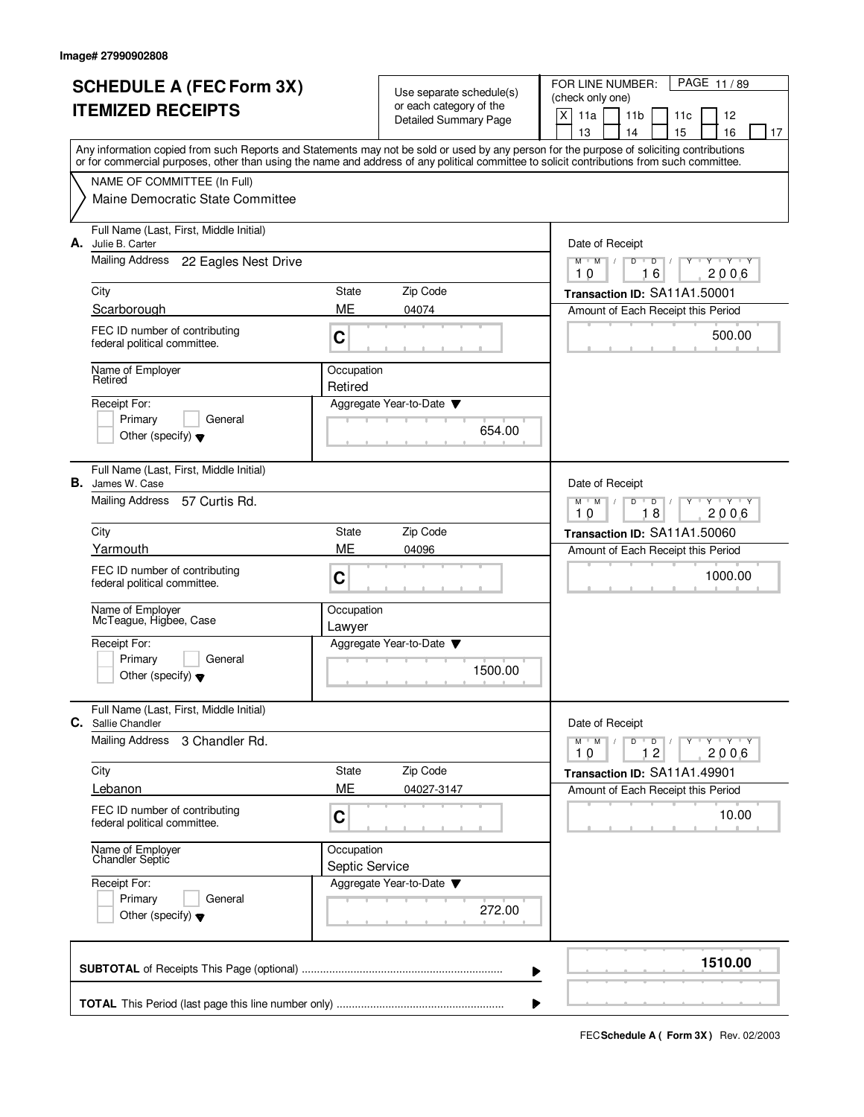| <b>SCHEDULE A (FEC Form 3X)</b> |                                                                                                                                                                                                                                                                                         |                                                   | Use separate schedule(s)<br>or each category of the |                                                                                                           | PAGE 11/89<br>FOR LINE NUMBER:<br>(check only one) |    |    |                     |    |
|---------------------------------|-----------------------------------------------------------------------------------------------------------------------------------------------------------------------------------------------------------------------------------------------------------------------------------------|---------------------------------------------------|-----------------------------------------------------|-----------------------------------------------------------------------------------------------------------|----------------------------------------------------|----|----|---------------------|----|
| <b>ITEMIZED RECEIPTS</b>        |                                                                                                                                                                                                                                                                                         |                                                   | <b>Detailed Summary Page</b>                        |                                                                                                           | X<br>11a<br>11 <sub>b</sub><br>12<br>11c           |    |    |                     |    |
|                                 |                                                                                                                                                                                                                                                                                         |                                                   |                                                     | 13                                                                                                        | 14                                                 |    | 15 | 16                  | 17 |
|                                 | Any information copied from such Reports and Statements may not be sold or used by any person for the purpose of soliciting contributions<br>or for commercial purposes, other than using the name and address of any political committee to solicit contributions from such committee. |                                                   |                                                     |                                                                                                           |                                                    |    |    |                     |    |
|                                 | NAME OF COMMITTEE (In Full)                                                                                                                                                                                                                                                             |                                                   |                                                     |                                                                                                           |                                                    |    |    |                     |    |
|                                 | Maine Democratic State Committee                                                                                                                                                                                                                                                        |                                                   |                                                     |                                                                                                           |                                                    |    |    |                     |    |
|                                 | Full Name (Last, First, Middle Initial)<br>A. Julie B. Carter                                                                                                                                                                                                                           |                                                   |                                                     |                                                                                                           | Date of Receipt                                    |    |    |                     |    |
|                                 | Mailing Address<br>22 Eagles Nest Drive                                                                                                                                                                                                                                                 |                                                   |                                                     | $\overline{Y}$ $\overline{Y}$ $\overline{Y}$<br>$M$ $M$ /<br>D<br>$\overline{D}$<br>Y<br>2006<br>10<br>16 |                                                    |    |    |                     |    |
|                                 | City                                                                                                                                                                                                                                                                                    | State                                             | Zip Code                                            |                                                                                                           | Transaction ID: SA11A1.50001                       |    |    |                     |    |
|                                 | Scarborough                                                                                                                                                                                                                                                                             | ME                                                | 04074                                               |                                                                                                           | Amount of Each Receipt this Period                 |    |    |                     |    |
|                                 | FEC ID number of contributing<br>federal political committee.                                                                                                                                                                                                                           | C                                                 |                                                     |                                                                                                           |                                                    |    |    | 500.00              |    |
|                                 | Name of Employer<br>Retired                                                                                                                                                                                                                                                             | Occupation<br>Retired                             |                                                     |                                                                                                           |                                                    |    |    |                     |    |
|                                 | Receipt For:                                                                                                                                                                                                                                                                            |                                                   | Aggregate Year-to-Date                              |                                                                                                           |                                                    |    |    |                     |    |
|                                 | Primary<br>General                                                                                                                                                                                                                                                                      |                                                   | 654.00                                              |                                                                                                           |                                                    |    |    |                     |    |
|                                 | Other (specify) $\blacktriangledown$                                                                                                                                                                                                                                                    |                                                   |                                                     |                                                                                                           |                                                    |    |    |                     |    |
| В.                              | Full Name (Last, First, Middle Initial)<br>James W. Case                                                                                                                                                                                                                                |                                                   |                                                     |                                                                                                           | Date of Receipt                                    |    |    |                     |    |
|                                 | <b>Mailing Address</b><br>57 Curtis Rd.                                                                                                                                                                                                                                                 |                                                   | $Y - Y - Y$<br>$M$ M<br>D<br>D<br>18<br>2006<br>10  |                                                                                                           |                                                    |    |    |                     |    |
|                                 | City                                                                                                                                                                                                                                                                                    | State                                             | Transaction ID: SA11A1.50060                        |                                                                                                           |                                                    |    |    |                     |    |
|                                 | Yarmouth                                                                                                                                                                                                                                                                                | ME<br>04096<br>Amount of Each Receipt this Period |                                                     |                                                                                                           |                                                    |    |    |                     |    |
|                                 | FEC ID number of contributing<br>federal political committee.                                                                                                                                                                                                                           | C                                                 |                                                     |                                                                                                           |                                                    |    |    | 1000.00             |    |
|                                 | Name of Employer<br>McTeague, Higbee, Case                                                                                                                                                                                                                                              | Occupation<br>Lawyer                              |                                                     |                                                                                                           |                                                    |    |    |                     |    |
|                                 | Receipt For:                                                                                                                                                                                                                                                                            |                                                   | Aggregate Year-to-Date                              |                                                                                                           |                                                    |    |    |                     |    |
|                                 | Primary<br>General<br>Other (specify) $\blacktriangledown$                                                                                                                                                                                                                              |                                                   | 1500.00                                             |                                                                                                           |                                                    |    |    |                     |    |
| C.                              | Full Name (Last, First, Middle Initial)<br>Sallie Chandler                                                                                                                                                                                                                              |                                                   |                                                     |                                                                                                           | Date of Receipt                                    |    |    |                     |    |
|                                 | <b>Mailing Address</b><br>3 Chandler Rd.                                                                                                                                                                                                                                                |                                                   |                                                     | $M$ $M$<br>10                                                                                             | $D$ $D$                                            | 12 |    | $Y$ $Y$ $Y$<br>2006 |    |
|                                 | City                                                                                                                                                                                                                                                                                    | State                                             | Zip Code                                            |                                                                                                           | Transaction ID: SA11A1.49901                       |    |    |                     |    |
|                                 | Lebanon                                                                                                                                                                                                                                                                                 | ME                                                | 04027-3147                                          |                                                                                                           | Amount of Each Receipt this Period                 |    |    |                     |    |
|                                 | FEC ID number of contributing<br>federal political committee.                                                                                                                                                                                                                           | C                                                 |                                                     |                                                                                                           |                                                    |    |    | 10.00               |    |
|                                 | Name of Employer<br>Chandler Septic<br>Occupation<br>Septic Service<br>Receipt For:<br>Primary<br>General                                                                                                                                                                               |                                                   |                                                     |                                                                                                           |                                                    |    |    |                     |    |
|                                 |                                                                                                                                                                                                                                                                                         |                                                   | Aggregate Year-to-Date ▼                            |                                                                                                           |                                                    |    |    |                     |    |
|                                 |                                                                                                                                                                                                                                                                                         |                                                   |                                                     |                                                                                                           |                                                    |    |    |                     |    |
|                                 | Other (specify) $\blacktriangledown$                                                                                                                                                                                                                                                    | 272.00                                            |                                                     |                                                                                                           |                                                    |    |    |                     |    |
|                                 |                                                                                                                                                                                                                                                                                         |                                                   | ▶                                                   |                                                                                                           |                                                    |    |    | 1510.00             |    |
|                                 |                                                                                                                                                                                                                                                                                         |                                                   | ▶                                                   |                                                                                                           |                                                    |    |    |                     |    |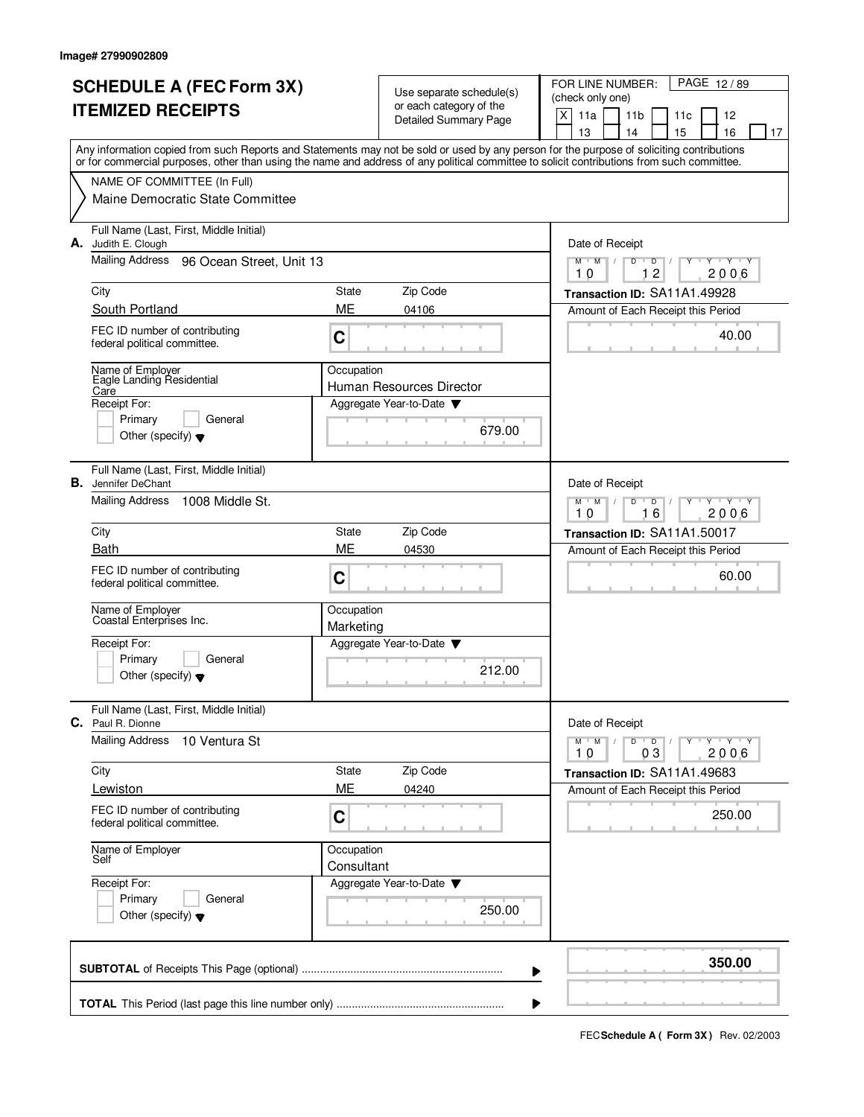| (check only one)<br>or each category of the<br><b>ITEMIZED RECEIPTS</b><br>X<br>11a<br>11 <sub>b</sub><br><b>Detailed Summary Page</b><br>13<br>14<br>Any information copied from such Reports and Statements may not be sold or used by any person for the purpose of soliciting contributions<br>or for commercial purposes, other than using the name and address of any political committee to solicit contributions from such committee.<br>NAME OF COMMITTEE (In Full)<br>Maine Democratic State Committee<br>Full Name (Last, First, Middle Initial)<br>A. Judith E. Clough<br>Date of Receipt<br><b>Mailing Address</b><br>96 Ocean Street, Unit 13<br>$M$ $M$ $/$<br>D<br>$\overline{D}$ |                          |  |  |  |  |  |
|---------------------------------------------------------------------------------------------------------------------------------------------------------------------------------------------------------------------------------------------------------------------------------------------------------------------------------------------------------------------------------------------------------------------------------------------------------------------------------------------------------------------------------------------------------------------------------------------------------------------------------------------------------------------------------------------------|--------------------------|--|--|--|--|--|
|                                                                                                                                                                                                                                                                                                                                                                                                                                                                                                                                                                                                                                                                                                   | 11c<br>12                |  |  |  |  |  |
|                                                                                                                                                                                                                                                                                                                                                                                                                                                                                                                                                                                                                                                                                                   | 15<br>16<br>17           |  |  |  |  |  |
|                                                                                                                                                                                                                                                                                                                                                                                                                                                                                                                                                                                                                                                                                                   |                          |  |  |  |  |  |
|                                                                                                                                                                                                                                                                                                                                                                                                                                                                                                                                                                                                                                                                                                   |                          |  |  |  |  |  |
|                                                                                                                                                                                                                                                                                                                                                                                                                                                                                                                                                                                                                                                                                                   |                          |  |  |  |  |  |
|                                                                                                                                                                                                                                                                                                                                                                                                                                                                                                                                                                                                                                                                                                   |                          |  |  |  |  |  |
| 12<br>10                                                                                                                                                                                                                                                                                                                                                                                                                                                                                                                                                                                                                                                                                          | Y 'Y 'Y<br>2006          |  |  |  |  |  |
| Zip Code<br>City<br>State<br>Transaction ID: SA11A1.49928                                                                                                                                                                                                                                                                                                                                                                                                                                                                                                                                                                                                                                         |                          |  |  |  |  |  |
| South Portland<br>ME<br>04106<br>Amount of Each Receipt this Period                                                                                                                                                                                                                                                                                                                                                                                                                                                                                                                                                                                                                               |                          |  |  |  |  |  |
| FEC ID number of contributing<br>C<br>federal political committee.                                                                                                                                                                                                                                                                                                                                                                                                                                                                                                                                                                                                                                | 40.00                    |  |  |  |  |  |
| Name of Employer<br>Occupation<br>Eagle Landing Residential                                                                                                                                                                                                                                                                                                                                                                                                                                                                                                                                                                                                                                       |                          |  |  |  |  |  |
| Human Resources Director<br>Care<br>Receipt For:<br>Aggregate Year-to-Date                                                                                                                                                                                                                                                                                                                                                                                                                                                                                                                                                                                                                        |                          |  |  |  |  |  |
| General<br>Primary                                                                                                                                                                                                                                                                                                                                                                                                                                                                                                                                                                                                                                                                                |                          |  |  |  |  |  |
| 679.00<br>Other (specify) $\blacktriangledown$                                                                                                                                                                                                                                                                                                                                                                                                                                                                                                                                                                                                                                                    |                          |  |  |  |  |  |
| Full Name (Last, First, Middle Initial)<br>В.<br>Date of Receipt<br>Jennifer DeChant                                                                                                                                                                                                                                                                                                                                                                                                                                                                                                                                                                                                              |                          |  |  |  |  |  |
| <b>Mailing Address</b><br>1008 Middle St.<br>$M^+$ M<br>$D$ $D$<br>10<br>16                                                                                                                                                                                                                                                                                                                                                                                                                                                                                                                                                                                                                       | $Y - Y - Y$<br>2006      |  |  |  |  |  |
| Zip Code<br>City<br>State<br>Transaction ID: SA11A1.50017                                                                                                                                                                                                                                                                                                                                                                                                                                                                                                                                                                                                                                         |                          |  |  |  |  |  |
| ME<br><b>Bath</b><br>04530<br>Amount of Each Receipt this Period                                                                                                                                                                                                                                                                                                                                                                                                                                                                                                                                                                                                                                  |                          |  |  |  |  |  |
| FEC ID number of contributing<br>C<br>federal political committee.                                                                                                                                                                                                                                                                                                                                                                                                                                                                                                                                                                                                                                | 60.00                    |  |  |  |  |  |
| Name of Employer<br>Coastal Enterprises Inc.<br>Occupation<br>Marketing                                                                                                                                                                                                                                                                                                                                                                                                                                                                                                                                                                                                                           |                          |  |  |  |  |  |
| Receipt For:<br>Aggregate Year-to-Date                                                                                                                                                                                                                                                                                                                                                                                                                                                                                                                                                                                                                                                            |                          |  |  |  |  |  |
| Primary<br>General<br>212.00<br>Other (specify) $\blacktriangledown$                                                                                                                                                                                                                                                                                                                                                                                                                                                                                                                                                                                                                              |                          |  |  |  |  |  |
| Full Name (Last, First, Middle Initial)<br>Date of Receipt<br>C.<br>Paul R. Dionne                                                                                                                                                                                                                                                                                                                                                                                                                                                                                                                                                                                                                |                          |  |  |  |  |  |
| <b>Mailing Address</b><br>10 Ventura St<br>M<br>$M$ <sup>-1</sup><br>D<br>$\overline{D}$<br>03<br>10                                                                                                                                                                                                                                                                                                                                                                                                                                                                                                                                                                                              | $V = Y + Y$<br>Y<br>2006 |  |  |  |  |  |
| Zip Code<br>City<br>State<br>Transaction ID: SA11A1.49683                                                                                                                                                                                                                                                                                                                                                                                                                                                                                                                                                                                                                                         |                          |  |  |  |  |  |
| ME<br>Lewiston<br>04240<br>Amount of Each Receipt this Period                                                                                                                                                                                                                                                                                                                                                                                                                                                                                                                                                                                                                                     |                          |  |  |  |  |  |
| FEC ID number of contributing<br>C<br>federal political committee.                                                                                                                                                                                                                                                                                                                                                                                                                                                                                                                                                                                                                                | 250.00                   |  |  |  |  |  |
| Name of Employer<br>Occupation<br>Self<br>Consultant                                                                                                                                                                                                                                                                                                                                                                                                                                                                                                                                                                                                                                              |                          |  |  |  |  |  |
| Receipt For:<br>Aggregate Year-to-Date                                                                                                                                                                                                                                                                                                                                                                                                                                                                                                                                                                                                                                                            |                          |  |  |  |  |  |
| Primary<br>General<br>250.00<br>Other (specify) $\blacktriangledown$                                                                                                                                                                                                                                                                                                                                                                                                                                                                                                                                                                                                                              |                          |  |  |  |  |  |
|                                                                                                                                                                                                                                                                                                                                                                                                                                                                                                                                                                                                                                                                                                   | 350.00                   |  |  |  |  |  |
|                                                                                                                                                                                                                                                                                                                                                                                                                                                                                                                                                                                                                                                                                                   |                          |  |  |  |  |  |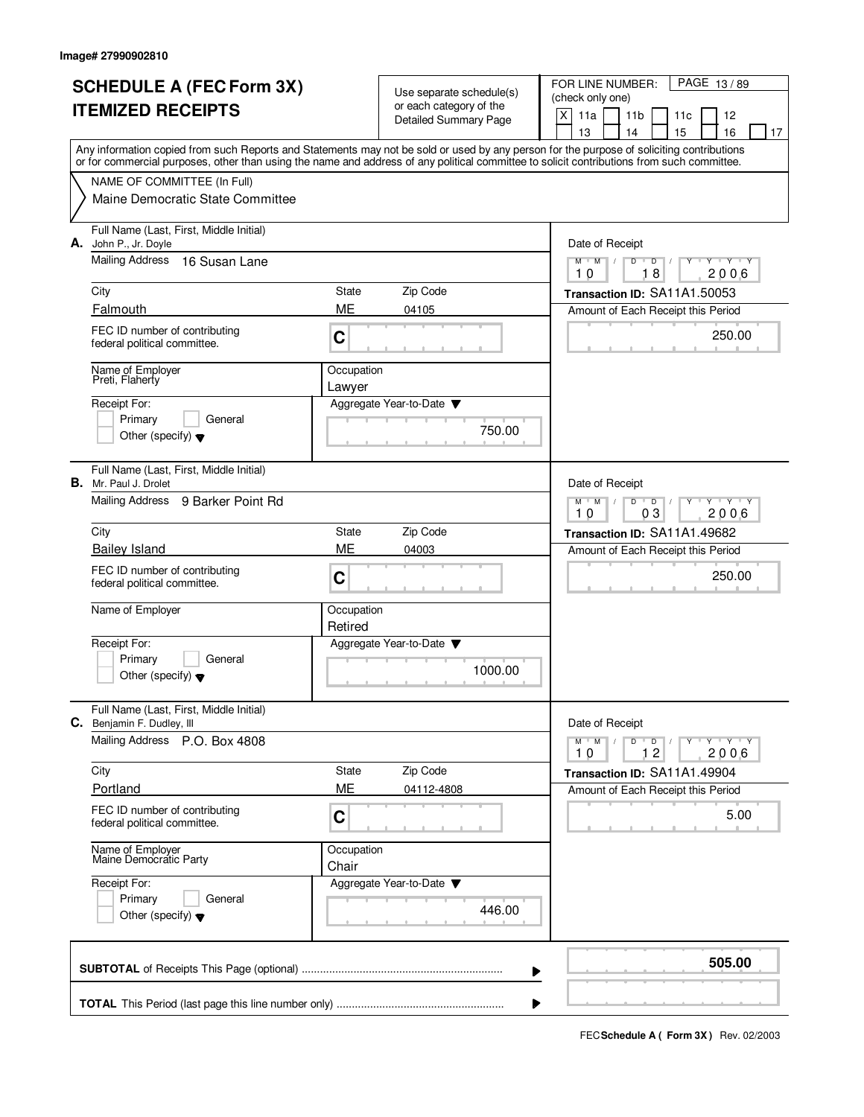|                                 |                                                                                                                                                                                                                                                                                         |            |                                                     | PAGE 13/89<br>FOR LINE NUMBER:                                   |  |  |  |
|---------------------------------|-----------------------------------------------------------------------------------------------------------------------------------------------------------------------------------------------------------------------------------------------------------------------------------------|------------|-----------------------------------------------------|------------------------------------------------------------------|--|--|--|
| <b>SCHEDULE A (FEC Form 3X)</b> |                                                                                                                                                                                                                                                                                         |            | Use separate schedule(s)<br>or each category of the | (check only one)                                                 |  |  |  |
| <b>ITEMIZED RECEIPTS</b>        |                                                                                                                                                                                                                                                                                         |            | Detailed Summary Page                               | X<br>11a<br>11 <sub>b</sub><br>11c<br>12                         |  |  |  |
|                                 |                                                                                                                                                                                                                                                                                         |            |                                                     | 13<br>14<br>15<br>16<br>17                                       |  |  |  |
|                                 | Any information copied from such Reports and Statements may not be sold or used by any person for the purpose of soliciting contributions<br>or for commercial purposes, other than using the name and address of any political committee to solicit contributions from such committee. |            |                                                     |                                                                  |  |  |  |
|                                 |                                                                                                                                                                                                                                                                                         |            |                                                     |                                                                  |  |  |  |
|                                 | NAME OF COMMITTEE (In Full)<br>Maine Democratic State Committee                                                                                                                                                                                                                         |            |                                                     |                                                                  |  |  |  |
|                                 |                                                                                                                                                                                                                                                                                         |            |                                                     |                                                                  |  |  |  |
|                                 | Full Name (Last, First, Middle Initial)                                                                                                                                                                                                                                                 |            |                                                     |                                                                  |  |  |  |
|                                 | A. John P., Jr. Doyle<br>Mailing Address<br>16 Susan Lane                                                                                                                                                                                                                               |            |                                                     | Date of Receipt<br>$\mathbf{y} + \mathbf{y}$<br>$M$ $M$ /<br>Y   |  |  |  |
|                                 |                                                                                                                                                                                                                                                                                         |            |                                                     | D<br>$\overline{D}$<br>18<br>2006<br>10                          |  |  |  |
|                                 | City                                                                                                                                                                                                                                                                                    | State      | Zip Code                                            | Transaction ID: SA11A1.50053                                     |  |  |  |
|                                 | Falmouth                                                                                                                                                                                                                                                                                | ME         | 04105                                               | Amount of Each Receipt this Period                               |  |  |  |
|                                 | FEC ID number of contributing                                                                                                                                                                                                                                                           |            |                                                     | 250.00                                                           |  |  |  |
|                                 | federal political committee.                                                                                                                                                                                                                                                            | C          |                                                     |                                                                  |  |  |  |
|                                 | Name of Employer<br>Preti, Flaherty                                                                                                                                                                                                                                                     | Occupation |                                                     |                                                                  |  |  |  |
|                                 |                                                                                                                                                                                                                                                                                         | Lawyer     |                                                     |                                                                  |  |  |  |
|                                 | Receipt For:<br>Primary<br>General                                                                                                                                                                                                                                                      |            | Aggregate Year-to-Date                              |                                                                  |  |  |  |
|                                 | Other (specify) $\blacktriangledown$                                                                                                                                                                                                                                                    |            | 750.00                                              |                                                                  |  |  |  |
|                                 |                                                                                                                                                                                                                                                                                         |            |                                                     |                                                                  |  |  |  |
|                                 | Full Name (Last, First, Middle Initial)                                                                                                                                                                                                                                                 |            |                                                     |                                                                  |  |  |  |
|                                 | <b>B.</b> Mr. Paul J. Drolet<br>Mailing Address 9 Barker Point Rd                                                                                                                                                                                                                       |            |                                                     | Date of Receipt<br>$D$ $D$<br>$Y \vdash Y \vdash Y$<br>$M$ $M$ / |  |  |  |
|                                 |                                                                                                                                                                                                                                                                                         |            |                                                     | 03<br>2006<br>10                                                 |  |  |  |
|                                 | City                                                                                                                                                                                                                                                                                    | State      | Zip Code                                            | Transaction ID: SA11A1.49682                                     |  |  |  |
|                                 | <b>Bailey Island</b>                                                                                                                                                                                                                                                                    | ME         | 04003                                               | Amount of Each Receipt this Period                               |  |  |  |
|                                 | FEC ID number of contributing                                                                                                                                                                                                                                                           | C          |                                                     | 250.00                                                           |  |  |  |
|                                 | federal political committee.                                                                                                                                                                                                                                                            |            |                                                     |                                                                  |  |  |  |
|                                 | Name of Employer                                                                                                                                                                                                                                                                        | Occupation |                                                     |                                                                  |  |  |  |
|                                 |                                                                                                                                                                                                                                                                                         | Retired    |                                                     |                                                                  |  |  |  |
|                                 | Receipt For:                                                                                                                                                                                                                                                                            |            | Aggregate Year-to-Date                              |                                                                  |  |  |  |
|                                 | Primary<br>General                                                                                                                                                                                                                                                                      |            | 1000.00                                             |                                                                  |  |  |  |
|                                 | Other (specify) $\blacktriangledown$                                                                                                                                                                                                                                                    |            |                                                     |                                                                  |  |  |  |
|                                 | Full Name (Last, First, Middle Initial)                                                                                                                                                                                                                                                 |            |                                                     |                                                                  |  |  |  |
|                                 | C. Benjamin F. Dudley, III                                                                                                                                                                                                                                                              |            |                                                     | Date of Receipt                                                  |  |  |  |
|                                 | Mailing Address P.O. Box 4808                                                                                                                                                                                                                                                           |            |                                                     | $M$ $M$<br>$D$ $D$ $I$<br>y y y y y y<br>12<br>2006<br>10        |  |  |  |
|                                 | City                                                                                                                                                                                                                                                                                    | State      | Zip Code                                            | Transaction ID: SA11A1.49904                                     |  |  |  |
|                                 | Portland                                                                                                                                                                                                                                                                                | ME         | 04112-4808                                          | Amount of Each Receipt this Period                               |  |  |  |
|                                 | FEC ID number of contributing                                                                                                                                                                                                                                                           |            |                                                     |                                                                  |  |  |  |
|                                 | federal political committee.                                                                                                                                                                                                                                                            | C          |                                                     | 5.00                                                             |  |  |  |
|                                 | Name of Employer<br>Maine Democratic Party<br>Occupation<br>Chair<br>Receipt For:<br>Primary<br>General                                                                                                                                                                                 |            |                                                     |                                                                  |  |  |  |
|                                 |                                                                                                                                                                                                                                                                                         |            |                                                     |                                                                  |  |  |  |
|                                 |                                                                                                                                                                                                                                                                                         |            | Aggregate Year-to-Date ▼                            |                                                                  |  |  |  |
|                                 |                                                                                                                                                                                                                                                                                         |            | 446.00                                              |                                                                  |  |  |  |
|                                 | Other (specify) $\blacktriangledown$                                                                                                                                                                                                                                                    |            |                                                     |                                                                  |  |  |  |
|                                 |                                                                                                                                                                                                                                                                                         |            |                                                     |                                                                  |  |  |  |
|                                 |                                                                                                                                                                                                                                                                                         |            | ▶                                                   | 505.00                                                           |  |  |  |
|                                 |                                                                                                                                                                                                                                                                                         |            |                                                     |                                                                  |  |  |  |
|                                 |                                                                                                                                                                                                                                                                                         |            | ▶                                                   |                                                                  |  |  |  |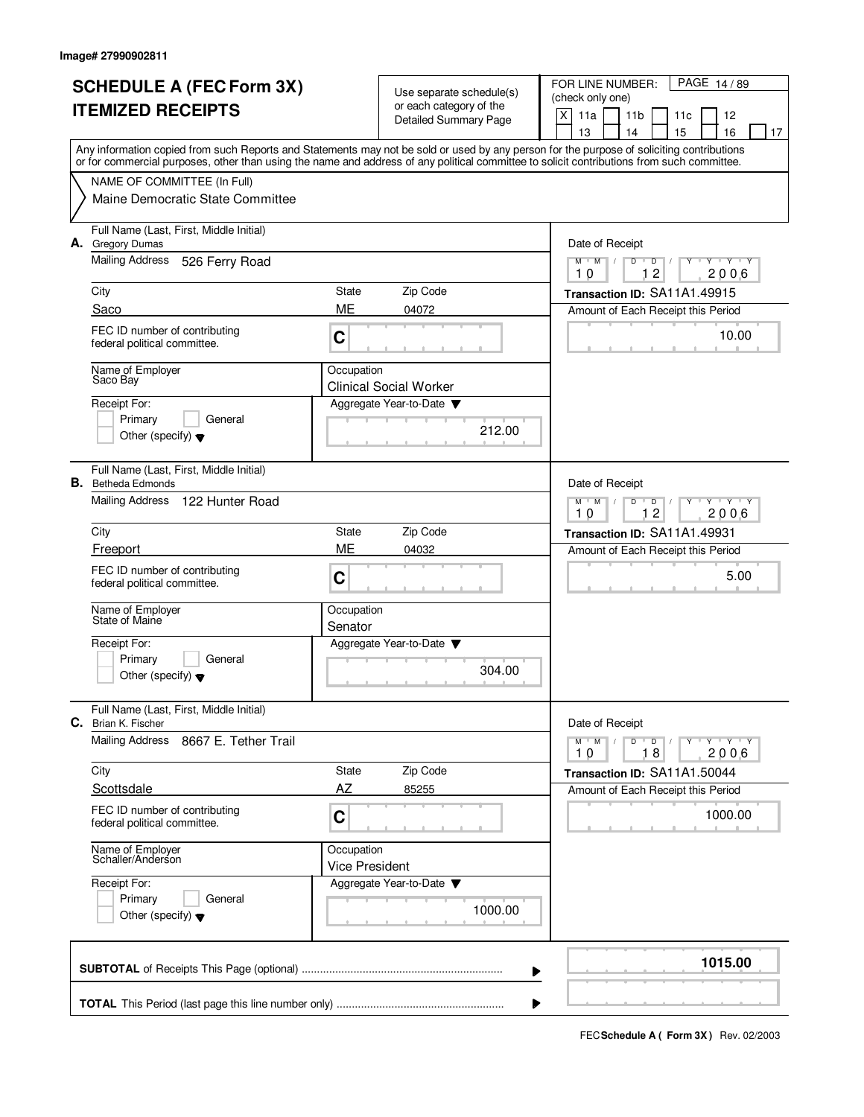|                          | <b>SCHEDULE A (FEC Form 3X)</b>                                                                                                            |                       | Use separate schedule(s)      | PAGE 14/89<br>FOR LINE NUMBER:                                                                   |  |  |  |
|--------------------------|--------------------------------------------------------------------------------------------------------------------------------------------|-----------------------|-------------------------------|--------------------------------------------------------------------------------------------------|--|--|--|
| <b>ITEMIZED RECEIPTS</b> |                                                                                                                                            |                       | or each category of the       | (check only one)                                                                                 |  |  |  |
|                          |                                                                                                                                            |                       | <b>Detailed Summary Page</b>  | X<br>11a<br>11 <sub>b</sub><br>12<br>11c<br>15<br>16<br>13<br>14<br>17                           |  |  |  |
|                          | Any information copied from such Reports and Statements may not be sold or used by any person for the purpose of soliciting contributions  |                       |                               |                                                                                                  |  |  |  |
|                          | or for commercial purposes, other than using the name and address of any political committee to solicit contributions from such committee. |                       |                               |                                                                                                  |  |  |  |
|                          | NAME OF COMMITTEE (In Full)                                                                                                                |                       |                               |                                                                                                  |  |  |  |
|                          | Maine Democratic State Committee                                                                                                           |                       |                               |                                                                                                  |  |  |  |
|                          | Full Name (Last, First, Middle Initial)<br>A. Gregory Dumas                                                                                |                       |                               | Date of Receipt                                                                                  |  |  |  |
|                          | <b>Mailing Address</b><br>526 Ferry Road                                                                                                   |                       |                               | $Y + Y + Y$<br>$M$ $M$ /<br>$D$ <sup>U</sup><br>$D$ /<br>Y<br>$\overline{2}$<br>2006<br>10<br>1. |  |  |  |
|                          | City                                                                                                                                       | State                 | Zip Code                      | Transaction ID: SA11A1.49915                                                                     |  |  |  |
|                          | Saco                                                                                                                                       | ME                    | 04072                         | Amount of Each Receipt this Period                                                               |  |  |  |
|                          | FEC ID number of contributing<br>federal political committee.                                                                              | C                     |                               | 10.00                                                                                            |  |  |  |
|                          | Name of Employer<br>Saco Bay                                                                                                               | Occupation            | <b>Clinical Social Worker</b> |                                                                                                  |  |  |  |
|                          | Receipt For:                                                                                                                               |                       | Aggregate Year-to-Date        |                                                                                                  |  |  |  |
|                          | Primary<br>General                                                                                                                         |                       | 212.00                        |                                                                                                  |  |  |  |
|                          | Other (specify) $\blacktriangledown$                                                                                                       |                       |                               |                                                                                                  |  |  |  |
|                          | Full Name (Last, First, Middle Initial)<br><b>B.</b> Betheda Edmonds                                                                       |                       |                               | Date of Receipt                                                                                  |  |  |  |
|                          | Mailing Address<br>122 Hunter Road                                                                                                         |                       |                               | $T$ $Y$ $T$ $Y$<br>$M$ M<br>D<br>$\Box$<br>12<br>2006<br>10                                      |  |  |  |
|                          | City                                                                                                                                       | <b>State</b>          | Zip Code                      | Transaction ID: SA11A1.49931                                                                     |  |  |  |
|                          | Freeport                                                                                                                                   | ME                    | 04032                         | Amount of Each Receipt this Period                                                               |  |  |  |
|                          | FEC ID number of contributing<br>federal political committee.                                                                              | C                     |                               | 5.00                                                                                             |  |  |  |
|                          | Name of Employer<br>State of Maine                                                                                                         | Occupation<br>Senator |                               |                                                                                                  |  |  |  |
|                          | Receipt For:                                                                                                                               |                       | Aggregate Year-to-Date        |                                                                                                  |  |  |  |
|                          | General<br>Primary                                                                                                                         |                       | 304.00                        |                                                                                                  |  |  |  |
|                          | Other (specify) $\blacktriangledown$                                                                                                       |                       |                               |                                                                                                  |  |  |  |
|                          | Full Name (Last, First, Middle Initial)<br><b>C.</b> Brian K. Fischer                                                                      |                       |                               | Date of Receipt                                                                                  |  |  |  |
|                          | <b>Mailing Address</b><br>8667 E. Tether Trail                                                                                             |                       |                               | $D$ $D$ $/$<br>$M$ $M$ /<br>$Y \dashv Y \dashv Y$<br>Y<br>18<br>2006<br>10                       |  |  |  |
|                          | City                                                                                                                                       | State                 | Zip Code                      | Transaction ID: SA11A1.50044                                                                     |  |  |  |
|                          | Scottsdale                                                                                                                                 | AZ                    | 85255                         | Amount of Each Receipt this Period                                                               |  |  |  |
|                          | FEC ID number of contributing<br>federal political committee.                                                                              | C                     |                               | 1000.00                                                                                          |  |  |  |
|                          | Name of Employer<br>Schaller/Anderson<br>Occupation<br>Receipt For:<br>Primary<br>General<br>Other (specify) $\blacktriangledown$          |                       | <b>Vice President</b>         |                                                                                                  |  |  |  |
|                          |                                                                                                                                            |                       | Aggregate Year-to-Date        |                                                                                                  |  |  |  |
|                          |                                                                                                                                            |                       | 1000.00                       |                                                                                                  |  |  |  |
|                          |                                                                                                                                            |                       |                               |                                                                                                  |  |  |  |
|                          |                                                                                                                                            |                       |                               | 1015.00<br>▶                                                                                     |  |  |  |
|                          |                                                                                                                                            |                       |                               |                                                                                                  |  |  |  |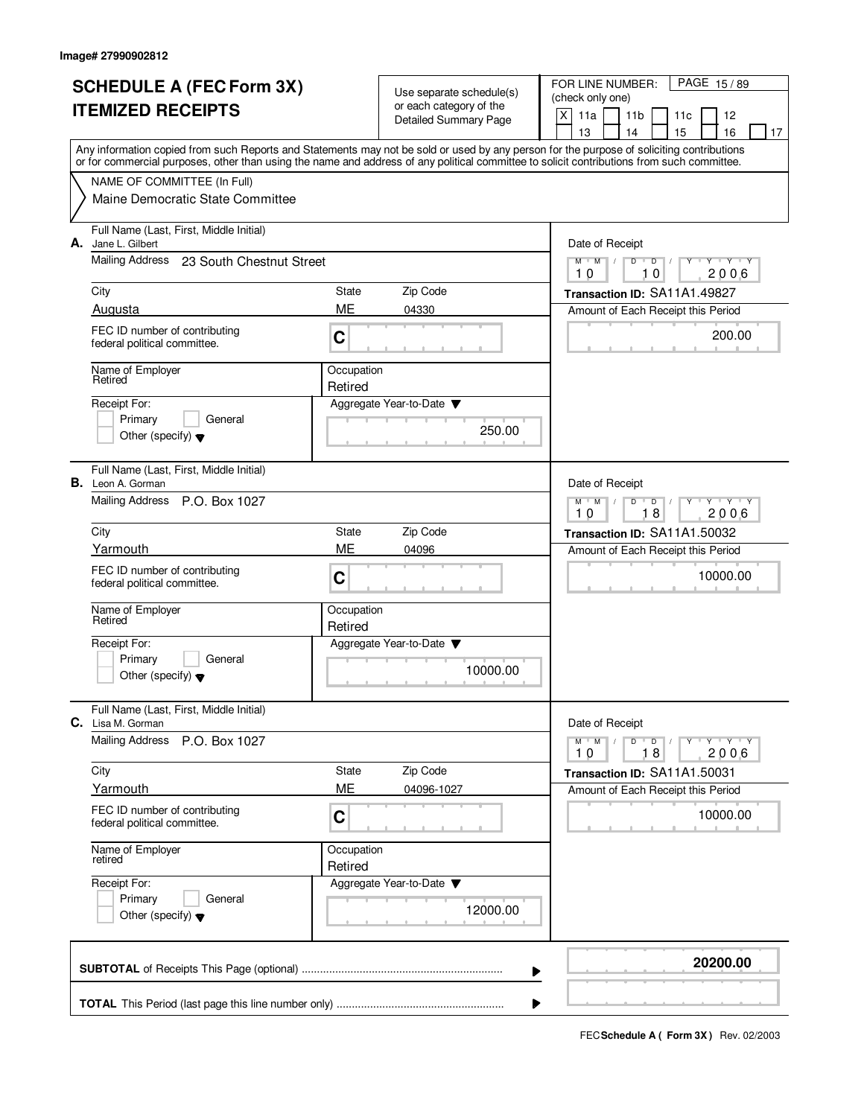| <b>SCHEDULE A (FEC Form 3X)</b>                                                                                                           |                                                                                                                                            |                       | Use separate schedule(s)     | FOR LINE NUMBER:<br>PAGE 15/89           |                           |                                    |                         |    |
|-------------------------------------------------------------------------------------------------------------------------------------------|--------------------------------------------------------------------------------------------------------------------------------------------|-----------------------|------------------------------|------------------------------------------|---------------------------|------------------------------------|-------------------------|----|
| <b>ITEMIZED RECEIPTS</b>                                                                                                                  |                                                                                                                                            |                       | or each category of the      | (check only one)<br>$\mathsf{X}$<br>11a  |                           |                                    |                         |    |
|                                                                                                                                           |                                                                                                                                            |                       | <b>Detailed Summary Page</b> |                                          | 11 <sub>b</sub>           | 11c                                | 12                      |    |
| Any information copied from such Reports and Statements may not be sold or used by any person for the purpose of soliciting contributions |                                                                                                                                            |                       |                              | 13                                       | 14                        | 15                                 | 16                      | 17 |
|                                                                                                                                           | or for commercial purposes, other than using the name and address of any political committee to solicit contributions from such committee. |                       |                              |                                          |                           |                                    |                         |    |
|                                                                                                                                           | NAME OF COMMITTEE (In Full)                                                                                                                |                       |                              |                                          |                           |                                    |                         |    |
|                                                                                                                                           | Maine Democratic State Committee                                                                                                           |                       |                              |                                          |                           |                                    |                         |    |
| А.                                                                                                                                        | Full Name (Last, First, Middle Initial)<br>Jane L. Gilbert                                                                                 |                       |                              | Date of Receipt                          |                           |                                    |                         |    |
|                                                                                                                                           | Mailing Address<br>23 South Chestnut Street                                                                                                |                       |                              | $M$ $M$<br>10                            | $\overline{D}$<br>D<br>10 |                                    | $Y + Y + Y$<br>2006     |    |
|                                                                                                                                           | City                                                                                                                                       | State                 | Zip Code                     |                                          |                           | Transaction ID: SA11A1.49827       |                         |    |
|                                                                                                                                           | Augusta                                                                                                                                    | ME                    | 04330                        |                                          |                           | Amount of Each Receipt this Period |                         |    |
|                                                                                                                                           | FEC ID number of contributing<br>federal political committee.                                                                              | C                     |                              |                                          |                           |                                    | 200.00                  |    |
|                                                                                                                                           | Name of Employer<br>Retired                                                                                                                | Occupation<br>Retired |                              |                                          |                           |                                    |                         |    |
|                                                                                                                                           | Receipt For:                                                                                                                               |                       | Aggregate Year-to-Date       |                                          |                           |                                    |                         |    |
|                                                                                                                                           | Primary<br>General                                                                                                                         |                       |                              |                                          |                           |                                    |                         |    |
|                                                                                                                                           | Other (specify) $\blacktriangledown$                                                                                                       |                       | 250.00                       |                                          |                           |                                    |                         |    |
|                                                                                                                                           | Full Name (Last, First, Middle Initial)<br><b>B.</b> Leon A. Gorman                                                                        |                       |                              | Date of Receipt                          |                           |                                    |                         |    |
|                                                                                                                                           | Mailing Address P.O. Box 1027                                                                                                              |                       |                              | $M$ <sup><math>+</math></sup><br>M<br>10 | D<br>D<br>18              |                                    | $T$ $Y$ $T$ $Y$<br>2006 |    |
|                                                                                                                                           | Zip Code<br>City<br>State                                                                                                                  |                       |                              |                                          |                           | Transaction ID: SA11A1.50032       |                         |    |
|                                                                                                                                           | Yarmouth                                                                                                                                   | <b>ME</b>             | 04096                        |                                          |                           | Amount of Each Receipt this Period |                         |    |
|                                                                                                                                           | FEC ID number of contributing<br>federal political committee.                                                                              | C                     |                              |                                          |                           |                                    | 10000.00                |    |
|                                                                                                                                           | Name of Employer<br>Retired                                                                                                                | Occupation<br>Retired |                              |                                          |                           |                                    |                         |    |
|                                                                                                                                           | Receipt For:                                                                                                                               |                       | Aggregate Year-to-Date       |                                          |                           |                                    |                         |    |
|                                                                                                                                           | Primary<br>General<br>Other (specify) $\blacktriangledown$                                                                                 |                       | 10000.00                     |                                          |                           |                                    |                         |    |
| С.                                                                                                                                        | Full Name (Last, First, Middle Initial)<br>Lisa M. Gorman                                                                                  |                       |                              | Date of Receipt                          |                           |                                    |                         |    |
|                                                                                                                                           | <b>Mailing Address</b><br>P.O. Box 1027                                                                                                    |                       |                              | $M$ $M$<br>10                            | $D$ $D$<br>18             | $Y$ <sup>U</sup>                   | $Y$ $Y$ $Y$ $Y$<br>2006 |    |
|                                                                                                                                           | City                                                                                                                                       | State                 | Zip Code                     |                                          |                           | Transaction ID: SA11A1.50031       |                         |    |
|                                                                                                                                           | Yarmouth                                                                                                                                   | ME                    | 04096-1027                   |                                          |                           | Amount of Each Receipt this Period |                         |    |
| FEC ID number of contributing<br>federal political committee.                                                                             |                                                                                                                                            | С                     |                              |                                          |                           |                                    | 10000.00                |    |
|                                                                                                                                           | Name of Employer<br>Occupation<br>retired<br>Retired                                                                                       |                       |                              |                                          |                           |                                    |                         |    |
|                                                                                                                                           | Receipt For:                                                                                                                               |                       | Aggregate Year-to-Date       |                                          |                           |                                    |                         |    |
|                                                                                                                                           | Primary<br>General<br>Other (specify) $\blacktriangledown$                                                                                 |                       | 12000.00                     |                                          |                           |                                    |                         |    |
|                                                                                                                                           |                                                                                                                                            |                       | ▶                            |                                          |                           |                                    | 20200.00                |    |
|                                                                                                                                           |                                                                                                                                            |                       |                              |                                          |                           |                                    |                         |    |
|                                                                                                                                           |                                                                                                                                            |                       |                              |                                          |                           |                                    |                         |    |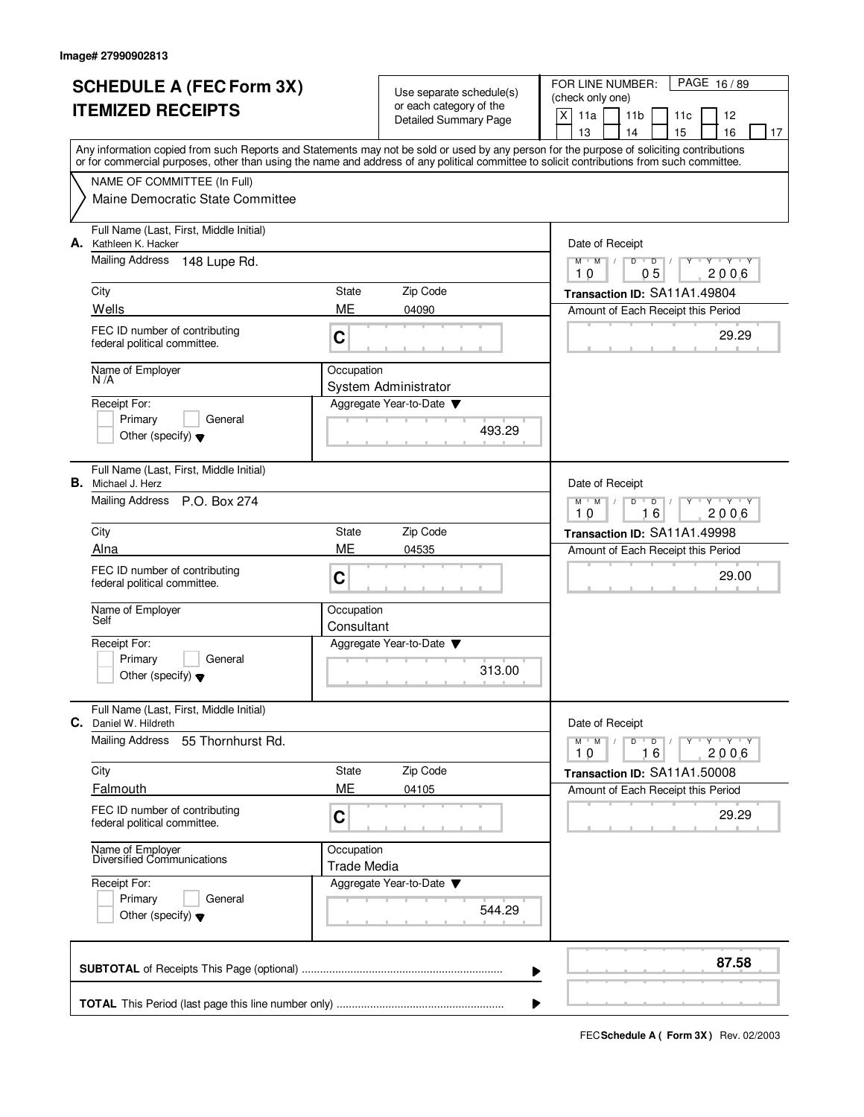|                          | <b>SCHEDULE A (FEC Form 3X)</b>                                                                                                            |                                                     |                              | PAGE 16/89<br>FOR LINE NUMBER:                                                 |  |  |  |
|--------------------------|--------------------------------------------------------------------------------------------------------------------------------------------|-----------------------------------------------------|------------------------------|--------------------------------------------------------------------------------|--|--|--|
| <b>ITEMIZED RECEIPTS</b> |                                                                                                                                            | Use separate schedule(s)<br>or each category of the |                              | (check only one)                                                               |  |  |  |
|                          |                                                                                                                                            |                                                     | <b>Detailed Summary Page</b> | X<br>11a<br>11 <sub>b</sub><br>11c<br>12<br>13<br>15<br>16<br>14<br>17         |  |  |  |
|                          | Any information copied from such Reports and Statements may not be sold or used by any person for the purpose of soliciting contributions  |                                                     |                              |                                                                                |  |  |  |
|                          | or for commercial purposes, other than using the name and address of any political committee to solicit contributions from such committee. |                                                     |                              |                                                                                |  |  |  |
|                          | NAME OF COMMITTEE (In Full)                                                                                                                |                                                     |                              |                                                                                |  |  |  |
|                          | Maine Democratic State Committee                                                                                                           |                                                     |                              |                                                                                |  |  |  |
|                          | Full Name (Last, First, Middle Initial)<br>A. Kathleen K. Hacker                                                                           |                                                     |                              | Date of Receipt                                                                |  |  |  |
|                          | Mailing Address<br>148 Lupe Rd.                                                                                                            |                                                     |                              | $Y$ $Y$ $Y$<br>$M$ $M$ $/$<br>$D$ $D$ $1$<br>Y<br>0 <sub>5</sub><br>2006<br>10 |  |  |  |
|                          | City                                                                                                                                       | State                                               | Zip Code                     | Transaction ID: SA11A1.49804                                                   |  |  |  |
|                          | Wells                                                                                                                                      | ME                                                  | 04090                        | Amount of Each Receipt this Period                                             |  |  |  |
|                          | FEC ID number of contributing<br>federal political committee.                                                                              | C                                                   |                              | 29.29                                                                          |  |  |  |
|                          | Name of Employer<br>N /A                                                                                                                   | Occupation                                          | System Administrator         |                                                                                |  |  |  |
|                          | Receipt For:                                                                                                                               |                                                     | Aggregate Year-to-Date       |                                                                                |  |  |  |
|                          | Primary<br>General                                                                                                                         |                                                     | 493.29                       |                                                                                |  |  |  |
|                          | Other (specify) $\blacktriangledown$                                                                                                       |                                                     |                              |                                                                                |  |  |  |
|                          | Full Name (Last, First, Middle Initial)<br><b>B.</b> Michael J. Herz                                                                       |                                                     |                              | Date of Receipt                                                                |  |  |  |
|                          | Mailing Address P.O. Box 274                                                                                                               |                                                     |                              | $M$ $M$ /<br>D<br>$\Box$<br>Y 'Y 'Y<br>16<br>2006<br>10                        |  |  |  |
|                          | City                                                                                                                                       | State                                               | Zip Code                     | Transaction ID: SA11A1.49998                                                   |  |  |  |
|                          | Alna                                                                                                                                       | ME                                                  | 04535                        | Amount of Each Receipt this Period                                             |  |  |  |
|                          | FEC ID number of contributing<br>federal political committee.                                                                              | C                                                   |                              | 29.00                                                                          |  |  |  |
|                          | Name of Employer<br>Self                                                                                                                   | Occupation<br>Consultant                            |                              |                                                                                |  |  |  |
|                          | Receipt For:                                                                                                                               |                                                     | Aggregate Year-to-Date       |                                                                                |  |  |  |
|                          | Primary<br>General                                                                                                                         |                                                     |                              |                                                                                |  |  |  |
|                          | Other (specify) $\blacktriangledown$                                                                                                       |                                                     | 313.00                       |                                                                                |  |  |  |
| C.                       | Full Name (Last, First, Middle Initial)<br>Daniel W. Hildreth                                                                              |                                                     |                              | Date of Receipt                                                                |  |  |  |
|                          | <b>Mailing Address</b><br>55 Thornhurst Rd.                                                                                                |                                                     |                              | $D$ $D$ $/$<br>$M-M$ /<br>y y y y y y<br>16<br>2006<br>10                      |  |  |  |
|                          | City                                                                                                                                       | State                                               | Zip Code                     | Transaction ID: SA11A1.50008                                                   |  |  |  |
|                          | Falmouth                                                                                                                                   | ME                                                  | 04105                        | Amount of Each Receipt this Period                                             |  |  |  |
|                          | FEC ID number of contributing<br>federal political committee.                                                                              | C                                                   |                              | 29.29                                                                          |  |  |  |
|                          | Name of Employer<br>Diversified Communications                                                                                             | Occupation<br><b>Trade Media</b>                    |                              |                                                                                |  |  |  |
|                          | Receipt For:                                                                                                                               |                                                     | Aggregate Year-to-Date ▼     |                                                                                |  |  |  |
|                          | Primary<br>General                                                                                                                         |                                                     | 544.29                       |                                                                                |  |  |  |
|                          | Other (specify) $\blacktriangledown$                                                                                                       |                                                     |                              |                                                                                |  |  |  |
|                          |                                                                                                                                            |                                                     |                              | 87.58<br>▶                                                                     |  |  |  |
|                          |                                                                                                                                            |                                                     |                              | ▶                                                                              |  |  |  |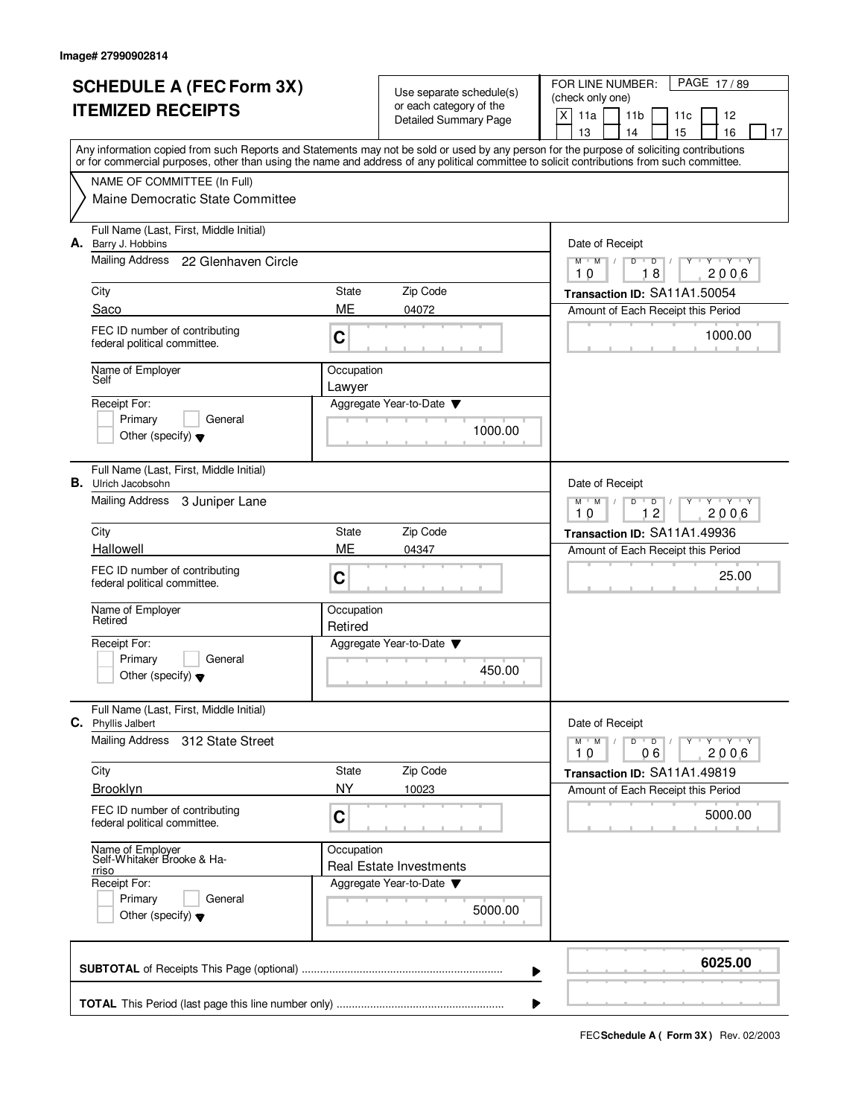|                          | <b>SCHEDULE A (FEC Form 3X)</b>                                                                                                            |                    |                                                     | PAGE 17/89<br>FOR LINE NUMBER:                                                          |  |  |  |
|--------------------------|--------------------------------------------------------------------------------------------------------------------------------------------|--------------------|-----------------------------------------------------|-----------------------------------------------------------------------------------------|--|--|--|
| <b>ITEMIZED RECEIPTS</b> |                                                                                                                                            |                    | Use separate schedule(s)<br>or each category of the | (check only one)                                                                        |  |  |  |
|                          |                                                                                                                                            |                    | Detailed Summary Page                               | X<br>11a<br>11 <sub>b</sub><br>11c<br>12<br>13<br>15<br>14<br>16<br>17                  |  |  |  |
|                          | Any information copied from such Reports and Statements may not be sold or used by any person for the purpose of soliciting contributions  |                    |                                                     |                                                                                         |  |  |  |
|                          | or for commercial purposes, other than using the name and address of any political committee to solicit contributions from such committee. |                    |                                                     |                                                                                         |  |  |  |
|                          | NAME OF COMMITTEE (In Full)                                                                                                                |                    |                                                     |                                                                                         |  |  |  |
|                          | Maine Democratic State Committee                                                                                                           |                    |                                                     |                                                                                         |  |  |  |
|                          | Full Name (Last, First, Middle Initial)<br>A. Barry J. Hobbins                                                                             |                    |                                                     | Date of Receipt                                                                         |  |  |  |
|                          | Mailing Address<br>22 Glenhaven Circle                                                                                                     |                    |                                                     | $Y$ $Y$ $Y$<br>$M$ $M$ /<br>$\overline{D}$<br>Y<br>$D$ <sup>U</sup><br>18<br>2006<br>10 |  |  |  |
|                          | City                                                                                                                                       | State              | Zip Code                                            | Transaction ID: SA11A1.50054                                                            |  |  |  |
|                          | Saco                                                                                                                                       | ME                 | 04072                                               | Amount of Each Receipt this Period                                                      |  |  |  |
|                          | FEC ID number of contributing<br>federal political committee.                                                                              | C                  |                                                     | 1000.00                                                                                 |  |  |  |
|                          | Name of Employer                                                                                                                           | Occupation         |                                                     |                                                                                         |  |  |  |
|                          | Self                                                                                                                                       | Lawyer             |                                                     |                                                                                         |  |  |  |
|                          | Receipt For:<br>Primary<br>General                                                                                                         |                    | Aggregate Year-to-Date                              |                                                                                         |  |  |  |
|                          | Other (specify) $\blacktriangledown$                                                                                                       |                    | 1000.00                                             |                                                                                         |  |  |  |
|                          |                                                                                                                                            |                    |                                                     |                                                                                         |  |  |  |
|                          | Full Name (Last, First, Middle Initial)<br><b>B.</b> Ulrich Jacobsohn                                                                      |                    |                                                     | Date of Receipt                                                                         |  |  |  |
|                          | <b>Mailing Address</b><br>3 Juniper Lane                                                                                                   |                    |                                                     | $M$ $M$ /<br>D<br>$\Box$<br>Y Y Y Y                                                     |  |  |  |
|                          | City                                                                                                                                       | State              | Zip Code                                            | 12<br>2006<br>10<br>Transaction ID: SA11A1.49936                                        |  |  |  |
|                          | Hallowell                                                                                                                                  | ME                 | 04347                                               | Amount of Each Receipt this Period                                                      |  |  |  |
|                          | FEC ID number of contributing                                                                                                              |                    |                                                     |                                                                                         |  |  |  |
|                          | federal political committee.                                                                                                               | C                  |                                                     | 25.00                                                                                   |  |  |  |
|                          | Name of Employer                                                                                                                           | Occupation         |                                                     |                                                                                         |  |  |  |
|                          | Retired                                                                                                                                    | Retired            |                                                     |                                                                                         |  |  |  |
|                          | Receipt For:                                                                                                                               |                    | Aggregate Year-to-Date                              |                                                                                         |  |  |  |
|                          | General<br>Primary<br>Other (specify) $\blacktriangledown$                                                                                 |                    | 450.00                                              |                                                                                         |  |  |  |
|                          |                                                                                                                                            |                    |                                                     |                                                                                         |  |  |  |
|                          | Full Name (Last, First, Middle Initial)<br>C. Phyllis Jalbert                                                                              |                    |                                                     | Date of Receipt                                                                         |  |  |  |
|                          | <b>Mailing Address</b><br>312 State Street                                                                                                 |                    |                                                     | $D$ $D$ $/$<br>$M-M$ /<br>Y FY FY FY                                                    |  |  |  |
|                          |                                                                                                                                            |                    |                                                     | 06<br>2006<br>10                                                                        |  |  |  |
|                          | City<br>Brooklyn                                                                                                                           | State<br><b>NY</b> | Zip Code<br>10023                                   | Transaction ID: SA11A1.49819<br>Amount of Each Receipt this Period                      |  |  |  |
|                          | FEC ID number of contributing                                                                                                              |                    |                                                     |                                                                                         |  |  |  |
|                          | federal political committee.                                                                                                               | $\mathbf C$        |                                                     | 5000.00                                                                                 |  |  |  |
|                          | Name of Employer<br>Self-Whitaker Brooke & Ha-<br>rriso<br>Receipt For:                                                                    |                    | Occupation<br><b>Real Estate Investments</b>        |                                                                                         |  |  |  |
|                          |                                                                                                                                            |                    | Aggregate Year-to-Date                              |                                                                                         |  |  |  |
| Primary<br>General       |                                                                                                                                            |                    |                                                     |                                                                                         |  |  |  |
|                          | Other (specify) $\blacktriangledown$                                                                                                       |                    | 5000.00                                             |                                                                                         |  |  |  |
|                          |                                                                                                                                            |                    |                                                     | 6025.00                                                                                 |  |  |  |
|                          |                                                                                                                                            |                    |                                                     | ▶                                                                                       |  |  |  |
|                          |                                                                                                                                            |                    |                                                     |                                                                                         |  |  |  |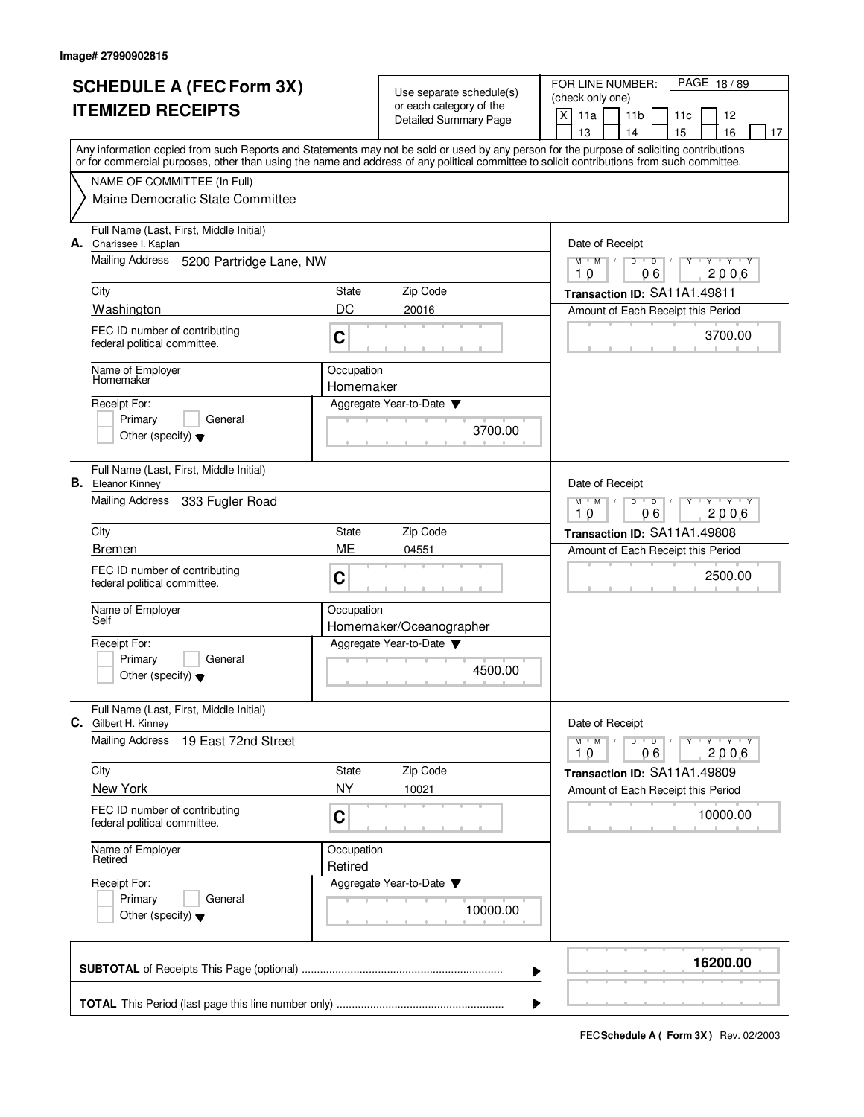|                          | <b>SCHEDULE A (FEC Form 3X)</b>                                                                                                            |                              | Use separate schedule(s)             | FOR LINE NUMBER:<br>PAGE 18/89                                                   |  |  |  |  |
|--------------------------|--------------------------------------------------------------------------------------------------------------------------------------------|------------------------------|--------------------------------------|----------------------------------------------------------------------------------|--|--|--|--|
| <b>ITEMIZED RECEIPTS</b> |                                                                                                                                            |                              | or each category of the              | (check only one)                                                                 |  |  |  |  |
|                          |                                                                                                                                            | <b>Detailed Summary Page</b> |                                      | $x \mid$<br>11a<br>11 <sub>b</sub><br>11c<br>12                                  |  |  |  |  |
|                          | Any information copied from such Reports and Statements may not be sold or used by any person for the purpose of soliciting contributions  |                              |                                      | 16<br>13<br>14<br>15<br>17                                                       |  |  |  |  |
|                          | or for commercial purposes, other than using the name and address of any political committee to solicit contributions from such committee. |                              |                                      |                                                                                  |  |  |  |  |
|                          | NAME OF COMMITTEE (In Full)                                                                                                                |                              |                                      |                                                                                  |  |  |  |  |
|                          | Maine Democratic State Committee                                                                                                           |                              |                                      |                                                                                  |  |  |  |  |
|                          | Full Name (Last, First, Middle Initial)<br>A. Charissee I. Kaplan                                                                          |                              |                                      | Date of Receipt                                                                  |  |  |  |  |
|                          | Mailing Address 5200 Partridge Lane, NW                                                                                                    |                              |                                      | $M$ $M$ $M$<br>D<br>$\overline{D}$<br><b>TY TY TY</b><br>2006<br>10<br>06        |  |  |  |  |
|                          | City                                                                                                                                       | State                        | Zip Code                             | Transaction ID: SA11A1.49811                                                     |  |  |  |  |
|                          | Washington                                                                                                                                 | DC                           | 20016                                | Amount of Each Receipt this Period                                               |  |  |  |  |
|                          | FEC ID number of contributing<br>federal political committee.                                                                              | C                            |                                      | 3700.00                                                                          |  |  |  |  |
|                          | Name of Employer<br>Homemaker                                                                                                              | Occupation<br>Homemaker      |                                      |                                                                                  |  |  |  |  |
|                          | Receipt For:                                                                                                                               |                              | Aggregate Year-to-Date               |                                                                                  |  |  |  |  |
|                          | Primary<br>General                                                                                                                         |                              |                                      |                                                                                  |  |  |  |  |
|                          | Other (specify) $\blacktriangledown$                                                                                                       |                              | 3700.00                              |                                                                                  |  |  |  |  |
|                          | Full Name (Last, First, Middle Initial)<br><b>B.</b> Eleanor Kinney                                                                        |                              |                                      | Date of Receipt                                                                  |  |  |  |  |
|                          | Mailing Address<br>333 Fugler Road                                                                                                         |                              |                                      | $M$ <sup>U</sup><br>M<br>D<br>$\mathbf{y} + \mathbf{y}$<br>D<br>06<br>2006<br>10 |  |  |  |  |
|                          | City                                                                                                                                       | State                        | Zip Code                             | Transaction ID: SA11A1.49808                                                     |  |  |  |  |
|                          | <b>Bremen</b>                                                                                                                              | ME                           | 04551                                | Amount of Each Receipt this Period                                               |  |  |  |  |
|                          | FEC ID number of contributing<br>federal political committee.                                                                              | C                            |                                      | 2500.00                                                                          |  |  |  |  |
|                          | Name of Employer<br>Self                                                                                                                   | Occupation                   |                                      |                                                                                  |  |  |  |  |
|                          |                                                                                                                                            |                              | Homemaker/Oceanographer              |                                                                                  |  |  |  |  |
|                          | Receipt For:<br>Primary<br>General                                                                                                         |                              | Aggregate Year-to-Date               |                                                                                  |  |  |  |  |
|                          | Other (specify) $\blacktriangledown$                                                                                                       |                              | 4500.00                              |                                                                                  |  |  |  |  |
| С.                       | Full Name (Last, First, Middle Initial)<br>Gilbert H. Kinney                                                                               |                              |                                      | Date of Receipt                                                                  |  |  |  |  |
|                          | <b>Mailing Address</b><br>19 East 72nd Street                                                                                              |                              |                                      | $Y$ $Y$ $Y$ $Y$<br>$M$ $M$<br>D<br>$\overline{D}$<br>Y<br>2006<br>10<br>06       |  |  |  |  |
|                          | City                                                                                                                                       | State                        | Zip Code                             | Transaction ID: SA11A1.49809                                                     |  |  |  |  |
|                          | New York                                                                                                                                   | <b>NY</b>                    | 10021                                | Amount of Each Receipt this Period                                               |  |  |  |  |
|                          | FEC ID number of contributing<br>federal political committee.                                                                              | C                            |                                      | 10000.00                                                                         |  |  |  |  |
|                          | Name of Employer<br>Occupation<br>Retired<br>Retired                                                                                       |                              |                                      |                                                                                  |  |  |  |  |
|                          | Receipt For:<br>Primary<br>General<br>Other (specify) $\blacktriangledown$                                                                 |                              | Aggregate Year-to-Date ▼<br>10000.00 |                                                                                  |  |  |  |  |
|                          |                                                                                                                                            |                              | ▶                                    | 16200.00                                                                         |  |  |  |  |
|                          |                                                                                                                                            |                              |                                      |                                                                                  |  |  |  |  |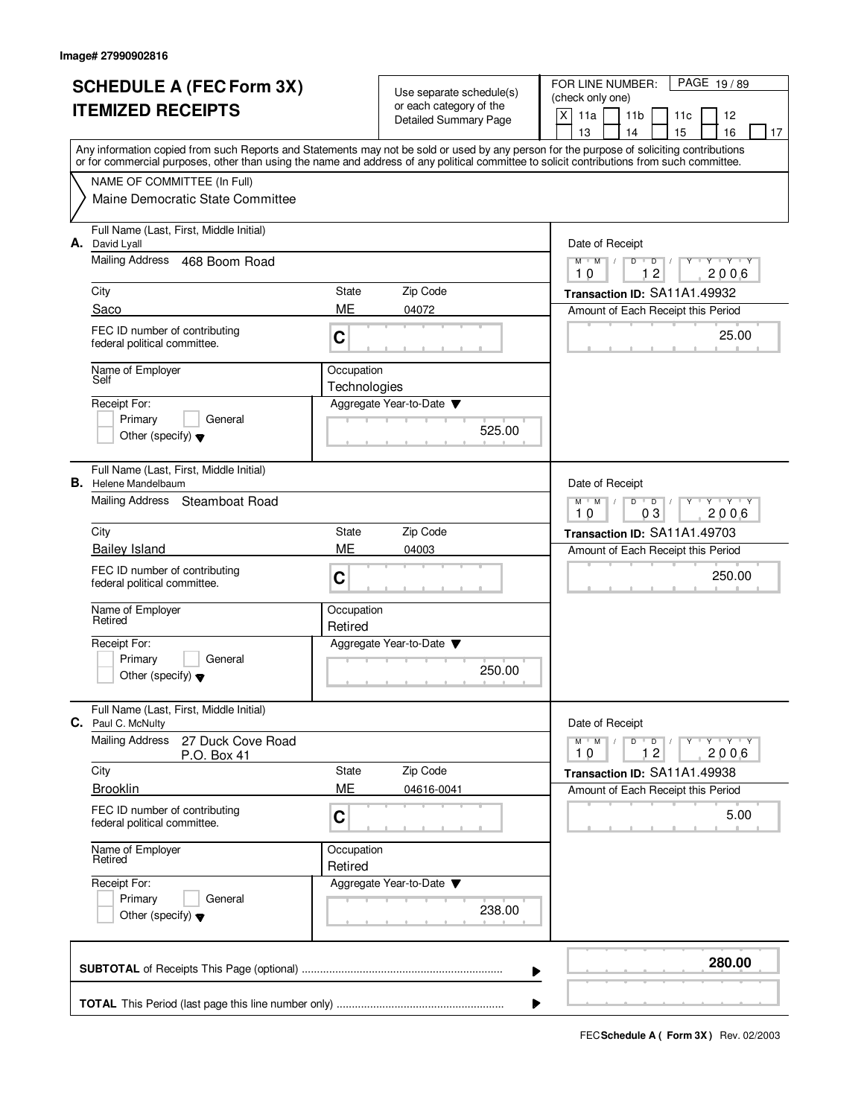|                                    | <b>SCHEDULE A (FEC Form 3X)</b>                                                                                                                                                                                                                                                         |                            |                                                     | PAGE 19/89<br>FOR LINE NUMBER:                                     |  |  |  |
|------------------------------------|-----------------------------------------------------------------------------------------------------------------------------------------------------------------------------------------------------------------------------------------------------------------------------------------|----------------------------|-----------------------------------------------------|--------------------------------------------------------------------|--|--|--|
| <b>ITEMIZED RECEIPTS</b>           |                                                                                                                                                                                                                                                                                         |                            | Use separate schedule(s)<br>or each category of the | (check only one)                                                   |  |  |  |
|                                    |                                                                                                                                                                                                                                                                                         |                            | Detailed Summary Page                               | $\mathsf{X}$<br>11a<br>11 <sub>b</sub><br>12<br>11c                |  |  |  |
|                                    |                                                                                                                                                                                                                                                                                         |                            |                                                     | 15<br>16<br>13<br>14<br>17                                         |  |  |  |
|                                    | Any information copied from such Reports and Statements may not be sold or used by any person for the purpose of soliciting contributions<br>or for commercial purposes, other than using the name and address of any political committee to solicit contributions from such committee. |                            |                                                     |                                                                    |  |  |  |
|                                    | NAME OF COMMITTEE (In Full)                                                                                                                                                                                                                                                             |                            |                                                     |                                                                    |  |  |  |
|                                    | Maine Democratic State Committee                                                                                                                                                                                                                                                        |                            |                                                     |                                                                    |  |  |  |
|                                    | Full Name (Last, First, Middle Initial)<br>A. David Lyall                                                                                                                                                                                                                               |                            |                                                     | Date of Receipt                                                    |  |  |  |
|                                    | Mailing Address 468 Boom Road                                                                                                                                                                                                                                                           |                            |                                                     | $Y + Y + Y + Y$<br>$M$ $M$<br>$D$ $D$ $I$<br>12<br>10<br>2006      |  |  |  |
|                                    | City                                                                                                                                                                                                                                                                                    | State                      | Zip Code                                            | Transaction ID: SA11A1.49932                                       |  |  |  |
|                                    | Saco                                                                                                                                                                                                                                                                                    | ME                         | 04072                                               | Amount of Each Receipt this Period                                 |  |  |  |
|                                    | FEC ID number of contributing<br>federal political committee.                                                                                                                                                                                                                           | C                          |                                                     | 25.00                                                              |  |  |  |
|                                    | Name of Employer<br>Self                                                                                                                                                                                                                                                                | Occupation<br>Technologies |                                                     |                                                                    |  |  |  |
|                                    | Receipt For:                                                                                                                                                                                                                                                                            |                            | Aggregate Year-to-Date                              |                                                                    |  |  |  |
|                                    | Primary<br>General                                                                                                                                                                                                                                                                      |                            | 525.00                                              |                                                                    |  |  |  |
|                                    | Other (specify) $\blacktriangledown$                                                                                                                                                                                                                                                    |                            |                                                     |                                                                    |  |  |  |
|                                    | Full Name (Last, First, Middle Initial)<br><b>B.</b> Helene Mandelbaum                                                                                                                                                                                                                  |                            |                                                     | Date of Receipt                                                    |  |  |  |
|                                    | Mailing Address Steamboat Road                                                                                                                                                                                                                                                          |                            |                                                     | $Y - Y - Y$<br>$M$ $M$<br>D<br>$\overline{D}$<br>03<br>2006<br>10  |  |  |  |
|                                    | City                                                                                                                                                                                                                                                                                    | State                      | Zip Code                                            | Transaction ID: SA11A1.49703                                       |  |  |  |
|                                    | <b>Bailey Island</b>                                                                                                                                                                                                                                                                    | ME                         | 04003                                               | Amount of Each Receipt this Period                                 |  |  |  |
|                                    | FEC ID number of contributing<br>federal political committee.                                                                                                                                                                                                                           | C                          |                                                     | 250.00                                                             |  |  |  |
|                                    | Name of Employer<br>Retired                                                                                                                                                                                                                                                             | Occupation<br>Retired      |                                                     |                                                                    |  |  |  |
|                                    | Receipt For:                                                                                                                                                                                                                                                                            |                            | Aggregate Year-to-Date                              |                                                                    |  |  |  |
|                                    | General<br>Primary                                                                                                                                                                                                                                                                      |                            |                                                     |                                                                    |  |  |  |
|                                    | Other (specify) $\blacktriangledown$                                                                                                                                                                                                                                                    |                            | 250.00                                              |                                                                    |  |  |  |
|                                    | Full Name (Last, First, Middle Initial)<br>C. Paul C. McNulty                                                                                                                                                                                                                           |                            |                                                     | Date of Receipt                                                    |  |  |  |
|                                    | <b>Mailing Address</b><br>27 Duck Cove Road<br>P.O. Box 41                                                                                                                                                                                                                              |                            |                                                     | $D$ $D$ $/$<br>$M$ $M$ $/$<br>$Y + Y + Y$<br>Y<br>12<br>2006<br>10 |  |  |  |
|                                    | City                                                                                                                                                                                                                                                                                    | State                      | Zip Code                                            | Transaction ID: SA11A1.49938                                       |  |  |  |
|                                    | <b>Brooklin</b>                                                                                                                                                                                                                                                                         | ME                         | 04616-0041                                          | Amount of Each Receipt this Period                                 |  |  |  |
|                                    | FEC ID number of contributing<br>federal political committee.                                                                                                                                                                                                                           | C                          |                                                     | 5.00                                                               |  |  |  |
|                                    | Name of Employer<br>Retired                                                                                                                                                                                                                                                             | Occupation<br>Retired      |                                                     |                                                                    |  |  |  |
| Receipt For:<br>Primary<br>General |                                                                                                                                                                                                                                                                                         |                            | Aggregate Year-to-Date                              |                                                                    |  |  |  |
|                                    |                                                                                                                                                                                                                                                                                         |                            | 238.00                                              |                                                                    |  |  |  |
|                                    | Other (specify) $\blacktriangledown$                                                                                                                                                                                                                                                    |                            |                                                     |                                                                    |  |  |  |
|                                    |                                                                                                                                                                                                                                                                                         |                            |                                                     | 280.00<br>▶                                                        |  |  |  |
|                                    |                                                                                                                                                                                                                                                                                         |                            |                                                     | ▶                                                                  |  |  |  |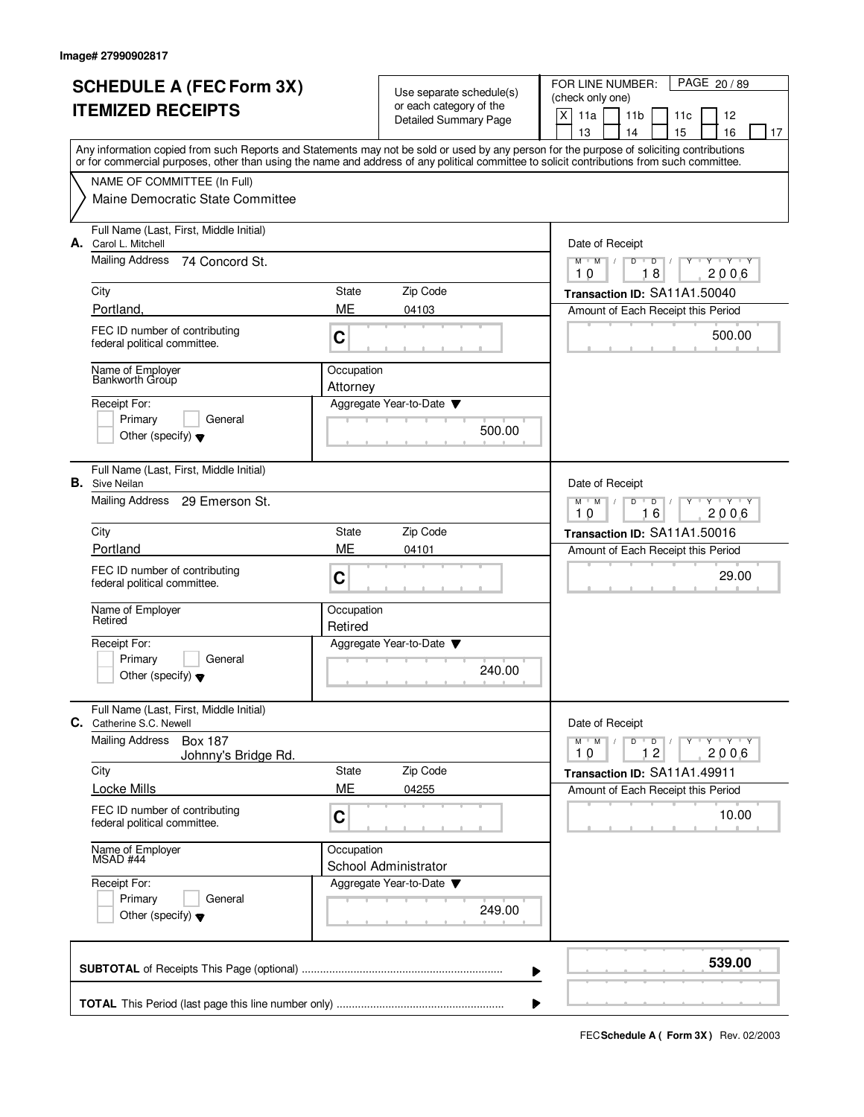|                                      | <b>SCHEDULE A (FEC Form 3X)</b>                                                                                                                                                                                                                                                         |                                                     |                        | PAGE 20 / 89<br>FOR LINE NUMBER:                                                                      |  |  |  |
|--------------------------------------|-----------------------------------------------------------------------------------------------------------------------------------------------------------------------------------------------------------------------------------------------------------------------------------------|-----------------------------------------------------|------------------------|-------------------------------------------------------------------------------------------------------|--|--|--|
| <b>ITEMIZED RECEIPTS</b>             |                                                                                                                                                                                                                                                                                         | Use separate schedule(s)<br>or each category of the |                        | (check only one)                                                                                      |  |  |  |
|                                      |                                                                                                                                                                                                                                                                                         |                                                     | Detailed Summary Page  | X<br>11a<br>11 <sub>b</sub><br>12<br>11c                                                              |  |  |  |
|                                      |                                                                                                                                                                                                                                                                                         |                                                     |                        | 15<br>16<br>13<br>14<br>17                                                                            |  |  |  |
|                                      | Any information copied from such Reports and Statements may not be sold or used by any person for the purpose of soliciting contributions<br>or for commercial purposes, other than using the name and address of any political committee to solicit contributions from such committee. |                                                     |                        |                                                                                                       |  |  |  |
|                                      | NAME OF COMMITTEE (In Full)                                                                                                                                                                                                                                                             |                                                     |                        |                                                                                                       |  |  |  |
|                                      | Maine Democratic State Committee                                                                                                                                                                                                                                                        |                                                     |                        |                                                                                                       |  |  |  |
|                                      | Full Name (Last, First, Middle Initial)                                                                                                                                                                                                                                                 |                                                     |                        |                                                                                                       |  |  |  |
| А.                                   | Carol L. Mitchell                                                                                                                                                                                                                                                                       |                                                     |                        | Date of Receipt                                                                                       |  |  |  |
|                                      | <b>Mailing Address</b><br>74 Concord St.                                                                                                                                                                                                                                                |                                                     |                        | $Y + Y + Y$<br>$M$ $M$<br>$D$ $D$ $/$<br>Y                                                            |  |  |  |
|                                      | City                                                                                                                                                                                                                                                                                    | State                                               | Zip Code               | 18<br>2006<br>10                                                                                      |  |  |  |
|                                      | Portland.                                                                                                                                                                                                                                                                               | ME                                                  | 04103                  | Transaction ID: SA11A1.50040<br>Amount of Each Receipt this Period                                    |  |  |  |
|                                      | FEC ID number of contributing                                                                                                                                                                                                                                                           |                                                     |                        |                                                                                                       |  |  |  |
|                                      | federal political committee.                                                                                                                                                                                                                                                            | C                                                   |                        | 500.00                                                                                                |  |  |  |
|                                      | Name of Employer<br>Bankworth Group                                                                                                                                                                                                                                                     | Occupation<br>Attorney                              |                        |                                                                                                       |  |  |  |
|                                      | Receipt For:                                                                                                                                                                                                                                                                            |                                                     | Aggregate Year-to-Date |                                                                                                       |  |  |  |
|                                      | Primary<br>General                                                                                                                                                                                                                                                                      |                                                     |                        |                                                                                                       |  |  |  |
|                                      | Other (specify) $\blacktriangledown$                                                                                                                                                                                                                                                    |                                                     | 500.00                 |                                                                                                       |  |  |  |
|                                      | Full Name (Last, First, Middle Initial)<br><b>B.</b> Sive Neilan                                                                                                                                                                                                                        |                                                     |                        | Date of Receipt                                                                                       |  |  |  |
|                                      | Mailing Address 29 Emerson St.                                                                                                                                                                                                                                                          |                                                     |                        | <b>TAY TAY</b><br>$M$ M<br>D<br>$\overline{D}$                                                        |  |  |  |
|                                      |                                                                                                                                                                                                                                                                                         |                                                     |                        | 16<br>2006<br>10                                                                                      |  |  |  |
|                                      | City                                                                                                                                                                                                                                                                                    | State                                               | Zip Code               | Transaction ID: SA11A1.50016                                                                          |  |  |  |
|                                      | Portland                                                                                                                                                                                                                                                                                | ME                                                  | 04101                  | Amount of Each Receipt this Period                                                                    |  |  |  |
|                                      | FEC ID number of contributing<br>federal political committee.                                                                                                                                                                                                                           | C                                                   |                        | 29.00                                                                                                 |  |  |  |
|                                      | Name of Employer<br>Retired                                                                                                                                                                                                                                                             | Occupation                                          |                        |                                                                                                       |  |  |  |
|                                      |                                                                                                                                                                                                                                                                                         | Retired                                             |                        |                                                                                                       |  |  |  |
|                                      | Receipt For:<br>General                                                                                                                                                                                                                                                                 |                                                     | Aggregate Year-to-Date |                                                                                                       |  |  |  |
|                                      | Primary<br>Other (specify) $\blacktriangledown$                                                                                                                                                                                                                                         |                                                     | 240.00                 |                                                                                                       |  |  |  |
|                                      |                                                                                                                                                                                                                                                                                         |                                                     |                        |                                                                                                       |  |  |  |
| C.                                   | Full Name (Last, First, Middle Initial)<br>Catherine S.C. Newell                                                                                                                                                                                                                        |                                                     |                        | Date of Receipt                                                                                       |  |  |  |
|                                      | <b>Mailing Address</b><br>Box 187                                                                                                                                                                                                                                                       |                                                     |                        | $\mathsf D$<br>$M$ $M$ /<br>$\overline{\phantom{0}}$ D $\overline{\phantom{0}}$ /<br>$Y + Y + Y$<br>Y |  |  |  |
|                                      | Johnny's Bridge Rd.                                                                                                                                                                                                                                                                     |                                                     |                        | 12<br>2006<br>10                                                                                      |  |  |  |
|                                      | City                                                                                                                                                                                                                                                                                    | State                                               | Zip Code               | Transaction ID: SA11A1.49911                                                                          |  |  |  |
|                                      | <b>Locke Mills</b>                                                                                                                                                                                                                                                                      | ME                                                  | 04255                  | Amount of Each Receipt this Period                                                                    |  |  |  |
|                                      | FEC ID number of contributing<br>federal political committee.                                                                                                                                                                                                                           | C                                                   |                        | 10.00                                                                                                 |  |  |  |
|                                      | Name of Employer<br>MSAD #44                                                                                                                                                                                                                                                            | Occupation                                          |                        |                                                                                                       |  |  |  |
|                                      |                                                                                                                                                                                                                                                                                         |                                                     | School Administrator   |                                                                                                       |  |  |  |
|                                      | Receipt For:<br>Primary<br>General                                                                                                                                                                                                                                                      |                                                     | Aggregate Year-to-Date |                                                                                                       |  |  |  |
| Other (specify) $\blacktriangledown$ |                                                                                                                                                                                                                                                                                         |                                                     | 249.00                 |                                                                                                       |  |  |  |
|                                      |                                                                                                                                                                                                                                                                                         |                                                     |                        | 539.00                                                                                                |  |  |  |
|                                      |                                                                                                                                                                                                                                                                                         |                                                     | ▶                      |                                                                                                       |  |  |  |
|                                      |                                                                                                                                                                                                                                                                                         |                                                     | ▶                      |                                                                                                       |  |  |  |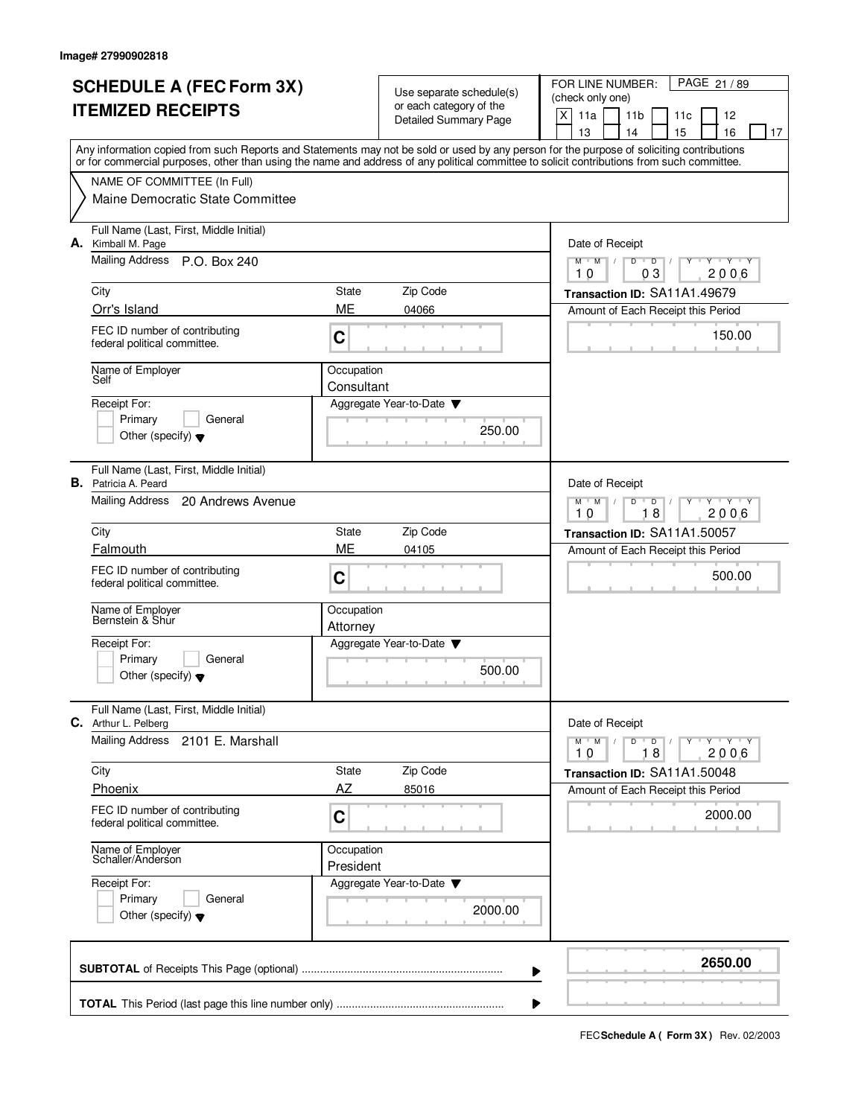|                                 |                                                                                                                                                                                                                                                                                         |                                                     |                        | PAGE 21 / 89<br>FOR LINE NUMBER:                                                                 |  |  |  |
|---------------------------------|-----------------------------------------------------------------------------------------------------------------------------------------------------------------------------------------------------------------------------------------------------------------------------------------|-----------------------------------------------------|------------------------|--------------------------------------------------------------------------------------------------|--|--|--|
| <b>SCHEDULE A (FEC Form 3X)</b> |                                                                                                                                                                                                                                                                                         | Use separate schedule(s)<br>or each category of the |                        | (check only one)                                                                                 |  |  |  |
| <b>ITEMIZED RECEIPTS</b>        |                                                                                                                                                                                                                                                                                         |                                                     | Detailed Summary Page  | $\mathsf{X}$<br>11a<br>11 <sub>b</sub><br>12<br>11c                                              |  |  |  |
|                                 |                                                                                                                                                                                                                                                                                         |                                                     |                        | 13<br>14<br>15<br>16<br>17                                                                       |  |  |  |
|                                 | Any information copied from such Reports and Statements may not be sold or used by any person for the purpose of soliciting contributions<br>or for commercial purposes, other than using the name and address of any political committee to solicit contributions from such committee. |                                                     |                        |                                                                                                  |  |  |  |
|                                 | NAME OF COMMITTEE (In Full)                                                                                                                                                                                                                                                             |                                                     |                        |                                                                                                  |  |  |  |
|                                 | Maine Democratic State Committee                                                                                                                                                                                                                                                        |                                                     |                        |                                                                                                  |  |  |  |
|                                 |                                                                                                                                                                                                                                                                                         |                                                     |                        |                                                                                                  |  |  |  |
|                                 | Full Name (Last, First, Middle Initial)<br>A. Kimball M. Page                                                                                                                                                                                                                           |                                                     |                        | Date of Receipt                                                                                  |  |  |  |
|                                 | Mailing Address P.O. Box 240                                                                                                                                                                                                                                                            |                                                     |                        | $\overline{\mathbf{y}}$ $\mathbf{y}$ $\mathbf{y}$<br>$M$ $M$ /<br>$\overline{D}$<br>D<br>Y<br>Y  |  |  |  |
|                                 |                                                                                                                                                                                                                                                                                         |                                                     |                        | 03<br>2006<br>10                                                                                 |  |  |  |
|                                 | City<br>Orr's Island                                                                                                                                                                                                                                                                    | State<br>ME                                         | Zip Code               | Transaction ID: SA11A1.49679                                                                     |  |  |  |
|                                 |                                                                                                                                                                                                                                                                                         |                                                     | 04066                  | Amount of Each Receipt this Period                                                               |  |  |  |
|                                 | FEC ID number of contributing<br>federal political committee.                                                                                                                                                                                                                           | C                                                   |                        | 150.00                                                                                           |  |  |  |
|                                 | Name of Employer<br>Self                                                                                                                                                                                                                                                                | Occupation                                          |                        |                                                                                                  |  |  |  |
|                                 | Receipt For:                                                                                                                                                                                                                                                                            | Consultant                                          | Aggregate Year-to-Date |                                                                                                  |  |  |  |
|                                 | Primary<br>General                                                                                                                                                                                                                                                                      |                                                     |                        |                                                                                                  |  |  |  |
|                                 | Other (specify) $\blacktriangledown$                                                                                                                                                                                                                                                    |                                                     | 250.00                 |                                                                                                  |  |  |  |
|                                 |                                                                                                                                                                                                                                                                                         |                                                     |                        |                                                                                                  |  |  |  |
|                                 | Full Name (Last, First, Middle Initial)<br><b>B.</b> Patricia A. Peard                                                                                                                                                                                                                  |                                                     |                        | Date of Receipt                                                                                  |  |  |  |
|                                 | Mailing Address<br>20 Andrews Avenue                                                                                                                                                                                                                                                    |                                                     |                        | $Y - Y - Y$<br>$M$ $M$ /<br>D<br>$\overline{D}$                                                  |  |  |  |
|                                 |                                                                                                                                                                                                                                                                                         |                                                     |                        | 18<br>2006<br>10                                                                                 |  |  |  |
|                                 | City                                                                                                                                                                                                                                                                                    | State                                               | Zip Code               | Transaction ID: SA11A1.50057                                                                     |  |  |  |
|                                 | Falmouth                                                                                                                                                                                                                                                                                | ME                                                  | 04105                  | Amount of Each Receipt this Period                                                               |  |  |  |
|                                 | FEC ID number of contributing<br>federal political committee.                                                                                                                                                                                                                           | C                                                   |                        | 500.00                                                                                           |  |  |  |
|                                 |                                                                                                                                                                                                                                                                                         |                                                     |                        |                                                                                                  |  |  |  |
|                                 | Name of Employer<br>Bernstein & Shur                                                                                                                                                                                                                                                    | Occupation                                          |                        |                                                                                                  |  |  |  |
|                                 |                                                                                                                                                                                                                                                                                         | Attorney                                            |                        |                                                                                                  |  |  |  |
|                                 | Receipt For:<br>Primary<br>General                                                                                                                                                                                                                                                      |                                                     | Aggregate Year-to-Date |                                                                                                  |  |  |  |
|                                 | Other (specify) $\blacktriangledown$                                                                                                                                                                                                                                                    |                                                     | 500.00                 |                                                                                                  |  |  |  |
|                                 |                                                                                                                                                                                                                                                                                         |                                                     |                        |                                                                                                  |  |  |  |
|                                 | Full Name (Last, First, Middle Initial)<br>C. Arthur L. Pelberg                                                                                                                                                                                                                         |                                                     |                        | Date of Receipt                                                                                  |  |  |  |
|                                 | <b>Mailing Address</b><br>2101 E. Marshall                                                                                                                                                                                                                                              |                                                     |                        | $\mathsf{Y} \dashv \mathsf{Y} \dashv \mathsf{Y} \dashv \mathsf{Y}$<br>$M$ $M$ $M$<br>$D$ $D$ $/$ |  |  |  |
|                                 |                                                                                                                                                                                                                                                                                         |                                                     |                        | 2006<br>18<br>10                                                                                 |  |  |  |
|                                 | City                                                                                                                                                                                                                                                                                    | State                                               | Zip Code               | Transaction ID: SA11A1.50048                                                                     |  |  |  |
|                                 | Phoenix                                                                                                                                                                                                                                                                                 | AZ                                                  | 85016                  | Amount of Each Receipt this Period                                                               |  |  |  |
|                                 | FEC ID number of contributing<br>federal political committee.                                                                                                                                                                                                                           | C                                                   |                        | 2000.00                                                                                          |  |  |  |
|                                 | Name of Employer<br>Schaller/Anderson                                                                                                                                                                                                                                                   | Occupation                                          |                        |                                                                                                  |  |  |  |
|                                 |                                                                                                                                                                                                                                                                                         | President                                           |                        |                                                                                                  |  |  |  |
|                                 | Receipt For:                                                                                                                                                                                                                                                                            |                                                     | Aggregate Year-to-Date |                                                                                                  |  |  |  |
| Primary<br>General              |                                                                                                                                                                                                                                                                                         |                                                     | 2000.00                |                                                                                                  |  |  |  |
|                                 | Other (specify) $\blacktriangledown$                                                                                                                                                                                                                                                    |                                                     |                        |                                                                                                  |  |  |  |
|                                 |                                                                                                                                                                                                                                                                                         |                                                     |                        |                                                                                                  |  |  |  |
|                                 |                                                                                                                                                                                                                                                                                         |                                                     | ▶                      | 2650.00                                                                                          |  |  |  |
|                                 |                                                                                                                                                                                                                                                                                         |                                                     |                        |                                                                                                  |  |  |  |
|                                 |                                                                                                                                                                                                                                                                                         |                                                     |                        |                                                                                                  |  |  |  |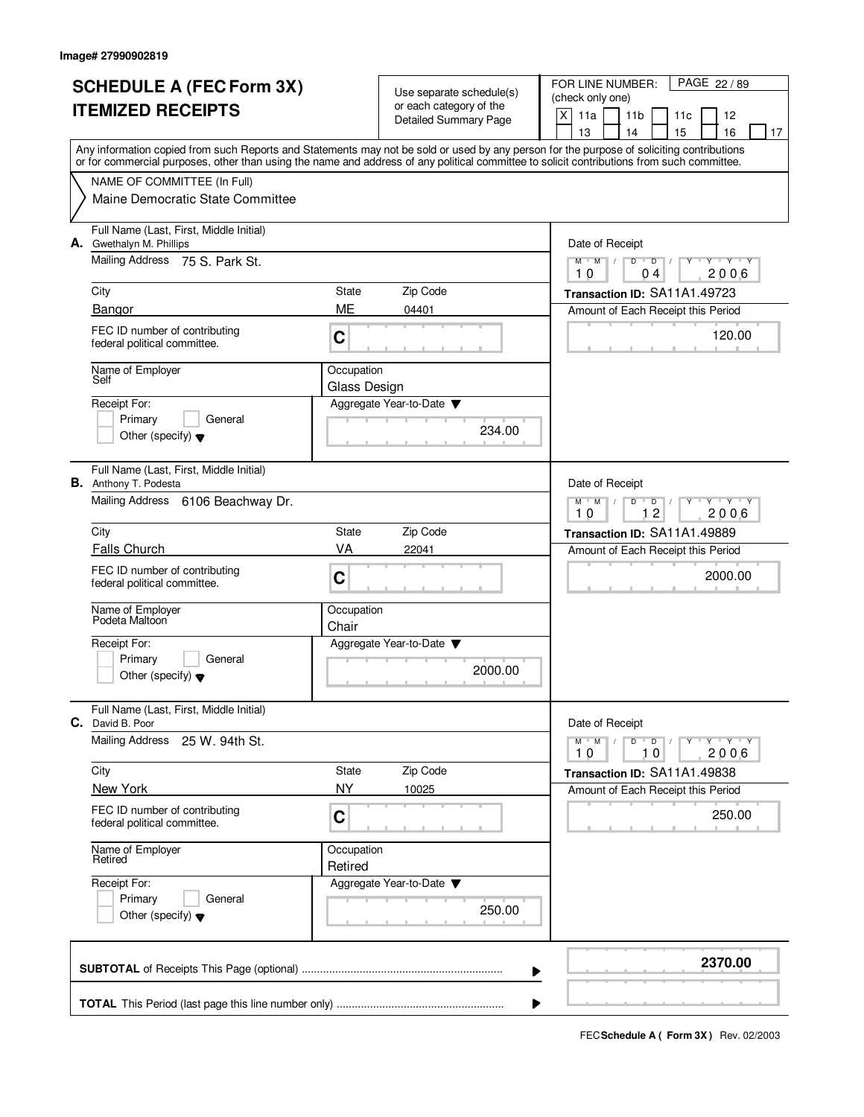| <b>SCHEDULE A (FEC Form 3X)</b>                            |                                                                                                                                                                                                                                                                                         |                                                         | Use separate schedule(s) | PAGE 22 / 89<br>FOR LINE NUMBER:<br>(check only one)                            |  |  |  |  |
|------------------------------------------------------------|-----------------------------------------------------------------------------------------------------------------------------------------------------------------------------------------------------------------------------------------------------------------------------------------|---------------------------------------------------------|--------------------------|---------------------------------------------------------------------------------|--|--|--|--|
| <b>ITEMIZED RECEIPTS</b>                                   |                                                                                                                                                                                                                                                                                         | or each category of the<br><b>Detailed Summary Page</b> |                          | X<br>11a<br>11 <sub>b</sub><br>12<br>11c                                        |  |  |  |  |
|                                                            |                                                                                                                                                                                                                                                                                         |                                                         |                          | 13<br>14<br>15<br>16<br>17                                                      |  |  |  |  |
|                                                            | Any information copied from such Reports and Statements may not be sold or used by any person for the purpose of soliciting contributions<br>or for commercial purposes, other than using the name and address of any political committee to solicit contributions from such committee. |                                                         |                          |                                                                                 |  |  |  |  |
|                                                            | NAME OF COMMITTEE (In Full)                                                                                                                                                                                                                                                             |                                                         |                          |                                                                                 |  |  |  |  |
|                                                            | Maine Democratic State Committee                                                                                                                                                                                                                                                        |                                                         |                          |                                                                                 |  |  |  |  |
|                                                            | Full Name (Last, First, Middle Initial)<br>A. Gwethalyn M. Phillips                                                                                                                                                                                                                     |                                                         |                          | Date of Receipt                                                                 |  |  |  |  |
|                                                            | Mailing Address 75 S. Park St.                                                                                                                                                                                                                                                          |                                                         |                          | $Y - Y - Y$<br>$M$ $M$ /<br>D<br>$\overline{D}$<br>2006<br>10<br>0 <sub>4</sub> |  |  |  |  |
|                                                            | City                                                                                                                                                                                                                                                                                    | State                                                   | Zip Code                 | Transaction ID: SA11A1.49723                                                    |  |  |  |  |
|                                                            | Bangor                                                                                                                                                                                                                                                                                  | ME                                                      | 04401                    | Amount of Each Receipt this Period                                              |  |  |  |  |
|                                                            | FEC ID number of contributing<br>federal political committee.                                                                                                                                                                                                                           | C                                                       |                          | 120.00                                                                          |  |  |  |  |
|                                                            | Name of Employer<br>Self                                                                                                                                                                                                                                                                | Occupation                                              |                          |                                                                                 |  |  |  |  |
|                                                            | Receipt For:                                                                                                                                                                                                                                                                            | Glass Design                                            | Aggregate Year-to-Date   |                                                                                 |  |  |  |  |
|                                                            | Primary<br>General                                                                                                                                                                                                                                                                      |                                                         |                          |                                                                                 |  |  |  |  |
|                                                            | Other (specify) $\blacktriangledown$                                                                                                                                                                                                                                                    |                                                         | 234.00                   |                                                                                 |  |  |  |  |
|                                                            | Full Name (Last, First, Middle Initial)<br><b>B.</b> Anthony T. Podesta                                                                                                                                                                                                                 |                                                         |                          | Date of Receipt                                                                 |  |  |  |  |
|                                                            | Mailing Address 6106 Beachway Dr.                                                                                                                                                                                                                                                       |                                                         |                          | $Y - Y - Y$<br>$M$ M<br>D<br>D<br>12<br>2006<br>10                              |  |  |  |  |
|                                                            | City                                                                                                                                                                                                                                                                                    | State                                                   | Zip Code                 | Transaction ID: SA11A1.49889                                                    |  |  |  |  |
|                                                            | <b>Falls Church</b>                                                                                                                                                                                                                                                                     | VA                                                      | 22041                    | Amount of Each Receipt this Period                                              |  |  |  |  |
|                                                            | FEC ID number of contributing<br>federal political committee.                                                                                                                                                                                                                           | C                                                       |                          | 2000.00                                                                         |  |  |  |  |
|                                                            | Name of Employer<br>Podeta Maltoon                                                                                                                                                                                                                                                      | Occupation<br>Chair                                     |                          |                                                                                 |  |  |  |  |
|                                                            | Receipt For:                                                                                                                                                                                                                                                                            |                                                         | Aggregate Year-to-Date   |                                                                                 |  |  |  |  |
|                                                            | Primary<br>General                                                                                                                                                                                                                                                                      |                                                         | 2000.00                  |                                                                                 |  |  |  |  |
|                                                            | Other (specify) $\blacktriangledown$                                                                                                                                                                                                                                                    |                                                         |                          |                                                                                 |  |  |  |  |
|                                                            | Full Name (Last, First, Middle Initial)<br><b>C.</b> David B. Poor                                                                                                                                                                                                                      |                                                         |                          | Date of Receipt                                                                 |  |  |  |  |
|                                                            | <b>Mailing Address</b><br>25 W. 94th St.                                                                                                                                                                                                                                                |                                                         |                          | $Y$ $Y$ $Y$<br>$M$ $M$<br>$D$ $D$<br>2006<br>10<br>10                           |  |  |  |  |
|                                                            | City                                                                                                                                                                                                                                                                                    | State                                                   | Zip Code                 | Transaction ID: SA11A1.49838                                                    |  |  |  |  |
|                                                            | New York                                                                                                                                                                                                                                                                                | <b>NY</b>                                               | 10025                    | Amount of Each Receipt this Period                                              |  |  |  |  |
|                                                            | FEC ID number of contributing<br>C<br>federal political committee.<br>Name of Employer<br>Occupation<br>Retired<br>Retired<br>Receipt For:                                                                                                                                              |                                                         |                          | 250.00                                                                          |  |  |  |  |
|                                                            |                                                                                                                                                                                                                                                                                         |                                                         |                          |                                                                                 |  |  |  |  |
|                                                            |                                                                                                                                                                                                                                                                                         |                                                         | Aggregate Year-to-Date ▼ |                                                                                 |  |  |  |  |
| Primary<br>General<br>Other (specify) $\blacktriangledown$ |                                                                                                                                                                                                                                                                                         |                                                         | 250.00                   |                                                                                 |  |  |  |  |
|                                                            |                                                                                                                                                                                                                                                                                         |                                                         |                          |                                                                                 |  |  |  |  |
|                                                            |                                                                                                                                                                                                                                                                                         |                                                         | ▶                        | 2370.00                                                                         |  |  |  |  |
|                                                            |                                                                                                                                                                                                                                                                                         |                                                         | ▶                        |                                                                                 |  |  |  |  |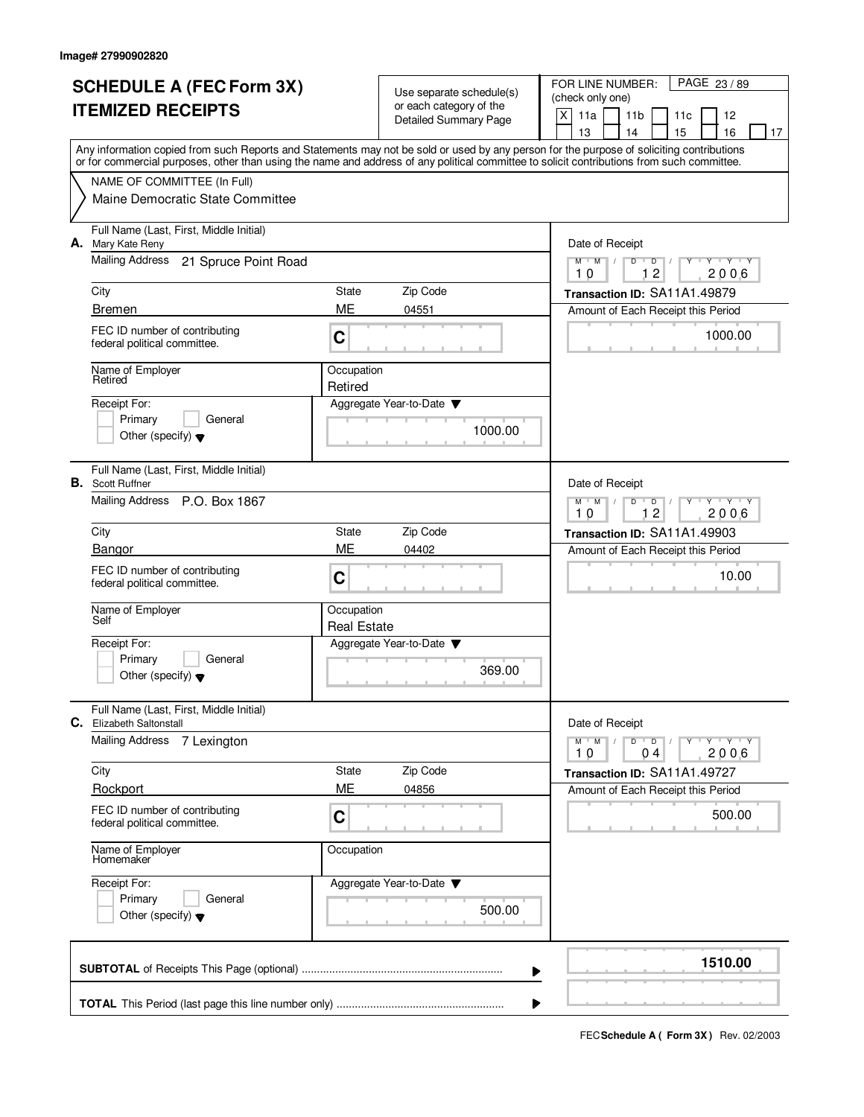| <b>SCHEDULE A (FEC Form 3X)</b><br><b>ITEMIZED RECEIPTS</b> |                                                                                                                                                                                                                                                                                         |                                  | Use separate schedule(s)<br>or each category of the | PAGE 23/89<br>FOR LINE NUMBER:<br>(check only one)                                   |  |  |
|-------------------------------------------------------------|-----------------------------------------------------------------------------------------------------------------------------------------------------------------------------------------------------------------------------------------------------------------------------------------|----------------------------------|-----------------------------------------------------|--------------------------------------------------------------------------------------|--|--|
|                                                             |                                                                                                                                                                                                                                                                                         |                                  | <b>Detailed Summary Page</b>                        | X<br>11a<br>11 <sub>b</sub><br>12<br>11c                                             |  |  |
|                                                             |                                                                                                                                                                                                                                                                                         |                                  |                                                     | 13<br>14<br>15<br>16<br>17                                                           |  |  |
|                                                             | Any information copied from such Reports and Statements may not be sold or used by any person for the purpose of soliciting contributions<br>or for commercial purposes, other than using the name and address of any political committee to solicit contributions from such committee. |                                  |                                                     |                                                                                      |  |  |
|                                                             | NAME OF COMMITTEE (In Full)                                                                                                                                                                                                                                                             |                                  |                                                     |                                                                                      |  |  |
|                                                             | Maine Democratic State Committee                                                                                                                                                                                                                                                        |                                  |                                                     |                                                                                      |  |  |
|                                                             | Full Name (Last, First, Middle Initial)<br>A. Mary Kate Reny                                                                                                                                                                                                                            |                                  |                                                     | Date of Receipt                                                                      |  |  |
|                                                             | Mailing Address<br>21 Spruce Point Road                                                                                                                                                                                                                                                 |                                  |                                                     | $Y - Y - Y$<br>$M$ $M$ /<br>D<br>$\overline{D}$<br>$\overline{c}$<br>2006<br>10<br>1 |  |  |
|                                                             | City                                                                                                                                                                                                                                                                                    | State                            | Zip Code                                            | Transaction ID: SA11A1.49879                                                         |  |  |
|                                                             | <b>Bremen</b>                                                                                                                                                                                                                                                                           | ME                               | 04551                                               | Amount of Each Receipt this Period                                                   |  |  |
|                                                             | FEC ID number of contributing<br>federal political committee.                                                                                                                                                                                                                           | C                                |                                                     | 1000.00                                                                              |  |  |
|                                                             | Name of Employer<br>Retired                                                                                                                                                                                                                                                             | Occupation<br>Retired            |                                                     |                                                                                      |  |  |
|                                                             | Receipt For:                                                                                                                                                                                                                                                                            |                                  | Aggregate Year-to-Date                              |                                                                                      |  |  |
|                                                             | Primary<br>General                                                                                                                                                                                                                                                                      |                                  | 1000.00                                             |                                                                                      |  |  |
|                                                             | Other (specify) $\blacktriangledown$                                                                                                                                                                                                                                                    |                                  |                                                     |                                                                                      |  |  |
|                                                             | Full Name (Last, First, Middle Initial)<br><b>B.</b> Scott Ruffner                                                                                                                                                                                                                      |                                  |                                                     | Date of Receipt                                                                      |  |  |
|                                                             | Mailing Address P.O. Box 1867                                                                                                                                                                                                                                                           |                                  |                                                     | $Y - Y - Y$<br>$M$ $M$ /<br>D<br>$\overline{D}$<br>12<br>2006<br>10                  |  |  |
|                                                             | City                                                                                                                                                                                                                                                                                    | State                            | Zip Code                                            | Transaction ID: SA11A1.49903                                                         |  |  |
|                                                             | Bangor                                                                                                                                                                                                                                                                                  | ME                               | 04402                                               | Amount of Each Receipt this Period                                                   |  |  |
|                                                             | FEC ID number of contributing<br>federal political committee.                                                                                                                                                                                                                           | C                                |                                                     | 10.00                                                                                |  |  |
|                                                             | Name of Employer<br>Self                                                                                                                                                                                                                                                                | Occupation<br><b>Real Estate</b> |                                                     |                                                                                      |  |  |
|                                                             | Receipt For:                                                                                                                                                                                                                                                                            |                                  | Aggregate Year-to-Date                              |                                                                                      |  |  |
|                                                             | Primary<br>General<br>Other (specify) $\blacktriangledown$                                                                                                                                                                                                                              |                                  | 369.00                                              |                                                                                      |  |  |
|                                                             | Full Name (Last, First, Middle Initial)<br><b>C.</b> Elizabeth Saltonstall                                                                                                                                                                                                              |                                  |                                                     | Date of Receipt                                                                      |  |  |
|                                                             | <b>Mailing Address</b><br>7 Lexington                                                                                                                                                                                                                                                   |                                  |                                                     | $M$ $M$<br>$Y + Y + Y$<br>$D$ $D$<br>2006<br>10<br>04                                |  |  |
|                                                             | City                                                                                                                                                                                                                                                                                    | State                            | Zip Code                                            | Transaction ID: SA11A1.49727                                                         |  |  |
|                                                             | Rockport                                                                                                                                                                                                                                                                                | ME                               | 04856                                               | Amount of Each Receipt this Period                                                   |  |  |
|                                                             | FEC ID number of contributing<br>federal political committee.                                                                                                                                                                                                                           | С                                |                                                     | 500.00                                                                               |  |  |
|                                                             | Name of Employer<br>Homemaker                                                                                                                                                                                                                                                           | Occupation                       |                                                     |                                                                                      |  |  |
|                                                             | Receipt For:                                                                                                                                                                                                                                                                            |                                  | Aggregate Year-to-Date ▼                            |                                                                                      |  |  |
|                                                             | Primary<br>General                                                                                                                                                                                                                                                                      |                                  |                                                     |                                                                                      |  |  |
|                                                             | Other (specify) $\blacktriangledown$                                                                                                                                                                                                                                                    |                                  | 500.00                                              |                                                                                      |  |  |
|                                                             |                                                                                                                                                                                                                                                                                         |                                  | ▶                                                   | 1510.00                                                                              |  |  |
|                                                             |                                                                                                                                                                                                                                                                                         |                                  | ▶                                                   |                                                                                      |  |  |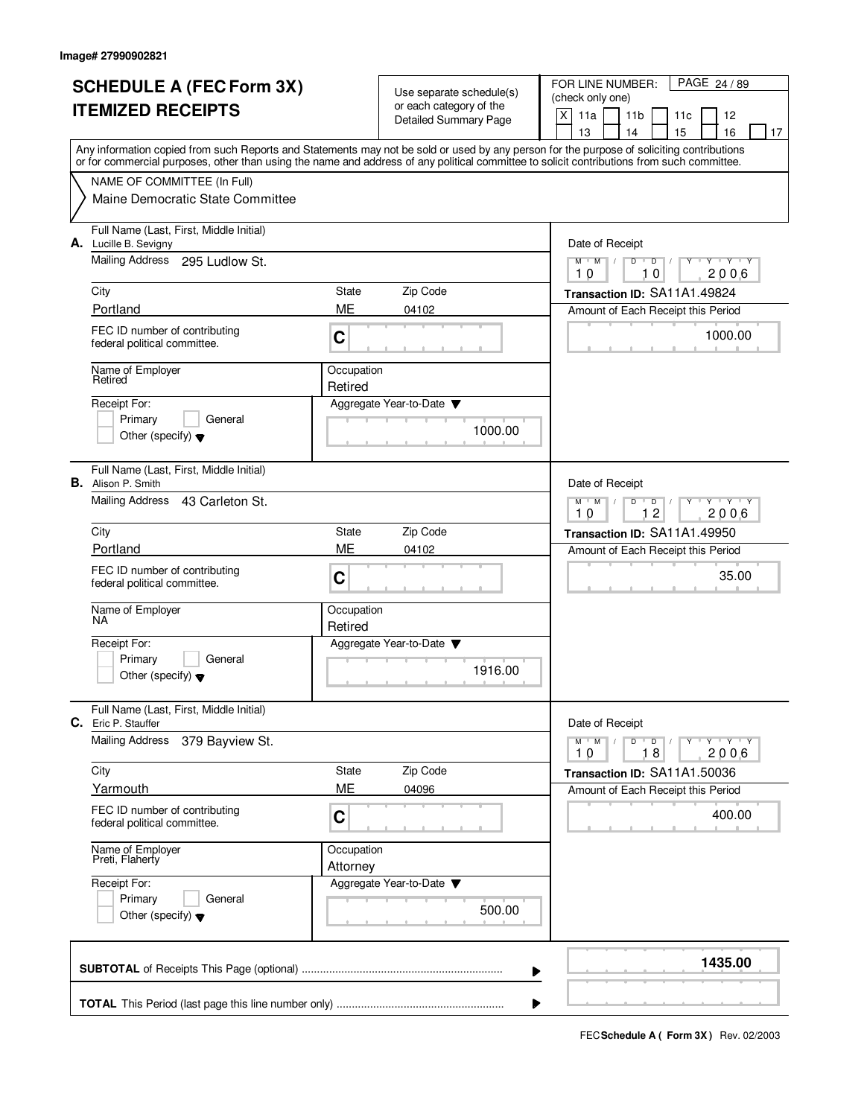| <b>SCHEDULE A (FEC Form 3X)</b> |                                                                                                                                            |                        |                                                     | PAGE 24/89<br>FOR LINE NUMBER:                                              |  |  |
|---------------------------------|--------------------------------------------------------------------------------------------------------------------------------------------|------------------------|-----------------------------------------------------|-----------------------------------------------------------------------------|--|--|
| <b>ITEMIZED RECEIPTS</b>        |                                                                                                                                            |                        | Use separate schedule(s)<br>or each category of the | (check only one)                                                            |  |  |
|                                 |                                                                                                                                            |                        | Detailed Summary Page                               | $\mathsf{X}$<br>11a<br>11 <sub>b</sub><br>12<br>11c<br>15<br>16<br>13<br>14 |  |  |
|                                 | Any information copied from such Reports and Statements may not be sold or used by any person for the purpose of soliciting contributions  |                        |                                                     | 17                                                                          |  |  |
|                                 | or for commercial purposes, other than using the name and address of any political committee to solicit contributions from such committee. |                        |                                                     |                                                                             |  |  |
|                                 | NAME OF COMMITTEE (In Full)                                                                                                                |                        |                                                     |                                                                             |  |  |
|                                 | Maine Democratic State Committee                                                                                                           |                        |                                                     |                                                                             |  |  |
|                                 | Full Name (Last, First, Middle Initial)<br>A. Lucille B. Sevigny                                                                           |                        |                                                     | Date of Receipt                                                             |  |  |
|                                 | Mailing Address 295 Ludlow St.                                                                                                             |                        |                                                     | $Y + Y + Y + Y$<br>$M$ $M$<br>$D$ $D$ $1$<br>10<br>10<br>2006               |  |  |
|                                 | City                                                                                                                                       | State                  | Zip Code                                            | Transaction ID: SA11A1.49824                                                |  |  |
|                                 | Portland                                                                                                                                   | ME                     | 04102                                               | Amount of Each Receipt this Period                                          |  |  |
|                                 | FEC ID number of contributing<br>federal political committee.                                                                              | C                      |                                                     | 1000.00                                                                     |  |  |
|                                 | Name of Employer<br>Retired                                                                                                                | Occupation<br>Retired  |                                                     |                                                                             |  |  |
|                                 | Receipt For:                                                                                                                               |                        | Aggregate Year-to-Date                              |                                                                             |  |  |
|                                 | Primary<br>General                                                                                                                         |                        | 1000.00                                             |                                                                             |  |  |
|                                 | Other (specify) $\blacktriangledown$                                                                                                       |                        |                                                     |                                                                             |  |  |
|                                 | Full Name (Last, First, Middle Initial)<br><b>B.</b> Alison P. Smith                                                                       |                        |                                                     | Date of Receipt                                                             |  |  |
|                                 | Mailing Address<br>43 Carleton St.                                                                                                         |                        |                                                     | $Y - Y - Y - Y$<br>$M$ $M$<br>D<br>$\mathsf D$<br>12<br>2006<br>10          |  |  |
|                                 | City                                                                                                                                       | State                  | Zip Code                                            | Transaction ID: SA11A1.49950                                                |  |  |
|                                 | Portland                                                                                                                                   | ME                     | 04102                                               | Amount of Each Receipt this Period                                          |  |  |
|                                 | FEC ID number of contributing<br>federal political committee.                                                                              | C                      |                                                     | 35.00                                                                       |  |  |
|                                 | Name of Employer<br>NA.                                                                                                                    | Occupation<br>Retired  |                                                     |                                                                             |  |  |
|                                 | Receipt For:                                                                                                                               |                        | Aggregate Year-to-Date                              |                                                                             |  |  |
|                                 | General<br>Primary<br>Other (specify) $\blacktriangledown$                                                                                 |                        | 1916.00                                             |                                                                             |  |  |
|                                 | Full Name (Last, First, Middle Initial)<br><b>C.</b> Eric P. Stauffer                                                                      |                        |                                                     | Date of Receipt                                                             |  |  |
|                                 | <b>Mailing Address</b><br>379 Bayview St.                                                                                                  |                        |                                                     | $D$ $D$ $/$<br>$M$ $M$ $/$<br>$Y + Y + Y$<br>Y<br>18<br>2006<br>10          |  |  |
|                                 | City                                                                                                                                       | State                  | Zip Code                                            | Transaction ID: SA11A1.50036                                                |  |  |
|                                 | Yarmouth                                                                                                                                   | ME                     | 04096                                               | Amount of Each Receipt this Period                                          |  |  |
|                                 | FEC ID number of contributing<br>federal political committee.                                                                              | C                      |                                                     | 400.00                                                                      |  |  |
|                                 | Name of Employer<br>Preti, Flaherty                                                                                                        | Occupation<br>Attorney |                                                     |                                                                             |  |  |
|                                 | Receipt For:<br>Primary<br>General                                                                                                         |                        | Aggregate Year-to-Date                              |                                                                             |  |  |
|                                 | Other (specify) $\blacktriangledown$                                                                                                       |                        | 500.00                                              |                                                                             |  |  |
|                                 |                                                                                                                                            |                        |                                                     | 1435.00<br>▶                                                                |  |  |
|                                 |                                                                                                                                            |                        |                                                     | ▶                                                                           |  |  |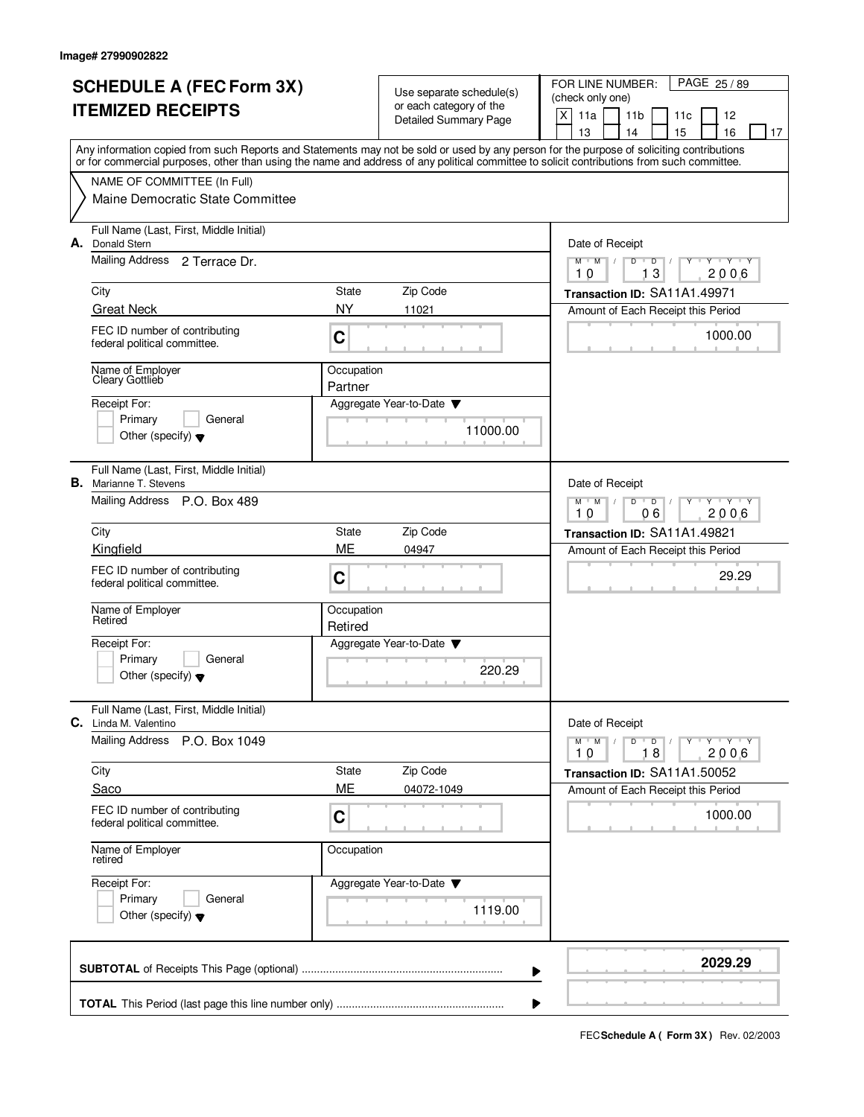| <b>SCHEDULE A (FEC Form 3X)</b> |                                                                                                                                            |                                                                 |                                                     | PAGE 25/89<br>FOR LINE NUMBER:                               |  |  |
|---------------------------------|--------------------------------------------------------------------------------------------------------------------------------------------|-----------------------------------------------------------------|-----------------------------------------------------|--------------------------------------------------------------|--|--|
| <b>ITEMIZED RECEIPTS</b>        |                                                                                                                                            |                                                                 | Use separate schedule(s)<br>or each category of the | (check only one)                                             |  |  |
|                                 |                                                                                                                                            |                                                                 | <b>Detailed Summary Page</b>                        | X<br>11a<br>11 <sub>b</sub><br>12<br>11c                     |  |  |
|                                 | Any information copied from such Reports and Statements may not be sold or used by any person for the purpose of soliciting contributions  |                                                                 |                                                     | 15<br>13<br>14<br>16<br>17                                   |  |  |
|                                 | or for commercial purposes, other than using the name and address of any political committee to solicit contributions from such committee. |                                                                 |                                                     |                                                              |  |  |
|                                 | NAME OF COMMITTEE (In Full)                                                                                                                |                                                                 |                                                     |                                                              |  |  |
|                                 | Maine Democratic State Committee                                                                                                           |                                                                 |                                                     |                                                              |  |  |
| А.                              | Full Name (Last, First, Middle Initial)<br><b>Donald Stern</b>                                                                             |                                                                 |                                                     | Date of Receipt                                              |  |  |
|                                 | Mailing Address 2 Terrace Dr.                                                                                                              |                                                                 |                                                     | $Y + Y + Y$<br>$M$ $M$ /<br>$D$ $D$<br>Y<br>13<br>2006<br>10 |  |  |
|                                 | City                                                                                                                                       | State                                                           | Zip Code                                            | Transaction ID: SA11A1.49971                                 |  |  |
|                                 | <b>Great Neck</b>                                                                                                                          | <b>NY</b>                                                       | 11021                                               | Amount of Each Receipt this Period                           |  |  |
|                                 | FEC ID number of contributing<br>federal political committee.                                                                              | C                                                               |                                                     | 1000.00                                                      |  |  |
|                                 | Name of Employer<br>Cleary Gottlieb                                                                                                        | Occupation<br>Partner                                           |                                                     |                                                              |  |  |
|                                 | Receipt For:                                                                                                                               |                                                                 | Aggregate Year-to-Date                              |                                                              |  |  |
|                                 | Primary<br>General                                                                                                                         |                                                                 | 11000.00                                            |                                                              |  |  |
|                                 | Other (specify) $\blacktriangledown$                                                                                                       |                                                                 |                                                     |                                                              |  |  |
|                                 | Full Name (Last, First, Middle Initial)<br><b>B.</b> Marianne T. Stevens                                                                   |                                                                 |                                                     | Date of Receipt                                              |  |  |
|                                 | Mailing Address P.O. Box 489                                                                                                               | $M$ $M$ /<br>D<br>$\overline{D}$<br>Y 'Y 'Y<br>06<br>10<br>2006 |                                                     |                                                              |  |  |
|                                 | City                                                                                                                                       | State                                                           | Zip Code                                            | Transaction ID: SA11A1.49821                                 |  |  |
|                                 | Kingfield                                                                                                                                  | ME                                                              | 04947                                               | Amount of Each Receipt this Period                           |  |  |
|                                 | FEC ID number of contributing<br>federal political committee.                                                                              | C                                                               |                                                     | 29.29                                                        |  |  |
|                                 | Name of Employer<br>Retired                                                                                                                | Occupation<br>Retired                                           |                                                     |                                                              |  |  |
|                                 | Receipt For:                                                                                                                               |                                                                 | Aggregate Year-to-Date                              |                                                              |  |  |
|                                 | Primary<br>General<br>Other (specify) $\blacktriangledown$                                                                                 |                                                                 | 220.29                                              |                                                              |  |  |
| C.                              | Full Name (Last, First, Middle Initial)<br>Linda M. Valentino                                                                              |                                                                 |                                                     | Date of Receipt                                              |  |  |
|                                 | <b>Mailing Address</b><br>P.O. Box 1049                                                                                                    |                                                                 |                                                     | $D$ $D$ $/$<br>$M$ $M$ $M$ $I$<br>Y FY FY FY                 |  |  |
|                                 |                                                                                                                                            |                                                                 |                                                     | 18<br>2006<br>10                                             |  |  |
|                                 | City                                                                                                                                       | State                                                           | Zip Code                                            | Transaction ID: SA11A1.50052                                 |  |  |
|                                 | Saco                                                                                                                                       | ME                                                              | 04072-1049                                          | Amount of Each Receipt this Period                           |  |  |
|                                 | FEC ID number of contributing<br>federal political committee.                                                                              | C                                                               |                                                     | 1000.00                                                      |  |  |
|                                 | Name of Employer<br>retired                                                                                                                | Occupation                                                      |                                                     |                                                              |  |  |
|                                 | Receipt For:<br>Primary<br>General                                                                                                         |                                                                 | Aggregate Year-to-Date ▼                            |                                                              |  |  |
|                                 | Other (specify) $\blacktriangledown$                                                                                                       |                                                                 | 1119.00                                             |                                                              |  |  |
|                                 |                                                                                                                                            |                                                                 | ▶                                                   | 2029.29                                                      |  |  |
|                                 |                                                                                                                                            |                                                                 | ▶                                                   |                                                              |  |  |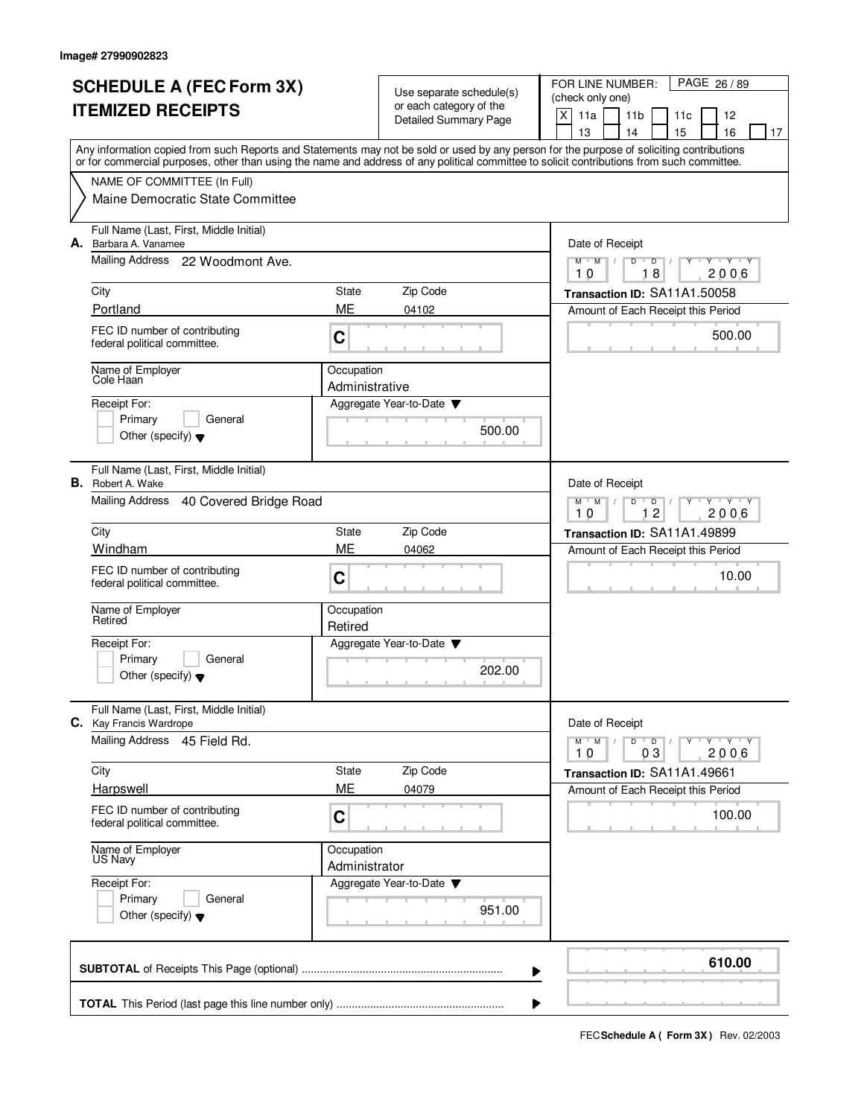| <b>SCHEDULE A (FEC Form 3X)</b> |                                                                                                                                                                                                                                                                                         |                                                                     | Use separate schedule(s)                                | PAGE 26 / 89<br>FOR LINE NUMBER:<br>(check only one)                         |  |  |
|---------------------------------|-----------------------------------------------------------------------------------------------------------------------------------------------------------------------------------------------------------------------------------------------------------------------------------------|---------------------------------------------------------------------|---------------------------------------------------------|------------------------------------------------------------------------------|--|--|
| <b>ITEMIZED RECEIPTS</b>        |                                                                                                                                                                                                                                                                                         |                                                                     | or each category of the<br><b>Detailed Summary Page</b> | X<br>11a<br>11 <sub>b</sub><br>12<br>11c                                     |  |  |
|                                 |                                                                                                                                                                                                                                                                                         |                                                                     |                                                         | 13<br>14<br>15<br>16<br>17                                                   |  |  |
|                                 | Any information copied from such Reports and Statements may not be sold or used by any person for the purpose of soliciting contributions<br>or for commercial purposes, other than using the name and address of any political committee to solicit contributions from such committee. |                                                                     |                                                         |                                                                              |  |  |
|                                 | NAME OF COMMITTEE (In Full)                                                                                                                                                                                                                                                             |                                                                     |                                                         |                                                                              |  |  |
|                                 | Maine Democratic State Committee                                                                                                                                                                                                                                                        |                                                                     |                                                         |                                                                              |  |  |
|                                 | Full Name (Last, First, Middle Initial)<br>A. Barbara A. Vanamee                                                                                                                                                                                                                        |                                                                     |                                                         | Date of Receipt                                                              |  |  |
|                                 | Mailing Address 22 Woodmont Ave.                                                                                                                                                                                                                                                        |                                                                     |                                                         | $Y - Y - Y$<br>$M$ $M$ /<br>D<br>$\overline{D}$<br>18<br>2006<br>10          |  |  |
|                                 | City                                                                                                                                                                                                                                                                                    | State                                                               | Zip Code                                                | Transaction ID: SA11A1.50058                                                 |  |  |
|                                 | Portland                                                                                                                                                                                                                                                                                | ME                                                                  | 04102                                                   | Amount of Each Receipt this Period                                           |  |  |
|                                 | FEC ID number of contributing<br>federal political committee.                                                                                                                                                                                                                           | C                                                                   |                                                         | 500.00                                                                       |  |  |
|                                 | Name of Employer<br>Cole Haan                                                                                                                                                                                                                                                           | Occupation<br>Administrative                                        |                                                         |                                                                              |  |  |
|                                 | Receipt For:                                                                                                                                                                                                                                                                            |                                                                     | Aggregate Year-to-Date                                  |                                                                              |  |  |
|                                 | Primary<br>General<br>Other (specify) $\blacktriangledown$                                                                                                                                                                                                                              |                                                                     | 500.00                                                  |                                                                              |  |  |
|                                 | Full Name (Last, First, Middle Initial)<br><b>B.</b> Robert A. Wake                                                                                                                                                                                                                     |                                                                     |                                                         | Date of Receipt                                                              |  |  |
|                                 | Mailing Address<br>40 Covered Bridge Road                                                                                                                                                                                                                                               | $Y - Y - Y$<br>$M$ $M$ /<br>D<br>$\overline{D}$<br>12<br>2006<br>10 |                                                         |                                                                              |  |  |
|                                 | City                                                                                                                                                                                                                                                                                    | State                                                               | Zip Code                                                | Transaction ID: SA11A1.49899                                                 |  |  |
|                                 | Windham                                                                                                                                                                                                                                                                                 | ME                                                                  | 04062                                                   | Amount of Each Receipt this Period                                           |  |  |
|                                 | FEC ID number of contributing<br>federal political committee.                                                                                                                                                                                                                           | C                                                                   |                                                         | 10.00                                                                        |  |  |
|                                 | Name of Employer<br>Retired                                                                                                                                                                                                                                                             | Occupation<br>Retired                                               |                                                         |                                                                              |  |  |
|                                 | Receipt For:                                                                                                                                                                                                                                                                            |                                                                     | Aggregate Year-to-Date                                  |                                                                              |  |  |
|                                 | Primary<br>General<br>Other (specify) $\blacktriangledown$                                                                                                                                                                                                                              |                                                                     | 202.00                                                  |                                                                              |  |  |
|                                 | Full Name (Last, First, Middle Initial)<br>C. Kay Francis Wardrope                                                                                                                                                                                                                      |                                                                     |                                                         | Date of Receipt                                                              |  |  |
|                                 | Mailing Address 45 Field Rd.                                                                                                                                                                                                                                                            |                                                                     |                                                         | $Y$ $Y$ $Y$<br>$M$ $M$<br>$D$ $D$ $/$<br>$\sqrt{2}$<br>Y<br>2006<br>10<br>03 |  |  |
|                                 | City                                                                                                                                                                                                                                                                                    | State                                                               | Zip Code                                                | Transaction ID: SA11A1.49661                                                 |  |  |
|                                 | Harpswell                                                                                                                                                                                                                                                                               | ME                                                                  | 04079                                                   | Amount of Each Receipt this Period                                           |  |  |
|                                 | FEC ID number of contributing<br>federal political committee.                                                                                                                                                                                                                           | С                                                                   |                                                         | 100.00                                                                       |  |  |
|                                 | Name of Employer<br>US Navy                                                                                                                                                                                                                                                             | Occupation<br>Administrator                                         |                                                         |                                                                              |  |  |
|                                 | Receipt For:                                                                                                                                                                                                                                                                            |                                                                     | Aggregate Year-to-Date ▼                                |                                                                              |  |  |
|                                 | Primary<br>General<br>Other (specify) $\blacktriangledown$                                                                                                                                                                                                                              |                                                                     | 951.00                                                  |                                                                              |  |  |
|                                 |                                                                                                                                                                                                                                                                                         |                                                                     | ▶                                                       | 610.00                                                                       |  |  |
|                                 |                                                                                                                                                                                                                                                                                         |                                                                     | ▶                                                       |                                                                              |  |  |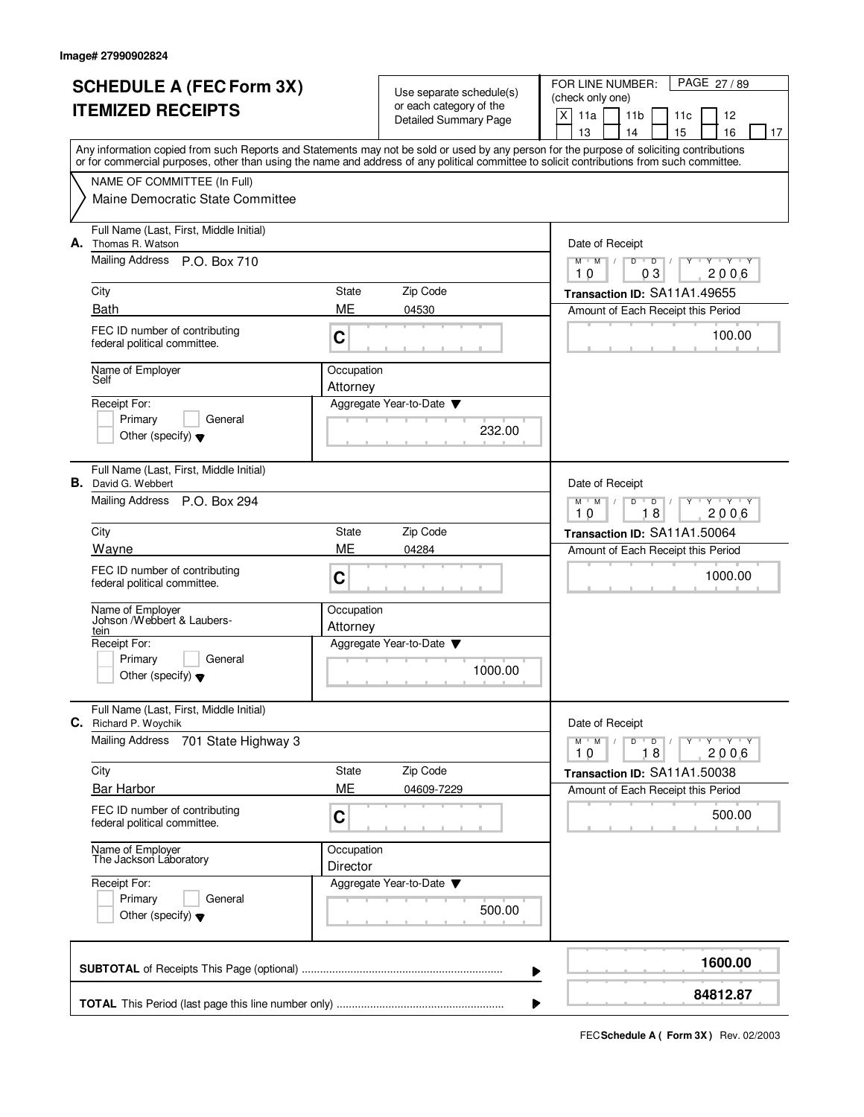| <b>SCHEDULE A (FEC Form 3X)</b> |                                                                                                                                                                                                                                                                                         |                        |                                                     | FOR LINE NUMBER:<br>PAGE 27/89                                              |  |  |
|---------------------------------|-----------------------------------------------------------------------------------------------------------------------------------------------------------------------------------------------------------------------------------------------------------------------------------------|------------------------|-----------------------------------------------------|-----------------------------------------------------------------------------|--|--|
|                                 |                                                                                                                                                                                                                                                                                         |                        | Use separate schedule(s)<br>or each category of the | (check only one)                                                            |  |  |
|                                 | <b>ITEMIZED RECEIPTS</b>                                                                                                                                                                                                                                                                |                        | <b>Detailed Summary Page</b>                        | $\mathsf{X}$<br>11a<br>11 <sub>b</sub><br>11c<br>12                         |  |  |
|                                 |                                                                                                                                                                                                                                                                                         |                        |                                                     | 16<br>13<br>14<br>15<br>17                                                  |  |  |
|                                 | Any information copied from such Reports and Statements may not be sold or used by any person for the purpose of soliciting contributions<br>or for commercial purposes, other than using the name and address of any political committee to solicit contributions from such committee. |                        |                                                     |                                                                             |  |  |
|                                 | NAME OF COMMITTEE (In Full)                                                                                                                                                                                                                                                             |                        |                                                     |                                                                             |  |  |
|                                 | Maine Democratic State Committee                                                                                                                                                                                                                                                        |                        |                                                     |                                                                             |  |  |
|                                 | Full Name (Last, First, Middle Initial)<br><b>A.</b> Thomas R. Watson                                                                                                                                                                                                                   |                        |                                                     | Date of Receipt                                                             |  |  |
|                                 | Mailing Address P.O. Box 710                                                                                                                                                                                                                                                            |                        |                                                     | $M-M$ /<br>$D$ $D$<br>$Y + Y + Y$<br>03<br>2006<br>10                       |  |  |
|                                 | City                                                                                                                                                                                                                                                                                    | State                  | Zip Code                                            | Transaction ID: SA11A1.49655                                                |  |  |
|                                 | <b>Bath</b>                                                                                                                                                                                                                                                                             | ME                     | 04530                                               | Amount of Each Receipt this Period                                          |  |  |
|                                 | FEC ID number of contributing<br>federal political committee.                                                                                                                                                                                                                           | C                      |                                                     | 100.00                                                                      |  |  |
|                                 | Name of Employer<br>Self                                                                                                                                                                                                                                                                | Occupation<br>Attorney |                                                     |                                                                             |  |  |
|                                 | Receipt For:                                                                                                                                                                                                                                                                            |                        | Aggregate Year-to-Date                              |                                                                             |  |  |
|                                 | Primary<br>General                                                                                                                                                                                                                                                                      |                        |                                                     |                                                                             |  |  |
|                                 | Other (specify) $\blacktriangledown$                                                                                                                                                                                                                                                    |                        | 232.00                                              |                                                                             |  |  |
|                                 | Full Name (Last, First, Middle Initial)<br><b>B.</b> David G. Webbert                                                                                                                                                                                                                   |                        |                                                     | Date of Receipt                                                             |  |  |
|                                 | Mailing Address P.O. Box 294                                                                                                                                                                                                                                                            |                        |                                                     | $M$ <sup><math>+</math></sup><br>M<br>D<br>$T - Y$<br>D<br>18<br>2006<br>10 |  |  |
|                                 | City                                                                                                                                                                                                                                                                                    | State                  | Zip Code                                            | Transaction ID: SA11A1.50064                                                |  |  |
|                                 | Wayne                                                                                                                                                                                                                                                                                   | <b>ME</b>              | 04284                                               | Amount of Each Receipt this Period                                          |  |  |
|                                 | FEC ID number of contributing<br>federal political committee.                                                                                                                                                                                                                           | C                      |                                                     | 1000.00                                                                     |  |  |
|                                 | Name of Employer<br>Johson /Webbert & Laubers-                                                                                                                                                                                                                                          | Occupation             |                                                     |                                                                             |  |  |
|                                 | tein                                                                                                                                                                                                                                                                                    | Attorney               |                                                     |                                                                             |  |  |
|                                 | Receipt For:<br>Primary<br>General                                                                                                                                                                                                                                                      |                        | Aggregate Year-to-Date                              |                                                                             |  |  |
|                                 | Other (specify) $\blacktriangledown$                                                                                                                                                                                                                                                    |                        | 1000.00                                             |                                                                             |  |  |
| С.                              | Full Name (Last, First, Middle Initial)<br>Richard P. Woychik                                                                                                                                                                                                                           |                        |                                                     | Date of Receipt                                                             |  |  |
|                                 | <b>Mailing Address</b><br>701 State Highway 3                                                                                                                                                                                                                                           |                        |                                                     | $Y$ $Y$ $Y$ $Y$<br>$M$ $M$<br>$D$ $D$<br>Y<br>2006<br>10<br>18              |  |  |
|                                 | City                                                                                                                                                                                                                                                                                    | State                  | Zip Code                                            | Transaction ID: SA11A1.50038                                                |  |  |
|                                 | <b>Bar Harbor</b>                                                                                                                                                                                                                                                                       | ME                     | 04609-7229                                          | Amount of Each Receipt this Period                                          |  |  |
|                                 | FEC ID number of contributing<br>federal political committee.                                                                                                                                                                                                                           | С                      |                                                     | 500.00                                                                      |  |  |
|                                 | Name of Employer<br>The Jackson Laboratory                                                                                                                                                                                                                                              | Occupation<br>Director |                                                     |                                                                             |  |  |
|                                 | Receipt For:<br>Primary<br>General<br>Other (specify) $\blacktriangledown$                                                                                                                                                                                                              |                        | Aggregate Year-to-Date ▼<br>500.00                  |                                                                             |  |  |
|                                 |                                                                                                                                                                                                                                                                                         |                        | ▶                                                   | 1600.00                                                                     |  |  |
|                                 |                                                                                                                                                                                                                                                                                         |                        |                                                     | 84812.87                                                                    |  |  |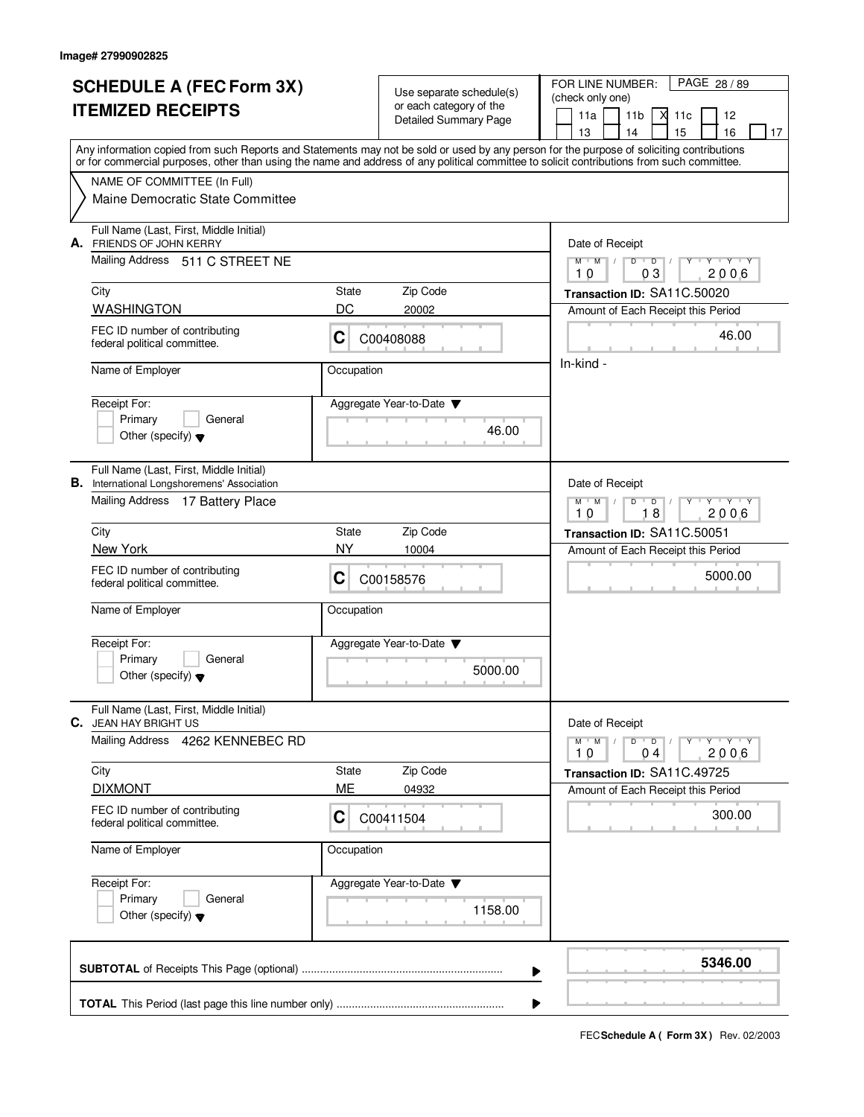|                          | <b>SCHEDULE A (FEC Form 3X)</b>                                                                                                                                           |                              | Use separate schedule(s) | FOR LINE NUMBER:<br>PAGE 28 / 89                                    |  |  |
|--------------------------|---------------------------------------------------------------------------------------------------------------------------------------------------------------------------|------------------------------|--------------------------|---------------------------------------------------------------------|--|--|
| <b>ITEMIZED RECEIPTS</b> |                                                                                                                                                                           |                              | or each category of the  | (check only one)<br>11 <sub>b</sub><br>11a<br>11c<br>12<br>X        |  |  |
|                          |                                                                                                                                                                           | <b>Detailed Summary Page</b> |                          | 15<br>13<br>14<br>16<br>17                                          |  |  |
|                          | Any information copied from such Reports and Statements may not be sold or used by any person for the purpose of soliciting contributions                                 |                              |                          |                                                                     |  |  |
|                          | or for commercial purposes, other than using the name and address of any political committee to solicit contributions from such committee.<br>NAME OF COMMITTEE (In Full) |                              |                          |                                                                     |  |  |
|                          | Maine Democratic State Committee                                                                                                                                          |                              |                          |                                                                     |  |  |
|                          |                                                                                                                                                                           |                              |                          |                                                                     |  |  |
|                          | Full Name (Last, First, Middle Initial)<br>A. FRIENDS OF JOHN KERRY                                                                                                       |                              |                          | Date of Receipt                                                     |  |  |
|                          | Mailing Address 511 C STREET NE                                                                                                                                           |                              |                          | $D$ $D$ $/$<br>$M$ $M$ $M$<br>$Y - Y - Y$<br>Y                      |  |  |
|                          | City                                                                                                                                                                      | <b>State</b>                 | Zip Code                 | 2006<br>10<br>03                                                    |  |  |
|                          | <b>WASHINGTON</b>                                                                                                                                                         | DC                           | 20002                    | Transaction ID: SA11C.50020<br>Amount of Each Receipt this Period   |  |  |
|                          | FEC ID number of contributing                                                                                                                                             |                              |                          |                                                                     |  |  |
|                          | federal political committee.                                                                                                                                              | $\mathbf C$                  | C00408088                | 46.00                                                               |  |  |
|                          | Name of Employer                                                                                                                                                          | Occupation                   |                          | In-kind -                                                           |  |  |
|                          |                                                                                                                                                                           |                              |                          |                                                                     |  |  |
|                          | Receipt For:<br>Primary<br>General                                                                                                                                        |                              | Aggregate Year-to-Date   |                                                                     |  |  |
|                          | Other (specify) $\blacktriangledown$                                                                                                                                      |                              | 46.00                    |                                                                     |  |  |
|                          | Full Name (Last, First, Middle Initial)                                                                                                                                   |                              |                          |                                                                     |  |  |
|                          | <b>B.</b> International Longshoremens' Association                                                                                                                        |                              |                          | Date of Receipt                                                     |  |  |
|                          | Mailing Address 17 Battery Place                                                                                                                                          |                              |                          | $Y + Y + Y$<br>$M$ $M$ /<br>D<br>$\overline{D}$<br>18<br>2006<br>10 |  |  |
|                          | City                                                                                                                                                                      | <b>State</b>                 | Zip Code                 | Transaction ID: SA11C.50051                                         |  |  |
|                          | New York                                                                                                                                                                  | NY.                          | 10004                    | Amount of Each Receipt this Period                                  |  |  |
|                          | FEC ID number of contributing                                                                                                                                             | C                            | C00158576                | 5000.00                                                             |  |  |
|                          | federal political committee.                                                                                                                                              |                              |                          |                                                                     |  |  |
|                          | Name of Employer                                                                                                                                                          | Occupation                   |                          |                                                                     |  |  |
|                          | Receipt For:                                                                                                                                                              |                              | Aggregate Year-to-Date   |                                                                     |  |  |
|                          | General<br>Primary                                                                                                                                                        |                              | 5000.00                  |                                                                     |  |  |
|                          | Other (specify) $\blacktriangledown$                                                                                                                                      |                              |                          |                                                                     |  |  |
|                          | Full Name (Last, First, Middle Initial)                                                                                                                                   |                              |                          |                                                                     |  |  |
|                          | <b>C.</b> JEAN HAY BRIGHT US<br><b>Mailing Address</b>                                                                                                                    |                              |                          | Date of Receipt<br>$Y + Y + Y + Y$                                  |  |  |
|                          | 4262 KENNEBEC RD                                                                                                                                                          |                              |                          | $D$ $D$ $I$<br>$M$ $M$<br>2006<br>10<br>04                          |  |  |
|                          | City                                                                                                                                                                      | State                        | Zip Code                 | Transaction ID: SA11C.49725                                         |  |  |
|                          | <b>DIXMONT</b>                                                                                                                                                            | ME                           | 04932                    | Amount of Each Receipt this Period                                  |  |  |
|                          | FEC ID number of contributing<br>federal political committee.                                                                                                             | C                            | C00411504                | 300.00                                                              |  |  |
|                          | Name of Employer                                                                                                                                                          | Occupation                   |                          |                                                                     |  |  |
|                          |                                                                                                                                                                           |                              |                          |                                                                     |  |  |
|                          | Receipt For:<br>Primary<br>General                                                                                                                                        |                              | Aggregate Year-to-Date   |                                                                     |  |  |
|                          | Other (specify) $\blacktriangledown$                                                                                                                                      |                              | 1158.00                  |                                                                     |  |  |
|                          |                                                                                                                                                                           |                              |                          |                                                                     |  |  |
|                          | 5346.00                                                                                                                                                                   |                              |                          |                                                                     |  |  |
|                          |                                                                                                                                                                           |                              | ▶                        |                                                                     |  |  |
|                          | ▶                                                                                                                                                                         |                              |                          |                                                                     |  |  |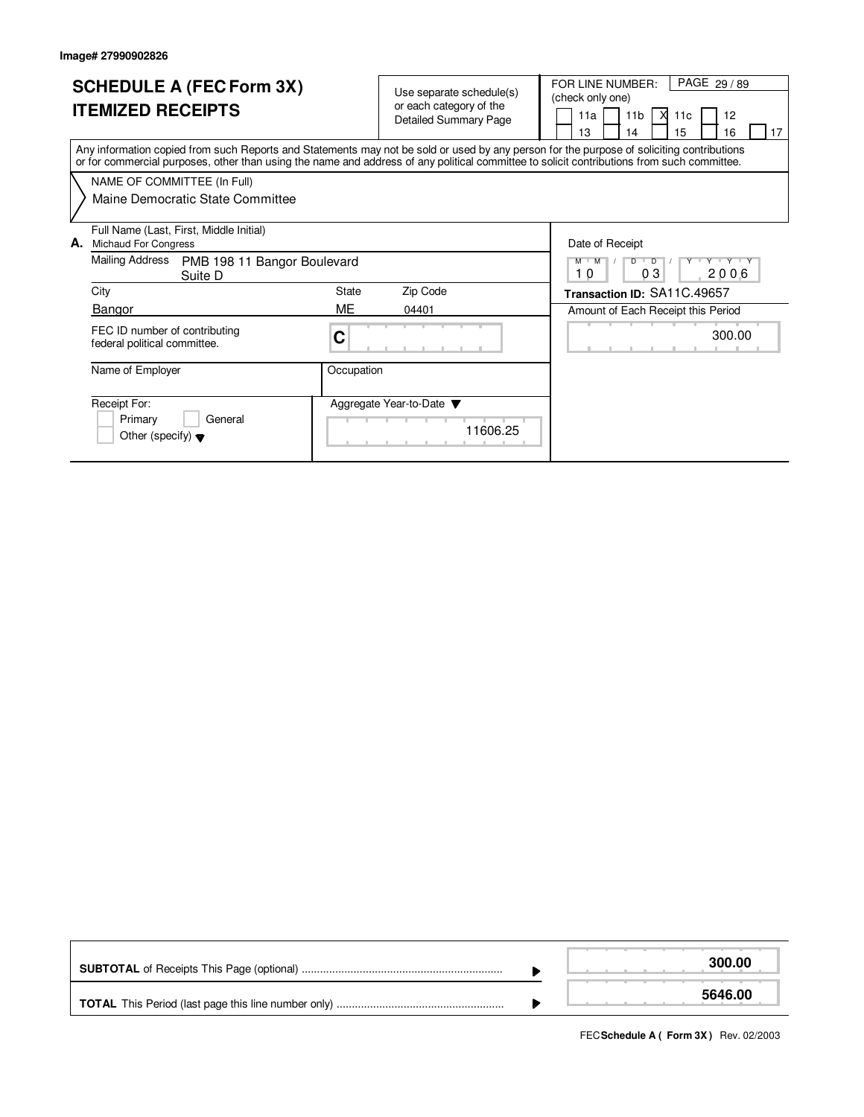| <b>SCHEDULE A (FEC Form 3X)</b><br><b>ITEMIZED RECEIPTS</b>                                                                                                                                                                                                                             | Use separate schedule(s)<br>or each category of the<br><b>Detailed Summary Page</b> | PAGE 29 / 89<br>FOR LINE NUMBER:<br>(check only one)<br>11a<br>11 <sub>b</sub><br>М<br>12<br>11 <sub>c</sub><br>13<br>15<br>16<br>17<br>14 |  |  |  |  |
|-----------------------------------------------------------------------------------------------------------------------------------------------------------------------------------------------------------------------------------------------------------------------------------------|-------------------------------------------------------------------------------------|--------------------------------------------------------------------------------------------------------------------------------------------|--|--|--|--|
| Any information copied from such Reports and Statements may not be sold or used by any person for the purpose of soliciting contributions<br>or for commercial purposes, other than using the name and address of any political committee to solicit contributions from such committee. |                                                                                     |                                                                                                                                            |  |  |  |  |
| NAME OF COMMITTEE (In Full)                                                                                                                                                                                                                                                             |                                                                                     |                                                                                                                                            |  |  |  |  |
| Maine Democratic State Committee                                                                                                                                                                                                                                                        |                                                                                     |                                                                                                                                            |  |  |  |  |
| Full Name (Last, First, Middle Initial)                                                                                                                                                                                                                                                 |                                                                                     |                                                                                                                                            |  |  |  |  |
| А.<br>Michaud For Congress                                                                                                                                                                                                                                                              |                                                                                     | Date of Receipt                                                                                                                            |  |  |  |  |
| Mailing Address<br>PMB 198 11 Bangor Boulevard<br>Suite D                                                                                                                                                                                                                               |                                                                                     | Y Y Y Y Y<br>$\overline{D}$<br>D<br>$M$ $M$<br>03<br>2006<br>10                                                                            |  |  |  |  |
| City                                                                                                                                                                                                                                                                                    | <b>State</b><br>Zip Code                                                            | Transaction ID: SA11C.49657                                                                                                                |  |  |  |  |
| Bangor                                                                                                                                                                                                                                                                                  | ME<br>04401                                                                         | Amount of Each Receipt this Period                                                                                                         |  |  |  |  |
| FEC ID number of contributing<br>federal political committee.                                                                                                                                                                                                                           | С                                                                                   | 300.00                                                                                                                                     |  |  |  |  |
| Name of Employer                                                                                                                                                                                                                                                                        | Occupation                                                                          |                                                                                                                                            |  |  |  |  |
| Receipt For:<br>Primary<br>General<br>Other (specify) $\blacktriangledown$                                                                                                                                                                                                              | Aggregate Year-to-Date ▼<br>11606.25                                                |                                                                                                                                            |  |  |  |  |

|  | 300.00  |
|--|---------|
|  | 5646,00 |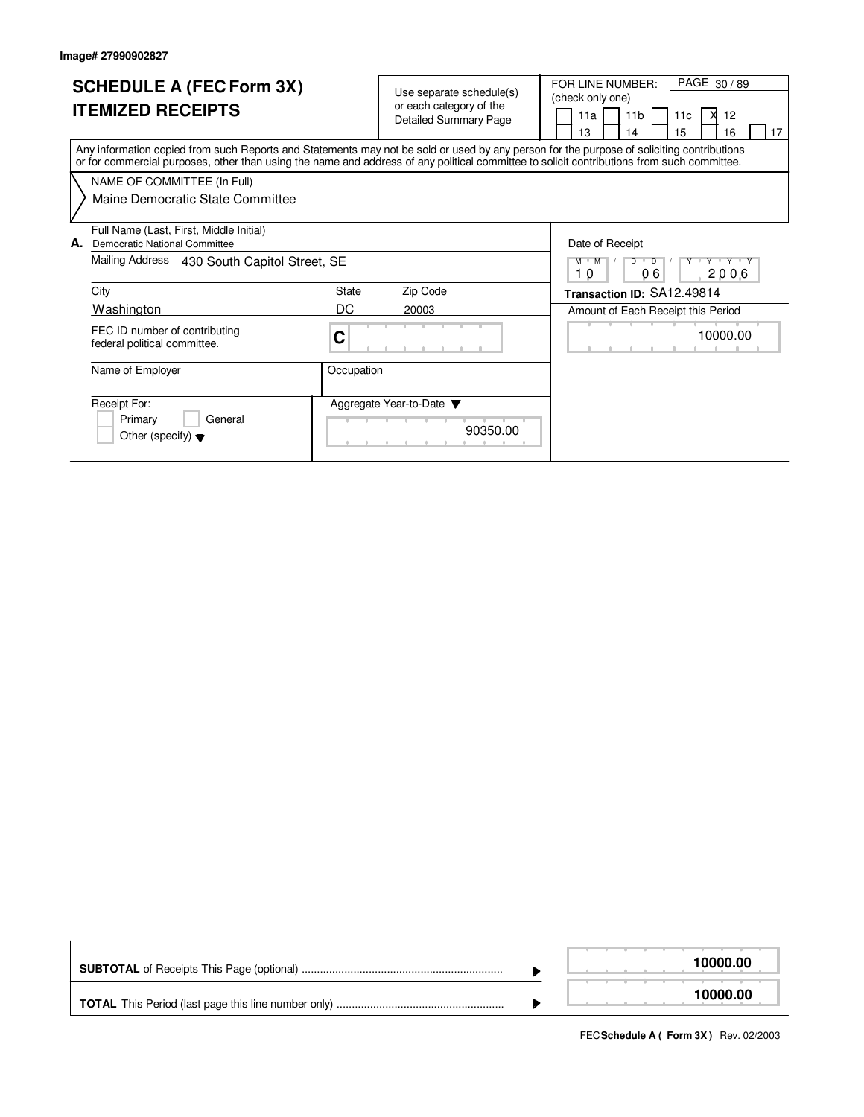| <b>SCHEDULE A (FEC Form 3X)</b><br><b>ITEMIZED RECEIPTS</b>                                                                                | Use separate schedule(s)<br>or each category of the<br>Detailed Summary Page                                                              | PAGE 30/89<br>FOR LINE NUMBER:<br>(check only one)<br>11 <sub>b</sub><br>12<br>11a<br>11 <sub>c</sub><br>15<br>16<br>13<br>14<br>17 |
|--------------------------------------------------------------------------------------------------------------------------------------------|-------------------------------------------------------------------------------------------------------------------------------------------|-------------------------------------------------------------------------------------------------------------------------------------|
| or for commercial purposes, other than using the name and address of any political committee to solicit contributions from such committee. | Any information copied from such Reports and Statements may not be sold or used by any person for the purpose of soliciting contributions |                                                                                                                                     |
| NAME OF COMMITTEE (In Full)                                                                                                                |                                                                                                                                           |                                                                                                                                     |
| Maine Democratic State Committee                                                                                                           |                                                                                                                                           |                                                                                                                                     |
| Full Name (Last, First, Middle Initial)<br>А.<br>Democratic National Committee                                                             |                                                                                                                                           | Date of Receipt                                                                                                                     |
| Mailing Address<br>430 South Capitol Street, SE                                                                                            |                                                                                                                                           | $\overline{D}$<br><b>TY TY TY</b><br>$M$ $M$<br>D<br>06<br>2006<br>10                                                               |
| City                                                                                                                                       | Zip Code<br>State                                                                                                                         | Transaction ID: SA12.49814                                                                                                          |
| Washington                                                                                                                                 | DC<br>20003                                                                                                                               | Amount of Each Receipt this Period                                                                                                  |
| FEC ID number of contributing<br>federal political committee.                                                                              | С                                                                                                                                         | 10000.00                                                                                                                            |
| Name of Employer                                                                                                                           | Occupation                                                                                                                                |                                                                                                                                     |
| Receipt For:<br>General<br>Primary<br>Other (specify) $\blacktriangledown$                                                                 | Aggregate Year-to-Date $\blacktriangledown$<br>90350.00                                                                                   |                                                                                                                                     |

|  | 10000.00 |
|--|----------|
|  | 10000.00 |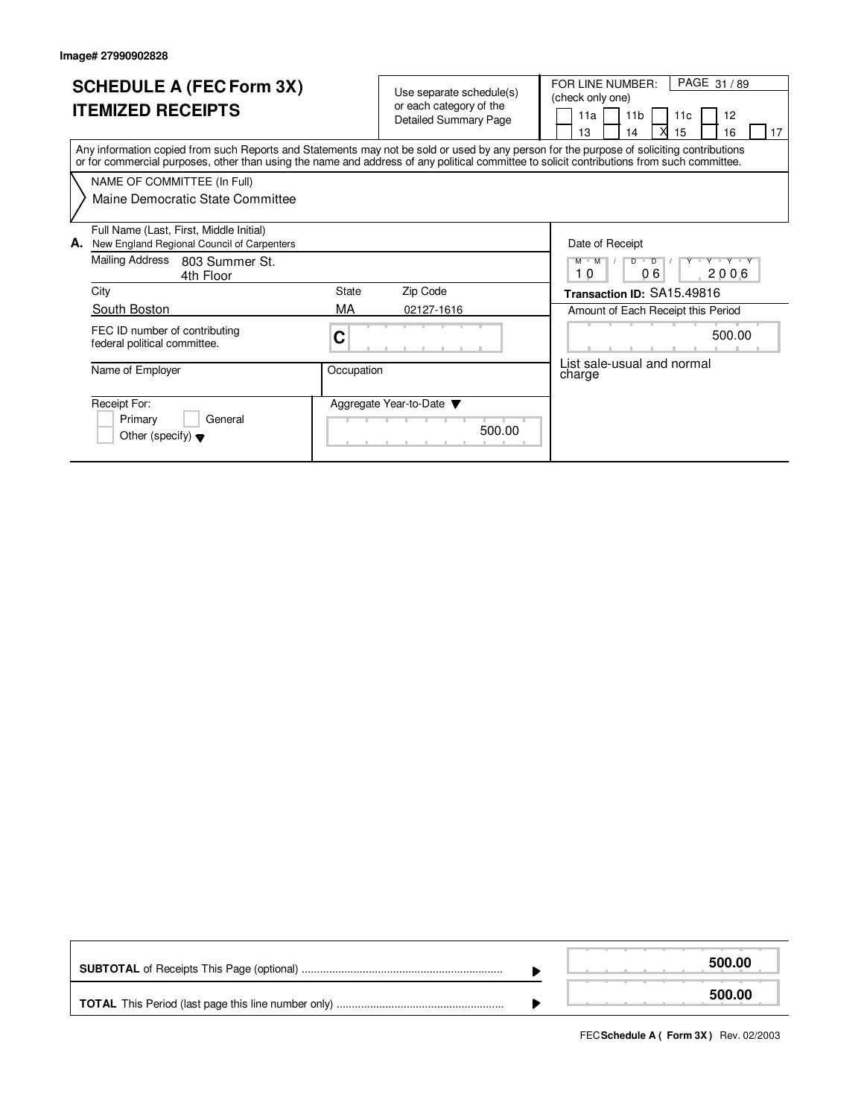| <b>SCHEDULE A (FEC Form 3X)</b><br><b>ITEMIZED RECEIPTS</b>                                                                                                                                                                                                                             | Use separate schedule(s)<br>or each category of the<br><b>Detailed Summary Page</b> |        | PAGE 31/89<br>FOR LINE NUMBER:<br>(check only one)<br>12<br>11a<br>11 <sub>b</sub><br>11c<br>13<br>15<br>17<br>16<br>14 |
|-----------------------------------------------------------------------------------------------------------------------------------------------------------------------------------------------------------------------------------------------------------------------------------------|-------------------------------------------------------------------------------------|--------|-------------------------------------------------------------------------------------------------------------------------|
| Any information copied from such Reports and Statements may not be sold or used by any person for the purpose of soliciting contributions<br>or for commercial purposes, other than using the name and address of any political committee to solicit contributions from such committee. |                                                                                     |        |                                                                                                                         |
| NAME OF COMMITTEE (In Full)                                                                                                                                                                                                                                                             |                                                                                     |        |                                                                                                                         |
| Maine Democratic State Committee                                                                                                                                                                                                                                                        |                                                                                     |        |                                                                                                                         |
| Full Name (Last, First, Middle Initial)<br>New England Regional Council of Carpenters<br>А.                                                                                                                                                                                             |                                                                                     |        | Date of Receipt                                                                                                         |
| Mailing Address<br>803 Summer St.<br>4th Floor                                                                                                                                                                                                                                          |                                                                                     |        | $\overline{D}$<br>Y Y Y Y Y<br>M<br>M<br>D<br>06<br>10<br>2006                                                          |
| City                                                                                                                                                                                                                                                                                    | <b>State</b><br>Zip Code                                                            |        | Transaction ID: SA15.49816                                                                                              |
| South Boston                                                                                                                                                                                                                                                                            | МA<br>02127-1616                                                                    |        | Amount of Each Receipt this Period                                                                                      |
| FEC ID number of contributing<br>federal political committee.                                                                                                                                                                                                                           | С                                                                                   |        | 500.00                                                                                                                  |
| Name of Employer                                                                                                                                                                                                                                                                        | Occupation                                                                          |        | List sale-usual and normal<br>charge                                                                                    |
| Receipt For:<br>Primary<br>General<br>Other (specify) $\blacktriangledown$                                                                                                                                                                                                              | Aggregate Year-to-Date ▼                                                            | 500.00 |                                                                                                                         |

|  | 500.00 |
|--|--------|
|  | 500.00 |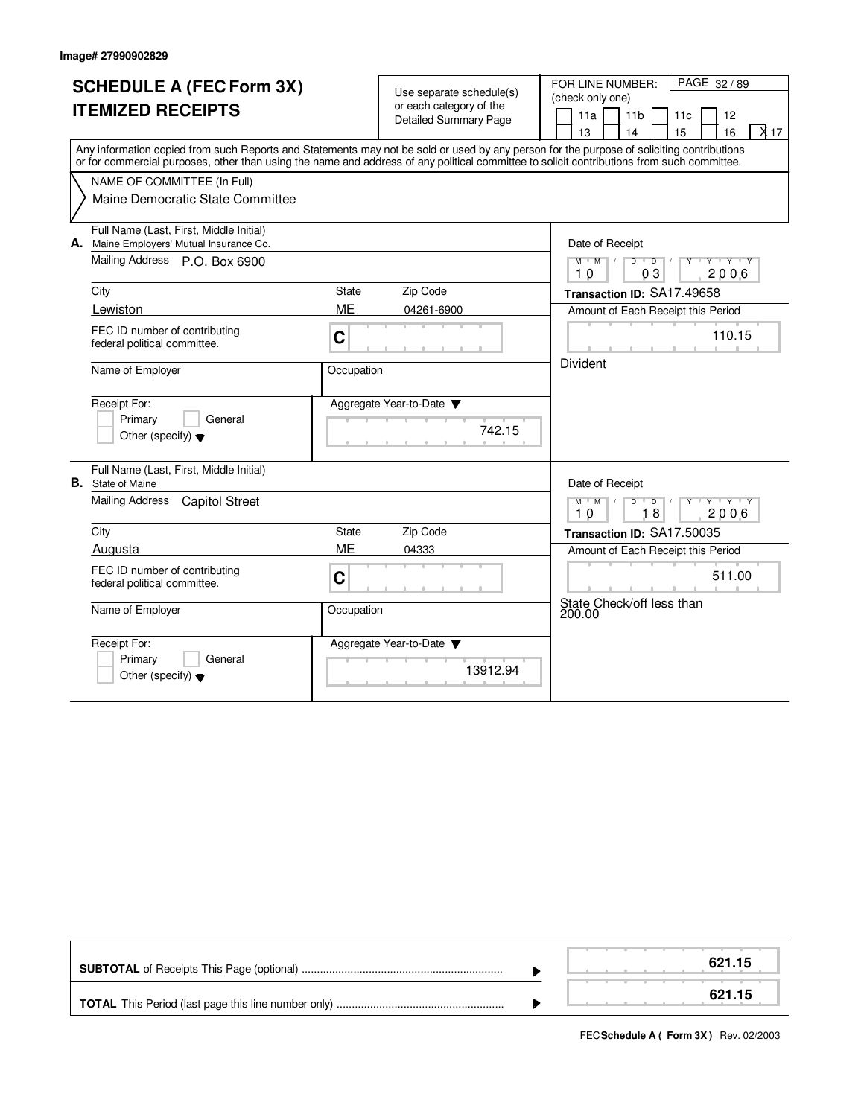|    | <b>SCHEDULE A (FEC Form 3X)</b><br><b>ITEMIZED RECEIPTS</b><br>NAME OF COMMITTEE (In Full)<br>Maine Democratic State Committee | Use separate schedule(s)<br>or each category of the<br><b>Detailed Summary Page</b><br>Any information copied from such Reports and Statements may not be sold or used by any person for the purpose of soliciting contributions<br>or for commercial purposes, other than using the name and address of any political committee to solicit contributions from such committee. |                                    |                                                                                           |  |  |  |  |  |  |  |  |
|----|--------------------------------------------------------------------------------------------------------------------------------|--------------------------------------------------------------------------------------------------------------------------------------------------------------------------------------------------------------------------------------------------------------------------------------------------------------------------------------------------------------------------------|------------------------------------|-------------------------------------------------------------------------------------------|--|--|--|--|--|--|--|--|
| А. | Full Name (Last, First, Middle Initial)<br>Maine Employers' Mutual Insurance Co.<br>Mailing Address P.O. Box 6900              |                                                                                                                                                                                                                                                                                                                                                                                |                                    | Date of Receipt<br>D<br>$M$ M<br>$\overline{D}$<br>$+Y+Y$<br>0 <sub>3</sub><br>10<br>2006 |  |  |  |  |  |  |  |  |
|    | City                                                                                                                           | <b>State</b>                                                                                                                                                                                                                                                                                                                                                                   | Zip Code                           | Transaction ID: SA17.49658                                                                |  |  |  |  |  |  |  |  |
|    | Lewiston                                                                                                                       | <b>ME</b>                                                                                                                                                                                                                                                                                                                                                                      | 04261-6900                         | Amount of Each Receipt this Period                                                        |  |  |  |  |  |  |  |  |
|    | FEC ID number of contributing<br>federal political committee.                                                                  | C                                                                                                                                                                                                                                                                                                                                                                              |                                    | 110.15                                                                                    |  |  |  |  |  |  |  |  |
|    | Name of Employer                                                                                                               | Occupation                                                                                                                                                                                                                                                                                                                                                                     |                                    | <b>Divident</b>                                                                           |  |  |  |  |  |  |  |  |
|    | Receipt For:<br>Primary<br>General<br>Other (specify) $\blacktriangledown$                                                     |                                                                                                                                                                                                                                                                                                                                                                                | Aggregate Year-to-Date<br>742.15   |                                                                                           |  |  |  |  |  |  |  |  |
|    | Full Name (Last, First, Middle Initial)<br><b>B.</b> State of Maine                                                            |                                                                                                                                                                                                                                                                                                                                                                                |                                    | Date of Receipt                                                                           |  |  |  |  |  |  |  |  |
|    | <b>Mailing Address</b><br><b>Capitol Street</b>                                                                                |                                                                                                                                                                                                                                                                                                                                                                                |                                    | $M$ $M$ /<br>$D$ <sup>U</sup><br>$D$ /<br>יץ ייץ יד<br>Y<br>18<br>10<br>2006              |  |  |  |  |  |  |  |  |
|    | City                                                                                                                           | <b>State</b>                                                                                                                                                                                                                                                                                                                                                                   | Zip Code                           | Transaction ID: SA17.50035                                                                |  |  |  |  |  |  |  |  |
|    | Augusta                                                                                                                        | ME                                                                                                                                                                                                                                                                                                                                                                             | 04333                              | Amount of Each Receipt this Period                                                        |  |  |  |  |  |  |  |  |
|    | FEC ID number of contributing<br>federal political committee.                                                                  | C                                                                                                                                                                                                                                                                                                                                                                              |                                    | 511.00                                                                                    |  |  |  |  |  |  |  |  |
|    | Name of Employer                                                                                                               | Occupation                                                                                                                                                                                                                                                                                                                                                                     |                                    | State Check/off less than<br>200.00                                                       |  |  |  |  |  |  |  |  |
|    | Receipt For:<br>Primary<br>General<br>Other (specify) $\blacktriangledown$                                                     |                                                                                                                                                                                                                                                                                                                                                                                | Aggregate Year-to-Date<br>13912.94 |                                                                                           |  |  |  |  |  |  |  |  |

|  | 621.15 |
|--|--------|
|  | 621.15 |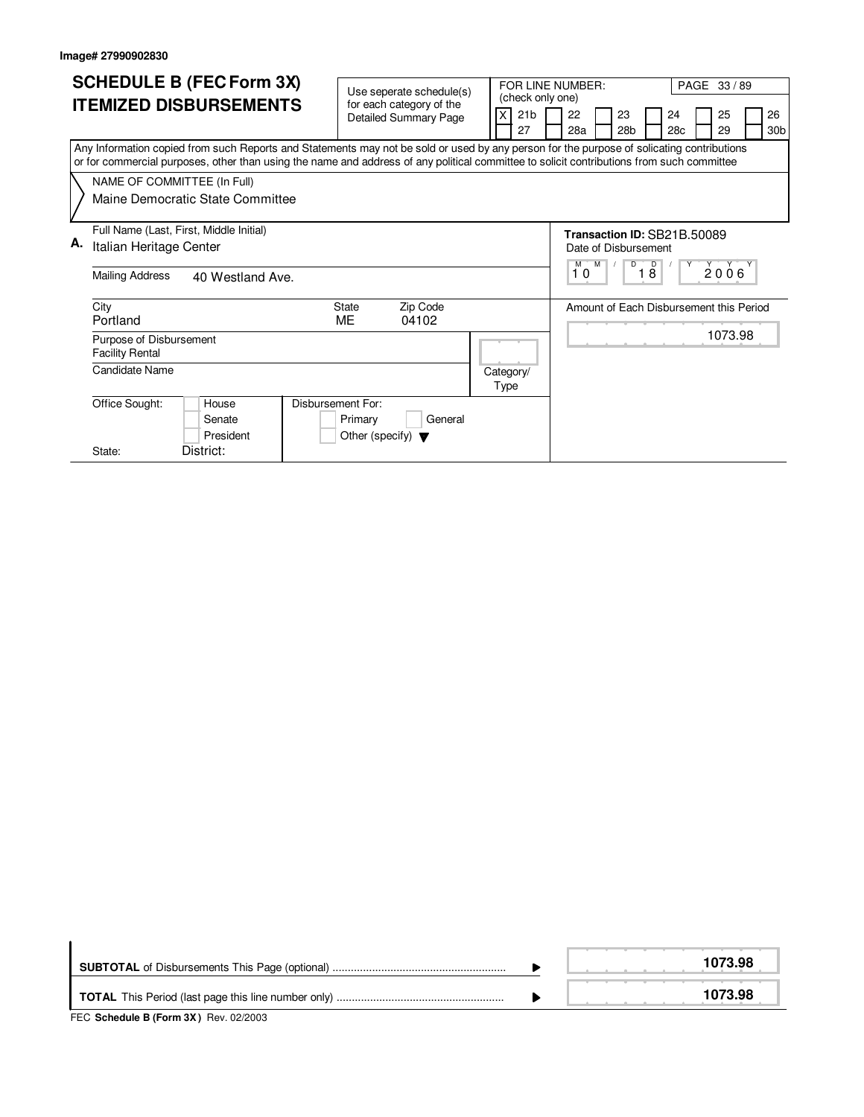| <b>SCHEDULE B (FEC Form 3X)</b>                                                                                                                                                                                                                                                        | Use seperate schedule(s)             |                                     | FOR LINE NUMBER:                                                                                                               | PAGE 33 / 89                             |  |  |  |  |  |  |  |
|----------------------------------------------------------------------------------------------------------------------------------------------------------------------------------------------------------------------------------------------------------------------------------------|--------------------------------------|-------------------------------------|--------------------------------------------------------------------------------------------------------------------------------|------------------------------------------|--|--|--|--|--|--|--|
| <b>ITEMIZED DISBURSEMENTS</b>                                                                                                                                                                                                                                                          | for each category of the             | (check only one)<br>21 <sub>b</sub> | 22<br>23                                                                                                                       | 24<br>25<br>26                           |  |  |  |  |  |  |  |
|                                                                                                                                                                                                                                                                                        | <b>Detailed Summary Page</b>         | 27                                  | 28a<br>28 <sub>b</sub>                                                                                                         | 29<br>30 <sub>b</sub><br>28 <sub>c</sub> |  |  |  |  |  |  |  |
| Any Information copied from such Reports and Statements may not be sold or used by any person for the purpose of solicating contributions<br>or for commercial purposes, other than using the name and address of any political committee to solicit contributions from such committee |                                      |                                     |                                                                                                                                |                                          |  |  |  |  |  |  |  |
| NAME OF COMMITTEE (In Full)                                                                                                                                                                                                                                                            |                                      |                                     |                                                                                                                                |                                          |  |  |  |  |  |  |  |
| Maine Democratic State Committee                                                                                                                                                                                                                                                       |                                      |                                     |                                                                                                                                |                                          |  |  |  |  |  |  |  |
| Full Name (Last, First, Middle Initial)                                                                                                                                                                                                                                                |                                      |                                     | Transaction ID: SB21B.50089                                                                                                    |                                          |  |  |  |  |  |  |  |
| А.<br>Italian Heritage Center                                                                                                                                                                                                                                                          |                                      |                                     | Date of Disbursement<br>$\begin{array}{c} \begin{array}{c} \gamma \\ 2006 \end{array} \end{array}$<br>D<br>$\overline{D}$<br>M |                                          |  |  |  |  |  |  |  |
| <b>Mailing Address</b><br>40 Westland Ave.                                                                                                                                                                                                                                             |                                      |                                     |                                                                                                                                |                                          |  |  |  |  |  |  |  |
| City                                                                                                                                                                                                                                                                                   | Zip Code<br><b>State</b>             |                                     |                                                                                                                                | Amount of Each Disbursement this Period  |  |  |  |  |  |  |  |
| Portland                                                                                                                                                                                                                                                                               | ME<br>04102                          |                                     |                                                                                                                                |                                          |  |  |  |  |  |  |  |
| Purpose of Disbursement<br><b>Facility Rental</b>                                                                                                                                                                                                                                      |                                      |                                     |                                                                                                                                | 1073.98                                  |  |  |  |  |  |  |  |
| Candidate Name                                                                                                                                                                                                                                                                         |                                      | Category/<br>Type                   |                                                                                                                                |                                          |  |  |  |  |  |  |  |
| Disbursement For:<br>Office Sought:<br>House                                                                                                                                                                                                                                           |                                      |                                     |                                                                                                                                |                                          |  |  |  |  |  |  |  |
| Senate                                                                                                                                                                                                                                                                                 | Primary<br>General                   |                                     |                                                                                                                                |                                          |  |  |  |  |  |  |  |
| President                                                                                                                                                                                                                                                                              | Other (specify) $\blacktriangledown$ |                                     |                                                                                                                                |                                          |  |  |  |  |  |  |  |
| District:<br>State:                                                                                                                                                                                                                                                                    |                                      |                                     |                                                                                                                                |                                          |  |  |  |  |  |  |  |

|                                                                                                                  | 1073.98 |
|------------------------------------------------------------------------------------------------------------------|---------|
| $FFA$ , $A + L$ , $A + L$ , $B$ , $F$ , $m$ , $\alpha V$ , $D$ , $\alpha \alpha$ , $\alpha \alpha \alpha \alpha$ | 1073.98 |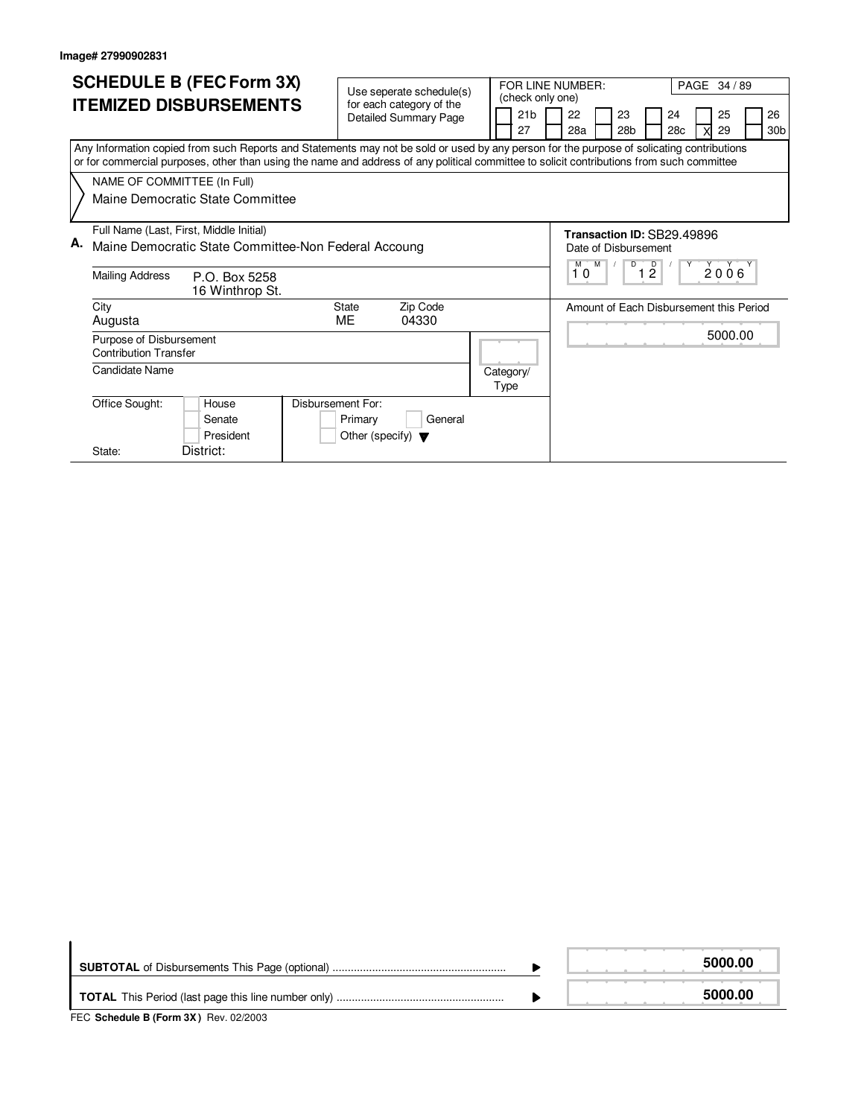| <b>SCHEDULE B (FEC Form 3X)</b><br><b>ITEMIZED DISBURSEMENTS</b>                                                                                                                                                                                                                       | Use seperate schedule(s)<br>for each category of the<br>21 <sub>b</sub><br><b>Detailed Summary Page</b><br>27 | FOR LINE NUMBER:<br>PAGE 34 / 89<br>(check only one)<br>22<br>23<br>24<br>25<br>26<br>30 <sub>b</sub><br>28a<br>28 <sub>b</sub><br>28c<br>29 |
|----------------------------------------------------------------------------------------------------------------------------------------------------------------------------------------------------------------------------------------------------------------------------------------|---------------------------------------------------------------------------------------------------------------|----------------------------------------------------------------------------------------------------------------------------------------------|
| Any Information copied from such Reports and Statements may not be sold or used by any person for the purpose of solicating contributions<br>or for commercial purposes, other than using the name and address of any political committee to solicit contributions from such committee |                                                                                                               |                                                                                                                                              |
| NAME OF COMMITTEE (In Full)<br>Maine Democratic State Committee                                                                                                                                                                                                                        |                                                                                                               |                                                                                                                                              |
| Full Name (Last, First, Middle Initial)<br>А.<br>Maine Democratic State Committee-Non Federal Accoung                                                                                                                                                                                  |                                                                                                               | Transaction ID: SB29.49896<br>Date of Disbursement<br><b>M</b><br>D<br>2006 <sup>Y</sup>                                                     |
| <b>Mailing Address</b><br>P.O. Box 5258<br>16 Winthrop St.                                                                                                                                                                                                                             |                                                                                                               | $1\overline{2}$<br>10                                                                                                                        |
| City<br>Augusta                                                                                                                                                                                                                                                                        | <b>State</b><br>Zip Code<br>ME<br>04330                                                                       | Amount of Each Disbursement this Period                                                                                                      |
| Purpose of Disbursement<br><b>Contribution Transfer</b>                                                                                                                                                                                                                                |                                                                                                               | 5000.00                                                                                                                                      |
| Candidate Name                                                                                                                                                                                                                                                                         | Category/<br>Type                                                                                             |                                                                                                                                              |
| Office Sought:<br>Disbursement For:<br>House<br>Senate<br>President                                                                                                                                                                                                                    | General<br>Primary<br>Other (specify) $\blacktriangledown$                                                    |                                                                                                                                              |
| District:<br>State:                                                                                                                                                                                                                                                                    |                                                                                                               |                                                                                                                                              |

|                                                                          |  | 5000.00 |
|--------------------------------------------------------------------------|--|---------|
| $TTC$ , $Q_2$ be dule $R$ ( $E_2$ and $QV$ ), $Q_{31}$ , $Q_2$ ( $Q_2$ ) |  | 5000.00 |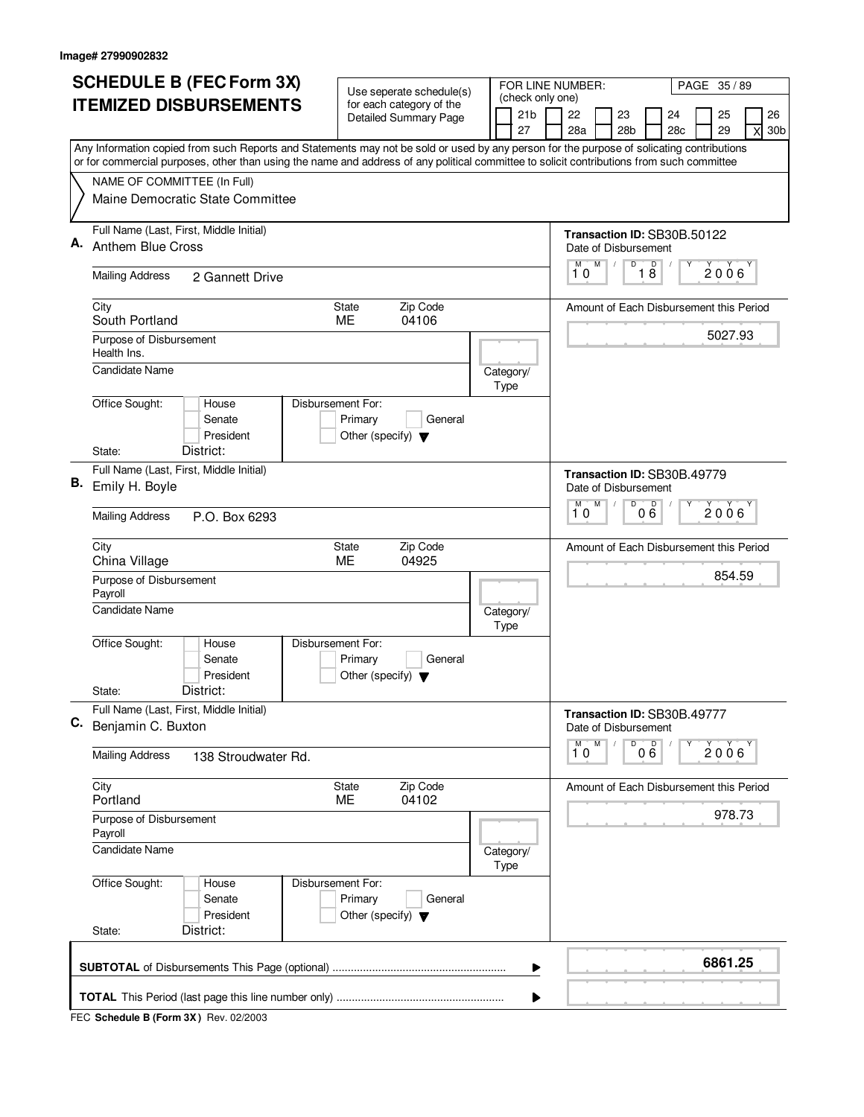|    | <b>SCHEDULE B (FEC Form 3X)</b>                                                                                                           |                                      | Use seperate schedule(s)     |  |      |                                     |                                         | FOR LINE NUMBER:<br>PAGE 35/89 |                                         |                 |                                         |   |         |   |                 |  |  |
|----|-------------------------------------------------------------------------------------------------------------------------------------------|--------------------------------------|------------------------------|--|------|-------------------------------------|-----------------------------------------|--------------------------------|-----------------------------------------|-----------------|-----------------------------------------|---|---------|---|-----------------|--|--|
|    | <b>ITEMIZED DISBURSEMENTS</b>                                                                                                             |                                      | for each category of the     |  |      | (check only one)<br>21 <sub>b</sub> |                                         | 22                             |                                         | 23              | 24                                      |   | 25      |   | 26              |  |  |
|    |                                                                                                                                           |                                      | <b>Detailed Summary Page</b> |  |      | 27                                  |                                         | 28a                            |                                         | 28 <sub>b</sub> | 28c                                     |   | 29      | X | 30 <sub>b</sub> |  |  |
|    | Any Information copied from such Reports and Statements may not be sold or used by any person for the purpose of solicating contributions |                                      |                              |  |      |                                     |                                         |                                |                                         |                 |                                         |   |         |   |                 |  |  |
|    | or for commercial purposes, other than using the name and address of any political committee to solicit contributions from such committee |                                      |                              |  |      |                                     |                                         |                                |                                         |                 |                                         |   |         |   |                 |  |  |
|    | NAME OF COMMITTEE (In Full)<br>Maine Democratic State Committee                                                                           |                                      |                              |  |      |                                     |                                         |                                |                                         |                 |                                         |   |         |   |                 |  |  |
|    |                                                                                                                                           |                                      |                              |  |      |                                     |                                         |                                |                                         |                 |                                         |   |         |   |                 |  |  |
|    | Full Name (Last, First, Middle Initial)                                                                                                   |                                      |                              |  |      |                                     |                                         |                                | Transaction ID: SB30B.50122             |                 |                                         |   |         |   |                 |  |  |
| Α. | <b>Anthem Blue Cross</b>                                                                                                                  |                                      |                              |  |      |                                     |                                         | Date of Disbursement           |                                         |                 |                                         |   |         |   |                 |  |  |
|    | <b>Mailing Address</b><br>2 Gannett Drive                                                                                                 |                                      |                              |  |      |                                     | M<br>M<br>D<br>18<br>2006<br>10         |                                |                                         |                 |                                         |   |         |   |                 |  |  |
|    | City                                                                                                                                      | <b>State</b>                         | Zip Code                     |  |      |                                     | Amount of Each Disbursement this Period |                                |                                         |                 |                                         |   |         |   |                 |  |  |
|    | South Portland                                                                                                                            | ME                                   | 04106                        |  |      |                                     | 5027.93                                 |                                |                                         |                 |                                         |   |         |   |                 |  |  |
|    | Purpose of Disbursement<br>Health Ins.                                                                                                    |                                      |                              |  |      |                                     |                                         |                                |                                         |                 |                                         |   |         |   |                 |  |  |
|    | <b>Candidate Name</b>                                                                                                                     |                                      |                              |  | Type | Category/                           |                                         |                                |                                         |                 |                                         |   |         |   |                 |  |  |
|    | Office Sought:<br>Disbursement For:<br>House                                                                                              |                                      |                              |  |      |                                     |                                         |                                |                                         |                 |                                         |   |         |   |                 |  |  |
|    | Senate                                                                                                                                    | Primary                              | General                      |  |      |                                     |                                         |                                |                                         |                 |                                         |   |         |   |                 |  |  |
|    | President<br>District:<br>State:                                                                                                          | Other (specify) $\blacktriangledown$ |                              |  |      |                                     |                                         |                                |                                         |                 |                                         |   |         |   |                 |  |  |
|    | Full Name (Last, First, Middle Initial)                                                                                                   |                                      |                              |  |      |                                     |                                         |                                |                                         |                 |                                         |   |         |   |                 |  |  |
| В. | Emily H. Boyle                                                                                                                            |                                      |                              |  |      |                                     |                                         | Date of Disbursement           |                                         |                 | Transaction ID: SB30B.49779             |   |         |   |                 |  |  |
|    | <b>Mailing Address</b><br>P.O. Box 6293                                                                                                   |                                      |                              |  |      |                                     |                                         | M<br>10                        | M                                       | D               | 000                                     |   | 2006    |   |                 |  |  |
|    |                                                                                                                                           |                                      |                              |  |      |                                     |                                         |                                |                                         |                 |                                         |   |         |   |                 |  |  |
|    | City<br>China Village                                                                                                                     | Zip Code<br>State<br>ME<br>04925     |                              |  |      |                                     |                                         |                                | Amount of Each Disbursement this Period |                 |                                         |   |         |   |                 |  |  |
|    | Purpose of Disbursement                                                                                                                   |                                      |                              |  |      |                                     |                                         |                                |                                         |                 |                                         |   | 854.59  |   |                 |  |  |
|    | Payroll                                                                                                                                   |                                      |                              |  |      |                                     |                                         |                                |                                         |                 |                                         |   |         |   |                 |  |  |
|    | <b>Candidate Name</b>                                                                                                                     |                                      |                              |  | Type | Category/                           |                                         |                                |                                         |                 |                                         |   |         |   |                 |  |  |
|    | Office Sought:<br>Disbursement For:<br>House                                                                                              |                                      |                              |  |      |                                     |                                         |                                |                                         |                 |                                         |   |         |   |                 |  |  |
|    | Senate                                                                                                                                    | Primary                              | General                      |  |      |                                     |                                         |                                |                                         |                 |                                         |   |         |   |                 |  |  |
|    | President<br>District:<br>State:                                                                                                          | Other (specify) $\blacktriangledown$ |                              |  |      |                                     |                                         |                                |                                         |                 |                                         |   |         |   |                 |  |  |
|    | Full Name (Last, First, Middle Initial)                                                                                                   |                                      |                              |  |      |                                     |                                         |                                |                                         |                 | Transaction ID: SB30B.49777             |   |         |   |                 |  |  |
| C. | Benjamin C. Buxton                                                                                                                        |                                      |                              |  |      |                                     |                                         | Date of Disbursement           |                                         |                 |                                         |   |         |   |                 |  |  |
|    | <b>Mailing Address</b><br>138 Stroudwater Rd.                                                                                             |                                      |                              |  |      |                                     |                                         | M<br>10                        | M                                       | D               | $0\overset{D}{6}$                       | Υ | 2006    |   |                 |  |  |
|    | City<br>Portland                                                                                                                          | State<br>ME                          | Zip Code<br>04102            |  |      |                                     |                                         |                                |                                         |                 | Amount of Each Disbursement this Period |   |         |   |                 |  |  |
|    | Purpose of Disbursement<br>Payroll                                                                                                        |                                      |                              |  |      |                                     |                                         |                                |                                         |                 |                                         |   | 978.73  |   |                 |  |  |
|    | <b>Candidate Name</b>                                                                                                                     |                                      |                              |  |      | Category/                           |                                         |                                |                                         |                 |                                         |   |         |   |                 |  |  |
|    |                                                                                                                                           |                                      |                              |  | Type |                                     |                                         |                                |                                         |                 |                                         |   |         |   |                 |  |  |
|    | Disbursement For:<br>Office Sought:<br>House<br>Senate                                                                                    | Primary                              | General                      |  |      |                                     |                                         |                                |                                         |                 |                                         |   |         |   |                 |  |  |
|    | President                                                                                                                                 | Other (specify) $\blacktriangledown$ |                              |  |      |                                     |                                         |                                |                                         |                 |                                         |   |         |   |                 |  |  |
|    | District:<br>State:                                                                                                                       |                                      |                              |  |      |                                     |                                         |                                |                                         |                 |                                         |   |         |   |                 |  |  |
|    |                                                                                                                                           |                                      |                              |  |      | ▶                                   |                                         |                                |                                         |                 |                                         |   | 6861.25 |   |                 |  |  |
|    |                                                                                                                                           |                                      |                              |  |      |                                     |                                         |                                |                                         |                 |                                         |   |         |   |                 |  |  |
|    |                                                                                                                                           |                                      |                              |  |      |                                     |                                         |                                |                                         |                 |                                         |   |         |   |                 |  |  |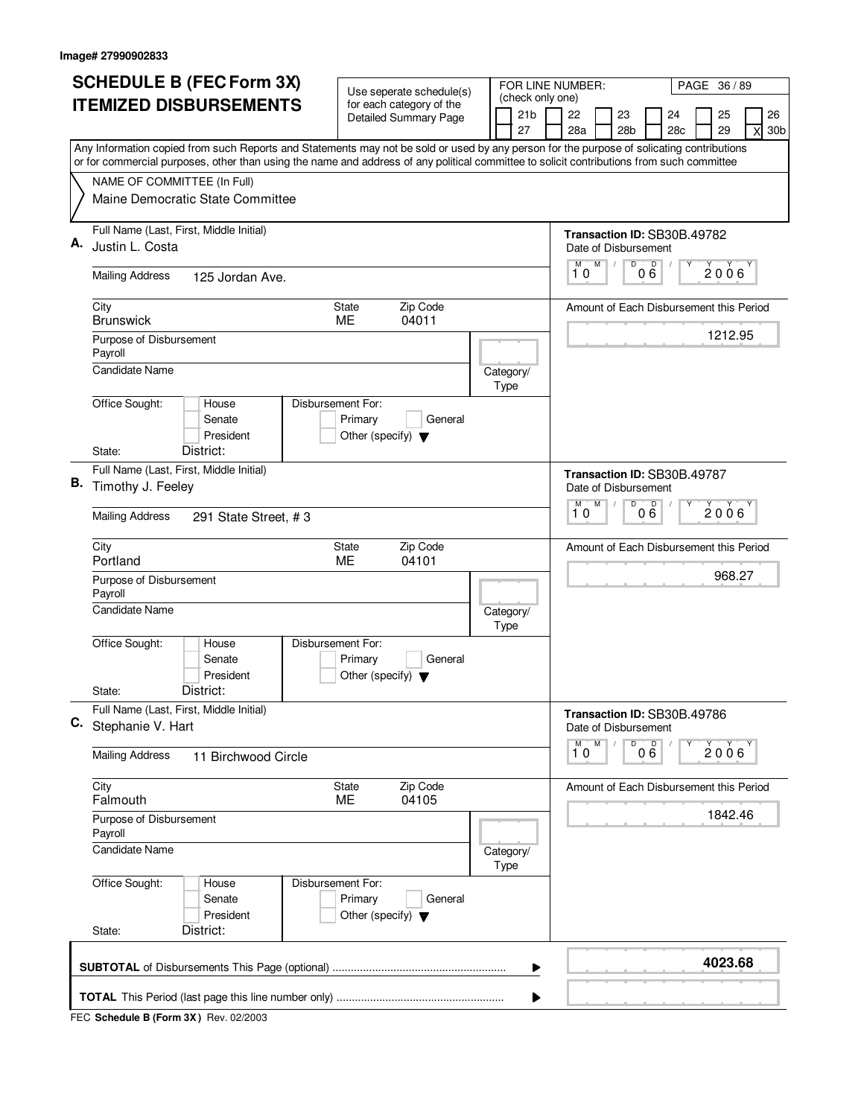|    | <b>SCHEDULE B (FEC Form 3X)</b>                                                                                                                                                                                                                                                        |                                                                      | Use seperate schedule(s)                                 |  |  |                                     |                             | FOR LINE NUMBER:<br>PAGE 36/89                      |                                         |                 |     |    |                                         |   |                 |  |  |
|----|----------------------------------------------------------------------------------------------------------------------------------------------------------------------------------------------------------------------------------------------------------------------------------------|----------------------------------------------------------------------|----------------------------------------------------------|--|--|-------------------------------------|-----------------------------|-----------------------------------------------------|-----------------------------------------|-----------------|-----|----|-----------------------------------------|---|-----------------|--|--|
|    | <b>ITEMIZED DISBURSEMENTS</b>                                                                                                                                                                                                                                                          |                                                                      | for each category of the<br><b>Detailed Summary Page</b> |  |  | (check only one)<br>21 <sub>b</sub> |                             | 22                                                  |                                         | 23              | 24  | 25 |                                         |   | 26              |  |  |
|    |                                                                                                                                                                                                                                                                                        |                                                                      |                                                          |  |  | 27                                  |                             | 28a                                                 |                                         | 28 <sub>b</sub> | 28c |    | 29                                      | X | 30 <sub>b</sub> |  |  |
|    | Any Information copied from such Reports and Statements may not be sold or used by any person for the purpose of solicating contributions<br>or for commercial purposes, other than using the name and address of any political committee to solicit contributions from such committee |                                                                      |                                                          |  |  |                                     |                             |                                                     |                                         |                 |     |    |                                         |   |                 |  |  |
|    | NAME OF COMMITTEE (In Full)                                                                                                                                                                                                                                                            |                                                                      |                                                          |  |  |                                     |                             |                                                     |                                         |                 |     |    |                                         |   |                 |  |  |
|    | Maine Democratic State Committee                                                                                                                                                                                                                                                       |                                                                      |                                                          |  |  |                                     |                             |                                                     |                                         |                 |     |    |                                         |   |                 |  |  |
| А. | Full Name (Last, First, Middle Initial)<br>Justin L. Costa                                                                                                                                                                                                                             |                                                                      |                                                          |  |  |                                     | Transaction ID: SB30B.49782 |                                                     |                                         |                 |     |    |                                         |   |                 |  |  |
|    |                                                                                                                                                                                                                                                                                        |                                                                      |                                                          |  |  |                                     |                             | Date of Disbursement<br>М                           | M                                       | D               |     |    |                                         |   |                 |  |  |
|    | <b>Mailing Address</b><br>125 Jordan Ave.                                                                                                                                                                                                                                              |                                                                      |                                                          |  |  |                                     | 000<br>$2006^{\circ}$<br>10 |                                                     |                                         |                 |     |    |                                         |   |                 |  |  |
|    | City<br><b>Brunswick</b>                                                                                                                                                                                                                                                               | <b>State</b><br>ME                                                   | Zip Code<br>04011                                        |  |  |                                     |                             | Amount of Each Disbursement this Period             |                                         |                 |     |    |                                         |   |                 |  |  |
|    | Purpose of Disbursement<br>Payroll                                                                                                                                                                                                                                                     |                                                                      |                                                          |  |  |                                     |                             |                                                     |                                         |                 |     |    | 1212.95                                 |   |                 |  |  |
|    | <b>Candidate Name</b>                                                                                                                                                                                                                                                                  |                                                                      |                                                          |  |  | Category/<br>Type                   |                             |                                                     |                                         |                 |     |    |                                         |   |                 |  |  |
|    | Office Sought:<br>House<br>Senate<br>President                                                                                                                                                                                                                                         | Disbursement For:<br>Primary<br>Other (specify) $\blacktriangledown$ | General                                                  |  |  |                                     |                             |                                                     |                                         |                 |     |    |                                         |   |                 |  |  |
|    | District:<br>State:                                                                                                                                                                                                                                                                    |                                                                      |                                                          |  |  |                                     |                             |                                                     |                                         |                 |     |    |                                         |   |                 |  |  |
| В. | Full Name (Last, First, Middle Initial)<br>Timothy J. Feeley                                                                                                                                                                                                                           |                                                                      |                                                          |  |  |                                     |                             | Transaction ID: SB30B.49787<br>Date of Disbursement |                                         |                 |     |    |                                         |   |                 |  |  |
|    | <b>Mailing Address</b><br>291 State Street, #3                                                                                                                                                                                                                                         |                                                                      |                                                          |  |  |                                     |                             | D<br>M<br>000<br>М<br>2006<br>10                    |                                         |                 |     |    |                                         |   |                 |  |  |
|    | City<br>Portland                                                                                                                                                                                                                                                                       | Zip Code<br><b>State</b><br>04101<br>ME                              |                                                          |  |  |                                     |                             |                                                     | Amount of Each Disbursement this Period |                 |     |    |                                         |   |                 |  |  |
|    | Purpose of Disbursement<br>Payroll                                                                                                                                                                                                                                                     |                                                                      |                                                          |  |  |                                     |                             |                                                     |                                         |                 |     |    | 968.27                                  |   |                 |  |  |
|    | <b>Candidate Name</b>                                                                                                                                                                                                                                                                  |                                                                      |                                                          |  |  | Category/<br>Type                   |                             |                                                     |                                         |                 |     |    |                                         |   |                 |  |  |
|    | Office Sought:<br>House<br>Senate<br>President                                                                                                                                                                                                                                         | Disbursement For:<br>Primary<br>Other (specify) $\blacktriangledown$ | General                                                  |  |  |                                     |                             |                                                     |                                         |                 |     |    |                                         |   |                 |  |  |
|    | District:<br>State:                                                                                                                                                                                                                                                                    |                                                                      |                                                          |  |  |                                     |                             |                                                     |                                         |                 |     |    |                                         |   |                 |  |  |
| C. | Full Name (Last, First, Middle Initial)<br>Stephanie V. Hart                                                                                                                                                                                                                           |                                                                      |                                                          |  |  |                                     |                             | Transaction ID: SB30B.49786<br>Date of Disbursement |                                         |                 |     |    |                                         |   |                 |  |  |
|    | <b>Mailing Address</b><br>11 Birchwood Circle                                                                                                                                                                                                                                          |                                                                      |                                                          |  |  |                                     |                             | M<br>10                                             | M                                       | D               | 000 |    | 2006                                    |   |                 |  |  |
|    | City<br>Falmouth                                                                                                                                                                                                                                                                       | State<br>ME                                                          | Zip Code<br>04105                                        |  |  |                                     |                             |                                                     |                                         |                 |     |    | Amount of Each Disbursement this Period |   |                 |  |  |
|    | Purpose of Disbursement<br>Payroll                                                                                                                                                                                                                                                     |                                                                      |                                                          |  |  |                                     |                             |                                                     |                                         |                 |     |    | 1842.46                                 |   |                 |  |  |
|    | <b>Candidate Name</b>                                                                                                                                                                                                                                                                  |                                                                      |                                                          |  |  | Category/<br>Type                   |                             |                                                     |                                         |                 |     |    |                                         |   |                 |  |  |
|    | Office Sought:<br>House<br>Senate<br>President<br>District:<br>State:                                                                                                                                                                                                                  | Disbursement For:<br>Primary<br>Other (specify) $\blacktriangledown$ | General                                                  |  |  |                                     |                             |                                                     |                                         |                 |     |    |                                         |   |                 |  |  |
|    |                                                                                                                                                                                                                                                                                        |                                                                      |                                                          |  |  |                                     |                             |                                                     |                                         |                 |     |    |                                         |   |                 |  |  |
|    |                                                                                                                                                                                                                                                                                        |                                                                      |                                                          |  |  | ▶                                   |                             |                                                     |                                         |                 |     |    | 4023.68                                 |   |                 |  |  |
|    |                                                                                                                                                                                                                                                                                        |                                                                      |                                                          |  |  | ▶                                   |                             |                                                     |                                         |                 |     |    |                                         |   |                 |  |  |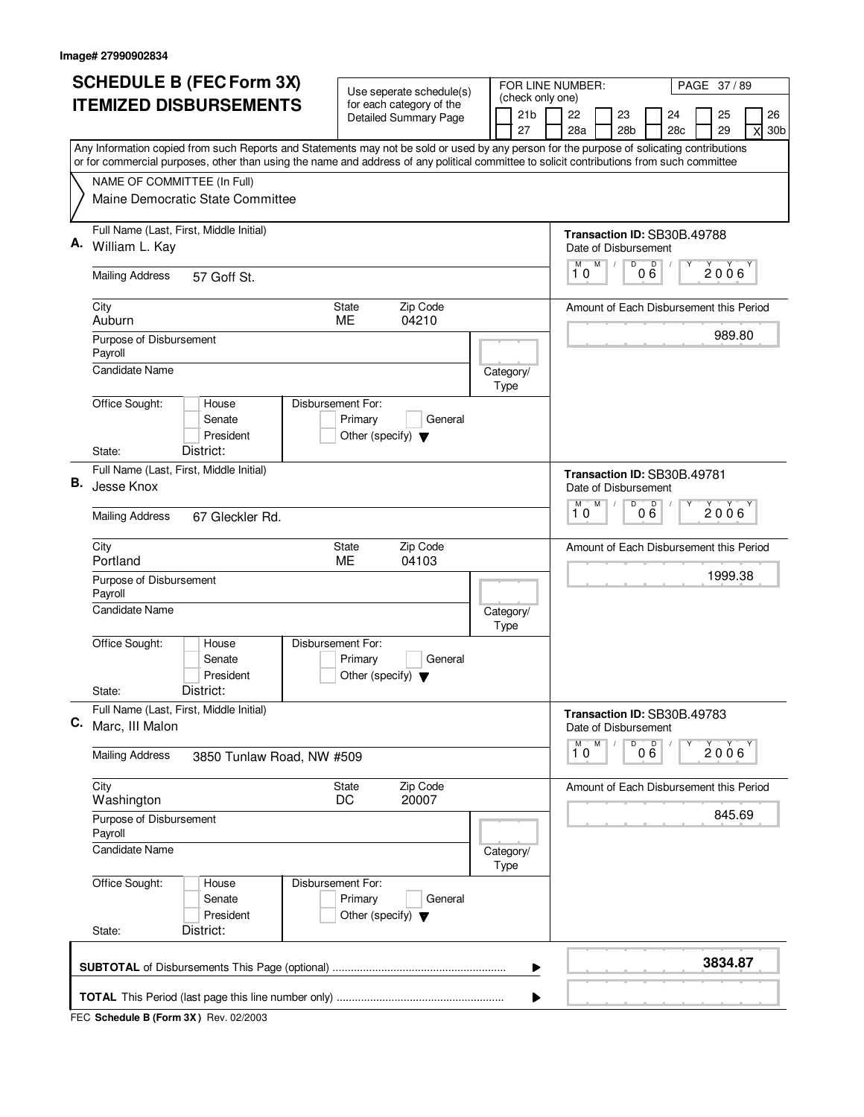| (check only one)<br><b>ITEMIZED DISBURSEMENTS</b><br>for each category of the<br>21 <sub>b</sub><br>22<br>23<br>24<br><b>Detailed Summary Page</b><br>27<br>28a<br>28 <sub>b</sub><br>28c<br>Any Information copied from such Reports and Statements may not be sold or used by any person for the purpose of solicating contributions<br>or for commercial purposes, other than using the name and address of any political committee to solicit contributions from such committee<br>NAME OF COMMITTEE (In Full)<br>Maine Democratic State Committee<br>Full Name (Last, First, Middle Initial)<br>Transaction ID: SB30B.49788<br>Α.<br>William L. Kay<br>Date of Disbursement<br>M<br>D<br>M<br>000<br>10<br><b>Mailing Address</b><br>57 Goff St.<br>Zip Code<br>City<br><b>State</b><br>Amount of Each Disbursement this Period<br>Auburn<br>ME<br>04210<br>Purpose of Disbursement<br>Payroll<br><b>Candidate Name</b><br>Category/<br>Type<br>Office Sought:<br>Disbursement For:<br>House<br>Senate<br>Primary<br>General<br>President<br>Other (specify) $\blacktriangledown$<br>District:<br>State:<br>Full Name (Last, First, Middle Initial)<br>Transaction ID: SB30B.49781<br>В.<br>Jesse Knox<br>Date of Disbursement<br>M<br>D<br>000<br>M<br>10<br><b>Mailing Address</b><br>67 Gleckler Rd.<br>Zip Code<br>City<br><b>State</b><br>Amount of Each Disbursement this Period<br>ME<br>04103<br>Portland<br>1999.38<br>Purpose of Disbursement<br>Payroll<br>Candidate Name<br>Category/<br>Type<br>Office Sought:<br>Disbursement For:<br>House<br>Senate<br>Primary<br>General<br>President<br>Other (specify) $\blacktriangledown$<br>District:<br>State:<br>Full Name (Last, First, Middle Initial)<br>Transaction ID: SB30B.49783<br>C.<br>Marc, III Malon<br>Date of Disbursement<br>D<br>M<br>$0\overset{D}{6}$<br>М<br>10<br><b>Mailing Address</b><br>3850 Tunlaw Road, NW #509<br>Zip Code<br>City<br><b>State</b><br>Amount of Each Disbursement this Period<br>20007<br>Washington<br>DC<br>Purpose of Disbursement<br>Payroll<br><b>Candidate Name</b><br>Category/<br>Type<br>Office Sought:<br>Disbursement For:<br>House<br>Senate<br>Primary<br>General<br>President<br>Other (specify) $\blacktriangledown$<br>District:<br>State:<br>▶ |                                       | FOR LINE NUMBER:<br>PAGE 37/89 |  |  |  | Use seperate schedule(s) | <b>SCHEDULE B (FEC Form 3X)</b> |  |  |  |
|-------------------------------------------------------------------------------------------------------------------------------------------------------------------------------------------------------------------------------------------------------------------------------------------------------------------------------------------------------------------------------------------------------------------------------------------------------------------------------------------------------------------------------------------------------------------------------------------------------------------------------------------------------------------------------------------------------------------------------------------------------------------------------------------------------------------------------------------------------------------------------------------------------------------------------------------------------------------------------------------------------------------------------------------------------------------------------------------------------------------------------------------------------------------------------------------------------------------------------------------------------------------------------------------------------------------------------------------------------------------------------------------------------------------------------------------------------------------------------------------------------------------------------------------------------------------------------------------------------------------------------------------------------------------------------------------------------------------------------------------------------------------------------------------------------------------------------------------------------------------------------------------------------------------------------------------------------------------------------------------------------------------------------------------------------------------------------------------------------------------------------------------------------------------------------------------------------------------------------------------------------------------------|---------------------------------------|--------------------------------|--|--|--|--------------------------|---------------------------------|--|--|--|
|                                                                                                                                                                                                                                                                                                                                                                                                                                                                                                                                                                                                                                                                                                                                                                                                                                                                                                                                                                                                                                                                                                                                                                                                                                                                                                                                                                                                                                                                                                                                                                                                                                                                                                                                                                                                                                                                                                                                                                                                                                                                                                                                                                                                                                                                         | 26<br>$\mathsf{x}$<br>30 <sub>b</sub> | 25<br>29                       |  |  |  |                          |                                 |  |  |  |
|                                                                                                                                                                                                                                                                                                                                                                                                                                                                                                                                                                                                                                                                                                                                                                                                                                                                                                                                                                                                                                                                                                                                                                                                                                                                                                                                                                                                                                                                                                                                                                                                                                                                                                                                                                                                                                                                                                                                                                                                                                                                                                                                                                                                                                                                         |                                       |                                |  |  |  |                          |                                 |  |  |  |
|                                                                                                                                                                                                                                                                                                                                                                                                                                                                                                                                                                                                                                                                                                                                                                                                                                                                                                                                                                                                                                                                                                                                                                                                                                                                                                                                                                                                                                                                                                                                                                                                                                                                                                                                                                                                                                                                                                                                                                                                                                                                                                                                                                                                                                                                         |                                       |                                |  |  |  |                          |                                 |  |  |  |
|                                                                                                                                                                                                                                                                                                                                                                                                                                                                                                                                                                                                                                                                                                                                                                                                                                                                                                                                                                                                                                                                                                                                                                                                                                                                                                                                                                                                                                                                                                                                                                                                                                                                                                                                                                                                                                                                                                                                                                                                                                                                                                                                                                                                                                                                         |                                       |                                |  |  |  |                          |                                 |  |  |  |
|                                                                                                                                                                                                                                                                                                                                                                                                                                                                                                                                                                                                                                                                                                                                                                                                                                                                                                                                                                                                                                                                                                                                                                                                                                                                                                                                                                                                                                                                                                                                                                                                                                                                                                                                                                                                                                                                                                                                                                                                                                                                                                                                                                                                                                                                         |                                       |                                |  |  |  |                          |                                 |  |  |  |
|                                                                                                                                                                                                                                                                                                                                                                                                                                                                                                                                                                                                                                                                                                                                                                                                                                                                                                                                                                                                                                                                                                                                                                                                                                                                                                                                                                                                                                                                                                                                                                                                                                                                                                                                                                                                                                                                                                                                                                                                                                                                                                                                                                                                                                                                         | 2006                                  |                                |  |  |  |                          |                                 |  |  |  |
|                                                                                                                                                                                                                                                                                                                                                                                                                                                                                                                                                                                                                                                                                                                                                                                                                                                                                                                                                                                                                                                                                                                                                                                                                                                                                                                                                                                                                                                                                                                                                                                                                                                                                                                                                                                                                                                                                                                                                                                                                                                                                                                                                                                                                                                                         |                                       |                                |  |  |  |                          |                                 |  |  |  |
|                                                                                                                                                                                                                                                                                                                                                                                                                                                                                                                                                                                                                                                                                                                                                                                                                                                                                                                                                                                                                                                                                                                                                                                                                                                                                                                                                                                                                                                                                                                                                                                                                                                                                                                                                                                                                                                                                                                                                                                                                                                                                                                                                                                                                                                                         | 989.80                                |                                |  |  |  |                          |                                 |  |  |  |
|                                                                                                                                                                                                                                                                                                                                                                                                                                                                                                                                                                                                                                                                                                                                                                                                                                                                                                                                                                                                                                                                                                                                                                                                                                                                                                                                                                                                                                                                                                                                                                                                                                                                                                                                                                                                                                                                                                                                                                                                                                                                                                                                                                                                                                                                         |                                       |                                |  |  |  |                          |                                 |  |  |  |
|                                                                                                                                                                                                                                                                                                                                                                                                                                                                                                                                                                                                                                                                                                                                                                                                                                                                                                                                                                                                                                                                                                                                                                                                                                                                                                                                                                                                                                                                                                                                                                                                                                                                                                                                                                                                                                                                                                                                                                                                                                                                                                                                                                                                                                                                         |                                       |                                |  |  |  |                          |                                 |  |  |  |
|                                                                                                                                                                                                                                                                                                                                                                                                                                                                                                                                                                                                                                                                                                                                                                                                                                                                                                                                                                                                                                                                                                                                                                                                                                                                                                                                                                                                                                                                                                                                                                                                                                                                                                                                                                                                                                                                                                                                                                                                                                                                                                                                                                                                                                                                         |                                       |                                |  |  |  |                          |                                 |  |  |  |
|                                                                                                                                                                                                                                                                                                                                                                                                                                                                                                                                                                                                                                                                                                                                                                                                                                                                                                                                                                                                                                                                                                                                                                                                                                                                                                                                                                                                                                                                                                                                                                                                                                                                                                                                                                                                                                                                                                                                                                                                                                                                                                                                                                                                                                                                         |                                       |                                |  |  |  |                          |                                 |  |  |  |
|                                                                                                                                                                                                                                                                                                                                                                                                                                                                                                                                                                                                                                                                                                                                                                                                                                                                                                                                                                                                                                                                                                                                                                                                                                                                                                                                                                                                                                                                                                                                                                                                                                                                                                                                                                                                                                                                                                                                                                                                                                                                                                                                                                                                                                                                         | $2006^{\circ}$                        |                                |  |  |  |                          |                                 |  |  |  |
|                                                                                                                                                                                                                                                                                                                                                                                                                                                                                                                                                                                                                                                                                                                                                                                                                                                                                                                                                                                                                                                                                                                                                                                                                                                                                                                                                                                                                                                                                                                                                                                                                                                                                                                                                                                                                                                                                                                                                                                                                                                                                                                                                                                                                                                                         |                                       |                                |  |  |  |                          |                                 |  |  |  |
|                                                                                                                                                                                                                                                                                                                                                                                                                                                                                                                                                                                                                                                                                                                                                                                                                                                                                                                                                                                                                                                                                                                                                                                                                                                                                                                                                                                                                                                                                                                                                                                                                                                                                                                                                                                                                                                                                                                                                                                                                                                                                                                                                                                                                                                                         |                                       |                                |  |  |  |                          |                                 |  |  |  |
|                                                                                                                                                                                                                                                                                                                                                                                                                                                                                                                                                                                                                                                                                                                                                                                                                                                                                                                                                                                                                                                                                                                                                                                                                                                                                                                                                                                                                                                                                                                                                                                                                                                                                                                                                                                                                                                                                                                                                                                                                                                                                                                                                                                                                                                                         |                                       |                                |  |  |  |                          |                                 |  |  |  |
|                                                                                                                                                                                                                                                                                                                                                                                                                                                                                                                                                                                                                                                                                                                                                                                                                                                                                                                                                                                                                                                                                                                                                                                                                                                                                                                                                                                                                                                                                                                                                                                                                                                                                                                                                                                                                                                                                                                                                                                                                                                                                                                                                                                                                                                                         |                                       |                                |  |  |  |                          |                                 |  |  |  |
|                                                                                                                                                                                                                                                                                                                                                                                                                                                                                                                                                                                                                                                                                                                                                                                                                                                                                                                                                                                                                                                                                                                                                                                                                                                                                                                                                                                                                                                                                                                                                                                                                                                                                                                                                                                                                                                                                                                                                                                                                                                                                                                                                                                                                                                                         |                                       |                                |  |  |  |                          |                                 |  |  |  |
|                                                                                                                                                                                                                                                                                                                                                                                                                                                                                                                                                                                                                                                                                                                                                                                                                                                                                                                                                                                                                                                                                                                                                                                                                                                                                                                                                                                                                                                                                                                                                                                                                                                                                                                                                                                                                                                                                                                                                                                                                                                                                                                                                                                                                                                                         |                                       |                                |  |  |  |                          |                                 |  |  |  |
|                                                                                                                                                                                                                                                                                                                                                                                                                                                                                                                                                                                                                                                                                                                                                                                                                                                                                                                                                                                                                                                                                                                                                                                                                                                                                                                                                                                                                                                                                                                                                                                                                                                                                                                                                                                                                                                                                                                                                                                                                                                                                                                                                                                                                                                                         | 2006                                  |                                |  |  |  |                          |                                 |  |  |  |
|                                                                                                                                                                                                                                                                                                                                                                                                                                                                                                                                                                                                                                                                                                                                                                                                                                                                                                                                                                                                                                                                                                                                                                                                                                                                                                                                                                                                                                                                                                                                                                                                                                                                                                                                                                                                                                                                                                                                                                                                                                                                                                                                                                                                                                                                         | 845.69                                |                                |  |  |  |                          |                                 |  |  |  |
|                                                                                                                                                                                                                                                                                                                                                                                                                                                                                                                                                                                                                                                                                                                                                                                                                                                                                                                                                                                                                                                                                                                                                                                                                                                                                                                                                                                                                                                                                                                                                                                                                                                                                                                                                                                                                                                                                                                                                                                                                                                                                                                                                                                                                                                                         |                                       |                                |  |  |  |                          |                                 |  |  |  |
|                                                                                                                                                                                                                                                                                                                                                                                                                                                                                                                                                                                                                                                                                                                                                                                                                                                                                                                                                                                                                                                                                                                                                                                                                                                                                                                                                                                                                                                                                                                                                                                                                                                                                                                                                                                                                                                                                                                                                                                                                                                                                                                                                                                                                                                                         |                                       |                                |  |  |  |                          |                                 |  |  |  |
|                                                                                                                                                                                                                                                                                                                                                                                                                                                                                                                                                                                                                                                                                                                                                                                                                                                                                                                                                                                                                                                                                                                                                                                                                                                                                                                                                                                                                                                                                                                                                                                                                                                                                                                                                                                                                                                                                                                                                                                                                                                                                                                                                                                                                                                                         |                                       |                                |  |  |  |                          |                                 |  |  |  |
|                                                                                                                                                                                                                                                                                                                                                                                                                                                                                                                                                                                                                                                                                                                                                                                                                                                                                                                                                                                                                                                                                                                                                                                                                                                                                                                                                                                                                                                                                                                                                                                                                                                                                                                                                                                                                                                                                                                                                                                                                                                                                                                                                                                                                                                                         | 3834.87                               |                                |  |  |  |                          |                                 |  |  |  |
| ▶                                                                                                                                                                                                                                                                                                                                                                                                                                                                                                                                                                                                                                                                                                                                                                                                                                                                                                                                                                                                                                                                                                                                                                                                                                                                                                                                                                                                                                                                                                                                                                                                                                                                                                                                                                                                                                                                                                                                                                                                                                                                                                                                                                                                                                                                       |                                       |                                |  |  |  |                          |                                 |  |  |  |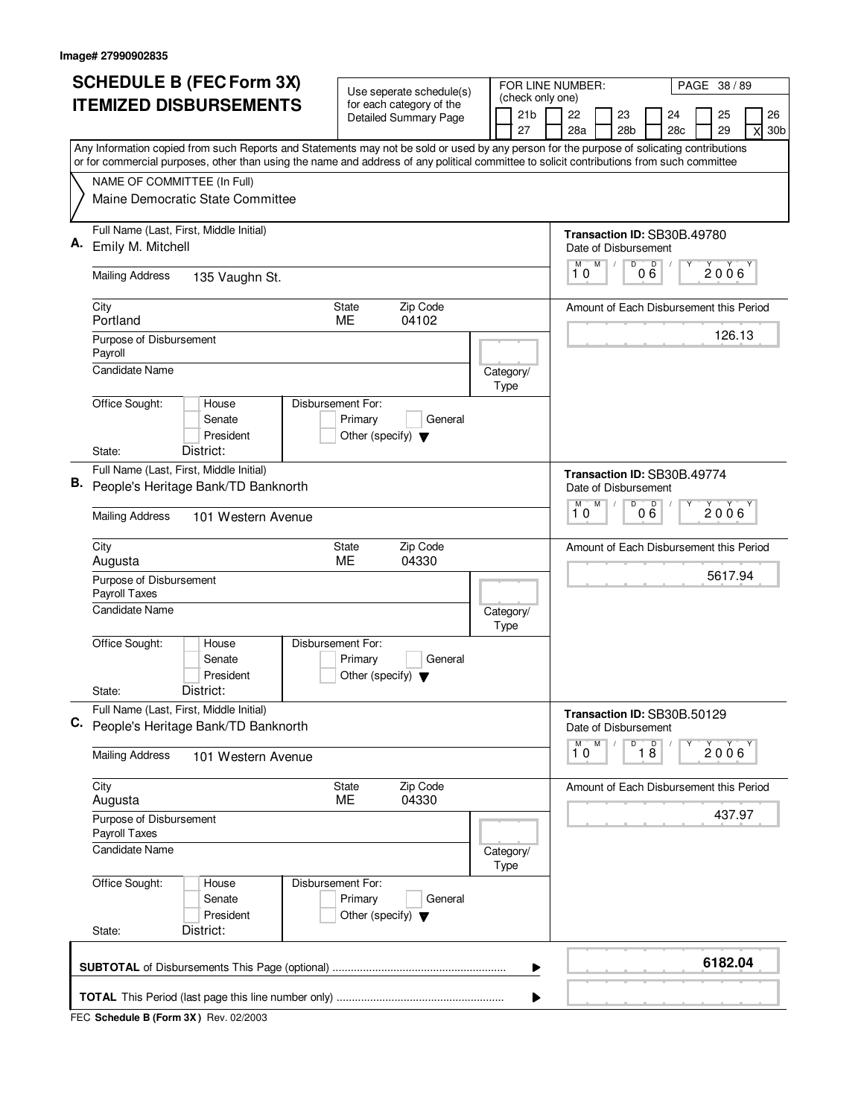|    | <b>SCHEDULE B (FEC Form 3X)</b>                                                                                                                                                                                                                                                        | Use seperate schedule(s)                                                        |  | FOR LINE NUMBER:<br>PAGE 38 / 89          |           |         |                       |           |                                                     |          |                                       |  |
|----|----------------------------------------------------------------------------------------------------------------------------------------------------------------------------------------------------------------------------------------------------------------------------------------|---------------------------------------------------------------------------------|--|-------------------------------------------|-----------|---------|-----------------------|-----------|-----------------------------------------------------|----------|---------------------------------------|--|
|    | <b>ITEMIZED DISBURSEMENTS</b>                                                                                                                                                                                                                                                          | for each category of the<br><b>Detailed Summary Page</b>                        |  | (check only one)<br>21 <sub>b</sub><br>27 | 22<br>28a |         | 23<br>28 <sub>b</sub> | 24<br>28c |                                                     | 25<br>29 | 26<br>$\mathsf{x}$<br>30 <sub>b</sub> |  |
|    | Any Information copied from such Reports and Statements may not be sold or used by any person for the purpose of solicating contributions<br>or for commercial purposes, other than using the name and address of any political committee to solicit contributions from such committee |                                                                                 |  |                                           |           |         |                       |           |                                                     |          |                                       |  |
|    | NAME OF COMMITTEE (In Full)                                                                                                                                                                                                                                                            |                                                                                 |  |                                           |           |         |                       |           |                                                     |          |                                       |  |
|    | Maine Democratic State Committee                                                                                                                                                                                                                                                       |                                                                                 |  |                                           |           |         |                       |           |                                                     |          |                                       |  |
|    | Full Name (Last, First, Middle Initial)<br>Emily M. Mitchell                                                                                                                                                                                                                           |                                                                                 |  |                                           |           |         |                       |           | Transaction ID: SB30B.49780                         |          |                                       |  |
|    |                                                                                                                                                                                                                                                                                        |                                                                                 |  |                                           |           | M       | M                     | D         | Date of Disbursement<br>000                         | Υ        | 2006                                  |  |
|    | <b>Mailing Address</b><br>135 Vaughn St.                                                                                                                                                                                                                                               |                                                                                 |  |                                           |           | 10      |                       |           |                                                     |          |                                       |  |
|    | City<br>Portland                                                                                                                                                                                                                                                                       | Zip Code<br>State<br>ME<br>04102                                                |  |                                           |           |         |                       |           | Amount of Each Disbursement this Period             |          |                                       |  |
|    | Purpose of Disbursement                                                                                                                                                                                                                                                                |                                                                                 |  |                                           |           |         |                       |           |                                                     |          | 126.13                                |  |
|    | Payroll<br>Candidate Name                                                                                                                                                                                                                                                              |                                                                                 |  | Category/                                 |           |         |                       |           |                                                     |          |                                       |  |
|    |                                                                                                                                                                                                                                                                                        | Disbursement For:                                                               |  | Type                                      |           |         |                       |           |                                                     |          |                                       |  |
|    | Office Sought:<br>House<br>Senate                                                                                                                                                                                                                                                      | Primary<br>General                                                              |  |                                           |           |         |                       |           |                                                     |          |                                       |  |
|    | President<br>District:<br>State:                                                                                                                                                                                                                                                       | Other (specify) $\blacktriangledown$                                            |  |                                           |           |         |                       |           |                                                     |          |                                       |  |
|    | Full Name (Last, First, Middle Initial)                                                                                                                                                                                                                                                |                                                                                 |  |                                           |           |         |                       |           | Transaction ID: SB30B.49774                         |          |                                       |  |
| В. | People's Heritage Bank/TD Banknorth                                                                                                                                                                                                                                                    |                                                                                 |  |                                           |           | M       | M                     | D         | Date of Disbursement<br>D                           |          |                                       |  |
|    | <b>Mailing Address</b><br>101 Western Avenue                                                                                                                                                                                                                                           |                                                                                 |  |                                           |           | 10      |                       |           | 0 Ğ                                                 |          | $2006^{\circ}$                        |  |
|    | City<br>Augusta                                                                                                                                                                                                                                                                        | Zip Code<br>State<br>04330<br>ME                                                |  |                                           |           |         |                       |           | Amount of Each Disbursement this Period             |          |                                       |  |
|    | Purpose of Disbursement<br>Payroll Taxes                                                                                                                                                                                                                                               |                                                                                 |  |                                           |           |         |                       |           |                                                     |          | 5617.94                               |  |
|    | Candidate Name                                                                                                                                                                                                                                                                         |                                                                                 |  | Category/<br>Type                         |           |         |                       |           |                                                     |          |                                       |  |
|    | Office Sought:<br>House                                                                                                                                                                                                                                                                | Disbursement For:                                                               |  |                                           |           |         |                       |           |                                                     |          |                                       |  |
|    | Senate<br>President                                                                                                                                                                                                                                                                    | Primary<br>General<br>Other (specify) $\blacktriangledown$                      |  |                                           |           |         |                       |           |                                                     |          |                                       |  |
|    | District:<br>State:                                                                                                                                                                                                                                                                    |                                                                                 |  |                                           |           |         |                       |           |                                                     |          |                                       |  |
|    | Full Name (Last, First, Middle Initial)<br>C. People's Heritage Bank/TD Banknorth                                                                                                                                                                                                      |                                                                                 |  |                                           |           |         |                       |           | Transaction ID: SB30B.50129<br>Date of Disbursement |          |                                       |  |
|    | <b>Mailing Address</b><br>101 Western Avenue                                                                                                                                                                                                                                           |                                                                                 |  |                                           |           | м<br>10 | M                     | D         | $\overline{18}$                                     | Υ        | 2006                                  |  |
|    | City<br>Augusta                                                                                                                                                                                                                                                                        | Zip Code<br>State<br><b>ME</b><br>04330                                         |  |                                           |           |         |                       |           | Amount of Each Disbursement this Period             |          |                                       |  |
|    | Purpose of Disbursement<br>Payroll Taxes                                                                                                                                                                                                                                               |                                                                                 |  |                                           |           |         |                       |           |                                                     |          | 437.97                                |  |
|    | Candidate Name                                                                                                                                                                                                                                                                         |                                                                                 |  | Category/<br>Type                         |           |         |                       |           |                                                     |          |                                       |  |
|    | Office Sought:<br>House<br>Senate<br>President                                                                                                                                                                                                                                         | Disbursement For:<br>Primary<br>General<br>Other (specify) $\blacktriangledown$ |  |                                           |           |         |                       |           |                                                     |          |                                       |  |
|    | District:<br>State:                                                                                                                                                                                                                                                                    |                                                                                 |  |                                           |           |         |                       |           |                                                     |          |                                       |  |
|    |                                                                                                                                                                                                                                                                                        |                                                                                 |  | ▶                                         |           |         |                       |           |                                                     |          | 6182.04                               |  |
|    |                                                                                                                                                                                                                                                                                        |                                                                                 |  |                                           |           |         |                       |           |                                                     |          |                                       |  |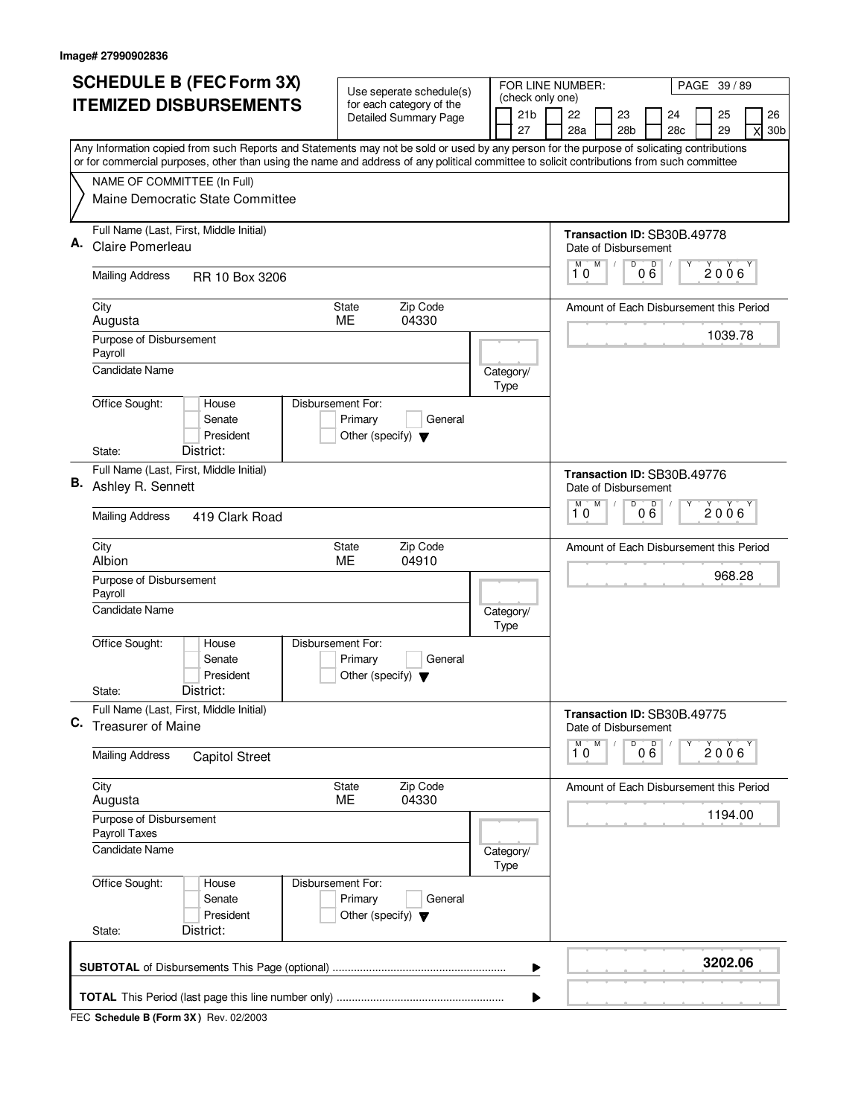|    | <b>SCHEDULE B (FEC Form 3X)</b>                                                                                                                                                                                                                                                        | Use seperate schedule(s)                                             |          |      |                   | FOR LINE NUMBER:<br>PAGE 39 / 89 |                                                           |   |                 |     |                 |         |                                         |                 |
|----|----------------------------------------------------------------------------------------------------------------------------------------------------------------------------------------------------------------------------------------------------------------------------------------|----------------------------------------------------------------------|----------|------|-------------------|----------------------------------|-----------------------------------------------------------|---|-----------------|-----|-----------------|---------|-----------------------------------------|-----------------|
|    | <b>ITEMIZED DISBURSEMENTS</b>                                                                                                                                                                                                                                                          | for each category of the<br>Detailed Summary Page                    |          |      | 21 <sub>b</sub>   | (check only one)<br>22           |                                                           |   | 23              |     | 24              | 25      | 26                                      |                 |
|    |                                                                                                                                                                                                                                                                                        |                                                                      |          |      | 27                |                                  | 28a                                                       |   | 28 <sub>b</sub> |     | 28 <sub>c</sub> | 29      |                                         | 30 <sub>b</sub> |
|    | Any Information copied from such Reports and Statements may not be sold or used by any person for the purpose of solicating contributions<br>or for commercial purposes, other than using the name and address of any political committee to solicit contributions from such committee |                                                                      |          |      |                   |                                  |                                                           |   |                 |     |                 |         |                                         |                 |
|    | NAME OF COMMITTEE (In Full)                                                                                                                                                                                                                                                            |                                                                      |          |      |                   |                                  |                                                           |   |                 |     |                 |         |                                         |                 |
|    | Maine Democratic State Committee                                                                                                                                                                                                                                                       |                                                                      |          |      |                   |                                  |                                                           |   |                 |     |                 |         |                                         |                 |
| А. | Full Name (Last, First, Middle Initial)<br>Claire Pomerleau                                                                                                                                                                                                                            |                                                                      |          |      |                   |                                  | Transaction ID: SB30B.49778<br>Date of Disbursement       |   |                 |     |                 |         |                                         |                 |
|    | <b>Mailing Address</b><br>RR 10 Box 3206                                                                                                                                                                                                                                               |                                                                      |          |      |                   |                                  | M<br>10                                                   | M | D               | 000 |                 | 2006    |                                         |                 |
|    | City<br>Augusta                                                                                                                                                                                                                                                                        | Zip Code<br>State<br>ME.<br>04330                                    |          |      |                   |                                  |                                                           |   |                 |     |                 |         | Amount of Each Disbursement this Period |                 |
|    | Purpose of Disbursement<br>Payroll<br><b>Candidate Name</b>                                                                                                                                                                                                                            |                                                                      |          |      |                   |                                  |                                                           |   |                 |     |                 | 1039.78 |                                         |                 |
|    |                                                                                                                                                                                                                                                                                        |                                                                      |          | Type | Category/         |                                  |                                                           |   |                 |     |                 |         |                                         |                 |
|    | Office Sought:<br>House<br>Senate<br>President                                                                                                                                                                                                                                         | Disbursement For:<br>Primary<br>Other (specify) $\blacktriangledown$ | General  |      |                   |                                  |                                                           |   |                 |     |                 |         |                                         |                 |
|    | District:<br>State:                                                                                                                                                                                                                                                                    |                                                                      |          |      |                   |                                  |                                                           |   |                 |     |                 |         |                                         |                 |
|    | Full Name (Last, First, Middle Initial)<br><b>B.</b> Ashley R. Sennett                                                                                                                                                                                                                 |                                                                      |          |      |                   |                                  | Transaction ID: SB30B.49776<br>Date of Disbursement<br>M  | M | D               | D   |                 |         |                                         |                 |
|    | <b>Mailing Address</b><br>419 Clark Road                                                                                                                                                                                                                                               |                                                                      |          |      |                   |                                  | 10                                                        |   |                 | 06  |                 | 2006    |                                         |                 |
|    | City<br>Albion                                                                                                                                                                                                                                                                         | Zip Code<br>State<br>ME<br>04910                                     |          |      |                   |                                  |                                                           |   |                 |     |                 |         | Amount of Each Disbursement this Period |                 |
|    | Purpose of Disbursement<br>Payroll                                                                                                                                                                                                                                                     |                                                                      |          |      |                   |                                  |                                                           |   |                 |     |                 | 968.28  |                                         |                 |
|    | <b>Candidate Name</b>                                                                                                                                                                                                                                                                  |                                                                      |          | Type | Category/         |                                  |                                                           |   |                 |     |                 |         |                                         |                 |
|    | Office Sought:<br>House<br>Senate<br>President                                                                                                                                                                                                                                         | Disbursement For:<br>Primary<br>Other (specify) $\blacktriangledown$ | General  |      |                   |                                  |                                                           |   |                 |     |                 |         |                                         |                 |
|    | District:<br>State:                                                                                                                                                                                                                                                                    |                                                                      |          |      |                   |                                  |                                                           |   |                 |     |                 |         |                                         |                 |
| C. | Full Name (Last, First, Middle Initial)<br><b>Treasurer of Maine</b>                                                                                                                                                                                                                   |                                                                      |          |      |                   |                                  | Transaction ID: SB30B.49775<br>Date of Disbursement<br>M. |   |                 |     |                 |         |                                         |                 |
|    | <b>Mailing Address</b><br><b>Capitol Street</b>                                                                                                                                                                                                                                        |                                                                      |          |      |                   |                                  | 10                                                        | M |                 | 000 | Υ               | 2006    |                                         |                 |
|    | City<br>Augusta                                                                                                                                                                                                                                                                        | <b>State</b><br>ME<br>04330                                          | Zip Code |      |                   |                                  |                                                           |   |                 |     |                 |         | Amount of Each Disbursement this Period |                 |
|    | Purpose of Disbursement<br>Payroll Taxes                                                                                                                                                                                                                                               |                                                                      |          |      |                   |                                  |                                                           |   |                 |     |                 | 1194.00 |                                         |                 |
|    | <b>Candidate Name</b>                                                                                                                                                                                                                                                                  |                                                                      |          |      | Category/<br>Type |                                  |                                                           |   |                 |     |                 |         |                                         |                 |
|    | Office Sought:<br>House<br>Senate<br>President                                                                                                                                                                                                                                         | Disbursement For:<br>Primary<br>Other (specify) $\blacktriangledown$ | General  |      |                   |                                  |                                                           |   |                 |     |                 |         |                                         |                 |
|    | District:<br>State:                                                                                                                                                                                                                                                                    |                                                                      |          |      |                   |                                  |                                                           |   |                 |     |                 |         |                                         |                 |
|    |                                                                                                                                                                                                                                                                                        |                                                                      |          |      | ▶                 |                                  |                                                           |   |                 |     |                 | 3202.06 |                                         |                 |
|    |                                                                                                                                                                                                                                                                                        |                                                                      |          |      |                   |                                  |                                                           |   |                 |     |                 |         |                                         |                 |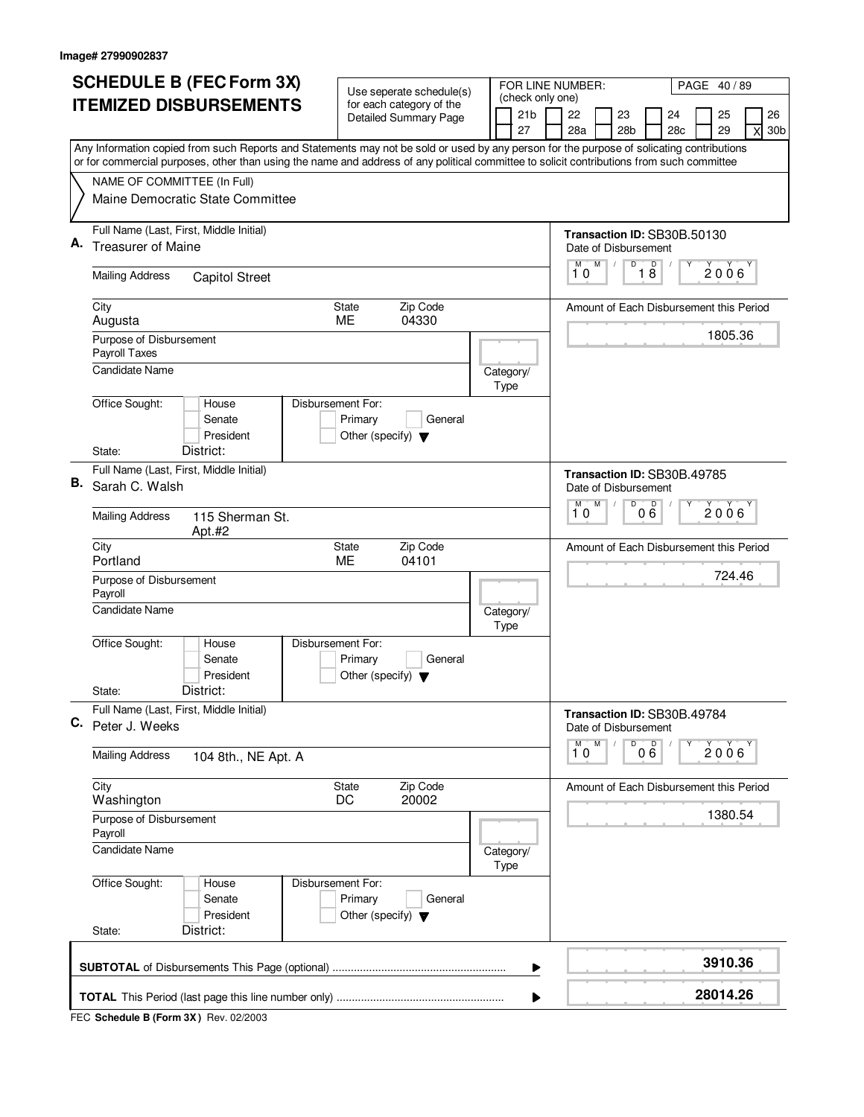|    | <b>SCHEDULE B (FEC Form 3X)</b>                                                                                                                                          |                                                                      | Use seperate schedule(s)     |  |                                     | FOR LINE NUMBER:<br>PAGE 40/89 |                                                          |           |                 |     |     |   |          |   |                 |
|----|--------------------------------------------------------------------------------------------------------------------------------------------------------------------------|----------------------------------------------------------------------|------------------------------|--|-------------------------------------|--------------------------------|----------------------------------------------------------|-----------|-----------------|-----|-----|---|----------|---|-----------------|
|    | <b>ITEMIZED DISBURSEMENTS</b>                                                                                                                                            |                                                                      | for each category of the     |  | (check only one)<br>21 <sub>b</sub> |                                | 22                                                       |           | 23              |     | 24  |   | 25       |   | 26              |
|    |                                                                                                                                                                          |                                                                      | <b>Detailed Summary Page</b> |  | 27                                  |                                | 28a                                                      |           | 28 <sub>b</sub> |     | 28c |   | 29       | X | 30 <sub>b</sub> |
|    | Any Information copied from such Reports and Statements may not be sold or used by any person for the purpose of solicating contributions                                |                                                                      |                              |  |                                     |                                |                                                          |           |                 |     |     |   |          |   |                 |
|    | or for commercial purposes, other than using the name and address of any political committee to solicit contributions from such committee<br>NAME OF COMMITTEE (In Full) |                                                                      |                              |  |                                     |                                |                                                          |           |                 |     |     |   |          |   |                 |
|    | Maine Democratic State Committee                                                                                                                                         |                                                                      |                              |  |                                     |                                |                                                          |           |                 |     |     |   |          |   |                 |
|    | Full Name (Last, First, Middle Initial)                                                                                                                                  |                                                                      |                              |  |                                     |                                | Transaction ID: SB30B.50130                              |           |                 |     |     |   |          |   |                 |
| А. | <b>Treasurer of Maine</b>                                                                                                                                                |                                                                      |                              |  |                                     |                                | Date of Disbursement                                     |           |                 |     |     |   |          |   |                 |
|    | <b>Mailing Address</b><br><b>Capitol Street</b>                                                                                                                          |                                                                      |                              |  |                                     |                                | M<br>10                                                  | M         | D               | 18  |     |   | 2006     |   |                 |
|    | City<br>Augusta                                                                                                                                                          | State<br><b>ME</b>                                                   | Zip Code<br>04330            |  |                                     |                                | Amount of Each Disbursement this Period                  |           |                 |     |     |   |          |   |                 |
|    | Purpose of Disbursement<br>Payroll Taxes                                                                                                                                 |                                                                      |                              |  |                                     |                                |                                                          |           |                 |     |     |   | 1805.36  |   |                 |
|    | <b>Candidate Name</b>                                                                                                                                                    |                                                                      |                              |  | Category/<br>Type                   |                                |                                                          |           |                 |     |     |   |          |   |                 |
|    | Office Sought:<br>House<br>Senate<br>President                                                                                                                           | Disbursement For:<br>Primary<br>Other (specify) $\blacktriangledown$ | General                      |  |                                     |                                |                                                          |           |                 |     |     |   |          |   |                 |
|    | District:<br>State:                                                                                                                                                      |                                                                      |                              |  |                                     |                                |                                                          |           |                 |     |     |   |          |   |                 |
| В. | Full Name (Last, First, Middle Initial)<br>Sarah C. Walsh                                                                                                                |                                                                      |                              |  |                                     |                                | Transaction ID: SB30B.49785<br>Date of Disbursement<br>M | M         | D               |     |     |   |          |   |                 |
|    | <b>Mailing Address</b><br>115 Sherman St.<br>Apt.#2                                                                                                                      |                                                                      |                              |  |                                     |                                | 10                                                       |           |                 | 000 |     |   | 2006     |   |                 |
|    | City<br>Portland                                                                                                                                                         | State<br>ME                                                          | Zip Code<br>04101            |  |                                     |                                | Amount of Each Disbursement this Period                  |           |                 |     |     |   |          |   |                 |
|    | Purpose of Disbursement<br>Payroll                                                                                                                                       |                                                                      |                              |  |                                     |                                |                                                          |           |                 |     |     |   | 724.46   |   |                 |
|    | Candidate Name                                                                                                                                                           |                                                                      |                              |  | Category/<br>Type                   |                                |                                                          |           |                 |     |     |   |          |   |                 |
|    | Office Sought:<br>Disbursement For:<br>House<br>Senate<br>President                                                                                                      | Primary<br>Other (specify) $\blacktriangledown$                      | General                      |  |                                     |                                |                                                          |           |                 |     |     |   |          |   |                 |
|    | District:<br>State:                                                                                                                                                      |                                                                      |                              |  |                                     |                                |                                                          |           |                 |     |     |   |          |   |                 |
| C. | Full Name (Last, First, Middle Initial)<br>Peter J. Weeks                                                                                                                |                                                                      |                              |  |                                     |                                | Transaction ID: SB30B.49784<br>Date of Disbursement      |           |                 |     |     |   |          |   |                 |
|    | <b>Mailing Address</b><br>104 8th., NE Apt. A                                                                                                                            |                                                                      |                              |  |                                     |                                | M<br>10                                                  | ${\sf M}$ | D               | 000 |     | Υ | 2006     |   |                 |
|    | City<br>Washington                                                                                                                                                       | State<br>DC                                                          | Zip Code<br>20002            |  |                                     |                                | Amount of Each Disbursement this Period                  |           |                 |     |     |   |          |   |                 |
|    | Purpose of Disbursement<br>Payroll                                                                                                                                       |                                                                      |                              |  |                                     |                                |                                                          |           |                 |     |     |   | 1380.54  |   |                 |
|    | <b>Candidate Name</b>                                                                                                                                                    |                                                                      |                              |  | Category/<br>Type                   |                                |                                                          |           |                 |     |     |   |          |   |                 |
|    | Office Sought:<br>House<br>Senate<br>President<br>District:<br>State:                                                                                                    | Disbursement For:<br>Primary<br>Other (specify) $\blacktriangledown$ | General                      |  |                                     |                                |                                                          |           |                 |     |     |   |          |   |                 |
|    |                                                                                                                                                                          |                                                                      |                              |  |                                     |                                |                                                          |           |                 |     |     |   | 3910.36  |   |                 |
|    |                                                                                                                                                                          |                                                                      |                              |  | ▶                                   |                                |                                                          |           |                 |     |     |   | 28014.26 |   |                 |
|    |                                                                                                                                                                          |                                                                      |                              |  |                                     |                                |                                                          |           |                 |     |     |   |          |   |                 |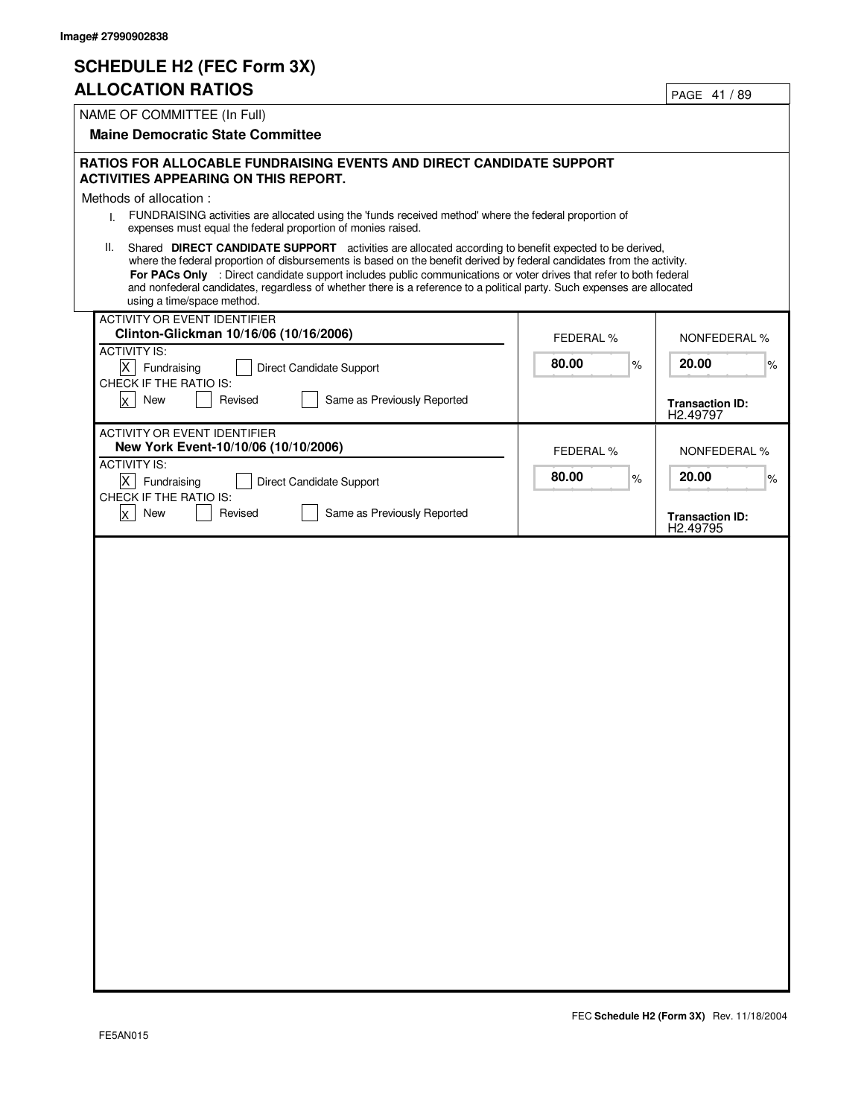### **SCHEDULE H2 (FEC Form 3X)**

#### **ALLOCATION RATIOS**

|                                                                                                                                                                                                                                              |                  | PAGE 41/09                         |
|----------------------------------------------------------------------------------------------------------------------------------------------------------------------------------------------------------------------------------------------|------------------|------------------------------------|
| NAME OF COMMITTEE (In Full)                                                                                                                                                                                                                  |                  |                                    |
| <b>Maine Democratic State Committee</b>                                                                                                                                                                                                      |                  |                                    |
|                                                                                                                                                                                                                                              |                  |                                    |
| <b>RATIOS FOR ALLOCABLE FUNDRAISING EVENTS AND DIRECT CANDIDATE SUPPORT</b>                                                                                                                                                                  |                  |                                    |
| <b>ACTIVITIES APPEARING ON THIS REPORT.</b>                                                                                                                                                                                                  |                  |                                    |
| Methods of allocation:                                                                                                                                                                                                                       |                  |                                    |
| FUNDRAISING activities are allocated using the 'funds received method' where the federal proportion of<br>L.<br>expenses must equal the federal proportion of monies raised.                                                                 |                  |                                    |
| Shared DIRECT CANDIDATE SUPPORT activities are allocated according to benefit expected to be derived,<br>II.                                                                                                                                 |                  |                                    |
| where the federal proportion of disbursements is based on the benefit derived by federal candidates from the activity.<br>For PACs Only : Direct candidate support includes public communications or voter drives that refer to both federal |                  |                                    |
| and nonfederal candidates, regardless of whether there is a reference to a political party. Such expenses are allocated                                                                                                                      |                  |                                    |
| using a time/space method.                                                                                                                                                                                                                   |                  |                                    |
| ACTIVITY OR EVENT IDENTIFIER                                                                                                                                                                                                                 |                  |                                    |
| Clinton-Glickman 10/16/06 (10/16/2006)                                                                                                                                                                                                       | <b>FEDERAL %</b> | <b>NONFEDERAL %</b>                |
| <b>ACTIVITY IS:</b><br>$\mathsf{X}$<br>Fundraising                                                                                                                                                                                           | 80.00<br>%       | 20.00<br>%                         |
| Direct Candidate Support<br>CHECK IF THE RATIO IS:                                                                                                                                                                                           |                  |                                    |
| New<br>Revised<br>Same as Previously Reported<br><b>X</b>                                                                                                                                                                                    |                  | <b>Transaction ID:</b>             |
|                                                                                                                                                                                                                                              |                  | H2.49797                           |
| <b>ACTIVITY OR EVENT IDENTIFIER</b>                                                                                                                                                                                                          |                  |                                    |
| New York Event-10/10/06 (10/10/2006)                                                                                                                                                                                                         | <b>FEDERAL %</b> | <b>NONFEDERAL %</b>                |
| <b>ACTIVITY IS:</b>                                                                                                                                                                                                                          | 80.00<br>$\%$    | 20.00<br>%                         |
| $\overline{X}$ Fundraising<br>Direct Candidate Support<br>CHECK IF THE RATIO IS:                                                                                                                                                             |                  |                                    |
| $x \mid$ New<br>Revised<br>Same as Previously Reported                                                                                                                                                                                       |                  |                                    |
|                                                                                                                                                                                                                                              |                  | <b>Transaction ID:</b><br>H2.49795 |
|                                                                                                                                                                                                                                              |                  |                                    |
|                                                                                                                                                                                                                                              |                  |                                    |
|                                                                                                                                                                                                                                              |                  |                                    |
|                                                                                                                                                                                                                                              |                  |                                    |
|                                                                                                                                                                                                                                              |                  |                                    |
|                                                                                                                                                                                                                                              |                  |                                    |
|                                                                                                                                                                                                                                              |                  |                                    |
|                                                                                                                                                                                                                                              |                  |                                    |
|                                                                                                                                                                                                                                              |                  |                                    |
|                                                                                                                                                                                                                                              |                  |                                    |
|                                                                                                                                                                                                                                              |                  |                                    |
|                                                                                                                                                                                                                                              |                  |                                    |
|                                                                                                                                                                                                                                              |                  |                                    |
|                                                                                                                                                                                                                                              |                  |                                    |
|                                                                                                                                                                                                                                              |                  |                                    |
|                                                                                                                                                                                                                                              |                  |                                    |
|                                                                                                                                                                                                                                              |                  |                                    |
|                                                                                                                                                                                                                                              |                  |                                    |
|                                                                                                                                                                                                                                              |                  |                                    |
|                                                                                                                                                                                                                                              |                  |                                    |
|                                                                                                                                                                                                                                              |                  |                                    |
|                                                                                                                                                                                                                                              |                  |                                    |
|                                                                                                                                                                                                                                              |                  |                                    |
|                                                                                                                                                                                                                                              |                  |                                    |
|                                                                                                                                                                                                                                              |                  |                                    |
|                                                                                                                                                                                                                                              |                  |                                    |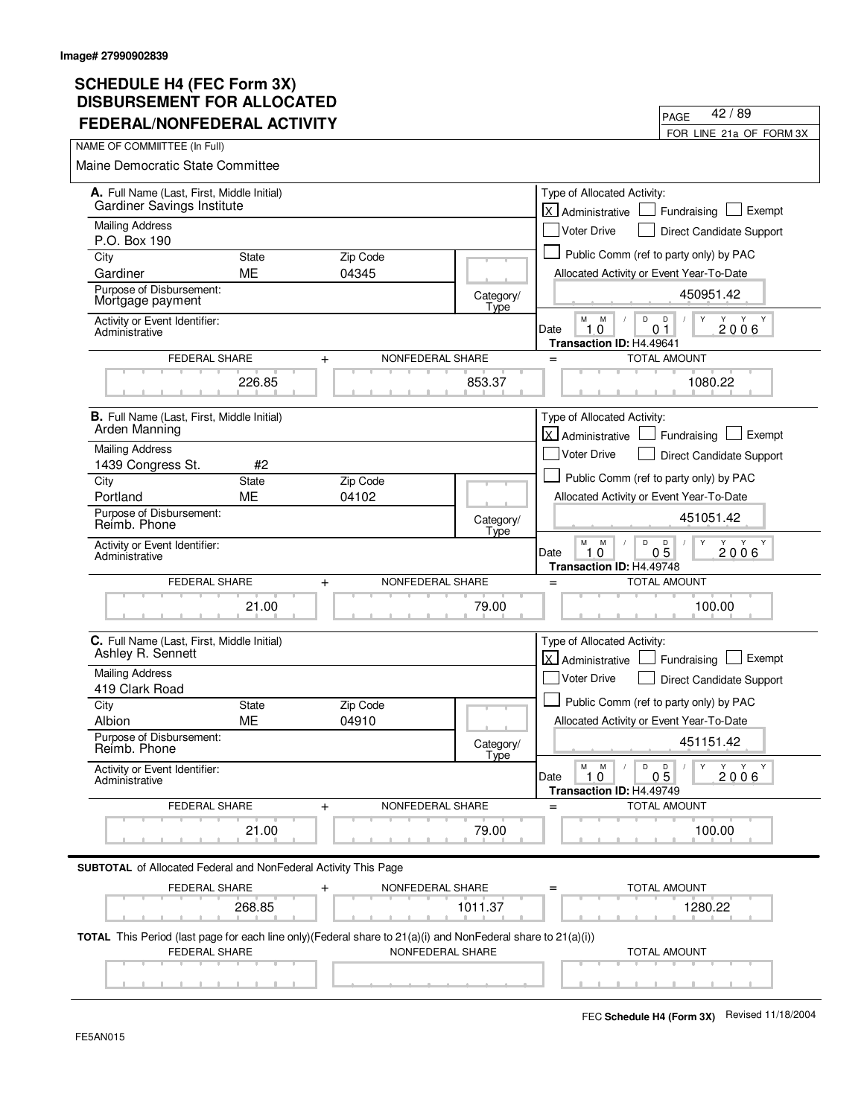| FEDERAL/NONFEDERAL ACTIVITY                                                                                                          |                    |                               |                   | FOR LINE 21a OF FORM 3X                                                                             |
|--------------------------------------------------------------------------------------------------------------------------------------|--------------------|-------------------------------|-------------------|-----------------------------------------------------------------------------------------------------|
| NAME OF COMMIITTEE (In Full)                                                                                                         |                    |                               |                   |                                                                                                     |
| Maine Democratic State Committee                                                                                                     |                    |                               |                   |                                                                                                     |
| A. Full Name (Last, First, Middle Initial)<br><b>Gardiner Savings Institute</b>                                                      |                    |                               |                   | Type of Allocated Activity:<br>lx.<br>Exempt<br>Administrative<br>Fundraising                       |
| <b>Mailing Address</b>                                                                                                               |                    |                               |                   | <b>Voter Drive</b><br>Direct Candidate Support                                                      |
| P.O. Box 190<br>City                                                                                                                 | <b>State</b>       | Zip Code                      |                   | Public Comm (ref to party only) by PAC                                                              |
| Gardiner                                                                                                                             | <b>ME</b>          | 04345                         |                   | Allocated Activity or Event Year-To-Date                                                            |
| Purpose of Disbursement:<br>Mortgage payment                                                                                         |                    |                               | Category/         | 450951.42                                                                                           |
| Activity or Event Identifier:<br>Administrative                                                                                      |                    |                               | Type              | D<br>М<br>M<br>D<br>Y<br>Y Y<br>10<br>0 <sub>1</sub><br>2006<br>Date                                |
| FEDERAL SHARE                                                                                                                        |                    | NONFEDERAL SHARE              |                   | Transaction ID: H4.49641<br><b>TOTAL AMOUNT</b><br>$=$                                              |
|                                                                                                                                      | 226.85             | $\ddot{}$                     | 853.37            | 1080.22                                                                                             |
| <b>B.</b> Full Name (Last, First, Middle Initial)                                                                                    |                    |                               |                   | Type of Allocated Activity:                                                                         |
| Arden Manning                                                                                                                        |                    |                               |                   | X Administrative<br>Exempt<br>Fundraising                                                           |
| <b>Mailing Address</b>                                                                                                               |                    |                               |                   | <b>Voter Drive</b><br>Direct Candidate Support                                                      |
| 1439 Congress St.                                                                                                                    | #2                 |                               |                   |                                                                                                     |
| City                                                                                                                                 | State              | Zip Code                      |                   | Public Comm (ref to party only) by PAC                                                              |
| Portland<br>Purpose of Disbursement:                                                                                                 | <b>ME</b>          | 04102                         |                   | Allocated Activity or Event Year-To-Date                                                            |
| Reimb. Phone                                                                                                                         |                    |                               | Category/<br>Type | 451051.42                                                                                           |
| Activity or Event Identifier:<br>Administrative                                                                                      |                    |                               |                   | М<br>M<br>D<br>$0\overline{5}$<br>Y<br>2006<br>Date<br>10<br>Transaction ID: H4.49748               |
| <b>FEDERAL SHARE</b>                                                                                                                 |                    | NONFEDERAL SHARE<br>$\ddot{}$ |                   | <b>TOTAL AMOUNT</b><br>$=$                                                                          |
|                                                                                                                                      | 21.00              |                               | 79.00             | 100.00                                                                                              |
| C. Full Name (Last, First, Middle Initial)<br>Ashley R. Sennett                                                                      |                    |                               |                   | Type of Allocated Activity:<br>lx.<br>Exempt<br>Administrative<br>Fundraising                       |
| <b>Mailing Address</b>                                                                                                               |                    |                               |                   | <b>Voter Drive</b><br>Direct Candidate Support                                                      |
| 419 Clark Road                                                                                                                       |                    |                               |                   | Public Comm (ref to party only) by PAC                                                              |
| City<br>Albion                                                                                                                       | <b>State</b><br>ME | Zip Code<br>04910             |                   | Allocated Activity or Event Year-To-Date                                                            |
| Purpose of Disbursement:<br>Reimb. Phone                                                                                             |                    |                               | Category/         | 451151.42                                                                                           |
| Activity or Event Identifier:<br>Administrative                                                                                      |                    |                               | Type              | D<br>М<br>M<br>D<br>Y<br>Y Y Y<br>1.0<br>0 <sub>5</sub><br>2006<br>Date<br>Transaction ID: H4.49749 |
| FEDERAL SHARE                                                                                                                        |                    | NONFEDERAL SHARE<br>$\ddot{}$ |                   | <b>TOTAL AMOUNT</b>                                                                                 |
|                                                                                                                                      | 21.00              |                               | 79.00             | 100.00                                                                                              |
| <b>SUBTOTAL</b> of Allocated Federal and NonFederal Activity This Page                                                               |                    |                               |                   |                                                                                                     |
| FEDERAL SHARE                                                                                                                        |                    | NONFEDERAL SHARE              |                   | <b>TOTAL AMOUNT</b>                                                                                 |
|                                                                                                                                      | 268.85             |                               | 1011.37           | 1280.22                                                                                             |
| TOTAL This Period (last page for each line only)(Federal share to 21(a)(i) and NonFederal share to 21(a)(i))<br><b>FEDERAL SHARE</b> |                    | NONFEDERAL SHARE              |                   | <b>TOTAL AMOUNT</b>                                                                                 |
|                                                                                                                                      |                    |                               |                   |                                                                                                     |

PAGE

42 / 89

 $\overline{\phantom{0}}$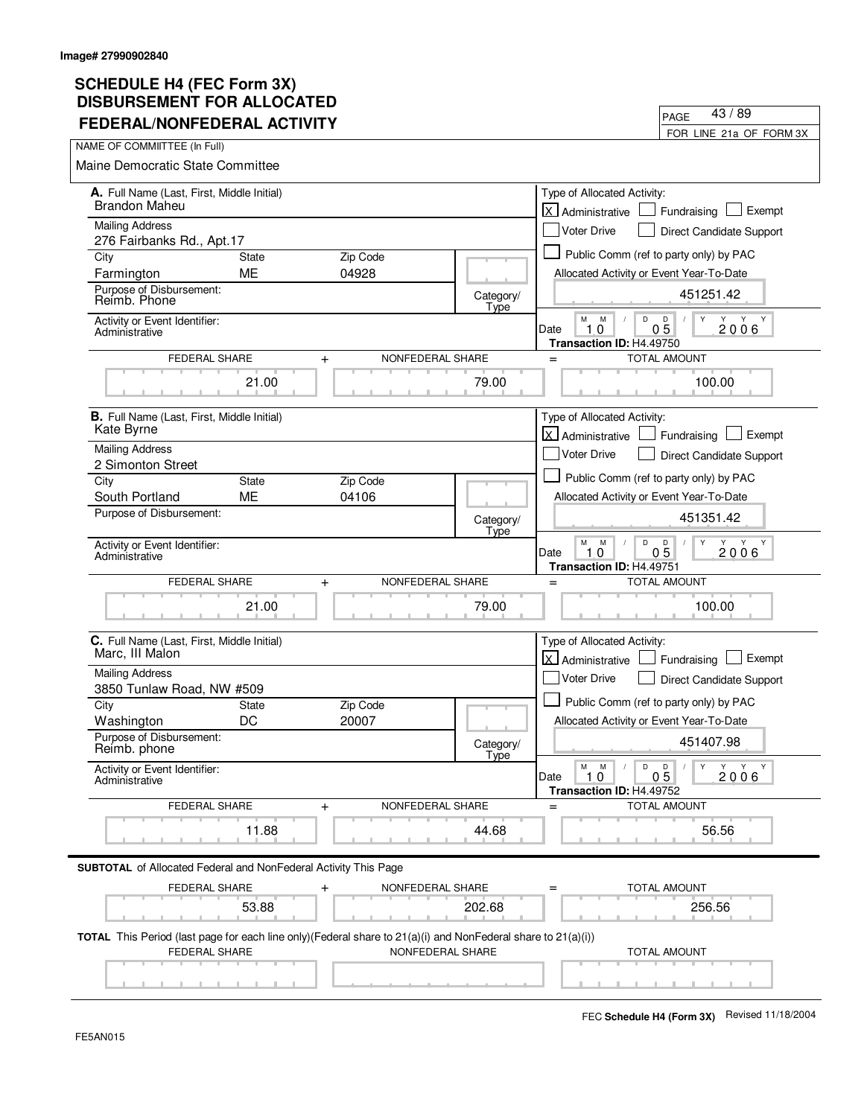| FEDERAL/NONFEDERAL ACTIVITY                                                                                                                     |                   | FOR LINE 21a OF FORM 3X                                                                                                         |
|-------------------------------------------------------------------------------------------------------------------------------------------------|-------------------|---------------------------------------------------------------------------------------------------------------------------------|
| NAME OF COMMIITTEE (In Full)                                                                                                                    |                   |                                                                                                                                 |
| <b>Maine Democratic State Committee</b>                                                                                                         |                   |                                                                                                                                 |
| A. Full Name (Last, First, Middle Initial)                                                                                                      |                   | Type of Allocated Activity:                                                                                                     |
| <b>Brandon Maheu</b>                                                                                                                            |                   | lx l<br>Exempt<br>Fundraising<br>Administrative                                                                                 |
| <b>Mailing Address</b>                                                                                                                          |                   | <b>Voter Drive</b><br>Direct Candidate Support                                                                                  |
| 276 Fairbanks Rd., Apt.17<br>City<br>Zip Code<br><b>State</b>                                                                                   |                   | Public Comm (ref to party only) by PAC                                                                                          |
| 04928<br>ME<br>Farmington                                                                                                                       |                   | Allocated Activity or Event Year-To-Date                                                                                        |
| Purpose of Disbursement:<br>Reimb. Phone                                                                                                        | Category/<br>Type | 451251.42                                                                                                                       |
| Activity or Event Identifier:<br>Administrative                                                                                                 |                   | M<br>M<br>D<br>D<br>Y<br>Y<br>Y<br>$0\bar{5}$<br>10<br>2006<br>Date                                                             |
| FEDERAL SHARE<br>$+$                                                                                                                            | NONFEDERAL SHARE  | Transaction ID: H4.49750<br><b>TOTAL AMOUNT</b><br>$=$                                                                          |
| 21.00                                                                                                                                           | 79.00             | 100.00                                                                                                                          |
| <b>B.</b> Full Name (Last, First, Middle Initial)                                                                                               |                   | Type of Allocated Activity:                                                                                                     |
| Kate Byrne                                                                                                                                      |                   | Administrative<br>Exempt<br>Fundraising                                                                                         |
| <b>Mailing Address</b>                                                                                                                          |                   | <b>Voter Drive</b><br>Direct Candidate Support                                                                                  |
| 2 Simonton Street<br>State<br>Zip Code<br>City                                                                                                  |                   | Public Comm (ref to party only) by PAC                                                                                          |
| <b>ME</b><br>04106<br>South Portland                                                                                                            |                   | Allocated Activity or Event Year-To-Date                                                                                        |
| Purpose of Disbursement:                                                                                                                        | Category/<br>Type | 451351.42                                                                                                                       |
| Activity or Event Identifier:<br>Administrative                                                                                                 |                   | М<br>D<br>M<br>D<br>Y<br>Y<br>Y Y<br>0 <sub>5</sub><br>Date<br>$\mathbf 0$<br>2006<br>1.<br>Transaction ID: H4.49751            |
| FEDERAL SHARE<br>$\ddot{}$                                                                                                                      | NONFEDERAL SHARE  | <b>TOTAL AMOUNT</b><br>$=$                                                                                                      |
| 21.00                                                                                                                                           | 79.00             | 100.00                                                                                                                          |
| C. Full Name (Last, First, Middle Initial)<br>Marc, III Malon                                                                                   |                   | Type of Allocated Activity:<br>X Administrative<br>Exempt<br>Fundraising                                                        |
| <b>Mailing Address</b>                                                                                                                          |                   | <b>Voter Drive</b><br>Direct Candidate Support                                                                                  |
| 3850 Tunlaw Road, NW #509                                                                                                                       |                   |                                                                                                                                 |
| City<br>Zip Code<br><b>State</b>                                                                                                                |                   | Public Comm (ref to party only) by PAC                                                                                          |
| DC<br>20007<br>Washington<br>Purpose of Disbursement:                                                                                           |                   | Allocated Activity or Event Year-To-Date                                                                                        |
| Reimb. phone                                                                                                                                    | Category/<br>Type | 451407.98                                                                                                                       |
| Activity or Event Identifier:<br>Administrative                                                                                                 |                   | M<br>M<br>D<br>D<br>$\mathsf{Y}$<br>Y Y<br>Y<br>$\sqrt{2}$<br>0 <sub>5</sub><br>2006<br>Date<br>1.0<br>Transaction ID: H4.49752 |
| <b>FEDERAL SHARE</b><br>+                                                                                                                       | NONFEDERAL SHARE  | <b>TOTAL AMOUNT</b>                                                                                                             |
| 11.88                                                                                                                                           | 44.68             | 56.56                                                                                                                           |
| <b>SUBTOTAL</b> of Allocated Federal and NonFederal Activity This Page                                                                          |                   |                                                                                                                                 |
| FEDERAL SHARE<br>$\mathrm{+}$                                                                                                                   | NONFEDERAL SHARE  | TOTAL AMOUNT                                                                                                                    |
| 53.88                                                                                                                                           | 202.68            | 256.56                                                                                                                          |
| <b>TOTAL</b> This Period (last page for each line only)(Federal share to $21(a)(i)$ and NonFederal share to $21(a)(i))$<br><b>FEDERAL SHARE</b> | NONFEDERAL SHARE  | <b>TOTAL AMOUNT</b>                                                                                                             |
|                                                                                                                                                 |                   |                                                                                                                                 |

PAGE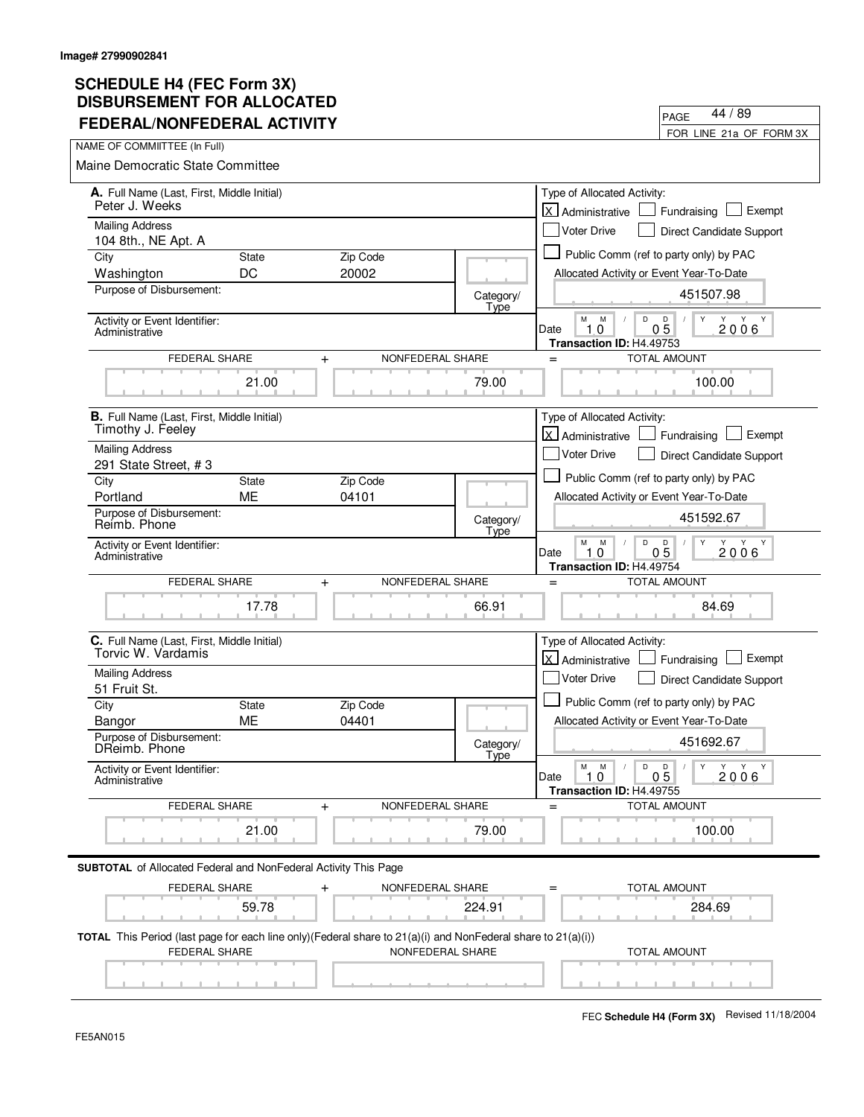| I LULINAL/NONI LULINAL ACTIVITT                                                                                                      |              |                               |                   | FOR LINE 21a OF FORM 3X                                                                                              |
|--------------------------------------------------------------------------------------------------------------------------------------|--------------|-------------------------------|-------------------|----------------------------------------------------------------------------------------------------------------------|
| NAME OF COMMIITTEE (In Full)                                                                                                         |              |                               |                   |                                                                                                                      |
| Maine Democratic State Committee                                                                                                     |              |                               |                   |                                                                                                                      |
| A. Full Name (Last, First, Middle Initial)                                                                                           |              |                               |                   | Type of Allocated Activity:                                                                                          |
| Peter J. Weeks                                                                                                                       |              |                               |                   | lx l<br>Exempt<br>Administrative<br>Fundraising                                                                      |
| <b>Mailing Address</b><br>104 8th., NE Apt. A                                                                                        |              |                               |                   | <b>Voter Drive</b><br>Direct Candidate Support                                                                       |
| City                                                                                                                                 | <b>State</b> | Zip Code                      |                   | Public Comm (ref to party only) by PAC                                                                               |
| Washington                                                                                                                           | DC           | 20002                         |                   | Allocated Activity or Event Year-To-Date                                                                             |
| Purpose of Disbursement:                                                                                                             |              |                               | Category/<br>Type | 451507.98                                                                                                            |
| Activity or Event Identifier:<br>Administrative                                                                                      |              |                               |                   | M<br>D<br>M<br>D<br>Y<br>Y<br>Y<br>Y<br>$0\bar{5}$<br>10<br>2006<br>Date<br>Transaction ID: H4.49753                 |
| <b>FEDERAL SHARE</b>                                                                                                                 |              | NONFEDERAL SHARE<br>$\ddot{}$ |                   | <b>TOTAL AMOUNT</b><br>$=$                                                                                           |
|                                                                                                                                      | 21.00        |                               | 79.00             | 100.00                                                                                                               |
| <b>B.</b> Full Name (Last, First, Middle Initial)<br>Timothy J. Feeley                                                               |              |                               |                   | Type of Allocated Activity:<br><b>X</b> Administrative<br>Exempt<br>Fundraising                                      |
| <b>Mailing Address</b>                                                                                                               |              |                               |                   | Voter Drive                                                                                                          |
| 291 State Street, #3                                                                                                                 |              |                               |                   | Direct Candidate Support                                                                                             |
| City                                                                                                                                 | <b>State</b> | Zip Code                      |                   | Public Comm (ref to party only) by PAC                                                                               |
| Portland                                                                                                                             | ME           | 04101                         |                   | Allocated Activity or Event Year-To-Date                                                                             |
| Purpose of Disbursement:<br>Reimb. Phone                                                                                             |              |                               | Category/<br>Type | 451592.67                                                                                                            |
| Activity or Event Identifier:<br>Administrative                                                                                      |              |                               |                   | M<br>M<br>D<br>D<br>Y<br>Y Y<br>$0\bar{5}$<br>10<br>2006<br>Date<br>Transaction ID: H4.49754                         |
| FEDERAL SHARE                                                                                                                        |              | NONFEDERAL SHARE<br>$\ddot{}$ |                   | <b>TOTAL AMOUNT</b><br>$=$                                                                                           |
|                                                                                                                                      | 17.78        |                               | 66.91             | 84.69                                                                                                                |
| C. Full Name (Last, First, Middle Initial)                                                                                           |              |                               |                   | Type of Allocated Activity:                                                                                          |
| Torvic W. Vardamis                                                                                                                   |              |                               |                   | X Administrative<br>Exempt<br>Fundraising                                                                            |
| <b>Mailing Address</b><br>51 Fruit St.                                                                                               |              |                               |                   | Voter Drive<br>Direct Candidate Support                                                                              |
| City                                                                                                                                 | <b>State</b> | Zip Code                      |                   | Public Comm (ref to party only) by PAC                                                                               |
| Bangor                                                                                                                               | ME           | 04401                         |                   | Allocated Activity or Event Year-To-Date                                                                             |
| Purpose of Disbursement:<br>DReimb. Phone                                                                                            |              |                               | Category/<br>Type | 451692.67                                                                                                            |
| Activity or Event Identifier:<br>Administrative                                                                                      |              |                               |                   | М<br>M<br>D<br>$\mathsf{Y}$<br>Y<br>Y<br>D<br>Y<br>0 <sub>5</sub><br>Date<br>1.0<br>2006<br>Transaction ID: H4.49755 |
| FEDERAL SHARE                                                                                                                        |              | NONFEDERAL SHARE<br>$\ddot{}$ |                   | <b>TOTAL AMOUNT</b>                                                                                                  |
|                                                                                                                                      | 21.00        |                               | 79.00             | 100.00                                                                                                               |
| <b>SUBTOTAL</b> of Allocated Federal and NonFederal Activity This Page                                                               |              |                               |                   |                                                                                                                      |
| FEDERAL SHARE                                                                                                                        |              | NONFEDERAL SHARE              |                   | <b>TOTAL AMOUNT</b>                                                                                                  |
|                                                                                                                                      | 59.78        |                               | 224.91            | 284.69                                                                                                               |
| TOTAL This Period (last page for each line only)(Federal share to 21(a)(i) and NonFederal share to 21(a)(i))<br><b>FEDERAL SHARE</b> |              | NONFEDERAL SHARE              |                   | TOTAL AMOUNT                                                                                                         |
|                                                                                                                                      |              |                               |                   |                                                                                                                      |

FEC **Schedule H4 (Form 3X)** Revised 11/18/2004

PAGE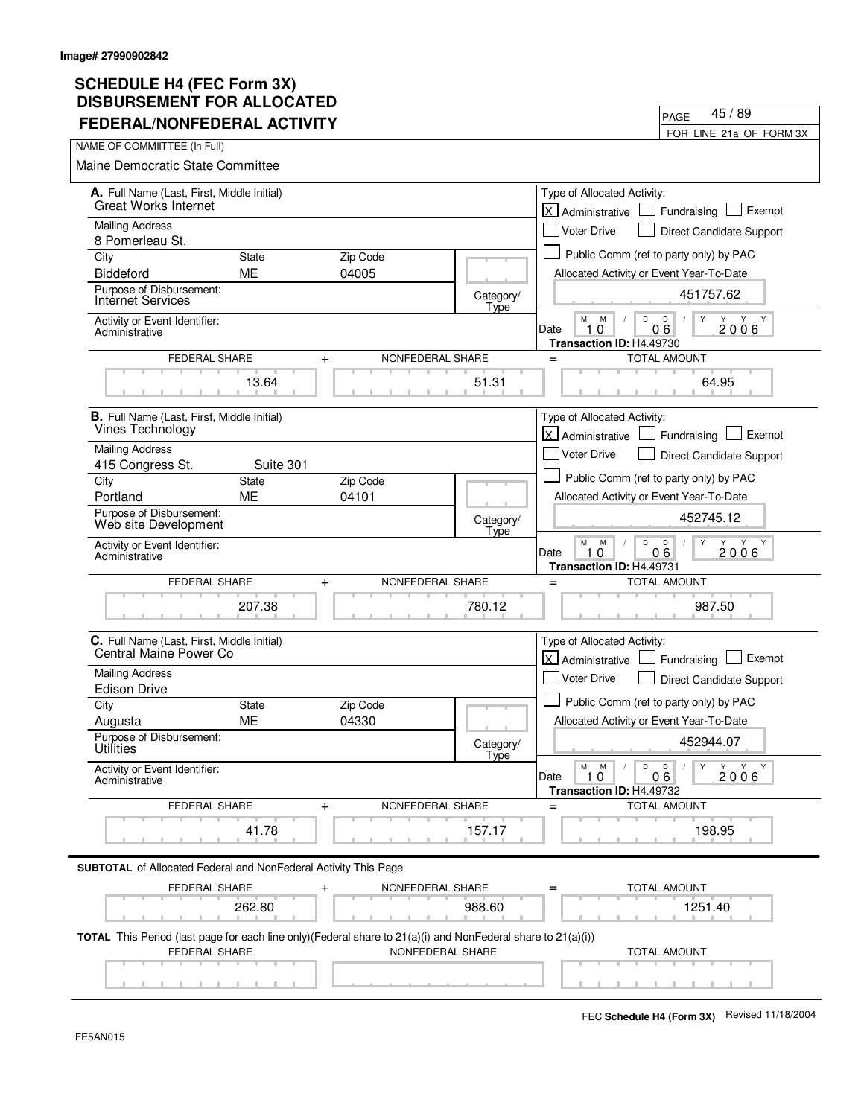| FEDERAL/NONFEDERAL ACTIVITY                                                                                                                     |                           |                   |                   |                                                       | FOR LINE 21a OF FORM 3X                                |
|-------------------------------------------------------------------------------------------------------------------------------------------------|---------------------------|-------------------|-------------------|-------------------------------------------------------|--------------------------------------------------------|
| NAME OF COMMIITTEE (In Full)                                                                                                                    |                           |                   |                   |                                                       |                                                        |
| Maine Democratic State Committee                                                                                                                |                           |                   |                   |                                                       |                                                        |
| A. Full Name (Last, First, Middle Initial)                                                                                                      |                           |                   |                   | Type of Allocated Activity:                           |                                                        |
| <b>Great Works Internet</b>                                                                                                                     |                           |                   |                   | lx l<br>Administrative                                | Exempt<br>Fundraising                                  |
| <b>Mailing Address</b>                                                                                                                          |                           |                   |                   | Voter Drive                                           | Direct Candidate Support                               |
| 8 Pomerleau St.                                                                                                                                 |                           |                   |                   |                                                       |                                                        |
| City                                                                                                                                            | <b>State</b>              | Zip Code          |                   |                                                       | Public Comm (ref to party only) by PAC                 |
| Biddeford<br>Purpose of Disbursement:                                                                                                           | ME                        | 04005             |                   | Allocated Activity or Event Year-To-Date              |                                                        |
| <b>Internet Services</b>                                                                                                                        |                           |                   | Category/<br>Type |                                                       | 451757.62                                              |
| Activity or Event Identifier:<br>Administrative                                                                                                 |                           |                   |                   | M<br>M<br>D<br>10<br>Date<br>Transaction ID: H4.49730 | D<br>Y<br>Y<br>Y<br>06<br>2006                         |
| <b>FEDERAL SHARE</b>                                                                                                                            | $+$                       | NONFEDERAL SHARE  |                   | $=$                                                   | <b>TOTAL AMOUNT</b>                                    |
|                                                                                                                                                 | 13.64                     |                   | 51.31             |                                                       | 64.95                                                  |
| <b>B.</b> Full Name (Last, First, Middle Initial)                                                                                               |                           |                   |                   | Type of Allocated Activity:                           |                                                        |
| Vines Technology                                                                                                                                |                           |                   |                   | Administrative                                        | Exempt<br>Fundraising                                  |
| <b>Mailing Address</b>                                                                                                                          |                           |                   |                   | <b>Voter Drive</b>                                    | Direct Candidate Support                               |
| 415 Congress St.                                                                                                                                | Suite 301                 |                   |                   |                                                       | Public Comm (ref to party only) by PAC                 |
| City<br>Portland                                                                                                                                | <b>State</b><br><b>ME</b> | Zip Code<br>04101 |                   |                                                       |                                                        |
| Purpose of Disbursement:                                                                                                                        |                           |                   |                   | Allocated Activity or Event Year-To-Date              |                                                        |
| Web site Development                                                                                                                            |                           |                   | Category/<br>Type |                                                       | 452745.12                                              |
| Activity or Event Identifier:                                                                                                                   |                           |                   |                   | М<br>D<br>M<br>Date<br>$\mathbf 0$<br>1.              | D<br>Y<br>Y<br>Y Y<br>06<br>2006                       |
| Administrative                                                                                                                                  |                           |                   |                   | Transaction ID: H4.49731                              |                                                        |
| FEDERAL SHARE                                                                                                                                   | $\ddot{}$                 | NONFEDERAL SHARE  |                   | $=$                                                   | TOTAL AMOUNT                                           |
|                                                                                                                                                 | 207.38                    |                   | 780.12            |                                                       | 987.50                                                 |
|                                                                                                                                                 |                           |                   |                   |                                                       |                                                        |
| C. Full Name (Last, First, Middle Initial)<br>Central Maine Power Co                                                                            |                           |                   |                   | Type of Allocated Activity:                           |                                                        |
|                                                                                                                                                 |                           |                   |                   | اxا<br>Administrative                                 | Exempt<br>Fundraising                                  |
| <b>Mailing Address</b><br><b>Edison Drive</b>                                                                                                   |                           |                   |                   | <b>Voter Drive</b>                                    | Direct Candidate Support                               |
| City                                                                                                                                            | <b>State</b>              | Zip Code          |                   |                                                       | Public Comm (ref to party only) by PAC                 |
| Augusta                                                                                                                                         | <b>ME</b>                 | 04330             |                   | Allocated Activity or Event Year-To-Date              |                                                        |
| Purpose of Disbursement:<br>Utilities                                                                                                           |                           |                   | Category/<br>Type |                                                       | 452944.07                                              |
| Activity or Event Identifier:<br>Administrative                                                                                                 |                           |                   |                   | $\mathsf D$<br>M<br>M<br>Date<br>1.0                  | D<br>$\mathsf{Y}$<br>Y Y Y<br>$\sqrt{2}$<br>06<br>2006 |
|                                                                                                                                                 |                           |                   |                   | Transaction ID: H4.49732                              |                                                        |
| FEDERAL SHARE                                                                                                                                   | +                         | NONFEDERAL SHARE  |                   |                                                       | <b>TOTAL AMOUNT</b>                                    |
|                                                                                                                                                 | 41.78                     |                   | 157.17            |                                                       | 198.95                                                 |
| <b>SUBTOTAL</b> of Allocated Federal and NonFederal Activity This Page                                                                          |                           |                   |                   |                                                       |                                                        |
| FEDERAL SHARE                                                                                                                                   | $\mathrm{+}$              | NONFEDERAL SHARE  |                   |                                                       | TOTAL AMOUNT                                           |
|                                                                                                                                                 | 262.80                    |                   | 988.60            |                                                       | 1251.40                                                |
| <b>TOTAL</b> This Period (last page for each line only)(Federal share to $21(a)(i)$ and NonFederal share to $21(a)(i))$<br><b>FEDERAL SHARE</b> |                           | NONFEDERAL SHARE  |                   |                                                       | <b>TOTAL AMOUNT</b>                                    |
|                                                                                                                                                 |                           |                   |                   |                                                       |                                                        |

PAGE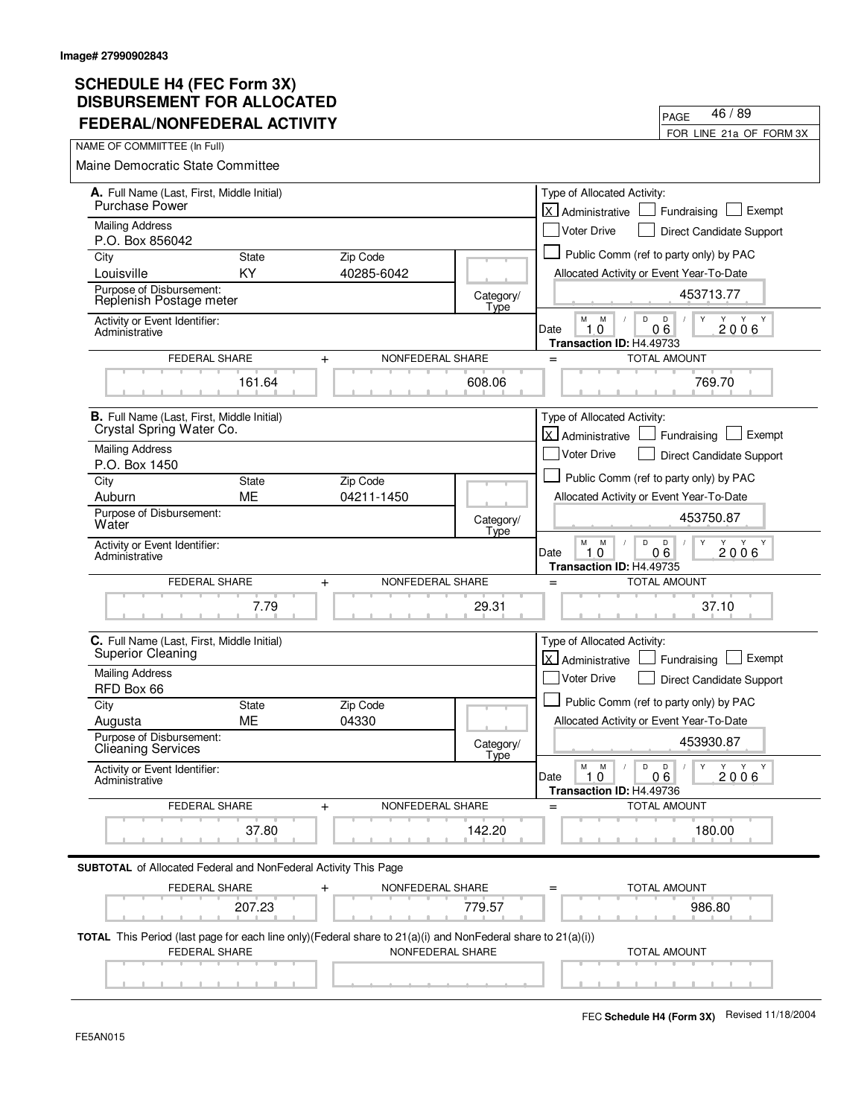| FEDERAL/NONFEDERAL ACTIVITY                                                                                                                     |              |                               |                   | FOR LINE 21a OF FORM 3X                                                                                                    |
|-------------------------------------------------------------------------------------------------------------------------------------------------|--------------|-------------------------------|-------------------|----------------------------------------------------------------------------------------------------------------------------|
| NAME OF COMMIITTEE (In Full)                                                                                                                    |              |                               |                   |                                                                                                                            |
| <b>Maine Democratic State Committee</b>                                                                                                         |              |                               |                   |                                                                                                                            |
| A. Full Name (Last, First, Middle Initial)<br>Purchase Power                                                                                    |              |                               |                   | Type of Allocated Activity:<br>lx.<br>Exempt<br>Fundraising<br>Administrative                                              |
| <b>Mailing Address</b><br>P.O. Box 856042                                                                                                       |              |                               |                   | <b>Voter Drive</b><br>Direct Candidate Support                                                                             |
| City                                                                                                                                            | <b>State</b> | Zip Code                      |                   | Public Comm (ref to party only) by PAC                                                                                     |
| Louisville                                                                                                                                      | KY           | 40285-6042                    |                   | Allocated Activity or Event Year-To-Date                                                                                   |
| Purpose of Disbursement:<br>Replenish Postage meter                                                                                             |              |                               | Category/<br>Type | 453713.77                                                                                                                  |
| Activity or Event Identifier:<br>Administrative                                                                                                 |              |                               |                   | M<br>M<br>D<br>D<br>Y Y<br>$0\bar{6}$<br>10<br>2006<br>Date<br>Transaction ID: H4.49733                                    |
| FEDERAL SHARE                                                                                                                                   |              | NONFEDERAL SHARE<br>$+$       |                   | <b>TOTAL AMOUNT</b><br>$=$                                                                                                 |
|                                                                                                                                                 | 161.64       |                               | 608.06            | 769.70                                                                                                                     |
| <b>B.</b> Full Name (Last, First, Middle Initial)<br>Crystal Spring Water Co.                                                                   |              |                               |                   | Type of Allocated Activity:                                                                                                |
| <b>Mailing Address</b>                                                                                                                          |              |                               |                   | X Administrative<br>Exempt<br>Fundraising                                                                                  |
| P.O. Box 1450                                                                                                                                   |              |                               |                   | <b>Voter Drive</b><br>Direct Candidate Support                                                                             |
| City                                                                                                                                            | <b>State</b> | Zip Code                      |                   | Public Comm (ref to party only) by PAC                                                                                     |
| Auburn                                                                                                                                          | <b>ME</b>    | 04211-1450                    |                   | Allocated Activity or Event Year-To-Date                                                                                   |
| Purpose of Disbursement:<br>Water                                                                                                               |              |                               | Category/<br>Type | 453750.87                                                                                                                  |
| Activity or Event Identifier:<br>Administrative                                                                                                 |              |                               |                   | М<br>M<br>D<br>D<br>Y<br>Y<br>Y<br>Y<br>06<br>2006<br>Date<br>10<br>Transaction ID: H4.49735                               |
| FEDERAL SHARE                                                                                                                                   |              | NONFEDERAL SHARE<br>$+$       |                   | <b>TOTAL AMOUNT</b><br>$=$                                                                                                 |
|                                                                                                                                                 | 7.79         |                               | 29.31             | 37.10                                                                                                                      |
| C. Full Name (Last, First, Middle Initial)<br>Superior Cleaning                                                                                 |              |                               |                   | Type of Allocated Activity:<br>lx l<br>Exempt<br>Administrative<br>Fundraising                                             |
| <b>Mailing Address</b><br>RFD Box 66                                                                                                            |              |                               |                   | Voter Drive<br>Direct Candidate Support                                                                                    |
| City                                                                                                                                            | <b>State</b> | Zip Code                      |                   | Public Comm (ref to party only) by PAC                                                                                     |
| Augusta                                                                                                                                         | ME           | 04330                         |                   | Allocated Activity or Event Year-To-Date                                                                                   |
| Purpose of Disbursement:<br><b>Clieaning Services</b>                                                                                           |              |                               | Category/<br>Tyne | 453930.87                                                                                                                  |
| Activity or Event Identifier:<br>Administrative                                                                                                 |              |                               |                   | $\mathsf D$<br>М<br>M<br>D<br>$\mathsf{Y}$<br>Y Y Y<br>$\sqrt{2}$<br>1.0<br>Date<br>06<br>2006<br>Transaction ID: H4.49736 |
| FEDERAL SHARE                                                                                                                                   |              | NONFEDERAL SHARE<br>$\ddot{}$ |                   | <b>TOTAL AMOUNT</b><br>$=$                                                                                                 |
|                                                                                                                                                 | 37.80        |                               | 142.20            | 180.00                                                                                                                     |
| <b>SUBTOTAL</b> of Allocated Federal and NonFederal Activity This Page                                                                          |              |                               |                   |                                                                                                                            |
| FEDERAL SHARE                                                                                                                                   |              | NONFEDERAL SHARE              |                   | <b>TOTAL AMOUNT</b>                                                                                                        |
|                                                                                                                                                 | 207.23       |                               | 779.57            | 986.80                                                                                                                     |
| <b>TOTAL</b> This Period (last page for each line only)(Federal share to $21(a)(i)$ and NonFederal share to $21(a)(i))$<br><b>FEDERAL SHARE</b> |              | NONFEDERAL SHARE              |                   | <b>TOTAL AMOUNT</b>                                                                                                        |
|                                                                                                                                                 |              |                               |                   |                                                                                                                            |

PAGE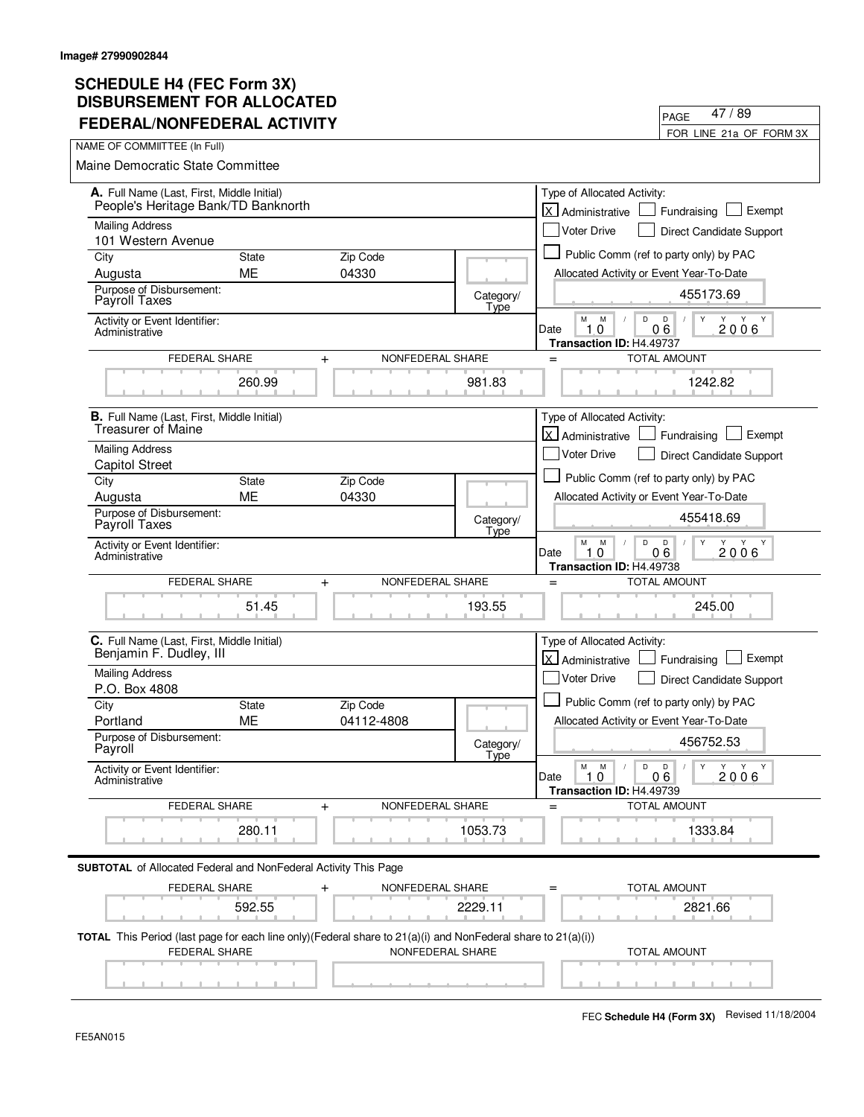| <b>FEDERAL/NONFEDERAL ACTIVITY</b>                                                                                                              |              |                  |                   | 47 / 89<br>PAGE                                                                                 |
|-------------------------------------------------------------------------------------------------------------------------------------------------|--------------|------------------|-------------------|-------------------------------------------------------------------------------------------------|
|                                                                                                                                                 |              |                  |                   | FOR LINE 21a OF FORM 3X                                                                         |
| NAME OF COMMIITTEE (In Full)                                                                                                                    |              |                  |                   |                                                                                                 |
| Maine Democratic State Committee                                                                                                                |              |                  |                   |                                                                                                 |
| A. Full Name (Last, First, Middle Initial)<br>People's Heritage Bank/TD Banknorth                                                               |              |                  |                   | Type of Allocated Activity:<br>$\vert x \vert$<br>Exempt<br>Administrative<br>Fundraising       |
| <b>Mailing Address</b>                                                                                                                          |              |                  |                   | <b>Voter Drive</b><br>Direct Candidate Support                                                  |
| 101 Western Avenue                                                                                                                              |              |                  |                   |                                                                                                 |
| City                                                                                                                                            | <b>State</b> | Zip Code         |                   | Public Comm (ref to party only) by PAC                                                          |
| Augusta                                                                                                                                         | ME           | 04330            |                   | Allocated Activity or Event Year-To-Date                                                        |
| Purpose of Disbursement:<br>Payroll Taxes                                                                                                       |              |                  | Category/<br>Type | 455173.69                                                                                       |
| Activity or Event Identifier:<br>Administrative                                                                                                 |              |                  |                   | D<br>M<br>M<br>D<br>$\mathsf{Y}$<br>Y<br>2006<br>06<br>Date<br>1.0<br>Transaction ID: H4.49737  |
| <b>FEDERAL SHARE</b>                                                                                                                            | $\ddot{}$    | NONFEDERAL SHARE |                   | <b>TOTAL AMOUNT</b><br>$=$                                                                      |
|                                                                                                                                                 | 260.99       |                  | 981.83            | 1242.82                                                                                         |
| <b>B.</b> Full Name (Last, First, Middle Initial)<br><b>Treasurer of Maine</b>                                                                  |              |                  |                   | Type of Allocated Activity:                                                                     |
| <b>Mailing Address</b>                                                                                                                          |              |                  |                   | $\overline{X}$<br>Exempt<br>Administrative<br>Fundraising                                       |
| <b>Capitol Street</b>                                                                                                                           |              |                  |                   | <b>Voter Drive</b><br>Direct Candidate Support                                                  |
| City                                                                                                                                            | <b>State</b> | Zip Code         |                   | Public Comm (ref to party only) by PAC                                                          |
| Augusta                                                                                                                                         | ME           | 04330            |                   | Allocated Activity or Event Year-To-Date                                                        |
| Purpose of Disbursement:<br>Payroll Taxes                                                                                                       |              |                  | Category/<br>Type | 455418.69                                                                                       |
| Activity or Event Identifier:<br>Administrative                                                                                                 |              |                  |                   | М<br>M<br>D<br>$\mathsf D$<br>Y<br>Y Y<br>1.0<br>06<br>2006<br>Date<br>Transaction ID: H4.49738 |
| <b>FEDERAL SHARE</b>                                                                                                                            | $+$          | NONFEDERAL SHARE |                   | <b>TOTAL AMOUNT</b><br>$=$                                                                      |
|                                                                                                                                                 | 51.45        |                  | 193.55            | 245.00                                                                                          |
| C. Full Name (Last, First, Middle Initial)<br>Benjamin F. Dudley, III                                                                           |              |                  |                   | Type of Allocated Activity:<br><b>X</b> Administrative<br>Exempt<br>Fundraising                 |
| Mailing Address<br>P.O. Box 4808                                                                                                                |              |                  |                   | <b>Voter Drive</b><br>Direct Candidate Support                                                  |
| City                                                                                                                                            | <b>State</b> | Zip Code         |                   | Public Comm (ref to party only) by PAC                                                          |
| Portland                                                                                                                                        | ME           | 04112-4808       |                   | Allocated Activity or Event Year-To-Date                                                        |
| Purpose of Disbursement:<br>Payroll                                                                                                             |              |                  | Category/<br>Type | 456752.53                                                                                       |
| Activity or Event Identifier:<br>Administrative                                                                                                 |              |                  |                   | M<br>M<br>D<br>D<br>Y<br>Y<br>Y<br>Y<br>2006<br>Date<br>1.0<br>06<br>Transaction ID: H4.49739   |
| FEDERAL SHARE                                                                                                                                   | $+$          | NONFEDERAL SHARE |                   | <b>TOTAL AMOUNT</b>                                                                             |
|                                                                                                                                                 | 280.11       |                  | 1053.73           | 1333.84                                                                                         |
| <b>SUBTOTAL</b> of Allocated Federal and NonFederal Activity This Page                                                                          |              |                  |                   |                                                                                                 |
| FEDERAL SHARE                                                                                                                                   |              | NONFEDERAL SHARE |                   | TOTAL AMOUNT                                                                                    |
|                                                                                                                                                 | 592.55       |                  | 2229.11           | 2821.66                                                                                         |
| <b>TOTAL</b> This Period (last page for each line only)(Federal share to $21(a)(i)$ and NonFederal share to $21(a)(i))$<br><b>FEDERAL SHARE</b> |              | NONFEDERAL SHARE |                   | <b>TOTAL AMOUNT</b>                                                                             |
|                                                                                                                                                 |              |                  |                   |                                                                                                 |

 $\overline{\phantom{0}}$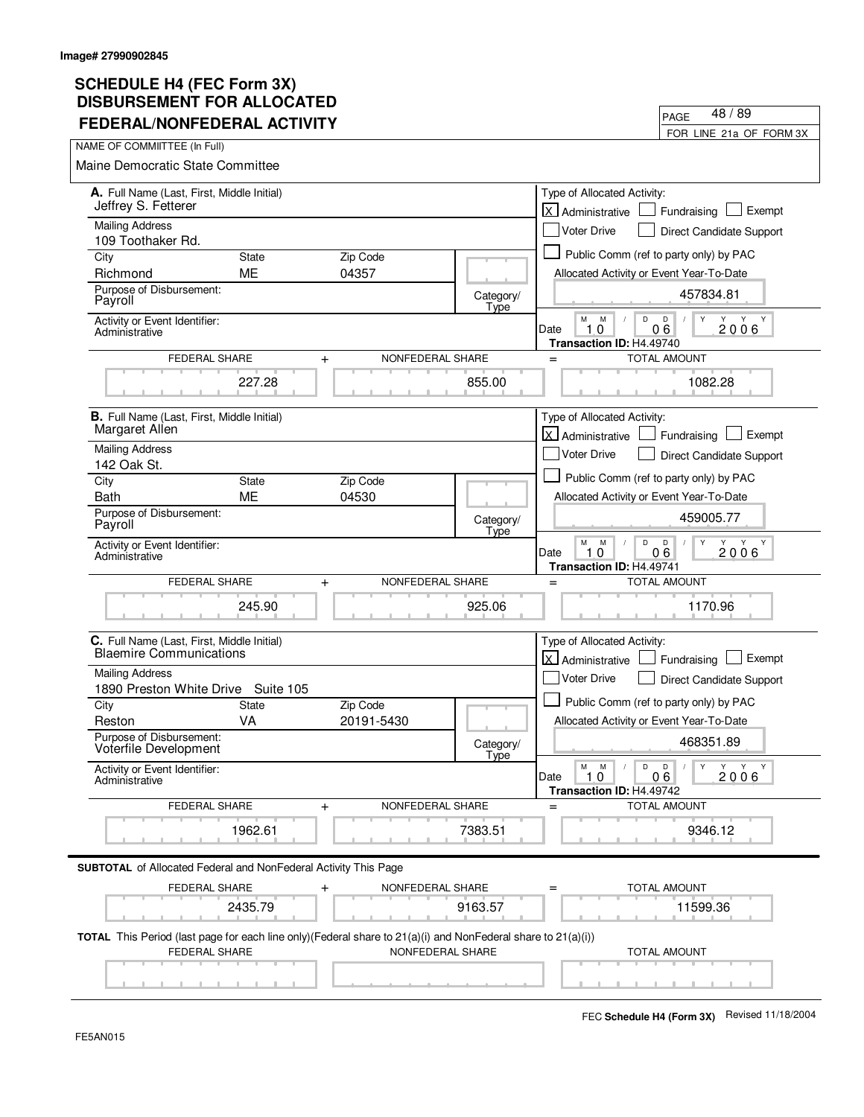| FEDERAL/NONFEDERAL ACTIVILI                                                                                                              |                           |                  |                   |                                                                          | FOR LINE 21a OF FORM 3X                                   |
|------------------------------------------------------------------------------------------------------------------------------------------|---------------------------|------------------|-------------------|--------------------------------------------------------------------------|-----------------------------------------------------------|
| NAME OF COMMIITTEE (In Full)                                                                                                             |                           |                  |                   |                                                                          |                                                           |
| Maine Democratic State Committee                                                                                                         |                           |                  |                   |                                                                          |                                                           |
| A. Full Name (Last, First, Middle Initial)<br>Jeffrey S. Fetterer                                                                        |                           |                  |                   | Type of Allocated Activity:                                              |                                                           |
| <b>Mailing Address</b>                                                                                                                   |                           |                  |                   | lx l<br>Administrative                                                   | Exempt<br>Fundraising                                     |
| 109 Toothaker Rd.                                                                                                                        |                           |                  |                   | <b>Voter Drive</b>                                                       | Direct Candidate Support                                  |
| City                                                                                                                                     | <b>State</b>              | Zip Code         |                   |                                                                          | Public Comm (ref to party only) by PAC                    |
| Richmond<br>Purpose of Disbursement:                                                                                                     | <b>ME</b>                 | 04357            |                   | Allocated Activity or Event Year-To-Date                                 |                                                           |
| Payroll                                                                                                                                  |                           |                  | Category/<br>Type |                                                                          | 457834.81                                                 |
| Activity or Event Identifier:<br>Administrative                                                                                          |                           |                  |                   | M<br>M<br>D<br>10<br>Date<br>Transaction ID: H4.49740                    | D<br>Y<br>Y<br>Y<br>Y<br>06<br>2006                       |
| <b>FEDERAL SHARE</b>                                                                                                                     | $\ddot{}$                 | NONFEDERAL SHARE |                   | $=$                                                                      | <b>TOTAL AMOUNT</b>                                       |
|                                                                                                                                          | 227.28                    |                  | 855.00            |                                                                          | 1082.28                                                   |
| <b>B.</b> Full Name (Last, First, Middle Initial)                                                                                        |                           |                  |                   | Type of Allocated Activity:                                              |                                                           |
| Margaret Allen                                                                                                                           |                           |                  |                   | <b>X</b> Administrative                                                  | Exempt<br>Fundraising                                     |
| <b>Mailing Address</b><br>142 Oak St.                                                                                                    |                           |                  |                   | <b>Voter Drive</b>                                                       | Direct Candidate Support                                  |
| City                                                                                                                                     | <b>State</b>              | Zip Code         |                   |                                                                          | Public Comm (ref to party only) by PAC                    |
| <b>Bath</b>                                                                                                                              | <b>ME</b>                 | 04530            |                   | Allocated Activity or Event Year-To-Date                                 |                                                           |
| Purpose of Disbursement:<br>Payroll                                                                                                      |                           |                  | Category/<br>Type |                                                                          | 459005.77                                                 |
| Activity or Event Identifier:<br>Administrative                                                                                          |                           |                  |                   | М<br>M<br>D<br>$\Omega$<br>Date<br>1<br>Transaction ID: H4.49741         | D<br>Y<br>Y<br>Y Y<br>06<br>2006                          |
| FEDERAL SHARE                                                                                                                            | $\pmb{+}$                 | NONFEDERAL SHARE |                   | $=$                                                                      | TOTAL AMOUNT                                              |
|                                                                                                                                          | 245.90                    |                  | 925.06            |                                                                          | 1170.96                                                   |
| C. Full Name (Last, First, Middle Initial)<br><b>Blaemire Communications</b>                                                             |                           |                  |                   | Type of Allocated Activity:<br>اxا<br>Administrative                     | Exempt<br>Fundraising                                     |
| <b>Mailing Address</b>                                                                                                                   |                           |                  |                   | Voter Drive                                                              | Direct Candidate Support                                  |
| 1890 Preston White Drive<br>City                                                                                                         | Suite 105<br><b>State</b> | Zip Code         |                   |                                                                          | Public Comm (ref to party only) by PAC                    |
| Reston                                                                                                                                   | VA                        | 20191-5430       |                   | Allocated Activity or Event Year-To-Date                                 |                                                           |
| Purpose of Disbursement:<br>Voterfile Development                                                                                        |                           |                  | Category/<br>Type |                                                                          | 468351.89                                                 |
| Activity or Event Identifier:<br>Administrative                                                                                          |                           |                  |                   | М<br>${\sf M}$<br>$\mathsf D$<br>Date<br>1.0<br>Transaction ID: H4.49742 | D<br>$\mathsf{Y}$<br>Y Y<br>Y<br>$\sqrt{2}$<br>06<br>2006 |
| FEDERAL SHARE                                                                                                                            | $\pm$                     | NONFEDERAL SHARE |                   |                                                                          | <b>TOTAL AMOUNT</b>                                       |
|                                                                                                                                          | 1962.61                   |                  | 7383.51           |                                                                          | 9346.12                                                   |
| <b>SUBTOTAL</b> of Allocated Federal and NonFederal Activity This Page                                                                   |                           |                  |                   |                                                                          |                                                           |
| FEDERAL SHARE                                                                                                                            |                           | NONFEDERAL SHARE |                   |                                                                          | TOTAL AMOUNT                                              |
|                                                                                                                                          | 2435.79                   |                  | 9163.57           |                                                                          | 11599.36                                                  |
| <b>TOTAL</b> This Period (last page for each line only)(Federal share to $21(a)(i)$ and NonFederal share to $21(a)(i))$<br>FEDERAL SHARE |                           | NONFEDERAL SHARE |                   |                                                                          | <b>TOTAL AMOUNT</b>                                       |
|                                                                                                                                          |                           |                  |                   |                                                                          |                                                           |

PAGE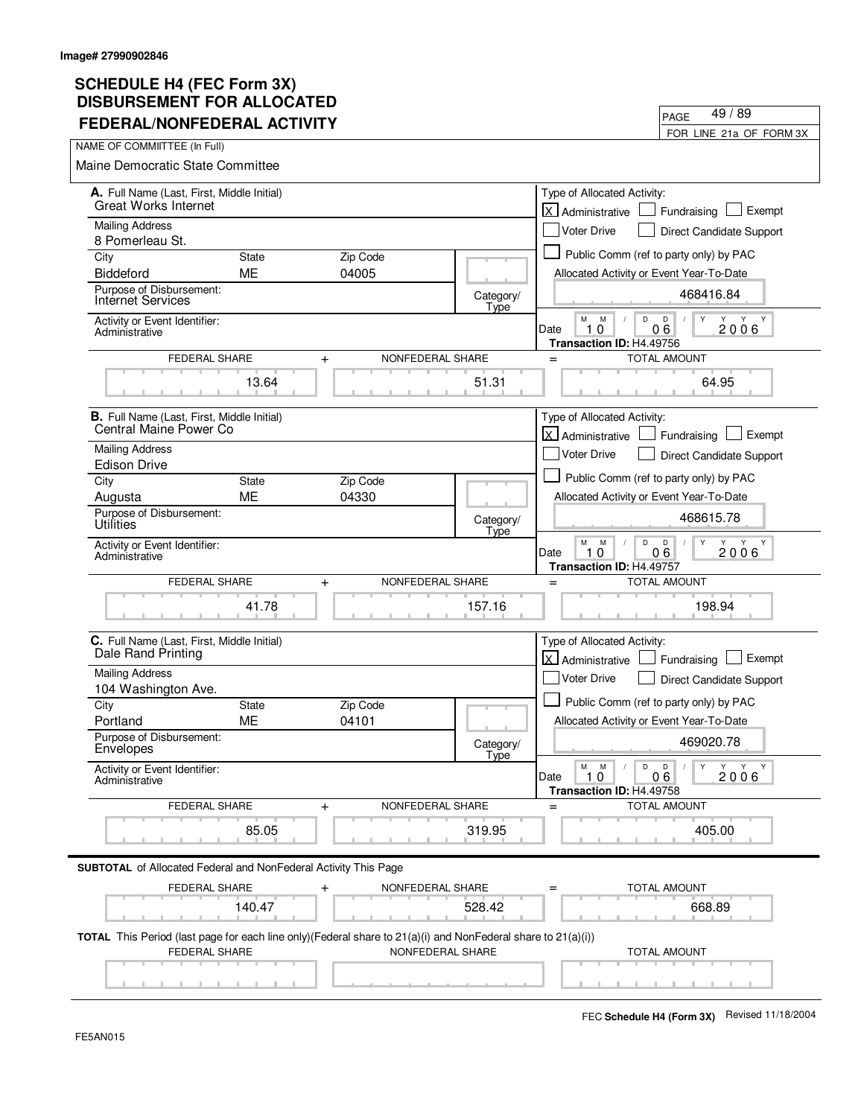| FEDERAL/NONFEDERAL ACTIVITY                                                                                                    |                    |                               |                   | FOR LINE 21a OF FORM 3X                                                                                            |
|--------------------------------------------------------------------------------------------------------------------------------|--------------------|-------------------------------|-------------------|--------------------------------------------------------------------------------------------------------------------|
| NAME OF COMMIITTEE (In Full)                                                                                                   |                    |                               |                   |                                                                                                                    |
| <b>Maine Democratic State Committee</b>                                                                                        |                    |                               |                   |                                                                                                                    |
| A. Full Name (Last, First, Middle Initial)<br><b>Great Works Internet</b>                                                      |                    |                               |                   | Type of Allocated Activity:<br>lx l<br>Exempt<br>Fundraising<br>Administrative                                     |
| <b>Mailing Address</b>                                                                                                         |                    |                               |                   | <b>Voter Drive</b><br><b>Direct Candidate Support</b>                                                              |
| 8 Pomerleau St.                                                                                                                |                    |                               |                   | Public Comm (ref to party only) by PAC                                                                             |
| City<br><b>Biddeford</b>                                                                                                       | <b>State</b><br>ME | Zip Code<br>04005             |                   | Allocated Activity or Event Year-To-Date                                                                           |
| Purpose of Disbursement:                                                                                                       |                    |                               |                   | 468416.84                                                                                                          |
| <b>Internet Services</b>                                                                                                       |                    |                               | Category/<br>Type | D<br>Y                                                                                                             |
| Activity or Event Identifier:<br>Administrative                                                                                |                    |                               |                   | М<br>M<br>D<br>Y Y<br>06<br>10<br>2006<br>Date<br>Transaction ID: H4.49756                                         |
| FEDERAL SHARE                                                                                                                  |                    | NONFEDERAL SHARE<br>$\ddot{}$ |                   | <b>TOTAL AMOUNT</b><br>$=$                                                                                         |
|                                                                                                                                | 13.64              |                               | 51.31             | 64.95                                                                                                              |
| <b>B.</b> Full Name (Last, First, Middle Initial)                                                                              |                    |                               |                   | Type of Allocated Activity:                                                                                        |
| Central Maine Power Co                                                                                                         |                    |                               |                   | X Administrative<br>Exempt<br>Fundraising                                                                          |
| <b>Mailing Address</b><br><b>Edison Drive</b>                                                                                  |                    |                               |                   | <b>Voter Drive</b><br>Direct Candidate Support                                                                     |
| City                                                                                                                           | <b>State</b>       | Zip Code                      |                   | Public Comm (ref to party only) by PAC                                                                             |
| Augusta                                                                                                                        | <b>ME</b>          | 04330                         |                   | Allocated Activity or Event Year-To-Date                                                                           |
| Purpose of Disbursement:<br>Utilities                                                                                          |                    |                               | Category/<br>Type | 468615.78                                                                                                          |
| Activity or Event Identifier:<br>Administrative                                                                                |                    |                               |                   | M<br>M<br>D<br>D<br>Y<br>Y<br>Y<br>Y<br>06<br>Date<br>0<br>2006<br>1<br>Transaction ID: H4.49757                   |
| FEDERAL SHARE                                                                                                                  |                    | NONFEDERAL SHARE<br>$\ddot{}$ |                   | <b>TOTAL AMOUNT</b><br>$=$                                                                                         |
|                                                                                                                                | 41.78              |                               | 157.16            | 198.94                                                                                                             |
| C. Full Name (Last, First, Middle Initial)<br>Dale Rand Printing                                                               |                    |                               |                   | Type of Allocated Activity:<br>lx l<br>Exempt<br>Administrative<br>Fundraising                                     |
| <b>Mailing Address</b>                                                                                                         |                    |                               |                   | Voter Drive<br>Direct Candidate Support                                                                            |
| 104 Washington Ave.                                                                                                            |                    |                               |                   |                                                                                                                    |
| City<br>Portland                                                                                                               | State<br>ME        | Zip Code<br>04101             |                   | Public Comm (ref to party only) by PAC<br>Allocated Activity or Event Year-To-Date                                 |
| Purpose of Disbursement:                                                                                                       |                    |                               |                   |                                                                                                                    |
| Envelopes                                                                                                                      |                    |                               | Category/<br>Tyne | 469020.78                                                                                                          |
| Activity or Event Identifier:<br>Administrative                                                                                |                    |                               |                   | $\mathsf D$<br>М<br>M<br>D<br>Y<br>Y Y<br>Y<br>$\sqrt{ }$<br>1.0<br>Date<br>06<br>2006<br>Transaction ID: H4.49758 |
| FEDERAL SHARE                                                                                                                  |                    | NONFEDERAL SHARE<br>$\ddot{}$ |                   | <b>TOTAL AMOUNT</b><br>$=$                                                                                         |
|                                                                                                                                | 85.05              |                               | 319.95            | 405.00                                                                                                             |
| <b>SUBTOTAL</b> of Allocated Federal and NonFederal Activity This Page                                                         |                    |                               |                   |                                                                                                                    |
| FEDERAL SHARE                                                                                                                  |                    | NONFEDERAL SHARE<br>+         |                   | TOTAL AMOUNT                                                                                                       |
|                                                                                                                                | 140.47             |                               | 528.42            | 668.89                                                                                                             |
| TOTAL This Period (last page for each line only) (Federal share to 21(a)(i) and NonFederal share to 21(a)(i))<br>FEDERAL SHARE |                    | NONFEDERAL SHARE              |                   | <b>TOTAL AMOUNT</b>                                                                                                |
|                                                                                                                                |                    |                               |                   |                                                                                                                    |

PAGE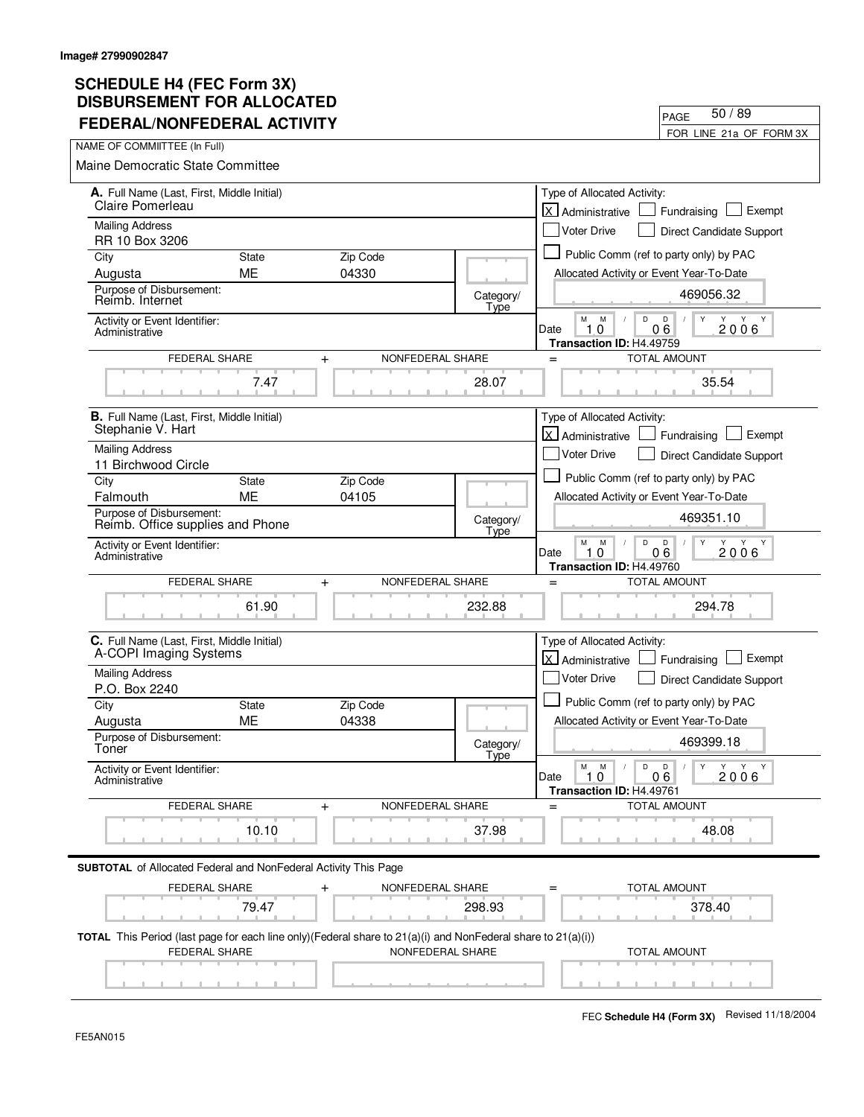| FEDERAL/NONFEDERAL ACTIVITY                                                                                                                     |                           |                                  |                   |                                                                      | FOR LINE 21a OF FORM 3X                                             |
|-------------------------------------------------------------------------------------------------------------------------------------------------|---------------------------|----------------------------------|-------------------|----------------------------------------------------------------------|---------------------------------------------------------------------|
| NAME OF COMMIITTEE (In Full)                                                                                                                    |                           |                                  |                   |                                                                      |                                                                     |
| <b>Maine Democratic State Committee</b>                                                                                                         |                           |                                  |                   |                                                                      |                                                                     |
| A. Full Name (Last, First, Middle Initial)                                                                                                      |                           |                                  |                   | Type of Allocated Activity:                                          |                                                                     |
| Claire Pomerleau                                                                                                                                |                           |                                  |                   | lx l<br>Administrative                                               | Exempt<br>Fundraising                                               |
| <b>Mailing Address</b><br>RR 10 Box 3206                                                                                                        |                           |                                  |                   | Voter Drive                                                          | Direct Candidate Support                                            |
| City                                                                                                                                            | <b>State</b>              | Zip Code                         |                   |                                                                      | Public Comm (ref to party only) by PAC                              |
| Augusta                                                                                                                                         | ME                        | 04330                            |                   | Allocated Activity or Event Year-To-Date                             |                                                                     |
| Purpose of Disbursement:<br>Reimb. Internet                                                                                                     |                           |                                  | Category/<br>Type |                                                                      | 469056.32                                                           |
| Activity or Event Identifier:<br>Administrative                                                                                                 |                           |                                  |                   | M<br>M<br>D<br>10<br>Date<br>Transaction ID: H4.49759                | D<br>Y<br>Y<br>Y<br>Y<br>06<br>2006                                 |
| FEDERAL SHARE                                                                                                                                   |                           | NONFEDERAL SHARE<br>$+$          |                   | $=$                                                                  | <b>TOTAL AMOUNT</b>                                                 |
|                                                                                                                                                 | 7.47                      |                                  | 28.07             |                                                                      | 35.54                                                               |
| B. Full Name (Last, First, Middle Initial)                                                                                                      |                           |                                  |                   | Type of Allocated Activity:                                          |                                                                     |
| Stephanie V. Hart                                                                                                                               |                           |                                  |                   | Administrative                                                       | Exempt<br>Fundraising                                               |
| <b>Mailing Address</b>                                                                                                                          |                           |                                  |                   | <b>Voter Drive</b>                                                   | Direct Candidate Support                                            |
| 11 Birchwood Circle                                                                                                                             |                           |                                  |                   |                                                                      | Public Comm (ref to party only) by PAC                              |
| City<br>Falmouth                                                                                                                                | <b>State</b><br><b>ME</b> | Zip Code<br>04105                |                   | Allocated Activity or Event Year-To-Date                             |                                                                     |
| Purpose of Disbursement:<br>Reimb. Office supplies and Phone                                                                                    |                           |                                  | Category/         |                                                                      | 469351.10                                                           |
| Activity or Event Identifier:<br>Administrative                                                                                                 |                           |                                  | Type              | М<br>D<br>M<br>Date<br>$\mathbf 0$<br>1.<br>Transaction ID: H4.49760 | D<br>Y<br>Y Y Y<br>06<br>2006                                       |
| FEDERAL SHARE                                                                                                                                   |                           | NONFEDERAL SHARE<br>$\ddot{}$    |                   | $=$                                                                  | <b>TOTAL AMOUNT</b>                                                 |
|                                                                                                                                                 | 61.90                     |                                  | 232.88            |                                                                      | 294.78                                                              |
| C. Full Name (Last, First, Middle Initial)                                                                                                      |                           |                                  |                   | Type of Allocated Activity:                                          |                                                                     |
| A-COPI Imaging Systems                                                                                                                          |                           |                                  |                   | X Administrative                                                     | Exempt<br>Fundraising                                               |
| <b>Mailing Address</b><br>P.O. Box 2240                                                                                                         |                           |                                  |                   | <b>Voter Drive</b>                                                   | Direct Candidate Support                                            |
| City                                                                                                                                            | <b>State</b>              | Zip Code                         |                   |                                                                      | Public Comm (ref to party only) by PAC                              |
| Augusta                                                                                                                                         | <b>ME</b>                 | 04338                            |                   | Allocated Activity or Event Year-To-Date                             |                                                                     |
| Purpose of Disbursement:<br>Toner                                                                                                               |                           |                                  | Category/<br>Type |                                                                      | 469399.18                                                           |
| Activity or Event Identifier:<br>Administrative                                                                                                 |                           |                                  |                   | $\mathsf D$<br>M<br>M<br>Date<br>1.0<br>Transaction ID: H4.49761     | $\overline{D}$<br>$\mathsf{Y}$<br>Y Y Y<br>$\sqrt{2}$<br>06<br>2006 |
| <b>FEDERAL SHARE</b>                                                                                                                            |                           | NONFEDERAL SHARE<br>+            |                   |                                                                      | <b>TOTAL AMOUNT</b>                                                 |
|                                                                                                                                                 | 10.10                     |                                  | 37.98             |                                                                      | 48.08                                                               |
| <b>SUBTOTAL</b> of Allocated Federal and NonFederal Activity This Page                                                                          |                           |                                  |                   |                                                                      |                                                                     |
| FEDERAL SHARE                                                                                                                                   |                           | NONFEDERAL SHARE<br>$\mathrm{+}$ |                   |                                                                      | TOTAL AMOUNT                                                        |
|                                                                                                                                                 | 79.47                     |                                  | 298.93            |                                                                      | 378.40                                                              |
| <b>TOTAL</b> This Period (last page for each line only)(Federal share to $21(a)(i)$ and NonFederal share to $21(a)(i))$<br><b>FEDERAL SHARE</b> |                           | NONFEDERAL SHARE                 |                   |                                                                      | <b>TOTAL AMOUNT</b>                                                 |
|                                                                                                                                                 |                           |                                  |                   |                                                                      |                                                                     |

PAGE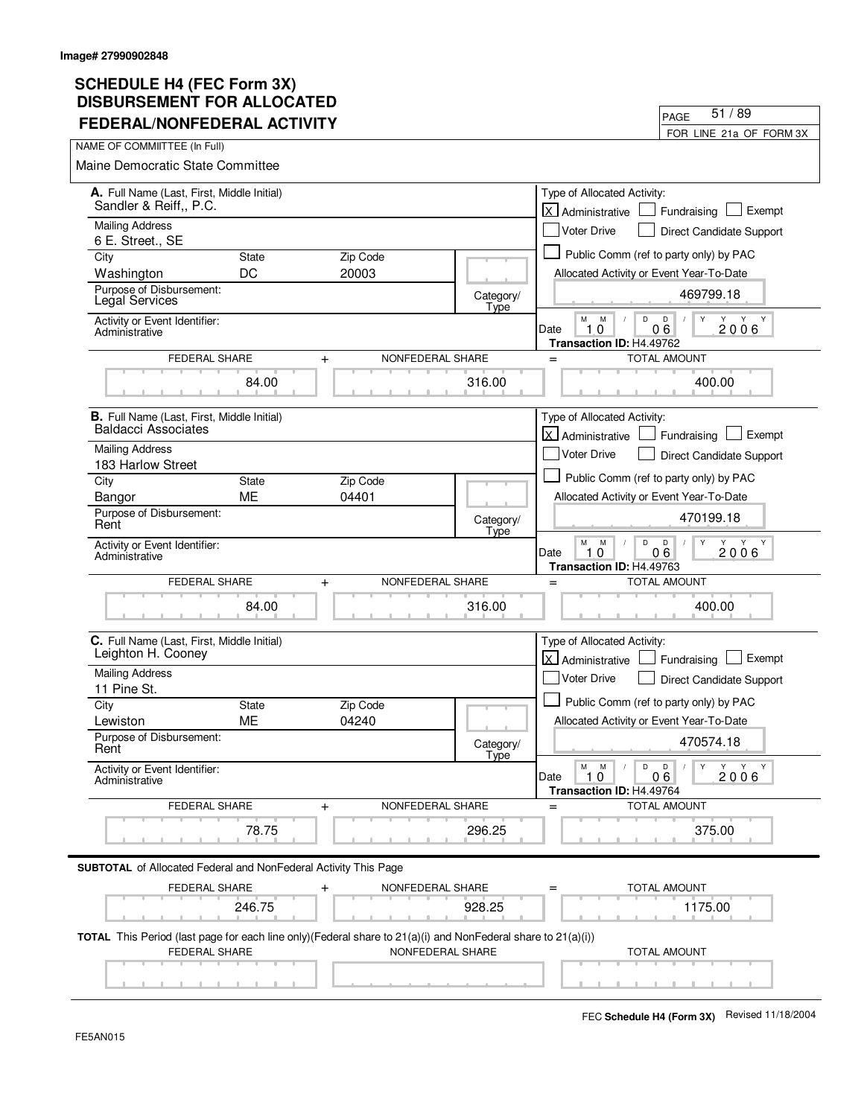| FEDERAL/NONFEDERAL ACTIVITY                                            |                         |                                                                                                                                  |                   | FOR LINE 21a OF FORM 3X                                                                   |
|------------------------------------------------------------------------|-------------------------|----------------------------------------------------------------------------------------------------------------------------------|-------------------|-------------------------------------------------------------------------------------------|
| NAME OF COMMIITTEE (In Full)                                           |                         |                                                                                                                                  |                   |                                                                                           |
| Maine Democratic State Committee                                       |                         |                                                                                                                                  |                   |                                                                                           |
| A. Full Name (Last, First, Middle Initial)<br>Sandler & Reiff,, P.C.   |                         |                                                                                                                                  |                   | Type of Allocated Activity:<br>lx l<br>Exempt<br>Administrative<br>Fundraising            |
| <b>Mailing Address</b><br>6 E. Street., SE                             |                         |                                                                                                                                  |                   | <b>Voter Drive</b><br>Direct Candidate Support                                            |
| City                                                                   | <b>State</b>            | Zip Code                                                                                                                         |                   | Public Comm (ref to party only) by PAC                                                    |
| Washington                                                             | DC                      | 20003                                                                                                                            |                   | Allocated Activity or Event Year-To-Date                                                  |
| Purpose of Disbursement:<br>Legal Services                             |                         |                                                                                                                                  | Category/<br>Type | 469799.18                                                                                 |
| Activity or Event Identifier:<br>Administrative                        |                         |                                                                                                                                  |                   | D<br>М<br>M<br>D<br>Y<br>Y<br>Y Y<br>10<br>06<br>2006<br>Date<br>Transaction ID: H4.49762 |
|                                                                        | FEDERAL SHARE           | NONFEDERAL SHARE<br>$\ddot{}$                                                                                                    |                   | <b>TOTAL AMOUNT</b><br>$=$                                                                |
|                                                                        | 84.00                   |                                                                                                                                  | 316.00            | 400.00                                                                                    |
| B. Full Name (Last, First, Middle Initial)                             |                         |                                                                                                                                  |                   | Type of Allocated Activity:                                                               |
| <b>Baldacci Associates</b>                                             |                         |                                                                                                                                  |                   | X Administrative<br>Exempt<br>Fundraising                                                 |
| <b>Mailing Address</b>                                                 |                         |                                                                                                                                  |                   | <b>Voter Drive</b><br>Direct Candidate Support                                            |
| 183 Harlow Street<br>City                                              | <b>State</b>            | Zip Code                                                                                                                         |                   | Public Comm (ref to party only) by PAC                                                    |
| Bangor                                                                 | <b>ME</b>               | 04401                                                                                                                            |                   | Allocated Activity or Event Year-To-Date                                                  |
| Purpose of Disbursement:<br>Rent                                       |                         |                                                                                                                                  | Category/<br>Type | 470199.18                                                                                 |
| Activity or Event Identifier:<br>Administrative                        |                         |                                                                                                                                  |                   | М<br>M<br>D<br>D<br>Y<br>Y<br>06<br>2006<br>Date<br>10<br>Transaction ID: H4.49763        |
|                                                                        | <b>FEDERAL SHARE</b>    | NONFEDERAL SHARE<br>$\ddot{}$                                                                                                    |                   | <b>TOTAL AMOUNT</b><br>$=$                                                                |
|                                                                        | 84.00                   |                                                                                                                                  | 316.00            | 400.00                                                                                    |
| C. Full Name (Last, First, Middle Initial)<br>Leighton H. Cooney       |                         |                                                                                                                                  |                   | Type of Allocated Activity:<br>lx l<br>Exempt<br>Administrative<br>Fundraising            |
| <b>Mailing Address</b>                                                 |                         |                                                                                                                                  |                   | <b>Voter Drive</b><br>Direct Candidate Support                                            |
| 11 Pine St.<br>City                                                    | <b>State</b>            | Zip Code                                                                                                                         |                   | Public Comm (ref to party only) by PAC                                                    |
| Lewiston                                                               | ME                      | 04240                                                                                                                            |                   | Allocated Activity or Event Year-To-Date                                                  |
| Purpose of Disbursement:<br>Rent                                       |                         |                                                                                                                                  | Category/<br>Type | 470574.18                                                                                 |
| Activity or Event Identifier:<br>Administrative                        |                         |                                                                                                                                  |                   | D<br>M<br>M<br>D<br>Y<br>Y Y Y<br>1.0<br>2006<br>Date<br>06<br>Transaction ID: H4.49764   |
|                                                                        | FEDERAL SHARE           | NONFEDERAL SHARE<br>$\ddot{}$                                                                                                    |                   | <b>TOTAL AMOUNT</b>                                                                       |
|                                                                        | 78.75                   |                                                                                                                                  | 296.25            | 375.00                                                                                    |
| <b>SUBTOTAL</b> of Allocated Federal and NonFederal Activity This Page |                         |                                                                                                                                  |                   |                                                                                           |
|                                                                        | FEDERAL SHARE<br>246.75 | NONFEDERAL SHARE                                                                                                                 | 928.25            | <b>TOTAL AMOUNT</b><br>1175.00                                                            |
|                                                                        |                         |                                                                                                                                  |                   |                                                                                           |
|                                                                        | <b>FEDERAL SHARE</b>    | TOTAL This Period (last page for each line only)(Federal share to 21(a)(i) and NonFederal share to 21(a)(i))<br>NONFEDERAL SHARE |                   | <b>TOTAL AMOUNT</b>                                                                       |
|                                                                        |                         |                                                                                                                                  |                   |                                                                                           |

PAGE

51 / 89

 $\overline{\phantom{0}}$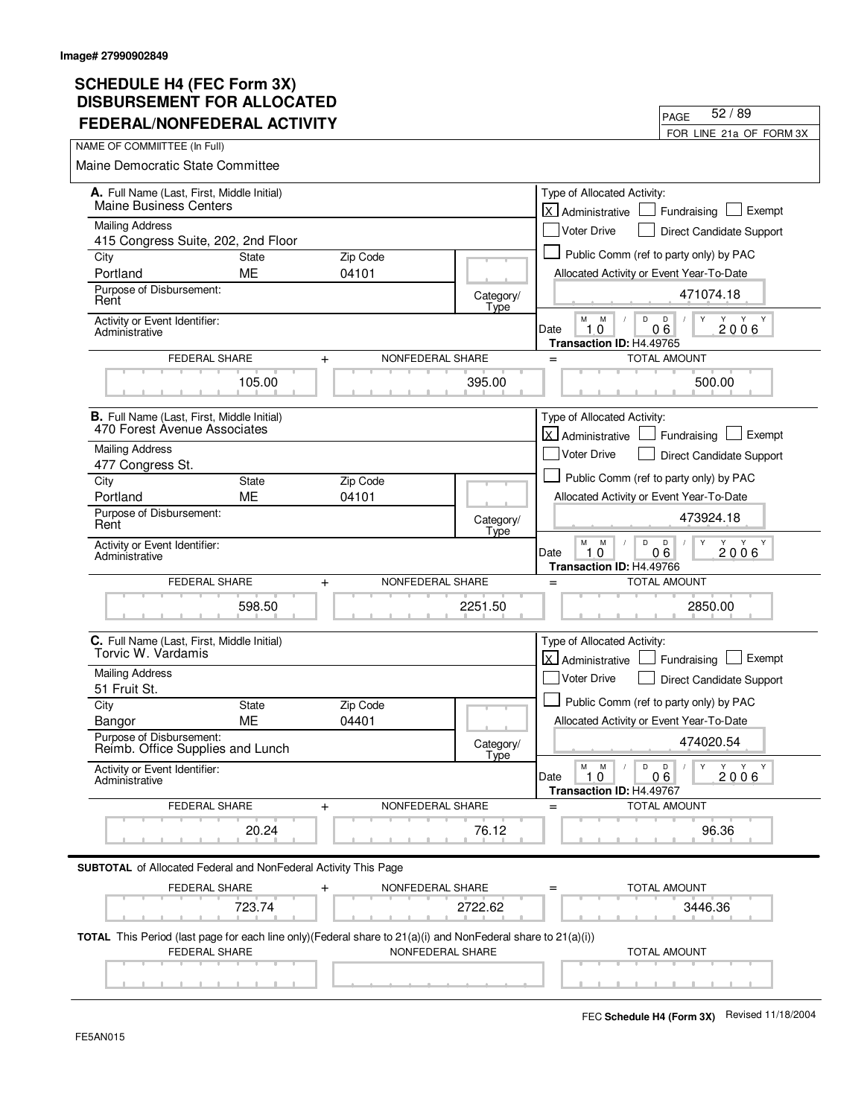| FEDERAL/NONFEDERAL ACTIVITY                                                                                                                     |                    |                               |                   | FOR LINE 21a OF FORM 3X                                                                                                |
|-------------------------------------------------------------------------------------------------------------------------------------------------|--------------------|-------------------------------|-------------------|------------------------------------------------------------------------------------------------------------------------|
| NAME OF COMMIITTEE (In Full)                                                                                                                    |                    |                               |                   |                                                                                                                        |
| <b>Maine Democratic State Committee</b>                                                                                                         |                    |                               |                   |                                                                                                                        |
| A. Full Name (Last, First, Middle Initial)<br><b>Maine Business Centers</b>                                                                     |                    |                               |                   | Type of Allocated Activity:<br>lx l<br>Exempt<br>Fundraising<br>Administrative                                         |
| <b>Mailing Address</b>                                                                                                                          |                    |                               |                   | <b>Voter Drive</b><br>Direct Candidate Support                                                                         |
| 415 Congress Suite, 202, 2nd Floor                                                                                                              |                    |                               |                   |                                                                                                                        |
| City                                                                                                                                            | <b>State</b>       | Zip Code                      |                   | Public Comm (ref to party only) by PAC                                                                                 |
| Portland                                                                                                                                        | ME                 | 04101                         |                   | Allocated Activity or Event Year-To-Date                                                                               |
| Purpose of Disbursement:<br>Rent                                                                                                                |                    |                               | Category/<br>Type | 471074.18                                                                                                              |
| Activity or Event Identifier:<br>Administrative                                                                                                 |                    |                               |                   | М<br>D<br>D<br>Y<br>M<br>Y Y<br>06<br>2006<br>10<br>Date<br>Transaction ID: H4.49765                                   |
| <b>FEDERAL SHARE</b>                                                                                                                            |                    | NONFEDERAL SHARE<br>$+$       |                   | <b>TOTAL AMOUNT</b><br>$=$                                                                                             |
|                                                                                                                                                 | 105.00             |                               | 395.00            | 500.00                                                                                                                 |
| <b>B.</b> Full Name (Last, First, Middle Initial)                                                                                               |                    |                               |                   | Type of Allocated Activity:                                                                                            |
| 470 Forest Avenue Associates                                                                                                                    |                    |                               |                   | <b>X</b> Administrative<br>Exempt<br>Fundraising                                                                       |
| <b>Mailing Address</b>                                                                                                                          |                    |                               |                   | <b>Voter Drive</b><br><b>Direct Candidate Support</b>                                                                  |
| 477 Congress St.<br>City                                                                                                                        | <b>State</b>       | Zip Code                      |                   | Public Comm (ref to party only) by PAC                                                                                 |
| Portland                                                                                                                                        | <b>ME</b>          | 04101                         |                   | Allocated Activity or Event Year-To-Date                                                                               |
| Purpose of Disbursement:                                                                                                                        |                    |                               |                   | 473924.18                                                                                                              |
| Rent                                                                                                                                            |                    |                               | Category/<br>Type |                                                                                                                        |
| Activity or Event Identifier:<br>Administrative                                                                                                 |                    |                               |                   | M<br>M<br>D<br>D<br>Y<br>Y<br>Y Y<br>06<br>2006<br>Date<br>10<br>Transaction ID: H4.49766                              |
| FEDERAL SHARE                                                                                                                                   |                    | NONFEDERAL SHARE<br>$\ddot{}$ |                   | <b>TOTAL AMOUNT</b><br>$=$                                                                                             |
|                                                                                                                                                 | 598.50             |                               | 2251.50           | 2850.00                                                                                                                |
| C. Full Name (Last, First, Middle Initial)<br>Torvic W. Vardamis                                                                                |                    |                               |                   | Type of Allocated Activity:<br>$\mathsf{x}$<br>Exempt<br>Administrative<br>Fundraising                                 |
| <b>Mailing Address</b>                                                                                                                          |                    |                               |                   | Voter Drive<br>Direct Candidate Support                                                                                |
| 51 Fruit St.                                                                                                                                    |                    |                               |                   | Public Comm (ref to party only) by PAC                                                                                 |
| City                                                                                                                                            | State<br><b>ME</b> | Zip Code<br>04401             |                   | Allocated Activity or Event Year-To-Date                                                                               |
| Bangor<br>Purpose of Disbursement:                                                                                                              |                    |                               | Category/         | 474020.54                                                                                                              |
| Reimb. Office Supplies and Lunch                                                                                                                |                    |                               | Tyne              |                                                                                                                        |
| Activity or Event Identifier:<br>Administrative                                                                                                 |                    |                               |                   | D<br>$\mathsf{Y}$<br>$Y$ $Y$ $Y$<br>M<br>M<br>D<br>$\sqrt{2}$<br>Date<br>1.0<br>06<br>2006<br>Transaction ID: H4.49767 |
| FEDERAL SHARE                                                                                                                                   |                    | NONFEDERAL SHARE<br>$\ddot{}$ |                   | <b>TOTAL AMOUNT</b><br>$=$                                                                                             |
|                                                                                                                                                 | 20.24              |                               | 76.12             | 96.36                                                                                                                  |
| <b>SUBTOTAL</b> of Allocated Federal and NonFederal Activity This Page                                                                          |                    |                               |                   |                                                                                                                        |
| FEDERAL SHARE                                                                                                                                   |                    | NONFEDERAL SHARE              |                   | TOTAL AMOUNT                                                                                                           |
|                                                                                                                                                 | 723.74             |                               | 2722.62           | 3446.36                                                                                                                |
| <b>TOTAL</b> This Period (last page for each line only)(Federal share to $21(a)(i)$ and NonFederal share to $21(a)(i))$<br><b>FEDERAL SHARE</b> |                    | NONFEDERAL SHARE              |                   | <b>TOTAL AMOUNT</b>                                                                                                    |
|                                                                                                                                                 |                    |                               |                   |                                                                                                                        |

PAGE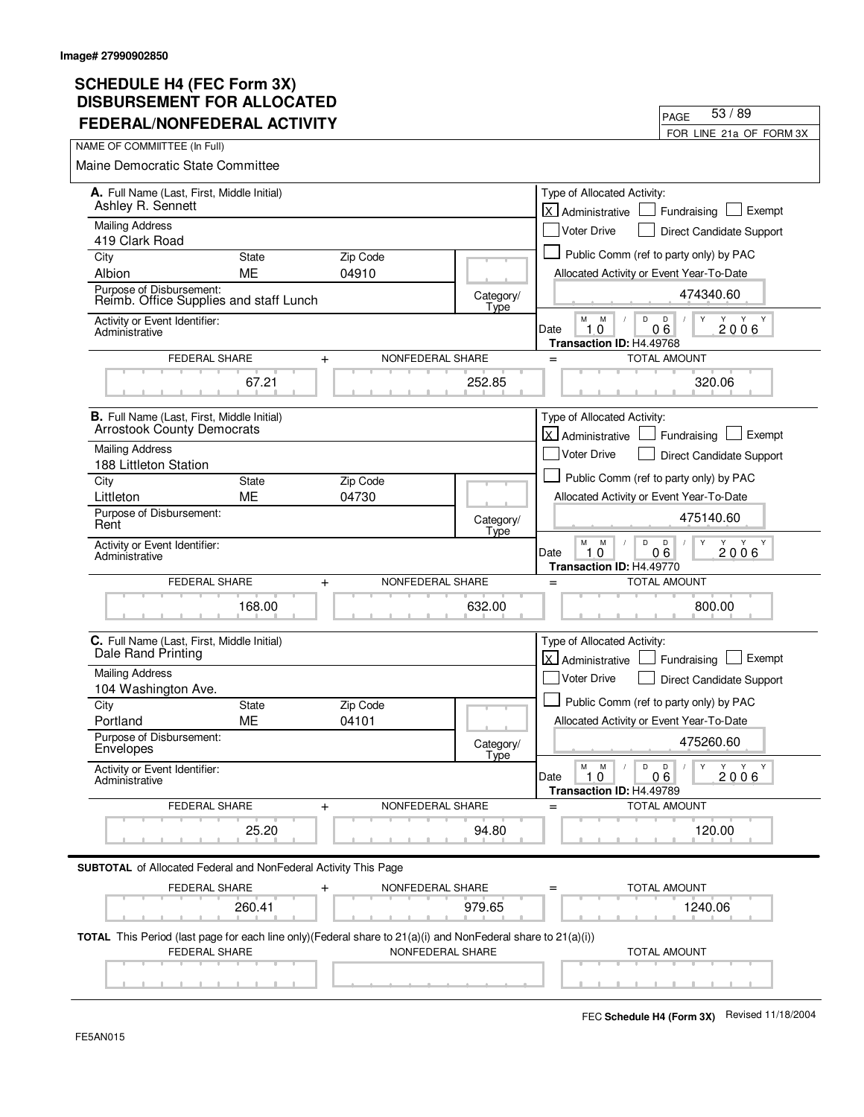| FEDERAL/NONFEDERAL ACTIVITY                                                                                                                     |                               |                   | FOR LINE 21a OF FORM 3X                                                                                                    |
|-------------------------------------------------------------------------------------------------------------------------------------------------|-------------------------------|-------------------|----------------------------------------------------------------------------------------------------------------------------|
| NAME OF COMMIITTEE (In Full)                                                                                                                    |                               |                   |                                                                                                                            |
| <b>Maine Democratic State Committee</b>                                                                                                         |                               |                   |                                                                                                                            |
| A. Full Name (Last, First, Middle Initial)<br>Ashley R. Sennett                                                                                 |                               |                   | Type of Allocated Activity:<br>lx l<br>Exempt<br>Fundraising<br>Administrative                                             |
| <b>Mailing Address</b>                                                                                                                          |                               |                   | <b>Voter Drive</b><br>Direct Candidate Support                                                                             |
| 419 Clark Road<br><b>State</b>                                                                                                                  |                               |                   | Public Comm (ref to party only) by PAC                                                                                     |
| City<br>Albion<br>ME                                                                                                                            | Zip Code<br>04910             |                   | Allocated Activity or Event Year-To-Date                                                                                   |
| Purpose of Disbursement:<br>Reimb. Office Supplies and staff Lunch                                                                              |                               | Category/         | 474340.60                                                                                                                  |
| Activity or Event Identifier:<br>Administrative                                                                                                 |                               | Type              | M<br>M<br>D<br>D<br>Y<br>06<br>10<br>2006<br>Date                                                                          |
| FEDERAL SHARE                                                                                                                                   | NONFEDERAL SHARE<br>$\ddot{}$ |                   | Transaction ID: H4.49768<br><b>TOTAL AMOUNT</b><br>$=$                                                                     |
| 67.21                                                                                                                                           |                               | 252.85            | 320.06                                                                                                                     |
| <b>B.</b> Full Name (Last, First, Middle Initial)<br><b>Arrostook County Democrats</b>                                                          |                               |                   | Type of Allocated Activity:<br>X Administrative<br>Exempt<br>Fundraising                                                   |
| <b>Mailing Address</b><br>188 Littleton Station                                                                                                 |                               |                   | <b>Voter Drive</b><br>Direct Candidate Support                                                                             |
| City<br><b>State</b>                                                                                                                            | Zip Code                      |                   | Public Comm (ref to party only) by PAC                                                                                     |
| <b>ME</b><br>Littleton                                                                                                                          | 04730                         |                   | Allocated Activity or Event Year-To-Date                                                                                   |
| Purpose of Disbursement:<br>Rent                                                                                                                |                               | Category/<br>Type | 475140.60                                                                                                                  |
| Activity or Event Identifier:<br>Administrative                                                                                                 |                               |                   | М<br>M<br>D<br>D<br>Y<br>Y<br>Y<br>Y<br>06<br>2006<br>Date<br>10<br>Transaction ID: H4.49770                               |
| FEDERAL SHARE                                                                                                                                   | NONFEDERAL SHARE<br>$\ddot{}$ |                   | <b>TOTAL AMOUNT</b><br>$=$                                                                                                 |
| 168.00                                                                                                                                          |                               | 632.00            | 800.00                                                                                                                     |
| C. Full Name (Last, First, Middle Initial)<br>Dale Rand Printing                                                                                |                               |                   | Type of Allocated Activity:<br>lx l<br>Exempt<br>Administrative<br>Fundraising                                             |
| <b>Mailing Address</b>                                                                                                                          |                               |                   | Voter Drive<br>Direct Candidate Support                                                                                    |
| 104 Washington Ave.                                                                                                                             |                               |                   |                                                                                                                            |
| City<br><b>State</b>                                                                                                                            | Zip Code                      |                   | Public Comm (ref to party only) by PAC                                                                                     |
| ME<br>Portland                                                                                                                                  | 04101                         |                   | Allocated Activity or Event Year-To-Date                                                                                   |
| Purpose of Disbursement:<br>Envelopes                                                                                                           |                               | Category/<br>Tyne | 475260.60                                                                                                                  |
| Activity or Event Identifier:<br>Administrative                                                                                                 |                               |                   | $\mathsf D$<br>М<br>M<br>D<br>$\mathsf{Y}$<br>Y Y Y<br>$\sqrt{2}$<br>1.0<br>Date<br>06<br>2006<br>Transaction ID: H4.49789 |
| FEDERAL SHARE                                                                                                                                   | NONFEDERAL SHARE<br>$\ddot{}$ |                   | <b>TOTAL AMOUNT</b><br>$=$                                                                                                 |
| 25.20                                                                                                                                           |                               | 94.80             | 120.00                                                                                                                     |
| <b>SUBTOTAL</b> of Allocated Federal and NonFederal Activity This Page                                                                          |                               |                   |                                                                                                                            |
| FEDERAL SHARE                                                                                                                                   | NONFEDERAL SHARE              |                   | TOTAL AMOUNT                                                                                                               |
| 260.41                                                                                                                                          |                               | 979.65            | 1240.06                                                                                                                    |
| <b>TOTAL</b> This Period (last page for each line only)(Federal share to $21(a)(i)$ and NonFederal share to $21(a)(i))$<br><b>FEDERAL SHARE</b> | NONFEDERAL SHARE              |                   | <b>TOTAL AMOUNT</b>                                                                                                        |
|                                                                                                                                                 |                               |                   |                                                                                                                            |

PAGE

53 / 89

 $\overline{\phantom{0}}$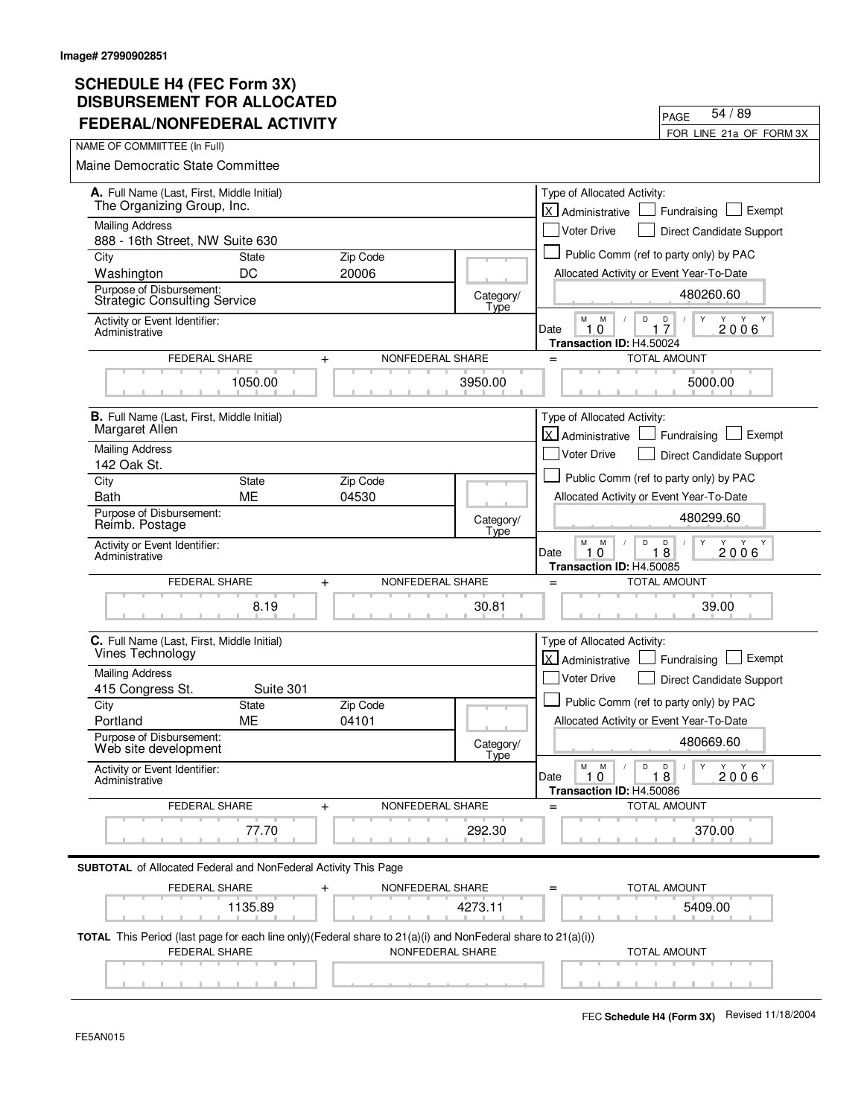| FEDERAL/NONFEDERAL ACTIVITY                                                                                                          |              |                  |                   |                                                                              | FOR LINE 21a OF FORM 3X                                 |
|--------------------------------------------------------------------------------------------------------------------------------------|--------------|------------------|-------------------|------------------------------------------------------------------------------|---------------------------------------------------------|
| NAME OF COMMIITTEE (In Full)                                                                                                         |              |                  |                   |                                                                              |                                                         |
| Maine Democratic State Committee                                                                                                     |              |                  |                   |                                                                              |                                                         |
| A. Full Name (Last, First, Middle Initial)<br>The Organizing Group, Inc.                                                             |              |                  |                   | Type of Allocated Activity:<br>lx.<br>Administrative                         | Exempt<br>Fundraising                                   |
| <b>Mailing Address</b>                                                                                                               |              |                  |                   | <b>Voter Drive</b>                                                           | Direct Candidate Support                                |
| 888 - 16th Street, NW Suite 630<br>City                                                                                              | <b>State</b> | Zip Code         |                   | Public Comm (ref to party only) by PAC                                       |                                                         |
| Washington                                                                                                                           | DC           | 20006            |                   | Allocated Activity or Event Year-To-Date                                     |                                                         |
| Purpose of Disbursement:<br><b>Strategic Consulting Service</b>                                                                      |              |                  | Category/<br>Type |                                                                              | 480260.60                                               |
| Activity or Event Identifier:<br>Administrative                                                                                      |              |                  |                   | М<br>M<br>D<br>10<br>Date<br>1<br>Transaction ID: H4.50024                   | $\frac{D}{7}$<br>Y<br>Υ<br>Y<br>2006                    |
| <b>FEDERAL SHARE</b>                                                                                                                 | $+$          | NONFEDERAL SHARE |                   | $=$                                                                          | <b>TOTAL AMOUNT</b>                                     |
|                                                                                                                                      | 1050.00      |                  | 3950.00           |                                                                              | 5000.00                                                 |
| <b>B.</b> Full Name (Last, First, Middle Initial)<br>Margaret Allen                                                                  |              |                  |                   | Type of Allocated Activity:                                                  |                                                         |
| <b>Mailing Address</b>                                                                                                               |              |                  |                   | Administrative                                                               | Exempt<br>Fundraising                                   |
| 142 Oak St.                                                                                                                          |              |                  |                   | <b>Voter Drive</b>                                                           | Direct Candidate Support                                |
| City                                                                                                                                 | <b>State</b> | Zip Code         |                   | Public Comm (ref to party only) by PAC                                       |                                                         |
| <b>Bath</b>                                                                                                                          | <b>ME</b>    | 04530            |                   | Allocated Activity or Event Year-To-Date                                     |                                                         |
| Purpose of Disbursement:<br>Reimb. Postage                                                                                           |              |                  | Category/<br>Type |                                                                              | 480299.60                                               |
| Activity or Event Identifier:<br>Administrative                                                                                      |              |                  |                   | M<br>D<br>M<br>10<br>Date<br>1<br>Transaction ID: H4.50085                   | Y<br>D<br>Y<br>Y Y<br>$\sqrt{2}$<br>8<br>2006           |
| FEDERAL SHARE                                                                                                                        | $\ddot{}$    | NONFEDERAL SHARE |                   | $=$                                                                          | <b>TOTAL AMOUNT</b>                                     |
|                                                                                                                                      | 8.19         |                  | 30.81             |                                                                              | 39.00                                                   |
| C. Full Name (Last, First, Middle Initial)<br>Vines Technology                                                                       |              |                  |                   | Type of Allocated Activity:<br>$\vert x \vert$<br>Administrative             | Exempt<br>Fundraising                                   |
| <b>Mailing Address</b>                                                                                                               |              |                  |                   | <b>Voter Drive</b>                                                           | Direct Candidate Support                                |
| 415 Congress St.                                                                                                                     | Suite 301    |                  |                   |                                                                              |                                                         |
| City                                                                                                                                 | <b>State</b> | Zip Code         |                   | Public Comm (ref to party only) by PAC                                       |                                                         |
| Portland<br>Purpose of Disbursement:                                                                                                 | МE           | 04101            |                   | Allocated Activity or Event Year-To-Date                                     |                                                         |
| Web site development                                                                                                                 |              |                  | Category/<br>Type |                                                                              | 480669.60                                               |
| Activity or Event Identifier:<br>Administrative                                                                                      |              |                  |                   | M<br>$\mathsf D$<br>M<br>$\prime$<br>Date<br>1,0<br>Transaction ID: H4.50086 | $\parallel$ Y<br>Y Y Y<br>D<br>$\sqrt{2}$<br>18<br>2006 |
| FEDERAL SHARE                                                                                                                        | +            | NONFEDERAL SHARE |                   |                                                                              | <b>TOTAL AMOUNT</b>                                     |
|                                                                                                                                      | 77.70        |                  | 292.30            |                                                                              | 370.00                                                  |
| <b>SUBTOTAL</b> of Allocated Federal and NonFederal Activity This Page                                                               |              |                  |                   |                                                                              |                                                         |
| FEDERAL SHARE                                                                                                                        |              | NONFEDERAL SHARE |                   |                                                                              | TOTAL AMOUNT                                            |
|                                                                                                                                      | 1135.89      |                  | 4273.11           |                                                                              | 5409.00                                                 |
| TOTAL This Period (last page for each line only)(Federal share to 21(a)(i) and NonFederal share to 21(a)(i))<br><b>FEDERAL SHARE</b> |              | NONFEDERAL SHARE |                   |                                                                              | <b>TOTAL AMOUNT</b>                                     |
|                                                                                                                                      |              |                  |                   |                                                                              |                                                         |

PAGE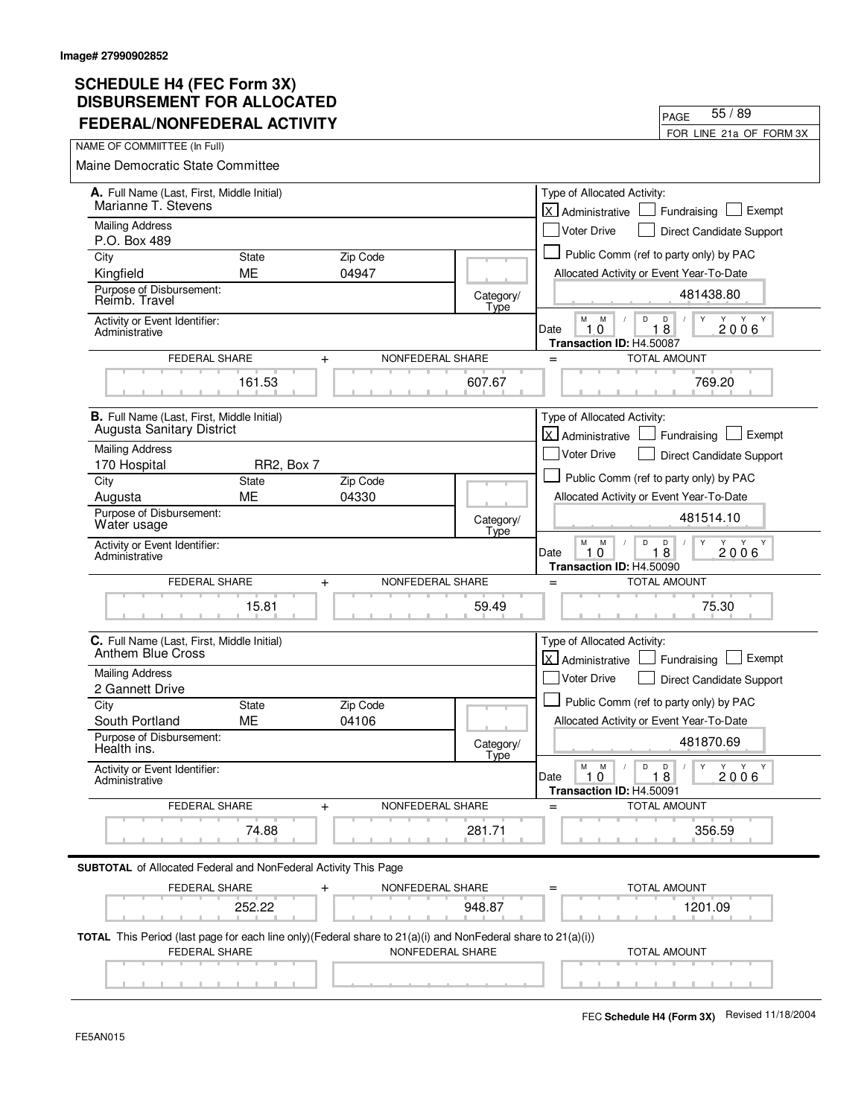| FEDERAL/NONFEDERAL ACTIVITY                                                           |              |                                                                                                                                             |                   | FOR LINE 21a OF FORM 3X                                                                               |
|---------------------------------------------------------------------------------------|--------------|---------------------------------------------------------------------------------------------------------------------------------------------|-------------------|-------------------------------------------------------------------------------------------------------|
| NAME OF COMMIITTEE (In Full)                                                          |              |                                                                                                                                             |                   |                                                                                                       |
| Maine Democratic State Committee                                                      |              |                                                                                                                                             |                   |                                                                                                       |
| A. Full Name (Last, First, Middle Initial)<br>Marianne T. Stevens                     |              |                                                                                                                                             |                   | Type of Allocated Activity:<br>lx l<br>Exempt<br>Fundraising<br>Administrative                        |
| <b>Mailing Address</b><br>P.O. Box 489                                                |              |                                                                                                                                             |                   | <b>Voter Drive</b><br>Direct Candidate Support                                                        |
| City                                                                                  | <b>State</b> | Zip Code                                                                                                                                    |                   | Public Comm (ref to party only) by PAC                                                                |
| Kingfield                                                                             | ME           | 04947                                                                                                                                       |                   | Allocated Activity or Event Year-To-Date                                                              |
| Purpose of Disbursement:<br>Reimb. Travel                                             |              |                                                                                                                                             | Category/<br>Type | 481438.80                                                                                             |
| Activity or Event Identifier:<br>Administrative                                       |              |                                                                                                                                             |                   | M<br>D<br>D<br>M<br>Y<br>Y<br>8<br>2006<br>10<br>Date<br>1.<br>Transaction ID: H4.50087               |
| FEDERAL SHARE                                                                         |              | $+$<br>NONFEDERAL SHARE                                                                                                                     |                   | <b>TOTAL AMOUNT</b><br>$=$                                                                            |
|                                                                                       | 161.53       |                                                                                                                                             | 607.67            | 769.20                                                                                                |
| <b>B.</b> Full Name (Last, First, Middle Initial)<br><b>Augusta Sanitary District</b> |              |                                                                                                                                             |                   | Type of Allocated Activity:                                                                           |
| <b>Mailing Address</b>                                                                |              |                                                                                                                                             |                   | <b>X</b> Administrative<br>Exempt<br>Fundraising                                                      |
| 170 Hospital                                                                          | RR2, Box 7   |                                                                                                                                             |                   | <b>Voter Drive</b><br>Direct Candidate Support                                                        |
| City                                                                                  | State        | Zip Code                                                                                                                                    |                   | Public Comm (ref to party only) by PAC                                                                |
| Augusta                                                                               | <b>ME</b>    | 04330                                                                                                                                       |                   | Allocated Activity or Event Year-To-Date                                                              |
| Purpose of Disbursement:<br>Water usage                                               |              |                                                                                                                                             | Category/<br>Type | 481514.10                                                                                             |
| Activity or Event Identifier:<br>Administrative                                       |              |                                                                                                                                             |                   | М<br>M<br>Y<br>Y<br>D<br>D<br>Y Y<br>18<br>2006<br>Date<br>1<br>0<br>Transaction ID: H4.50090         |
| <b>FEDERAL SHARE</b>                                                                  |              | NONFEDERAL SHARE<br>$\ddot{}$                                                                                                               |                   | <b>TOTAL AMOUNT</b><br>$=$                                                                            |
|                                                                                       | 15.81        |                                                                                                                                             | 59.49             | 75.30                                                                                                 |
| C. Full Name (Last, First, Middle Initial)<br>Anthem Blue Cross                       |              |                                                                                                                                             |                   | Type of Allocated Activity:<br>lx l<br>Exempt<br>Administrative<br>Fundraising                        |
| <b>Mailing Address</b>                                                                |              |                                                                                                                                             |                   | Voter Drive<br><b>Direct Candidate Support</b>                                                        |
| 2 Gannett Drive                                                                       |              |                                                                                                                                             |                   |                                                                                                       |
| City                                                                                  | <b>State</b> | Zip Code                                                                                                                                    |                   | Public Comm (ref to party only) by PAC                                                                |
| South Portland                                                                        | ME           | 04106                                                                                                                                       |                   | Allocated Activity or Event Year-To-Date                                                              |
| Purpose of Disbursement:<br>Health ins.                                               |              |                                                                                                                                             | Category/<br>Tyne | 481870.69                                                                                             |
| Activity or Event Identifier:<br>Administrative                                       |              |                                                                                                                                             |                   | Y<br>Y Y Y<br>М<br>M<br>D<br>D<br>$\sqrt{2}$<br>Date<br>1.0<br>18<br>2006<br>Transaction ID: H4.50091 |
| FEDERAL SHARE                                                                         |              | NONFEDERAL SHARE<br>$\ddot{}$                                                                                                               |                   | <b>TOTAL AMOUNT</b><br>$=$                                                                            |
|                                                                                       | 74.88        |                                                                                                                                             | 281.71            | 356.59                                                                                                |
| <b>SUBTOTAL</b> of Allocated Federal and NonFederal Activity This Page                |              |                                                                                                                                             |                   |                                                                                                       |
| FEDERAL SHARE                                                                         |              | NONFEDERAL SHARE<br>$\ddag$                                                                                                                 |                   | TOTAL AMOUNT                                                                                          |
|                                                                                       | 252.22       |                                                                                                                                             | 948.87            | 1201.09                                                                                               |
| FEDERAL SHARE                                                                         |              | <b>TOTAL</b> This Period (last page for each line only)(Federal share to $21(a)(i)$ and NonFederal share to $21(a)(i))$<br>NONFEDERAL SHARE |                   | <b>TOTAL AMOUNT</b>                                                                                   |
|                                                                                       |              |                                                                                                                                             |                   |                                                                                                       |

PAGE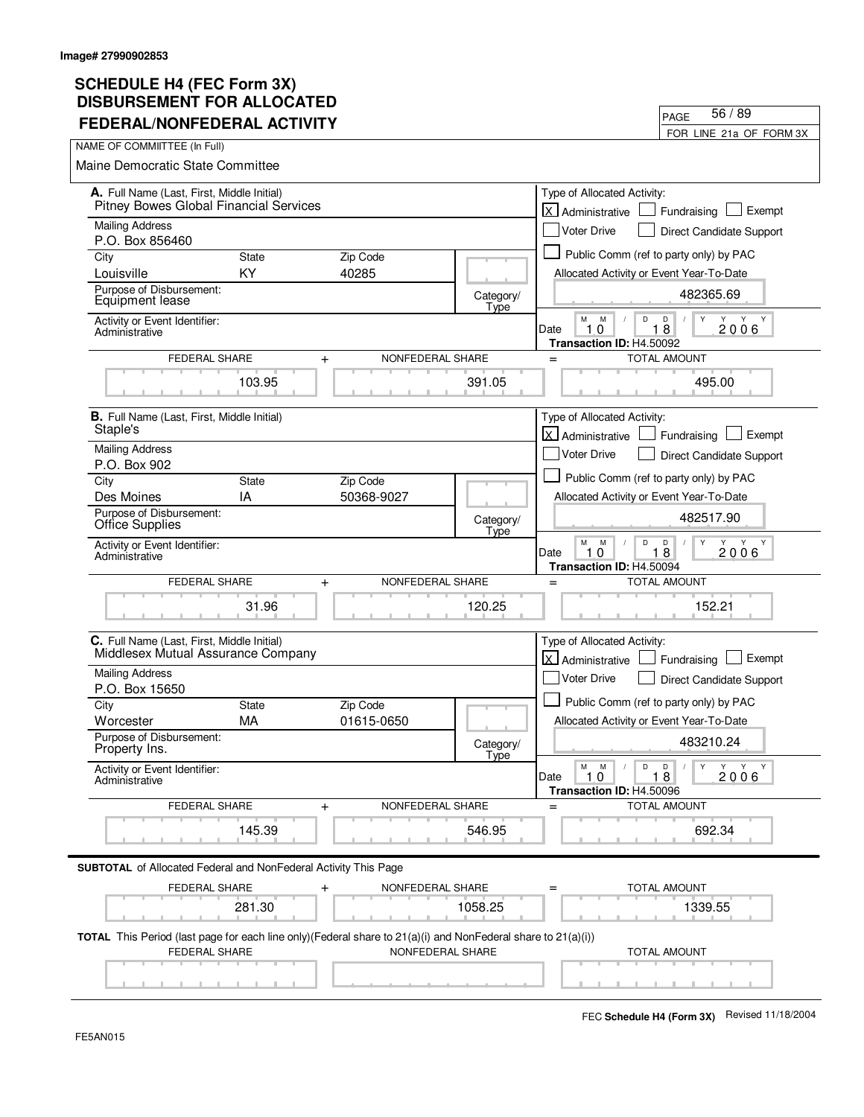| 999119611611 I VII ACCV<br><b>FEDERAL/NONFEDERAL ACTIVITY</b>                                                                              |              |                               |                          | 56/89<br>PAGE                                                                                              |
|--------------------------------------------------------------------------------------------------------------------------------------------|--------------|-------------------------------|--------------------------|------------------------------------------------------------------------------------------------------------|
| NAME OF COMMIITTEE (In Full)                                                                                                               |              |                               |                          | FOR LINE 21a OF FORM 3X                                                                                    |
| Maine Democratic State Committee                                                                                                           |              |                               |                          |                                                                                                            |
|                                                                                                                                            |              |                               |                          |                                                                                                            |
| A. Full Name (Last, First, Middle Initial)<br>Pitney Bowes Global Financial Services                                                       |              |                               |                          | Type of Allocated Activity:<br><b>X</b> Administrative<br>Exempt<br>Fundraising                            |
| <b>Mailing Address</b><br>P.O. Box 856460                                                                                                  |              |                               |                          | <b>Voter Drive</b><br>Direct Candidate Support                                                             |
| City                                                                                                                                       | <b>State</b> | Zip Code                      |                          | Public Comm (ref to party only) by PAC                                                                     |
| Louisville                                                                                                                                 | KY           | 40285                         |                          | Allocated Activity or Event Year-To-Date                                                                   |
| Purpose of Disbursement:<br>Equipment lease                                                                                                |              |                               | Category/<br>Type        | 482365.69                                                                                                  |
| Activity or Event Identifier:<br>Administrative                                                                                            |              |                               |                          | M<br>Y<br>M<br>D<br>D<br>Y Y Y<br>2006<br>10<br>18<br>Date<br>Transaction ID: H4.50092                     |
| FEDERAL SHARE                                                                                                                              |              | NONFEDERAL SHARE<br>$\ddot{}$ |                          | <b>TOTAL AMOUNT</b><br>$=$                                                                                 |
|                                                                                                                                            | 103.95       |                               | 391.05                   | 495.00                                                                                                     |
| <b>B.</b> Full Name (Last, First, Middle Initial)<br>Staple's                                                                              |              |                               |                          | Type of Allocated Activity:<br>X Administrative<br>Fundraising<br>Exempt                                   |
| <b>Mailing Address</b>                                                                                                                     |              |                               |                          | <b>Voter Drive</b><br>Direct Candidate Support                                                             |
| P.O. Box 902                                                                                                                               |              |                               |                          |                                                                                                            |
| City                                                                                                                                       | State        | Zip Code                      |                          | Public Comm (ref to party only) by PAC                                                                     |
| Des Moines                                                                                                                                 | IA           | 50368-9027                    |                          | Allocated Activity or Event Year-To-Date                                                                   |
| Purpose of Disbursement:<br>Office Supplies                                                                                                |              |                               | Category/<br>Type        | 482517.90                                                                                                  |
| Activity or Event Identifier:<br>Administrative                                                                                            |              |                               |                          | M<br>M<br>D<br>Y<br>Y<br>D<br>$\sqrt{ }$<br>Y<br>Y<br>2006<br>10<br>18<br>Date<br>Transaction ID: H4.50094 |
| FEDERAL SHARE                                                                                                                              |              | NONFEDERAL SHARE<br>$+$       |                          | <b>TOTAL AMOUNT</b><br>$=$                                                                                 |
|                                                                                                                                            | 31.96        |                               | 120.25                   | 152.21                                                                                                     |
| C. Full Name (Last, First, Middle Initial)<br>Middlesex Mutual Assurance Company                                                           |              |                               |                          | Type of Allocated Activity:<br>X Administrative<br>Exempt<br>Fundraising                                   |
| <b>Mailing Address</b><br>P.O. Box 15650                                                                                                   |              |                               |                          | <b>Voter Drive</b><br><b>Direct Candidate Support</b>                                                      |
| City                                                                                                                                       | <b>State</b> | Zip Code                      |                          | Public Comm (ref to party only) by PAC                                                                     |
| Worcester                                                                                                                                  | MA           | 01615-0650                    |                          | Allocated Activity or Event Year-To-Date                                                                   |
| Purpose of Disbursement:<br>Property Ins.                                                                                                  |              |                               | Category/<br><b>Type</b> | 483210.24                                                                                                  |
| Activity or Event Identifier:<br>Administrative                                                                                            |              |                               |                          | Y<br>М<br>M<br>D<br>D<br>Y Y Y<br>2006<br>Date<br>1.0<br>18<br>Transaction ID: H4.50096                    |
| FEDERAL SHARE                                                                                                                              |              | NONFEDERAL SHARE<br>$+$       |                          | <b>TOTAL AMOUNT</b><br>$=$                                                                                 |
|                                                                                                                                            | 145.39       |                               | 546.95                   | 692.34                                                                                                     |
| <b>SUBTOTAL</b> of Allocated Federal and NonFederal Activity This Page                                                                     |              |                               |                          |                                                                                                            |
| FEDERAL SHARE                                                                                                                              |              | NONFEDERAL SHARE<br>$\ddot{}$ |                          | <b>TOTAL AMOUNT</b>                                                                                        |
|                                                                                                                                            | 281.30       |                               | 1058.25                  | 1339.55                                                                                                    |
| <b>TOTAL</b> This Period (last page for each line only) (Federal share to $21(a)(i)$ and NonFederal share to $21(a)(i)$ )<br>FEDERAL SHARE |              | NONFEDERAL SHARE              |                          | TOTAL AMOUNT                                                                                               |
|                                                                                                                                            |              |                               |                          |                                                                                                            |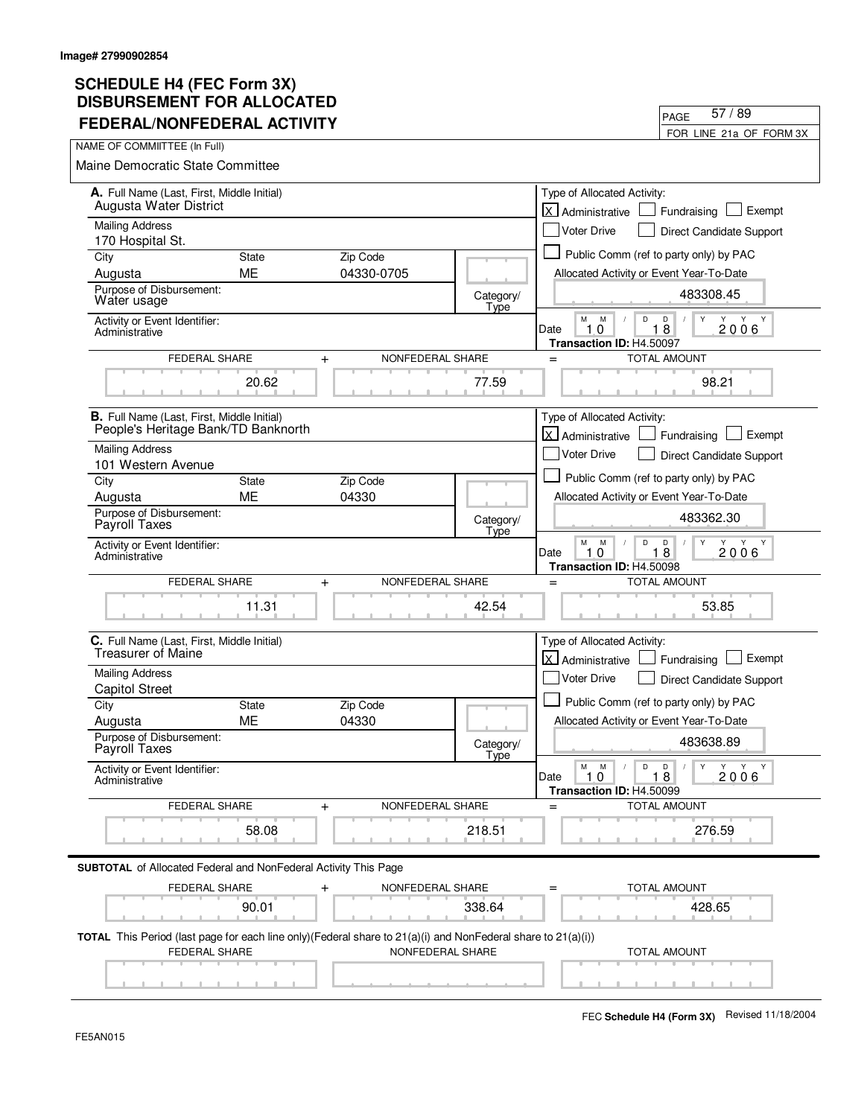| FEDERAL/NONFEDERAL ACTIVITY                                                                                                          |                    |                               |                   | FOR LINE 21a OF FORM 3X                                                                                                               |
|--------------------------------------------------------------------------------------------------------------------------------------|--------------------|-------------------------------|-------------------|---------------------------------------------------------------------------------------------------------------------------------------|
| NAME OF COMMIITTEE (In Full)                                                                                                         |                    |                               |                   |                                                                                                                                       |
| <b>Maine Democratic State Committee</b>                                                                                              |                    |                               |                   |                                                                                                                                       |
| A. Full Name (Last, First, Middle Initial)<br>Augusta Water District                                                                 |                    |                               |                   | Type of Allocated Activity:<br>lx.<br>Exempt<br>Fundraising<br>Administrative                                                         |
| <b>Mailing Address</b>                                                                                                               |                    |                               |                   | <b>Voter Drive</b><br>Direct Candidate Support                                                                                        |
| 170 Hospital St.                                                                                                                     |                    |                               |                   |                                                                                                                                       |
| City                                                                                                                                 | <b>State</b>       | Zip Code                      |                   | Public Comm (ref to party only) by PAC                                                                                                |
| Augusta<br>Purpose of Disbursement:                                                                                                  | ME                 | 04330-0705                    |                   | Allocated Activity or Event Year-To-Date                                                                                              |
| Water usage                                                                                                                          |                    |                               | Category/<br>Type | 483308.45                                                                                                                             |
| Activity or Event Identifier:<br>Administrative                                                                                      |                    |                               |                   | M<br>M<br>D<br>$\mathsf D$<br>Y Y<br>$1\bar{8}$<br>1.0<br>2006<br>Date<br>Transaction ID: H4.50097                                    |
| FEDERAL SHARE                                                                                                                        |                    | NONFEDERAL SHARE<br>$+$       |                   | <b>TOTAL AMOUNT</b><br>$=$                                                                                                            |
|                                                                                                                                      | 20.62              |                               | 77.59             | 98.21                                                                                                                                 |
| <b>B.</b> Full Name (Last, First, Middle Initial)                                                                                    |                    |                               |                   | Type of Allocated Activity:                                                                                                           |
| People's Heritage Bank/TD Banknorth                                                                                                  |                    |                               |                   | X Administrative<br>Exempt<br>Fundraising                                                                                             |
| <b>Mailing Address</b><br>101 Western Avenue                                                                                         |                    |                               |                   | <b>Voter Drive</b><br>Direct Candidate Support                                                                                        |
| City                                                                                                                                 | <b>State</b>       | Zip Code                      |                   | Public Comm (ref to party only) by PAC                                                                                                |
| Augusta                                                                                                                              | <b>ME</b>          | 04330                         |                   | Allocated Activity or Event Year-To-Date                                                                                              |
| Purpose of Disbursement:<br>Payroll Taxes                                                                                            |                    |                               | Category/<br>Type | 483362.30                                                                                                                             |
| Activity or Event Identifier:<br>Administrative                                                                                      |                    |                               |                   | М<br>M<br>D<br>D<br>Y<br>Y<br>Y Y<br>$1\bar{8}$<br>2006<br>Date<br>10<br>Transaction ID: H4.50098                                     |
| FEDERAL SHARE                                                                                                                        |                    | NONFEDERAL SHARE<br>$+$       |                   | <b>TOTAL AMOUNT</b><br>$=$                                                                                                            |
|                                                                                                                                      | 11.31              |                               | 42.54             | 53.85                                                                                                                                 |
| C. Full Name (Last, First, Middle Initial)<br>Treasurer of Maine                                                                     |                    |                               |                   | Type of Allocated Activity:<br>lx l<br>Exempt<br>Administrative<br>Fundraising                                                        |
| <b>Mailing Address</b>                                                                                                               |                    |                               |                   | Voter Drive<br>Direct Candidate Support                                                                                               |
| <b>Capitol Street</b>                                                                                                                |                    |                               |                   | Public Comm (ref to party only) by PAC                                                                                                |
| City<br>Augusta                                                                                                                      | <b>State</b><br>ME | Zip Code<br>04330             |                   | Allocated Activity or Event Year-To-Date                                                                                              |
| Purpose of Disbursement:                                                                                                             |                    |                               |                   |                                                                                                                                       |
| Payroll Taxes                                                                                                                        |                    |                               | Category/<br>Tyne | 483638.89                                                                                                                             |
| Activity or Event Identifier:<br>Administrative                                                                                      |                    |                               |                   | $\mathsf D$<br>М<br>M<br>$\mathsf{D}$<br>$\mathsf{Y}$<br>Y Y Y<br>$\sqrt{2}$<br>1.0<br>Date<br>18<br>2006<br>Transaction ID: H4.50099 |
| FEDERAL SHARE                                                                                                                        |                    | NONFEDERAL SHARE<br>$\ddot{}$ |                   | TOTAL AMOUNT<br>$=$                                                                                                                   |
|                                                                                                                                      | 58.08              |                               | 218.51            | 276.59                                                                                                                                |
| <b>SUBTOTAL</b> of Allocated Federal and NonFederal Activity This Page                                                               |                    |                               |                   |                                                                                                                                       |
| FEDERAL SHARE                                                                                                                        |                    | NONFEDERAL SHARE              |                   | TOTAL AMOUNT                                                                                                                          |
|                                                                                                                                      | 90.01              |                               | 338.64            | 428.65                                                                                                                                |
| TOTAL This Period (last page for each line only)(Federal share to 21(a)(i) and NonFederal share to 21(a)(i))<br><b>FEDERAL SHARE</b> |                    | NONFEDERAL SHARE              |                   | <b>TOTAL AMOUNT</b>                                                                                                                   |
|                                                                                                                                      |                    |                               |                   |                                                                                                                                       |

PAGE

57 / 89

 $\overline{\phantom{0}}$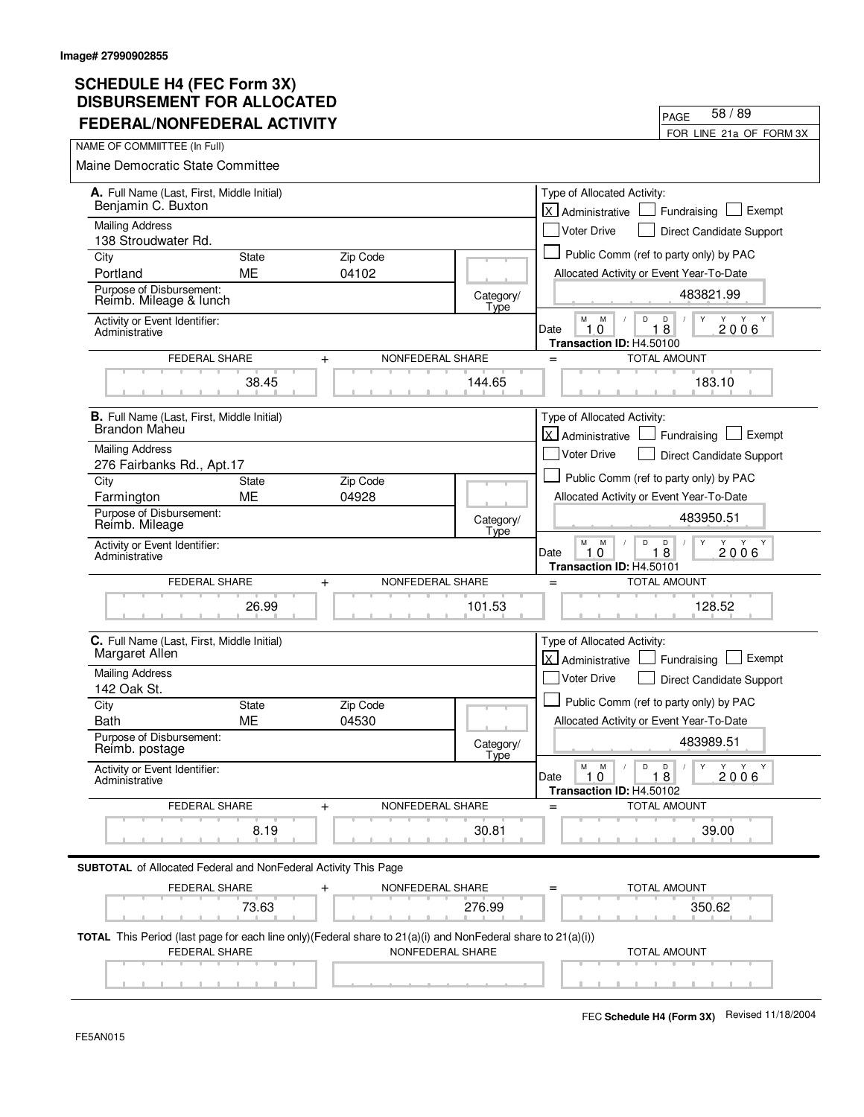| I LULINAL/NONI LULINAL ACTIVITT                                                                                                      |              |                               |                   |                                                                          | FOR LINE 21a OF FORM 3X                |
|--------------------------------------------------------------------------------------------------------------------------------------|--------------|-------------------------------|-------------------|--------------------------------------------------------------------------|----------------------------------------|
| NAME OF COMMITTEE (In Full)                                                                                                          |              |                               |                   |                                                                          |                                        |
| Maine Democratic State Committee                                                                                                     |              |                               |                   |                                                                          |                                        |
| A. Full Name (Last, First, Middle Initial)<br>Benjamin C. Buxton                                                                     |              |                               |                   | Type of Allocated Activity:                                              |                                        |
| <b>Mailing Address</b>                                                                                                               |              |                               |                   | lx l<br>Administrative                                                   | Exempt<br>Fundraising                  |
| 138 Stroudwater Rd.                                                                                                                  |              |                               |                   | <b>Voter Drive</b>                                                       | Direct Candidate Support               |
| City                                                                                                                                 | <b>State</b> | Zip Code                      |                   | Public Comm (ref to party only) by PAC                                   |                                        |
| Portland                                                                                                                             | <b>ME</b>    | 04102                         |                   | Allocated Activity or Event Year-To-Date                                 |                                        |
| Purpose of Disbursement:<br>Reimb. Mileage & lunch                                                                                   |              |                               | Category/<br>Type |                                                                          | 483821.99                              |
| Activity or Event Identifier:<br>Administrative                                                                                      |              |                               |                   | M<br>M<br>D<br>D<br>10<br>18<br>Date<br>Transaction ID: H4.50100         | Y<br>Y<br>Y<br>Y<br>2006               |
| <b>FEDERAL SHARE</b>                                                                                                                 |              | NONFEDERAL SHARE<br>$\ddot{}$ |                   | <b>TOTAL AMOUNT</b><br>$=$                                               |                                        |
|                                                                                                                                      | 38.45        |                               | 144.65            |                                                                          | 183.10                                 |
| <b>B.</b> Full Name (Last, First, Middle Initial)                                                                                    |              |                               |                   | Type of Allocated Activity:                                              |                                        |
| <b>Brandon Maheu</b>                                                                                                                 |              |                               |                   | lx l<br>Administrative                                                   | Exempt<br>Fundraising                  |
| <b>Mailing Address</b>                                                                                                               |              |                               |                   | <b>Voter Drive</b>                                                       | Direct Candidate Support               |
| 276 Fairbanks Rd., Apt.17<br>City                                                                                                    | State        | Zip Code                      |                   | Public Comm (ref to party only) by PAC                                   |                                        |
| Farmington                                                                                                                           | ME           | 04928                         |                   | Allocated Activity or Event Year-To-Date                                 |                                        |
| Purpose of Disbursement:<br>Reimb. Mileage                                                                                           |              |                               | Category/<br>Type |                                                                          | 483950.51                              |
| Activity or Event Identifier:<br>Administrative                                                                                      |              |                               |                   | М<br>M<br>D<br>D<br>$1\bar{8}$<br>10<br>Date<br>Transaction ID: H4.50101 | Y<br>Y Y<br>2006                       |
| FEDERAL SHARE                                                                                                                        |              | NONFEDERAL SHARE<br>$\ddot{}$ |                   | <b>TOTAL AMOUNT</b><br>$=$                                               |                                        |
|                                                                                                                                      | 26.99        |                               | 101.53            |                                                                          | 128.52                                 |
| C. Full Name (Last, First, Middle Initial)<br>Margaret Allen                                                                         |              |                               |                   | Type of Allocated Activity:                                              |                                        |
| <b>Mailing Address</b>                                                                                                               |              |                               |                   | X Administrative                                                         | Exempt<br>Fundraising                  |
| 142 Oak St.                                                                                                                          |              |                               |                   | Voter Drive                                                              | Direct Candidate Support               |
| City                                                                                                                                 | <b>State</b> | Zip Code                      |                   | Public Comm (ref to party only) by PAC                                   |                                        |
| Bath                                                                                                                                 | ME           | 04530                         |                   | Allocated Activity or Event Year-To-Date                                 |                                        |
| Purpose of Disbursement:<br>Reimb. postage                                                                                           |              |                               | Category/<br>Type |                                                                          | 483989.51                              |
| Activity or Event Identifier:<br>Administrative                                                                                      |              |                               |                   | М<br>M<br>D<br>D<br>Date<br>1.0<br>18<br>Transaction ID: H4.50102        | Y<br>Y<br>Y<br>Y<br>$\sqrt{2}$<br>2006 |
| <b>FEDERAL SHARE</b>                                                                                                                 |              | NONFEDERAL SHARE<br>$\ddot{}$ |                   | <b>TOTAL AMOUNT</b>                                                      |                                        |
|                                                                                                                                      | 8.19         |                               | 30.81             |                                                                          | 39.00                                  |
| <b>SUBTOTAL</b> of Allocated Federal and NonFederal Activity This Page                                                               |              |                               |                   |                                                                          |                                        |
| FEDERAL SHARE                                                                                                                        |              | NONFEDERAL SHARE              |                   | <b>TOTAL AMOUNT</b>                                                      |                                        |
|                                                                                                                                      | 73.63        |                               | 276.99            |                                                                          | 350.62                                 |
| TOTAL This Period (last page for each line only)(Federal share to 21(a)(i) and NonFederal share to 21(a)(i))<br><b>FEDERAL SHARE</b> |              | NONFEDERAL SHARE              |                   | <b>TOTAL AMOUNT</b>                                                      |                                        |
|                                                                                                                                      |              |                               |                   |                                                                          |                                        |

PAGE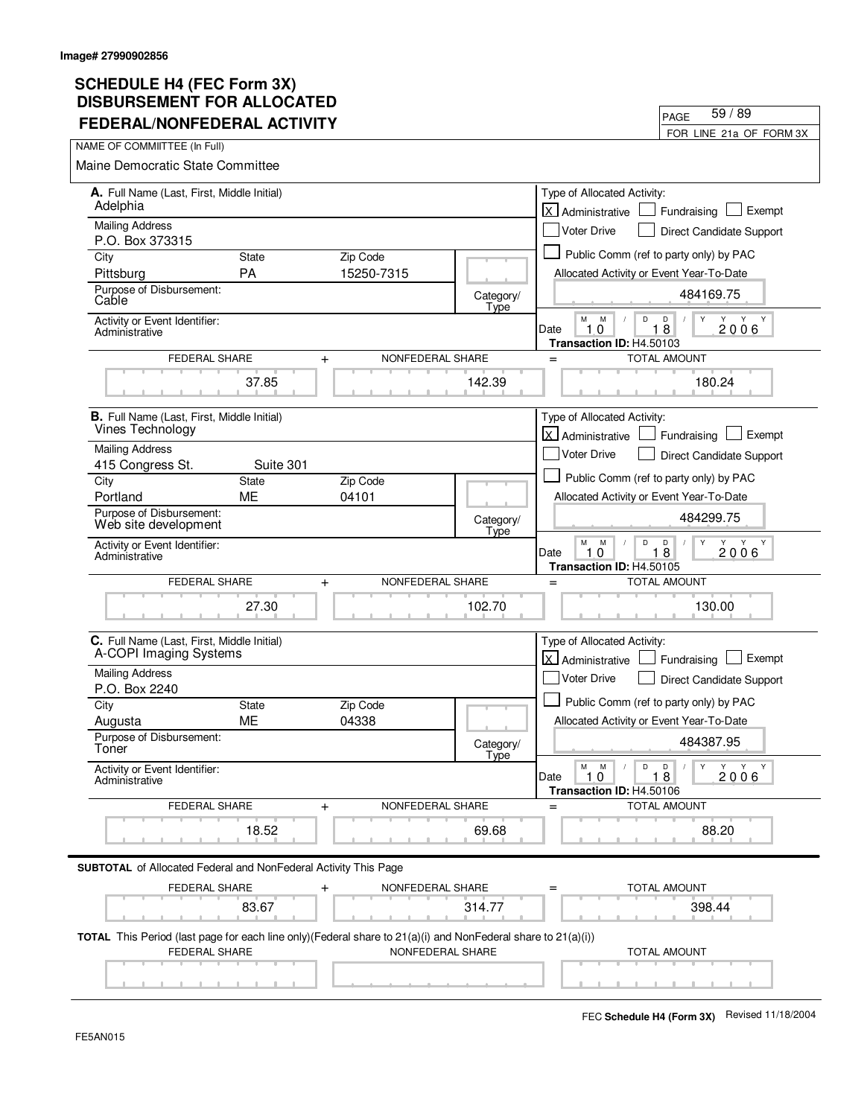| FEDERAL/NONFEDERAL ACTIVITY                                                                                                    |                           |                               |                   | FOR LINE 21a OF FORM 3X                                                                                            |
|--------------------------------------------------------------------------------------------------------------------------------|---------------------------|-------------------------------|-------------------|--------------------------------------------------------------------------------------------------------------------|
| NAME OF COMMIITTEE (In Full)                                                                                                   |                           |                               |                   |                                                                                                                    |
| <b>Maine Democratic State Committee</b>                                                                                        |                           |                               |                   |                                                                                                                    |
| A. Full Name (Last, First, Middle Initial)<br>Adelphia                                                                         |                           |                               |                   | Type of Allocated Activity:<br>lx l<br>Exempt<br>Fundraising<br>Administrative                                     |
| <b>Mailing Address</b>                                                                                                         |                           |                               |                   | <b>Voter Drive</b><br><b>Direct Candidate Support</b>                                                              |
| P.O. Box 373315                                                                                                                |                           |                               |                   |                                                                                                                    |
| City                                                                                                                           | <b>State</b>              | Zip Code<br>15250-7315        |                   | Public Comm (ref to party only) by PAC                                                                             |
| Pittsburg<br>Purpose of Disbursement:                                                                                          | <b>PA</b>                 |                               |                   | Allocated Activity or Event Year-To-Date                                                                           |
| Cable                                                                                                                          |                           |                               | Category/<br>Type | 484169.75                                                                                                          |
| Activity or Event Identifier:<br>Administrative                                                                                |                           |                               |                   | М<br>M<br>D<br>D<br>Y<br>Y Y<br>$1\bar{8}$<br>10<br>2006<br>Date<br>Transaction ID: H4.50103                       |
| FEDERAL SHARE                                                                                                                  |                           | NONFEDERAL SHARE<br>$\ddot{}$ |                   | <b>TOTAL AMOUNT</b><br>$=$                                                                                         |
|                                                                                                                                | 37.85                     |                               | 142.39            | 180.24                                                                                                             |
| <b>B.</b> Full Name (Last, First, Middle Initial)                                                                              |                           |                               |                   | Type of Allocated Activity:                                                                                        |
| Vines Technology                                                                                                               |                           |                               |                   | <b>X</b> Administrative<br>Exempt<br>Fundraising                                                                   |
| <b>Mailing Address</b>                                                                                                         |                           |                               |                   | <b>Voter Drive</b><br>Direct Candidate Support                                                                     |
| 415 Congress St.<br>City                                                                                                       | Suite 301<br><b>State</b> | Zip Code                      |                   | Public Comm (ref to party only) by PAC                                                                             |
| Portland                                                                                                                       | <b>ME</b>                 | 04101                         |                   | Allocated Activity or Event Year-To-Date                                                                           |
| Purpose of Disbursement:<br>Web site development                                                                               |                           |                               | Category/<br>Type | 484299.75                                                                                                          |
| Activity or Event Identifier:<br>Administrative                                                                                |                           |                               |                   | M<br>M<br>D<br>Y<br>Y<br>Y<br>D<br>Y<br>$1\bar{8}$<br>Date<br>$\mathbf 0$<br>2006<br>1<br>Transaction ID: H4.50105 |
| FEDERAL SHARE                                                                                                                  |                           | NONFEDERAL SHARE<br>$\ddot{}$ |                   | <b>TOTAL AMOUNT</b><br>$=$                                                                                         |
|                                                                                                                                | 27.30                     |                               | 102.70            | 130.00                                                                                                             |
| C. Full Name (Last, First, Middle Initial)<br>A-COPI Imaging Systems                                                           |                           |                               |                   | Type of Allocated Activity:<br>lx l<br>Exempt<br>Administrative<br>Fundraising                                     |
| <b>Mailing Address</b>                                                                                                         |                           |                               |                   | Voter Drive<br>Direct Candidate Support                                                                            |
| P.O. Box 2240                                                                                                                  |                           |                               |                   | Public Comm (ref to party only) by PAC                                                                             |
| City<br>Augusta                                                                                                                | <b>State</b><br>ME        | Zip Code<br>04338             |                   | Allocated Activity or Event Year-To-Date                                                                           |
| Purpose of Disbursement:<br>Toner                                                                                              |                           |                               | Category/         | 484387.95                                                                                                          |
| Activity or Event Identifier:<br>Administrative                                                                                |                           |                               | Tyne              | $\mathsf D$<br>М<br>M<br>D<br>Y<br>Y Y Y<br>$\sqrt{2}$<br>18<br>Date<br>1.0<br>2006<br>Transaction ID: H4.50106    |
| FEDERAL SHARE                                                                                                                  |                           | NONFEDERAL SHARE<br>$\ddot{}$ |                   | <b>TOTAL AMOUNT</b><br>$=$                                                                                         |
|                                                                                                                                | 18.52                     |                               | 69.68             | 88.20                                                                                                              |
| <b>SUBTOTAL</b> of Allocated Federal and NonFederal Activity This Page                                                         |                           |                               |                   |                                                                                                                    |
| FEDERAL SHARE                                                                                                                  |                           | NONFEDERAL SHARE<br>$\ddag$   |                   | <b>TOTAL AMOUNT</b>                                                                                                |
|                                                                                                                                | 83.67                     |                               | 314.77            | 398.44                                                                                                             |
| TOTAL This Period (last page for each line only) (Federal share to 21(a)(i) and NonFederal share to 21(a)(i))<br>FEDERAL SHARE |                           | NONFEDERAL SHARE              |                   | <b>TOTAL AMOUNT</b>                                                                                                |
|                                                                                                                                |                           |                               |                   |                                                                                                                    |

FEC **Schedule H4 (Form 3X)** Revised 11/18/2004

PAGE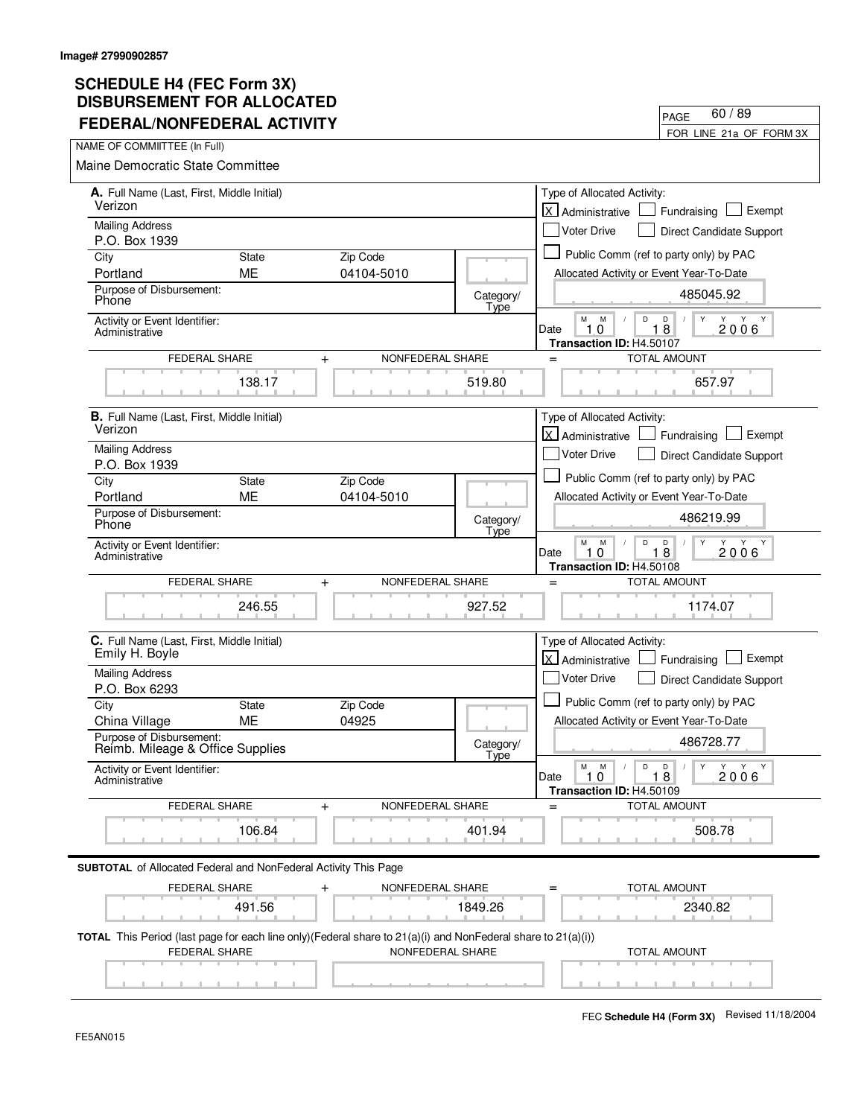| FEDERAL/NONFEDERAL ACTIVILI                                                                                                              |              |                               |                   | FOR LINE 21a OF FORM 3X                                                                                                        |
|------------------------------------------------------------------------------------------------------------------------------------------|--------------|-------------------------------|-------------------|--------------------------------------------------------------------------------------------------------------------------------|
| NAME OF COMMIITTEE (In Full)                                                                                                             |              |                               |                   |                                                                                                                                |
| Maine Democratic State Committee                                                                                                         |              |                               |                   |                                                                                                                                |
| A. Full Name (Last, First, Middle Initial)<br>Verizon                                                                                    |              |                               |                   | Type of Allocated Activity:<br>lx.<br>Exempt<br>Fundraising<br>Administrative                                                  |
| <b>Mailing Address</b>                                                                                                                   |              |                               |                   | <b>Voter Drive</b><br>Direct Candidate Support                                                                                 |
| P.O. Box 1939<br>City                                                                                                                    | <b>State</b> | Zip Code                      |                   | Public Comm (ref to party only) by PAC                                                                                         |
| Portland                                                                                                                                 | <b>ME</b>    | 04104-5010                    |                   | Allocated Activity or Event Year-To-Date                                                                                       |
| Purpose of Disbursement:<br>Phone                                                                                                        |              |                               | Category/<br>Type | 485045.92                                                                                                                      |
| Activity or Event Identifier:<br>Administrative                                                                                          |              |                               |                   | M<br>M<br>D<br>D<br>Y<br>Y<br>Y<br>Y<br>10<br>18<br>2006<br>Date<br>Transaction ID: H4.50107                                   |
| <b>FEDERAL SHARE</b>                                                                                                                     |              | NONFEDERAL SHARE<br>$\ddot{}$ |                   | <b>TOTAL AMOUNT</b><br>$=$                                                                                                     |
|                                                                                                                                          | 138.17       |                               | 519.80            | 657.97                                                                                                                         |
| <b>B.</b> Full Name (Last, First, Middle Initial)<br>Verizon                                                                             |              |                               |                   | Type of Allocated Activity:<br><b>X</b> Administrative<br>Exempt<br>Fundraising                                                |
| <b>Mailing Address</b><br>P.O. Box 1939                                                                                                  |              |                               |                   | <b>Voter Drive</b><br>Direct Candidate Support                                                                                 |
| City                                                                                                                                     | <b>State</b> | Zip Code                      |                   | Public Comm (ref to party only) by PAC                                                                                         |
| Portland                                                                                                                                 | <b>ME</b>    | 04104-5010                    |                   | Allocated Activity or Event Year-To-Date                                                                                       |
| Purpose of Disbursement:<br>Phone                                                                                                        |              |                               | Category/<br>Type | 486219.99                                                                                                                      |
| Activity or Event Identifier:<br>Administrative                                                                                          |              |                               |                   | М<br>Y<br>M<br>D<br>D<br>Y<br>Y Y<br>18<br>$\Omega$<br>2006<br>Date<br>1<br>Transaction ID: H4.50108                           |
| FEDERAL SHARE                                                                                                                            |              | NONFEDERAL SHARE<br>$\pmb{+}$ |                   | TOTAL AMOUNT<br>$=$                                                                                                            |
|                                                                                                                                          | 246.55       |                               | 927.52            | 1174.07                                                                                                                        |
| C. Full Name (Last, First, Middle Initial)<br>Emily H. Boyle                                                                             |              |                               |                   | Type of Allocated Activity:<br>X Administrative<br>Exempt<br>Fundraising                                                       |
| <b>Mailing Address</b><br>P.O. Box 6293                                                                                                  |              |                               |                   | Voter Drive<br>Direct Candidate Support                                                                                        |
| City                                                                                                                                     | <b>State</b> | Zip Code                      |                   | Public Comm (ref to party only) by PAC                                                                                         |
| China Village                                                                                                                            | <b>ME</b>    | 04925                         |                   | Allocated Activity or Event Year-To-Date                                                                                       |
| Purpose of Disbursement:<br>Reimb. Mileage & Office Supplies                                                                             |              |                               | Category/<br>Type | 486728.77                                                                                                                      |
| Activity or Event Identifier:<br>Administrative                                                                                          |              |                               |                   | М<br>M<br>$\mathsf D$<br>D<br>$\parallel$ Y<br>Y Y<br>Y<br>$\sqrt{2}$<br>Date<br>1.0<br>18<br>2006<br>Transaction ID: H4.50109 |
| FEDERAL SHARE                                                                                                                            |              | NONFEDERAL SHARE<br>$\pm$     |                   | <b>TOTAL AMOUNT</b>                                                                                                            |
|                                                                                                                                          | 106.84       |                               | 401.94            | 508.78                                                                                                                         |
| <b>SUBTOTAL</b> of Allocated Federal and NonFederal Activity This Page                                                                   |              |                               |                   |                                                                                                                                |
| <b>FEDERAL SHARE</b>                                                                                                                     | 491.56       | NONFEDERAL SHARE              | 1849.26           | TOTAL AMOUNT<br>2340.82                                                                                                        |
| <b>TOTAL</b> This Period (last page for each line only)(Federal share to $21(a)(i)$ and NonFederal share to $21(a)(i))$<br>FEDERAL SHARE |              | NONFEDERAL SHARE              |                   | <b>TOTAL AMOUNT</b>                                                                                                            |
|                                                                                                                                          |              |                               |                   |                                                                                                                                |

PAGE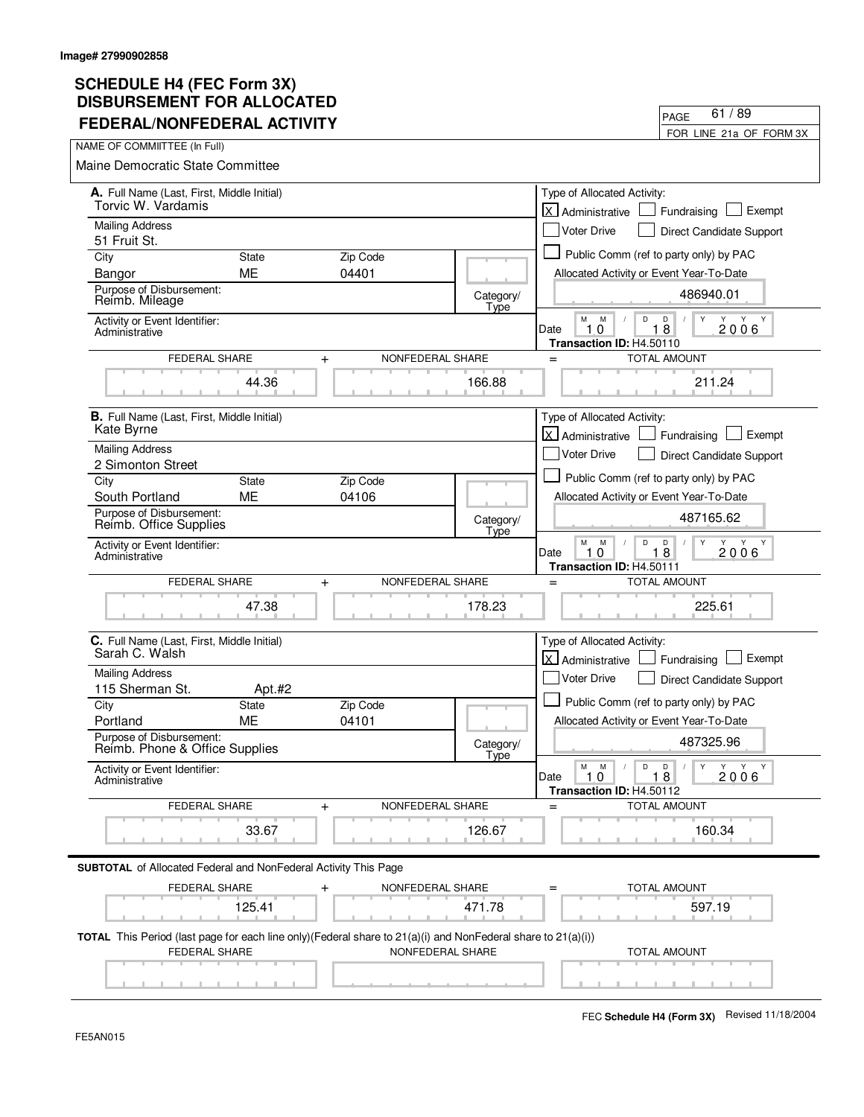| FEDERAL/NONFEDERAL ACTIVITY                                                                                                                     |                        |                               |                   |                                                                   | FOR LINE 21a OF FORM 3X                                |
|-------------------------------------------------------------------------------------------------------------------------------------------------|------------------------|-------------------------------|-------------------|-------------------------------------------------------------------|--------------------------------------------------------|
| NAME OF COMMIITTEE (In Full)                                                                                                                    |                        |                               |                   |                                                                   |                                                        |
| <b>Maine Democratic State Committee</b>                                                                                                         |                        |                               |                   |                                                                   |                                                        |
| A. Full Name (Last, First, Middle Initial)<br>Torvic W. Vardamis                                                                                |                        |                               |                   | Type of Allocated Activity:<br>lx l<br>Administrative             | Exempt<br>Fundraising                                  |
| <b>Mailing Address</b>                                                                                                                          |                        |                               |                   | <b>Voter Drive</b>                                                | Direct Candidate Support                               |
| 51 Fruit St.<br>City                                                                                                                            | <b>State</b>           | Zip Code                      |                   |                                                                   | Public Comm (ref to party only) by PAC                 |
| Bangor                                                                                                                                          | ME                     | 04401                         |                   | Allocated Activity or Event Year-To-Date                          |                                                        |
| Purpose of Disbursement:<br>Reimb. Mileage                                                                                                      |                        |                               | Category/<br>Type |                                                                   | 486940.01                                              |
| Activity or Event Identifier:<br>Administrative                                                                                                 |                        |                               |                   | M<br>M<br>D<br>10<br>Date<br>Transaction ID: H4.50110             | D<br>Y<br>Y<br>Y<br>Y<br>18<br>2006                    |
| FEDERAL SHARE                                                                                                                                   |                        | NONFEDERAL SHARE<br>$+$       |                   | $=$                                                               | <b>TOTAL AMOUNT</b>                                    |
|                                                                                                                                                 | 44.36                  |                               | 166.88            |                                                                   | 211.24                                                 |
| <b>B.</b> Full Name (Last, First, Middle Initial)<br>Kate Byrne                                                                                 |                        |                               |                   | Type of Allocated Activity:<br><b>X</b> Administrative            | Exempt<br>Fundraising                                  |
| <b>Mailing Address</b>                                                                                                                          |                        |                               |                   | <b>Voter Drive</b>                                                | Direct Candidate Support                               |
| 2 Simonton Street<br>City                                                                                                                       | State                  | Zip Code                      |                   |                                                                   | Public Comm (ref to party only) by PAC                 |
| South Portland                                                                                                                                  | <b>ME</b>              | 04106                         |                   | Allocated Activity or Event Year-To-Date                          |                                                        |
| Purpose of Disbursement:<br>Reimb. Office Supplies                                                                                              |                        |                               | Category/<br>Type |                                                                   | 487165.62                                              |
| Activity or Event Identifier:<br>Administrative                                                                                                 |                        |                               |                   | М<br>D<br>M<br>Date<br>$\Omega$<br>1.<br>Transaction ID: H4.50111 | D<br>Y<br>Y<br>Y Y<br>18<br>2006                       |
| FEDERAL SHARE                                                                                                                                   |                        | NONFEDERAL SHARE<br>$\ddot{}$ |                   | $=$                                                               | <b>TOTAL AMOUNT</b>                                    |
|                                                                                                                                                 | 47.38                  |                               | 178.23            |                                                                   | 225.61                                                 |
| C. Full Name (Last, First, Middle Initial)<br>Sarah C. Walsh                                                                                    |                        |                               |                   | Type of Allocated Activity:<br>اxا<br>Administrative              | Exempt<br>Fundraising                                  |
| <b>Mailing Address</b>                                                                                                                          |                        |                               |                   | <b>Voter Drive</b>                                                | Direct Candidate Support                               |
| 115 Sherman St.                                                                                                                                 | Apt.#2<br><b>State</b> | Zip Code                      |                   |                                                                   | Public Comm (ref to party only) by PAC                 |
| City<br>Portland                                                                                                                                | МE                     | 04101                         |                   | Allocated Activity or Event Year-To-Date                          |                                                        |
| Purpose of Disbursement:<br>Reimb. Phone & Office Supplies                                                                                      |                        |                               | Category/<br>Type |                                                                   | 487325.96                                              |
| Activity or Event Identifier:<br>Administrative                                                                                                 |                        |                               |                   | $\mathsf D$<br>M<br>M<br>Date<br>1.0<br>Transaction ID: H4.50112  | $\mathsf{Y}$<br>D<br>Y Y Y<br>$\sqrt{2}$<br>18<br>2006 |
| FEDERAL SHARE                                                                                                                                   |                        | NONFEDERAL SHARE<br>+         |                   |                                                                   | <b>TOTAL AMOUNT</b>                                    |
|                                                                                                                                                 | 33.67                  |                               | 126.67            |                                                                   | 160.34                                                 |
| <b>SUBTOTAL</b> of Allocated Federal and NonFederal Activity This Page                                                                          |                        |                               |                   |                                                                   |                                                        |
| FEDERAL SHARE                                                                                                                                   |                        | NONFEDERAL SHARE<br>$\pm$     |                   |                                                                   | TOTAL AMOUNT                                           |
|                                                                                                                                                 | 125.41                 |                               | 471.78            |                                                                   | 597.19                                                 |
| <b>TOTAL</b> This Period (last page for each line only)(Federal share to $21(a)(i)$ and NonFederal share to $21(a)(i))$<br><b>FEDERAL SHARE</b> |                        | NONFEDERAL SHARE              |                   |                                                                   | <b>TOTAL AMOUNT</b>                                    |
|                                                                                                                                                 |                        |                               |                   |                                                                   |                                                        |

PAGE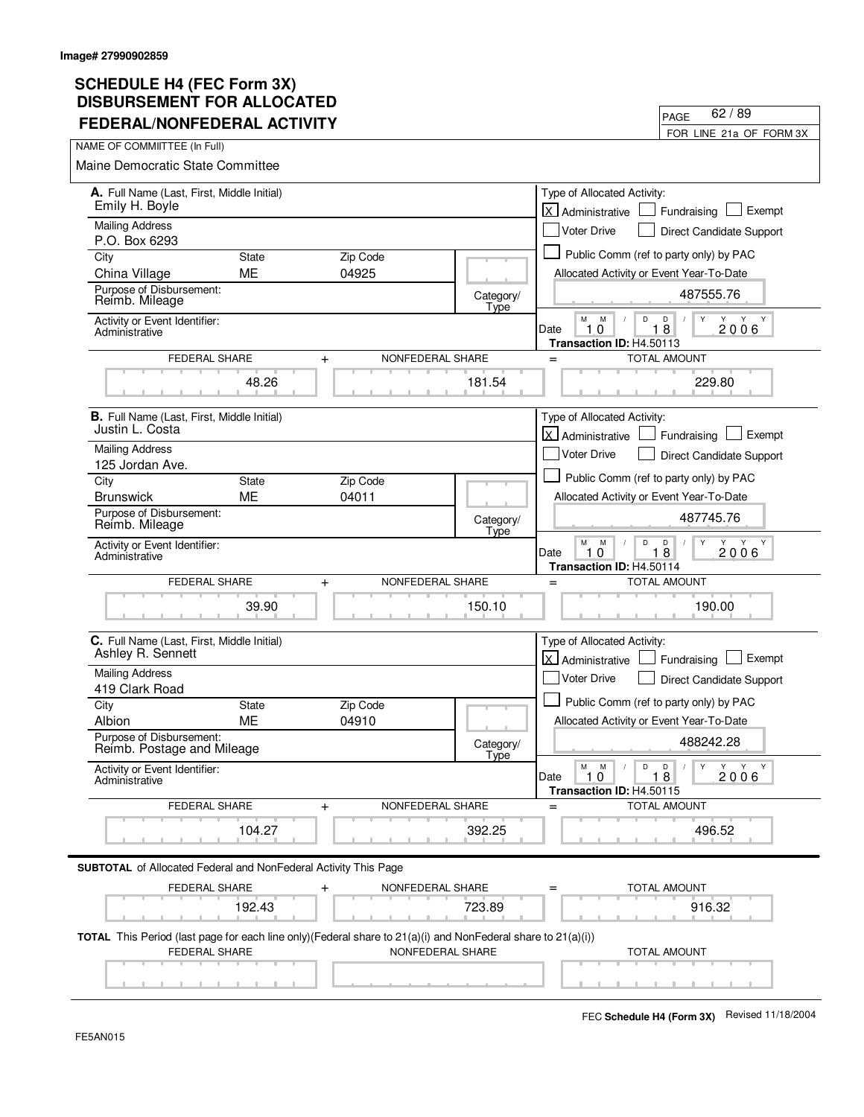| FEDERAL/NONFEDERAL ACTIVITY                                                                                                              |                           |                   |                   |                                                                  | FOR LINE 21a OF FORM 3X                               |
|------------------------------------------------------------------------------------------------------------------------------------------|---------------------------|-------------------|-------------------|------------------------------------------------------------------|-------------------------------------------------------|
| NAME OF COMMIITTEE (In Full)                                                                                                             |                           |                   |                   |                                                                  |                                                       |
| <b>Maine Democratic State Committee</b>                                                                                                  |                           |                   |                   |                                                                  |                                                       |
| A. Full Name (Last, First, Middle Initial)<br>Emily H. Boyle                                                                             |                           |                   |                   | Type of Allocated Activity:<br>lx l<br>Administrative            | Exempt<br>Fundraising                                 |
| <b>Mailing Address</b>                                                                                                                   |                           |                   |                   | <b>Voter Drive</b>                                               | Direct Candidate Support                              |
| P.O. Box 6293<br>City                                                                                                                    | <b>State</b>              | Zip Code          |                   |                                                                  | Public Comm (ref to party only) by PAC                |
| China Village                                                                                                                            | ME                        | 04925             |                   | Allocated Activity or Event Year-To-Date                         |                                                       |
| Purpose of Disbursement:<br>Reimb. Mileage                                                                                               |                           |                   | Category/<br>Type |                                                                  | 487555.76                                             |
| Activity or Event Identifier:<br>Administrative                                                                                          |                           |                   |                   | М<br>M<br>D<br>10<br>Date<br>Transaction ID: H4.50113            | $\mathsf D$<br>Y<br>Y<br>Y<br>Y<br>$1\bar{8}$<br>2006 |
| <b>FEDERAL SHARE</b>                                                                                                                     | $\ddot{}$                 | NONFEDERAL SHARE  |                   | $=$                                                              | <b>TOTAL AMOUNT</b>                                   |
|                                                                                                                                          | 48.26                     |                   | 181.54            |                                                                  | 229.80                                                |
| B. Full Name (Last, First, Middle Initial)<br>Justin L. Costa                                                                            |                           |                   |                   | Type of Allocated Activity:                                      |                                                       |
| <b>Mailing Address</b>                                                                                                                   |                           |                   |                   | lx I<br>Administrative                                           | Exempt<br>Fundraising                                 |
| 125 Jordan Ave.                                                                                                                          |                           |                   |                   | <b>Voter Drive</b>                                               | <b>Direct Candidate Support</b>                       |
| City                                                                                                                                     | <b>State</b>              | Zip Code          |                   |                                                                  | Public Comm (ref to party only) by PAC                |
| <b>Brunswick</b>                                                                                                                         | <b>ME</b>                 | 04011             |                   | Allocated Activity or Event Year-To-Date                         |                                                       |
| Purpose of Disbursement:<br>Reimb. Mileage                                                                                               |                           |                   | Category/<br>Type |                                                                  | 487745.76                                             |
| Activity or Event Identifier:<br>Administrative                                                                                          |                           |                   |                   | M<br>M<br>D<br>Date<br>0<br>1<br>Transaction ID: H4.50114        | Υ<br>D<br>Y Y Y<br>18<br>2006                         |
| FEDERAL SHARE                                                                                                                            | $\ddag$                   | NONFEDERAL SHARE  |                   | $=$                                                              | <b>TOTAL AMOUNT</b>                                   |
|                                                                                                                                          | 39.90                     |                   | 150.10            |                                                                  | 190.00                                                |
| C. Full Name (Last, First, Middle Initial)<br>Ashley R. Sennett                                                                          |                           |                   |                   | Type of Allocated Activity:<br><b>X</b> Administrative           | Exempt<br>Fundraising                                 |
| <b>Mailing Address</b>                                                                                                                   |                           |                   |                   | <b>Voter Drive</b>                                               | <b>Direct Candidate Support</b>                       |
| 419 Clark Road                                                                                                                           |                           |                   |                   |                                                                  | Public Comm (ref to party only) by PAC                |
| City<br>Albion                                                                                                                           | <b>State</b><br><b>ME</b> | Zip Code<br>04910 |                   | Allocated Activity or Event Year-To-Date                         |                                                       |
| Purpose of Disbursement:<br>Reimb. Postage and Mileage                                                                                   |                           |                   | Category/         |                                                                  | 488242.28                                             |
| Activity or Event Identifier:<br>Administrative                                                                                          |                           |                   | Type              | $\mathsf D$<br>M<br>M<br>Date<br>1.0<br>Transaction ID: H4.50115 | D<br>Y<br>Y Y<br>$\sqrt{2}$<br>Y<br>18<br>2006        |
| FEDERAL SHARE                                                                                                                            | +                         | NONFEDERAL SHARE  |                   | $=$                                                              | <b>TOTAL AMOUNT</b>                                   |
|                                                                                                                                          | 104.27                    |                   | 392.25            |                                                                  | 496.52                                                |
| <b>SUBTOTAL</b> of Allocated Federal and NonFederal Activity This Page                                                                   |                           |                   |                   |                                                                  |                                                       |
| FEDERAL SHARE                                                                                                                            | $\pm$                     | NONFEDERAL SHARE  |                   |                                                                  | TOTAL AMOUNT                                          |
|                                                                                                                                          | 192.43                    |                   | 723.89            |                                                                  | 916.32                                                |
| <b>TOTAL</b> This Period (last page for each line only)(Federal share to $21(a)(i)$ and NonFederal share to $21(a)(i))$<br>FEDERAL SHARE |                           | NONFEDERAL SHARE  |                   |                                                                  | <b>TOTAL AMOUNT</b>                                   |
|                                                                                                                                          |                           |                   |                   |                                                                  |                                                       |

FEC **Schedule H4 (Form 3X)** Revised 11/18/2004

PAGE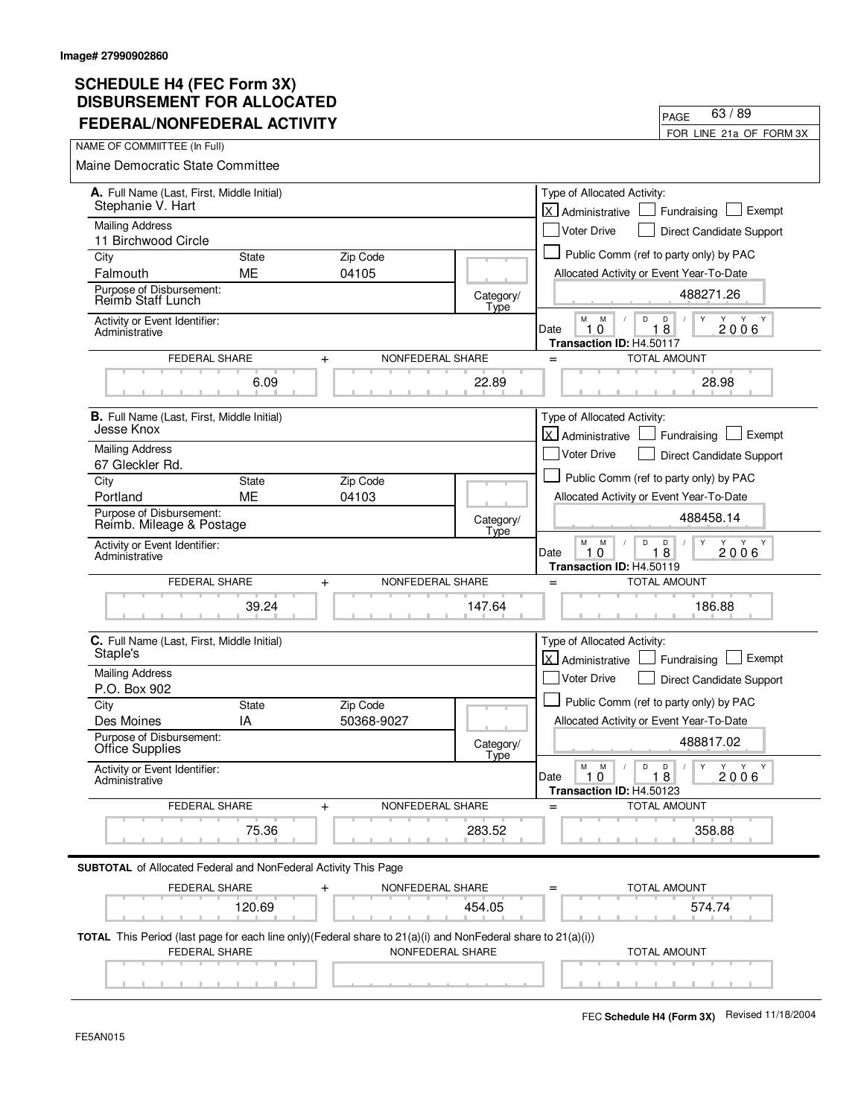| FEDERAL/NONFEDERAL ACTIVILI                                                                                                              |              |                              |                   | FOR LINE 21a OF FORM 3X                                                                                                           |
|------------------------------------------------------------------------------------------------------------------------------------------|--------------|------------------------------|-------------------|-----------------------------------------------------------------------------------------------------------------------------------|
| NAME OF COMMIITTEE (In Full)                                                                                                             |              |                              |                   |                                                                                                                                   |
| Maine Democratic State Committee                                                                                                         |              |                              |                   |                                                                                                                                   |
| A. Full Name (Last, First, Middle Initial)<br>Stephanie V. Hart                                                                          |              |                              |                   | Type of Allocated Activity:<br>lx.<br>Exempt<br>Fundraising<br>Administrative                                                     |
| <b>Mailing Address</b>                                                                                                                   |              |                              |                   | <b>Voter Drive</b><br>Direct Candidate Support                                                                                    |
| 11 Birchwood Circle<br>City                                                                                                              | <b>State</b> | Zip Code                     |                   | Public Comm (ref to party only) by PAC                                                                                            |
| Falmouth                                                                                                                                 | <b>ME</b>    | 04105                        |                   | Allocated Activity or Event Year-To-Date                                                                                          |
| Purpose of Disbursement:<br><b>Reimb Staff Lunch</b>                                                                                     |              |                              | Category/<br>Type | 488271.26                                                                                                                         |
| Activity or Event Identifier:<br>Administrative                                                                                          |              |                              |                   | M<br>M<br>D<br>D<br>Y<br>Y<br>Y<br>Y<br>10<br>18<br>2006<br>Date<br>Transaction ID: H4.50117                                      |
| FEDERAL SHARE                                                                                                                            |              | NONFEDERAL SHARE<br>$\ddag$  |                   | <b>TOTAL AMOUNT</b><br>$=$                                                                                                        |
|                                                                                                                                          | 6.09         |                              | 22.89             | 28.98                                                                                                                             |
| <b>B.</b> Full Name (Last, First, Middle Initial)<br>Jesse Knox                                                                          |              |                              |                   | Type of Allocated Activity:<br><b>X</b> Administrative<br>Exempt<br>Fundraising                                                   |
| <b>Mailing Address</b><br>67 Gleckler Rd.                                                                                                |              |                              |                   | <b>Voter Drive</b><br>Direct Candidate Support                                                                                    |
| City                                                                                                                                     | <b>State</b> | Zip Code                     |                   | Public Comm (ref to party only) by PAC                                                                                            |
| Portland                                                                                                                                 | <b>ME</b>    | 04103                        |                   | Allocated Activity or Event Year-To-Date                                                                                          |
| Purpose of Disbursement:<br>Reimb. Mileage & Postage                                                                                     |              |                              | Category/<br>Type | 488458.14                                                                                                                         |
| Activity or Event Identifier:<br>Administrative                                                                                          |              |                              |                   | M<br>Y<br>M<br>D<br>D<br>Y<br>Y Y<br>18<br>$\Omega$<br>2006<br>Date<br>1<br>Transaction ID: H4.50119                              |
| FEDERAL SHARE                                                                                                                            |              | NONFEDERAL SHARE<br>$\,{}^+$ |                   | TOTAL AMOUNT<br>$=$                                                                                                               |
|                                                                                                                                          | 39.24        |                              | 147.64            | 186.88                                                                                                                            |
| C. Full Name (Last, First, Middle Initial)<br>Staple's                                                                                   |              |                              |                   | Type of Allocated Activity:<br>اxا<br>Exempt<br>Administrative<br>Fundraising                                                     |
| <b>Mailing Address</b><br>P.O. Box 902                                                                                                   |              |                              |                   | Voter Drive<br>Direct Candidate Support                                                                                           |
| City                                                                                                                                     | <b>State</b> | Zip Code                     |                   | Public Comm (ref to party only) by PAC                                                                                            |
| Des Moines                                                                                                                               | IA           | 50368-9027                   |                   | Allocated Activity or Event Year-To-Date                                                                                          |
| Purpose of Disbursement:<br><b>Office Supplies</b>                                                                                       |              |                              | Category/<br>Type | 488817.02                                                                                                                         |
| Activity or Event Identifier:<br>Administrative                                                                                          |              |                              |                   | М<br>M<br>$\mathsf D$<br>D<br>$\mathsf{Y}$<br>$Y - Y$<br>Y<br>$\sqrt{2}$<br>Date<br>1.0<br>18<br>2006<br>Transaction ID: H4.50123 |
| <b>FEDERAL SHARE</b>                                                                                                                     |              | NONFEDERAL SHARE<br>$\pm$    |                   | <b>TOTAL AMOUNT</b>                                                                                                               |
|                                                                                                                                          | 75.36        |                              | 283.52            | 358.88                                                                                                                            |
| <b>SUBTOTAL</b> of Allocated Federal and NonFederal Activity This Page                                                                   |              |                              |                   |                                                                                                                                   |
| <b>FEDERAL SHARE</b>                                                                                                                     |              | NONFEDERAL SHARE             |                   | TOTAL AMOUNT                                                                                                                      |
|                                                                                                                                          | 120.69       |                              | 454.05            | 574.74                                                                                                                            |
| <b>TOTAL</b> This Period (last page for each line only)(Federal share to $21(a)(i)$ and NonFederal share to $21(a)(i))$<br>FEDERAL SHARE |              | NONFEDERAL SHARE             |                   | <b>TOTAL AMOUNT</b>                                                                                                               |
|                                                                                                                                          |              |                              |                   |                                                                                                                                   |

PAGE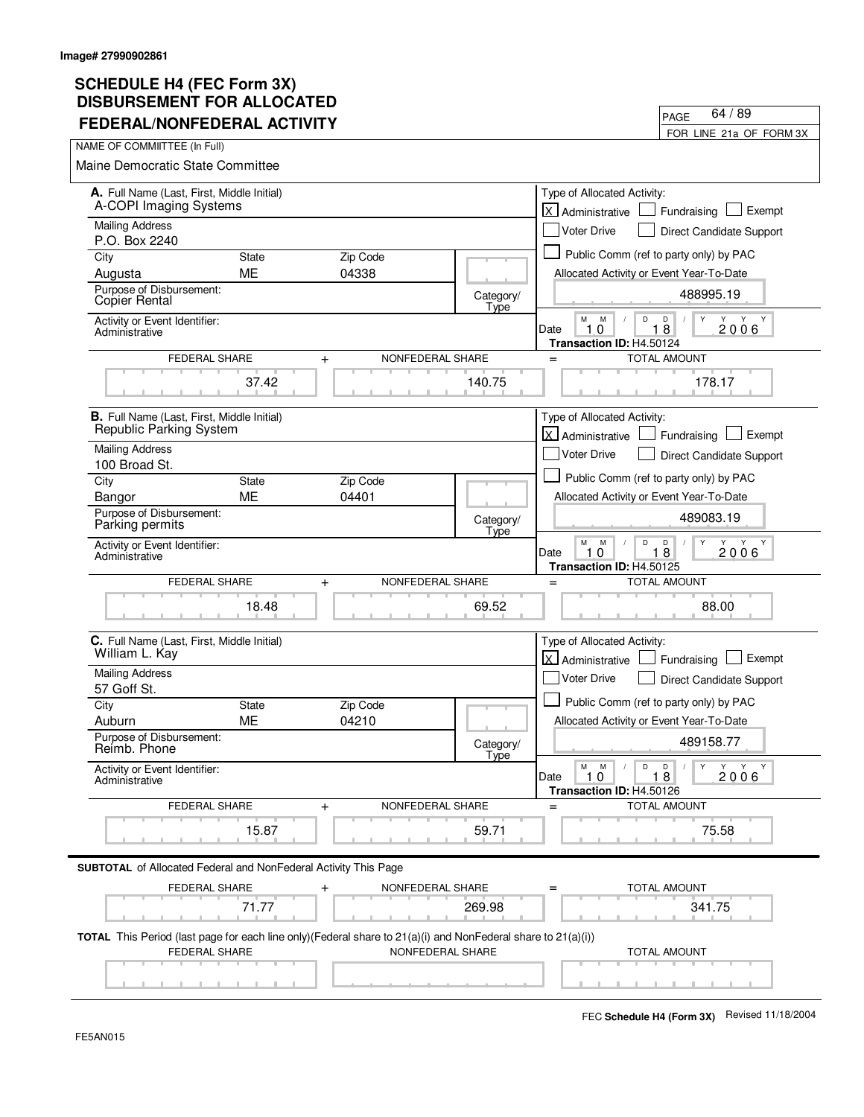| FEDERAL/NONFEDERAL ACTIVITY                                                                                                           |              |                               |                   | FOR LINE 21a OF FORM 3X                                                                                                                     |
|---------------------------------------------------------------------------------------------------------------------------------------|--------------|-------------------------------|-------------------|---------------------------------------------------------------------------------------------------------------------------------------------|
| NAME OF COMMIITTEE (In Full)                                                                                                          |              |                               |                   |                                                                                                                                             |
| <b>Maine Democratic State Committee</b>                                                                                               |              |                               |                   |                                                                                                                                             |
| A. Full Name (Last, First, Middle Initial)<br>A-COPI Imaging Systems                                                                  |              |                               |                   | Type of Allocated Activity:<br>lx.<br>Exempt<br>Fundraising<br>Administrative                                                               |
| <b>Mailing Address</b>                                                                                                                |              |                               |                   | <b>Voter Drive</b><br>Direct Candidate Support                                                                                              |
| P.O. Box 2240<br>City                                                                                                                 | <b>State</b> | Zip Code                      |                   | Public Comm (ref to party only) by PAC                                                                                                      |
| Augusta                                                                                                                               | ME           | 04338                         |                   | Allocated Activity or Event Year-To-Date                                                                                                    |
| Purpose of Disbursement:<br><b>Copier Rental</b>                                                                                      |              |                               | Category/<br>Type | 488995.19                                                                                                                                   |
| Activity or Event Identifier:<br>Administrative                                                                                       |              |                               |                   | M<br>M<br>D<br>D<br>Y Y<br>$1\bar{8}$<br>1.0<br>2006<br>Date<br>Transaction ID: H4.50124                                                    |
| FEDERAL SHARE                                                                                                                         |              | NONFEDERAL SHARE<br>$+$       |                   | <b>TOTAL AMOUNT</b><br>$=$                                                                                                                  |
|                                                                                                                                       | 37.42        |                               | 140.75            | 178.17                                                                                                                                      |
| <b>B.</b> Full Name (Last, First, Middle Initial)<br>Republic Parking System                                                          |              |                               |                   | Type of Allocated Activity:                                                                                                                 |
| <b>Mailing Address</b>                                                                                                                |              |                               |                   | X Administrative<br>Exempt<br>Fundraising                                                                                                   |
| 100 Broad St.                                                                                                                         |              |                               |                   | <b>Voter Drive</b><br>Direct Candidate Support                                                                                              |
| City                                                                                                                                  | <b>State</b> | Zip Code                      |                   | Public Comm (ref to party only) by PAC                                                                                                      |
| Bangor                                                                                                                                | <b>ME</b>    | 04401                         |                   | Allocated Activity or Event Year-To-Date                                                                                                    |
| Purpose of Disbursement:<br>Parking permits                                                                                           |              |                               | Category/<br>Type | 489083.19                                                                                                                                   |
| Activity or Event Identifier:<br>Administrative                                                                                       |              |                               |                   | М<br>M<br>D<br>D<br>Y<br>Y<br>Y Y<br>18<br>2006<br>Date<br>10<br>Transaction ID: H4.50125                                                   |
| FEDERAL SHARE                                                                                                                         |              | NONFEDERAL SHARE<br>$+$       |                   | <b>TOTAL AMOUNT</b><br>$=$                                                                                                                  |
|                                                                                                                                       | 18.48        |                               | 69.52             | 88.00                                                                                                                                       |
| C. Full Name (Last, First, Middle Initial)<br>William L. Kay                                                                          |              |                               |                   | Type of Allocated Activity:<br>lx l<br>Exempt<br>Administrative<br>Fundraising                                                              |
| <b>Mailing Address</b>                                                                                                                |              |                               |                   | Voter Drive                                                                                                                                 |
| 57 Goff St.                                                                                                                           |              |                               |                   | Direct Candidate Support                                                                                                                    |
| City                                                                                                                                  | <b>State</b> | Zip Code                      |                   | Public Comm (ref to party only) by PAC                                                                                                      |
| Auburn                                                                                                                                | ME           | 04210                         |                   | Allocated Activity or Event Year-To-Date                                                                                                    |
| Purpose of Disbursement:<br>Reimb. Phone                                                                                              |              |                               | Category/<br>Tyne | 489158.77                                                                                                                                   |
| Activity or Event Identifier:<br>Administrative                                                                                       |              |                               |                   | $\mathsf D$<br>$\mathsf{Y}$<br>Y Y Y<br>М<br>M<br>$\Box$<br>$\sqrt{2}$<br>$\prime$<br>1.0<br>18<br>Date<br>2006<br>Transaction ID: H4.50126 |
| <b>FEDERAL SHARE</b>                                                                                                                  |              | NONFEDERAL SHARE<br>$\ddot{}$ |                   | <b>TOTAL AMOUNT</b><br>$=$                                                                                                                  |
|                                                                                                                                       | 15.87        |                               | 59.71             | 75.58                                                                                                                                       |
| <b>SUBTOTAL</b> of Allocated Federal and NonFederal Activity This Page                                                                |              |                               |                   |                                                                                                                                             |
| FEDERAL SHARE                                                                                                                         |              | NONFEDERAL SHARE              |                   | TOTAL AMOUNT                                                                                                                                |
|                                                                                                                                       | 71.77        |                               | 269.98            | 341.75                                                                                                                                      |
| TOTAL This Period (last page for each line only) (Federal share to 21(a)(i) and NonFederal share to 21(a)(i))<br><b>FEDERAL SHARE</b> |              | NONFEDERAL SHARE              |                   | <b>TOTAL AMOUNT</b>                                                                                                                         |
|                                                                                                                                       |              |                               |                   |                                                                                                                                             |

PAGE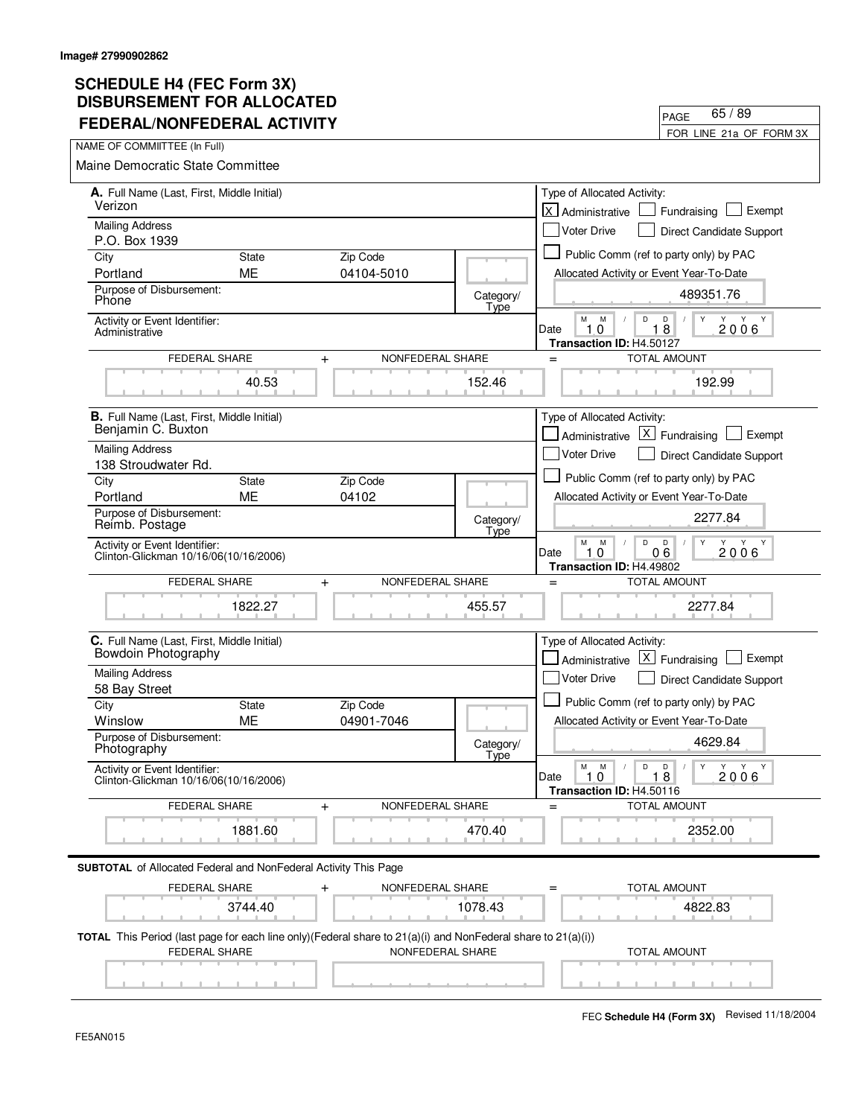| I LULINAL/NONI LULINAL ACTIVITT                                                                                                                 |                    |                               |                   | FOR LINE 21a OF FORM 3X                                                                                               |  |
|-------------------------------------------------------------------------------------------------------------------------------------------------|--------------------|-------------------------------|-------------------|-----------------------------------------------------------------------------------------------------------------------|--|
| NAME OF COMMIITTEE (In Full)                                                                                                                    |                    |                               |                   |                                                                                                                       |  |
| Maine Democratic State Committee                                                                                                                |                    |                               |                   |                                                                                                                       |  |
| A. Full Name (Last, First, Middle Initial)<br>Verizon                                                                                           |                    |                               |                   | Type of Allocated Activity:<br>lx l<br>Exempt<br>Administrative<br>Fundraising                                        |  |
| <b>Mailing Address</b>                                                                                                                          |                    |                               |                   | <b>Voter Drive</b><br>Direct Candidate Support                                                                        |  |
| P.O. Box 1939                                                                                                                                   |                    |                               |                   |                                                                                                                       |  |
| City                                                                                                                                            | <b>State</b>       | Zip Code                      |                   | Public Comm (ref to party only) by PAC                                                                                |  |
| Portland<br>Purpose of Disbursement:                                                                                                            | <b>ME</b>          | 04104-5010                    |                   | Allocated Activity or Event Year-To-Date                                                                              |  |
| Phone                                                                                                                                           |                    |                               | Category/<br>Type | 489351.76                                                                                                             |  |
| Activity or Event Identifier:<br>Administrative                                                                                                 |                    |                               |                   | M<br>M<br>D<br>D<br>Y<br>Y<br>Y<br>Y<br>10<br>18<br>2006<br>Date<br>Transaction ID: H4.50127                          |  |
| <b>FEDERAL SHARE</b>                                                                                                                            |                    | NONFEDERAL SHARE<br>$\ddot{}$ |                   | <b>TOTAL AMOUNT</b><br>$=$                                                                                            |  |
|                                                                                                                                                 | 40.53              |                               | 152.46            | 192.99                                                                                                                |  |
| <b>B.</b> Full Name (Last, First, Middle Initial)                                                                                               |                    |                               |                   | Type of Allocated Activity:                                                                                           |  |
| Benjamin C. Buxton                                                                                                                              |                    |                               |                   | $X$ Fundraising<br>Exempt<br>Administrative                                                                           |  |
| <b>Mailing Address</b>                                                                                                                          |                    |                               |                   | <b>Voter Drive</b><br>Direct Candidate Support                                                                        |  |
| 138 Stroudwater Rd.<br>City                                                                                                                     | <b>State</b>       | Zip Code                      |                   | Public Comm (ref to party only) by PAC                                                                                |  |
| Portland                                                                                                                                        | ME                 | 04102                         |                   | Allocated Activity or Event Year-To-Date                                                                              |  |
| Purpose of Disbursement:<br>Reimb. Postage                                                                                                      |                    |                               | Category/<br>Type | 2277.84                                                                                                               |  |
| Activity or Event Identifier:<br>Clinton-Glickman 10/16/06(10/16/2006)                                                                          |                    |                               |                   | М<br>M<br>D<br>D<br>Y Y<br>$0\bar{6}$<br>2006<br>10<br>Date<br>Transaction ID: H4.49802                               |  |
| FEDERAL SHARE                                                                                                                                   |                    | NONFEDERAL SHARE<br>$\ddot{}$ |                   | <b>TOTAL AMOUNT</b><br>$=$                                                                                            |  |
|                                                                                                                                                 | 1822.27            |                               | 455.57            | 2277.84                                                                                                               |  |
| C. Full Name (Last, First, Middle Initial)<br>Bowdoin Photography                                                                               |                    |                               |                   | Type of Allocated Activity:<br>$\lfloor x \rfloor$<br>Exempt<br>Administrative<br>Fundraising                         |  |
| <b>Mailing Address</b>                                                                                                                          |                    |                               |                   | Voter Drive<br>Direct Candidate Support                                                                               |  |
| 58 Bay Street                                                                                                                                   |                    |                               |                   | Public Comm (ref to party only) by PAC                                                                                |  |
| City<br>Winslow                                                                                                                                 | <b>State</b><br>ME | Zip Code<br>04901-7046        |                   | Allocated Activity or Event Year-To-Date                                                                              |  |
| Purpose of Disbursement:<br>Photography                                                                                                         |                    |                               | Category/         | 4629.84                                                                                                               |  |
| Activity or Event Identifier:<br>Clinton-Glickman 10/16/06(10/16/2006)                                                                          |                    |                               | Type              | М<br>M<br>$\mathsf D$<br>Y<br>Y<br>Y<br>D<br>Y<br>$\sqrt{2}$<br>Date<br>1.0<br>18<br>2006<br>Transaction ID: H4.50116 |  |
| <b>FEDERAL SHARE</b>                                                                                                                            |                    | NONFEDERAL SHARE<br>$\,{}^+$  |                   | <b>TOTAL AMOUNT</b>                                                                                                   |  |
|                                                                                                                                                 | 1881.60            |                               | 470.40            | 2352.00                                                                                                               |  |
| <b>SUBTOTAL</b> of Allocated Federal and NonFederal Activity This Page                                                                          |                    |                               |                   |                                                                                                                       |  |
| FEDERAL SHARE                                                                                                                                   |                    | NONFEDERAL SHARE              |                   | <b>TOTAL AMOUNT</b>                                                                                                   |  |
|                                                                                                                                                 | 3744.40            |                               | 1078.43           | 4822.83                                                                                                               |  |
| <b>TOTAL</b> This Period (last page for each line only)(Federal share to $21(a)(i)$ and NonFederal share to $21(a)(i))$<br><b>FEDERAL SHARE</b> |                    | NONFEDERAL SHARE              |                   | <b>TOTAL AMOUNT</b>                                                                                                   |  |
|                                                                                                                                                 |                    |                               |                   |                                                                                                                       |  |

FEC **Schedule H4 (Form 3X)** Revised 11/18/2004

PAGE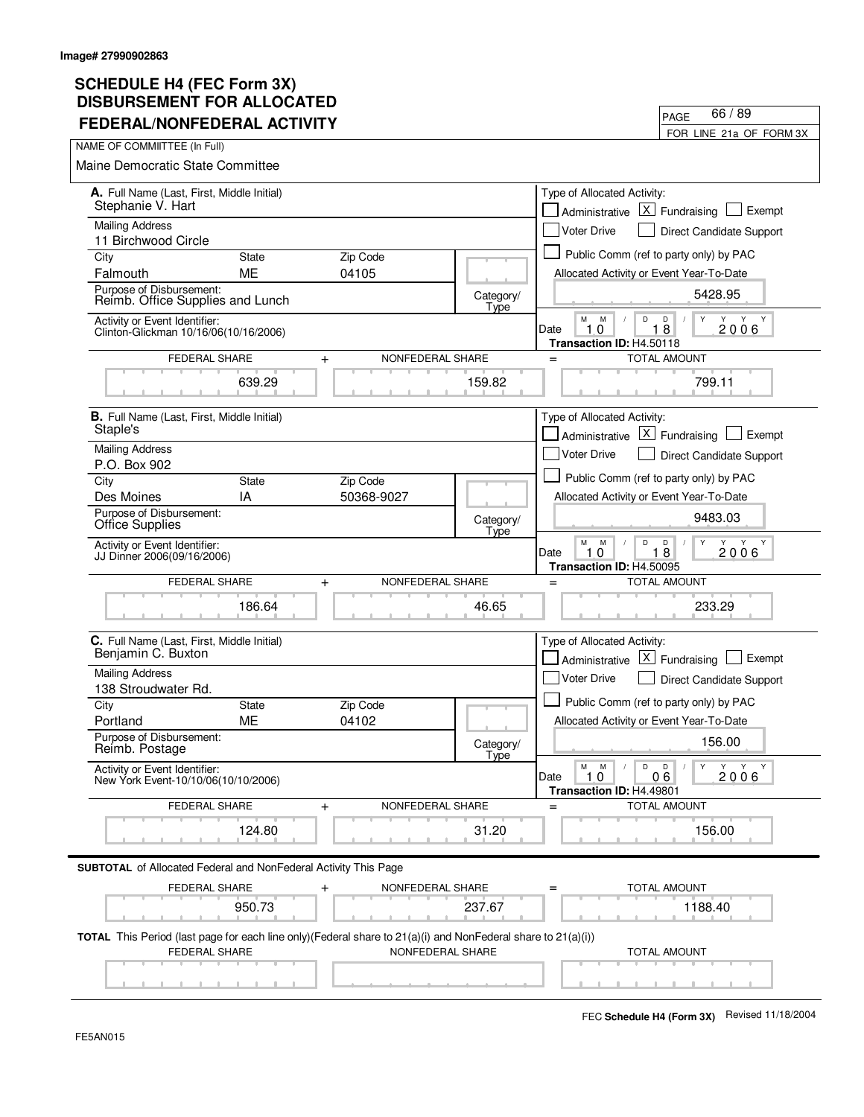| FEDERAL/NONFEDERAL ACTIVILI                                                                                                              |              |                               |                   | FOR LINE 21a OF FORM 3X                                                                                                                                         |
|------------------------------------------------------------------------------------------------------------------------------------------|--------------|-------------------------------|-------------------|-----------------------------------------------------------------------------------------------------------------------------------------------------------------|
| NAME OF COMMIITTEE (In Full)                                                                                                             |              |                               |                   |                                                                                                                                                                 |
| Maine Democratic State Committee                                                                                                         |              |                               |                   |                                                                                                                                                                 |
| A. Full Name (Last, First, Middle Initial)<br>Stephanie V. Hart                                                                          |              |                               |                   | Type of Allocated Activity:<br>$X$ Fundraising<br>Exempt<br>Administrative                                                                                      |
| <b>Mailing Address</b>                                                                                                                   |              |                               |                   | <b>Voter Drive</b><br>Direct Candidate Support                                                                                                                  |
| 11 Birchwood Circle                                                                                                                      | <b>State</b> |                               |                   | Public Comm (ref to party only) by PAC                                                                                                                          |
| City<br>Falmouth                                                                                                                         | MЕ           | Zip Code<br>04105             |                   | Allocated Activity or Event Year-To-Date                                                                                                                        |
| Purpose of Disbursement:<br>Reimb. Office Supplies and Lunch                                                                             |              |                               | Category/<br>Type | 5428.95                                                                                                                                                         |
| Activity or Event Identifier:<br>Clinton-Glickman 10/16/06(10/16/2006)                                                                   |              |                               |                   | M<br>M<br>D<br>D<br>Y<br>Y<br>Y<br>Y<br>10<br>8<br>2006<br>1<br>Date<br>Transaction ID: H4.50118                                                                |
| <b>FEDERAL SHARE</b>                                                                                                                     |              | NONFEDERAL SHARE<br>$\ddot{}$ |                   | <b>TOTAL AMOUNT</b><br>$=$                                                                                                                                      |
|                                                                                                                                          | 639.29       |                               | 159.82            | 799.11                                                                                                                                                          |
| <b>B.</b> Full Name (Last, First, Middle Initial)                                                                                        |              |                               |                   | Type of Allocated Activity:                                                                                                                                     |
| Staple's                                                                                                                                 |              |                               |                   | $ X $ Fundraising<br>Exempt<br>Administrative                                                                                                                   |
| <b>Mailing Address</b><br>P.O. Box 902                                                                                                   |              |                               |                   | <b>Voter Drive</b><br><b>Direct Candidate Support</b>                                                                                                           |
| City                                                                                                                                     | State        | Zip Code                      |                   | Public Comm (ref to party only) by PAC                                                                                                                          |
| Des Moines                                                                                                                               | ΙA           | 50368-9027                    |                   | Allocated Activity or Event Year-To-Date                                                                                                                        |
| Purpose of Disbursement:<br><b>Office Supplies</b>                                                                                       |              |                               | Category/<br>Type | 9483.03                                                                                                                                                         |
| Activity or Event Identifier:<br>JJ Dinner 2006(09/16/2006)                                                                              |              |                               |                   | М<br>M<br>D<br>$\overline{8}$<br>Y<br>Y Y<br>2006<br>Date<br>10<br>1<br>Transaction ID: H4.50095                                                                |
| <b>FEDERAL SHARE</b>                                                                                                                     |              | NONFEDERAL SHARE<br>$\ddot{}$ |                   | <b>TOTAL AMOUNT</b><br>$=$                                                                                                                                      |
|                                                                                                                                          | 186.64       |                               | 46.65             | 233.29                                                                                                                                                          |
| C. Full Name (Last, First, Middle Initial)<br>Benjamin C. Buxton                                                                         |              |                               |                   | Type of Allocated Activity:<br>$\lfloor x \rfloor$ Fundraising<br>Exempt<br>Administrative                                                                      |
| <b>Mailing Address</b><br>138 Stroudwater Rd.                                                                                            |              |                               |                   | <b>Voter Drive</b><br>Direct Candidate Support                                                                                                                  |
| City                                                                                                                                     | <b>State</b> | Zip Code                      |                   | Public Comm (ref to party only) by PAC                                                                                                                          |
| Portland                                                                                                                                 | ME           | 04102                         |                   | Allocated Activity or Event Year-To-Date                                                                                                                        |
| Purpose of Disbursement:<br>Reimb. Postage                                                                                               |              |                               | Category/<br>Type | 156.00                                                                                                                                                          |
| Activity or Event Identifier:<br>New York Event-10/10/06(10/10/2006)                                                                     |              |                               |                   | М<br>${\sf M}$<br>$\mathsf D$<br>$\mathsf D$<br>$\mathsf{Y}$<br>$Y - Y$<br>Y<br>$\sqrt{2}$<br>$\prime$<br>Date<br>1.0<br>2006<br>06<br>Transaction ID: H4.49801 |
| FEDERAL SHARE                                                                                                                            |              | NONFEDERAL SHARE<br>$\ddag$   |                   | <b>TOTAL AMOUNT</b>                                                                                                                                             |
|                                                                                                                                          | 124.80       |                               | 31.20             | 156.00                                                                                                                                                          |
| <b>SUBTOTAL</b> of Allocated Federal and NonFederal Activity This Page                                                                   |              |                               |                   |                                                                                                                                                                 |
| <b>FEDERAL SHARE</b>                                                                                                                     | 950.73       | NONFEDERAL SHARE              | 237.67            | <b>TOTAL AMOUNT</b><br>1188.40                                                                                                                                  |
| <b>TOTAL</b> This Period (last page for each line only)(Federal share to $21(a)(i)$ and NonFederal share to $21(a)(i))$<br>FEDERAL SHARE |              | NONFEDERAL SHARE              |                   | <b>TOTAL AMOUNT</b>                                                                                                                                             |
|                                                                                                                                          |              |                               |                   |                                                                                                                                                                 |

PAGE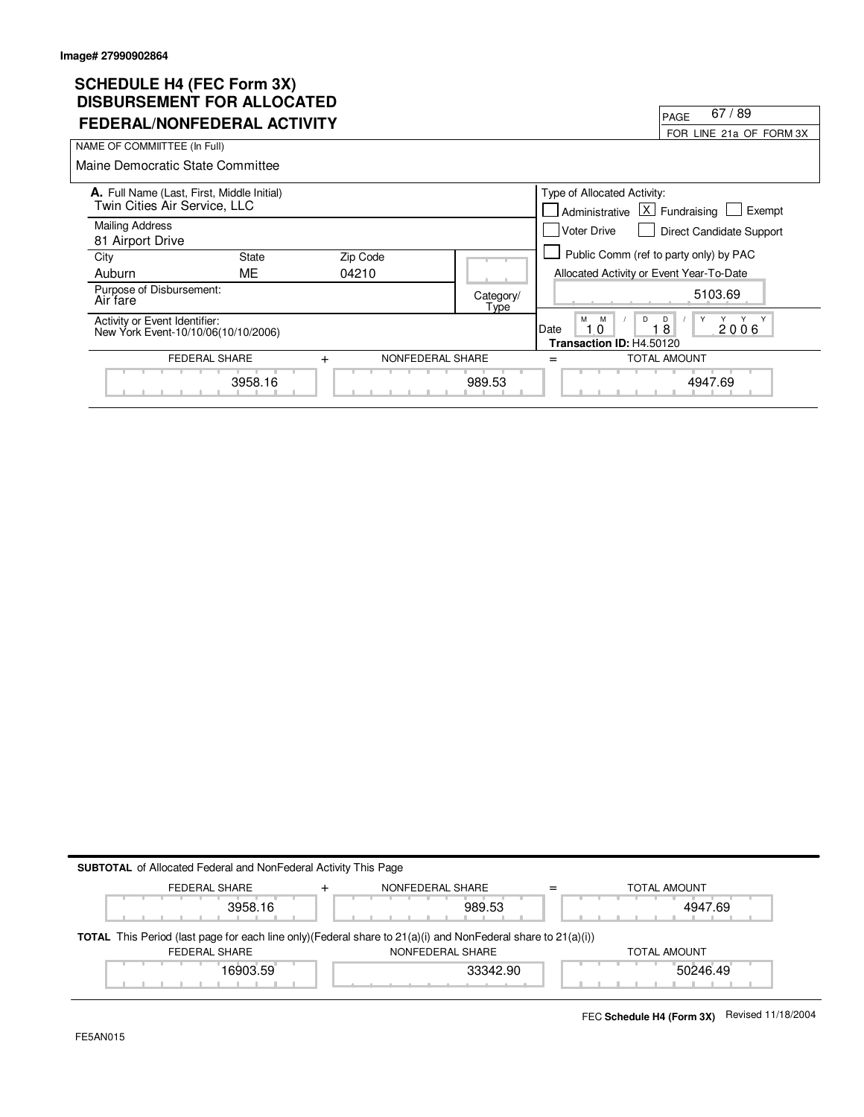# **SCHEDULE H4 (FEC Form 3X) DISBURSEMENT FOR ALLOCATED**

| DISDONSEMENT T VN ALLVVATLD                                                |              |                               |                   | 67/89<br>PAGE                                        |                                        |
|----------------------------------------------------------------------------|--------------|-------------------------------|-------------------|------------------------------------------------------|----------------------------------------|
| FEDERAL/NONFEDERAL ACTIVITY                                                |              |                               |                   |                                                      | FOR LINE 21a OF FORM 3X                |
| NAME OF COMMIITTEE (In Full)                                               |              |                               |                   |                                                      |                                        |
| Maine Democratic State Committee                                           |              |                               |                   |                                                      |                                        |
| A. Full Name (Last, First, Middle Initial)<br>Twin Cities Air Service, LLC |              |                               |                   | Type of Allocated Activity:<br>Administrative        | $ X $ Fundraising<br>Exempt            |
| <b>Mailing Address</b><br>81 Airport Drive                                 |              |                               |                   | <b>Voter Drive</b>                                   | <b>Direct Candidate Support</b>        |
| City                                                                       | <b>State</b> | Zip Code                      |                   |                                                      | Public Comm (ref to party only) by PAC |
| Auburn                                                                     | ME           | 04210                         |                   | Allocated Activity or Event Year-To-Date             |                                        |
| Purpose of Disbursement:<br>Air fare                                       |              |                               | Category/<br>Type |                                                      | 5103.69                                |
| Activity or Event Identifier:<br>New York Event-10/10/06(10/10/2006)       |              |                               |                   | M<br>M<br>D<br>Date<br>0<br>Transaction ID: H4.50120 | D<br>Y<br>Y<br>2006<br>8               |
| FEDERAL SHARE                                                              |              | NONFEDERAL SHARE<br>$\ddot{}$ |                   |                                                      | <b>TOTAL AMOUNT</b>                    |
|                                                                            | 3958.16      |                               | 989.53            |                                                      | 4947.69                                |

| <b>SUBTOTAL</b> of Allocated Federal and NonFederal Activity This Page                                                    |                  |                     |
|---------------------------------------------------------------------------------------------------------------------------|------------------|---------------------|
| <b>FEDERAL SHARE</b>                                                                                                      | NONFEDERAL SHARE | <b>TOTAL AMOUNT</b> |
| 3958.16                                                                                                                   | 989.53           | 4947.69             |
| <b>TOTAL</b> This Period (last page for each line only) (Federal share to $21(a)(i)$ and NonFederal share to $21(a)(i)$ ) |                  |                     |
| FEDERAL SHARE                                                                                                             | NONFEDERAL SHARE | TOTAL AMOUNT        |
| 16903.59                                                                                                                  | 33342.90         | 50246.49            |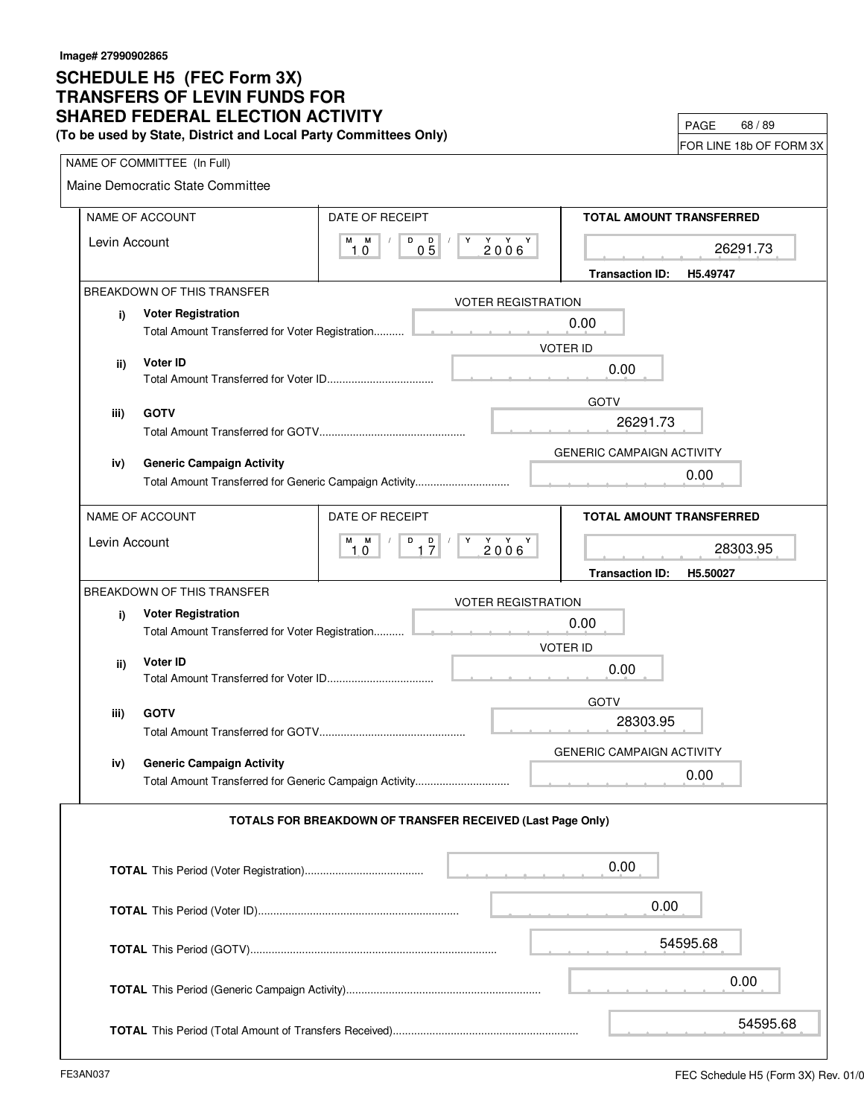#### **TRANSFERS OF LEVIN FUNDS FOR SCHEDULE H5 (FEC Form 3X) SHARED FEDERAL ELECTION ACTIVITY (To be used by State, District and Local Party Committees Only)**

PAGE 68 / 89

|  | FOR LINE 18b OF FORM 3X |
|--|-------------------------|
|--|-------------------------|

|                    | NAME OF COMMITTEE (In Full)                            |                 |                                                            |                                    |
|--------------------|--------------------------------------------------------|-----------------|------------------------------------------------------------|------------------------------------|
|                    | Maine Democratic State Committee                       |                 |                                                            |                                    |
|                    | NAME OF ACCOUNT                                        | DATE OF RECEIPT |                                                            | TOTAL AMOUNT TRANSFERRED           |
| М<br>Levin Account |                                                        | M<br>D<br>1.0   | $0\overline{5}$ $'$<br>$\mathsf{Y}$<br>$2006$ <sup>Y</sup> | 26291.73                           |
|                    |                                                        |                 |                                                            | <b>Transaction ID:</b><br>H5.49747 |
|                    | BREAKDOWN OF THIS TRANSFER                             |                 | <b>VOTER REGISTRATION</b>                                  |                                    |
| i)                 | <b>Voter Registration</b>                              |                 |                                                            | 0.00                               |
|                    |                                                        |                 |                                                            | <b>VOTER ID</b>                    |
| ii)                | Voter ID                                               |                 |                                                            | 0.00                               |
|                    |                                                        |                 |                                                            | <b>GOTV</b>                        |
| iii)               | <b>GOTV</b>                                            |                 |                                                            | 26291.73                           |
|                    |                                                        |                 |                                                            | <b>GENERIC CAMPAIGN ACTIVITY</b>   |
| iv)                | <b>Generic Campaign Activity</b>                       |                 |                                                            |                                    |
|                    | Total Amount Transferred for Generic Campaign Activity |                 |                                                            | 0.00                               |
|                    | NAME OF ACCOUNT                                        | DATE OF RECEIPT |                                                            | <b>TOTAL AMOUNT TRANSFERRED</b>    |
| Levin Account      |                                                        | M M             | $D$ $D$ $/$<br>  Y Y Y Y                                   | 28303.95                           |
|                    |                                                        | 1.0             | 17<br>2006                                                 |                                    |
|                    | BREAKDOWN OF THIS TRANSFER                             |                 |                                                            | <b>Transaction ID:</b><br>H5.50027 |
|                    | <b>Voter Registration</b>                              |                 | <b>VOTER REGISTRATION</b>                                  |                                    |
| i)                 |                                                        |                 |                                                            | 0.00                               |
|                    |                                                        |                 |                                                            | <b>VOTER ID</b>                    |
| ii)                | Voter ID                                               |                 |                                                            | 0.00                               |
|                    |                                                        |                 |                                                            | <b>GOTV</b>                        |
| iii)               | <b>GOTV</b>                                            |                 |                                                            | 28303.95                           |
|                    |                                                        |                 |                                                            |                                    |
| iv)                | <b>Generic Campaign Activity</b>                       |                 |                                                            | <b>GENERIC CAMPAIGN ACTIVITY</b>   |
|                    | Total Amount Transferred for Generic Campaign Activity |                 |                                                            | 0.00<br>a a a a a                  |
|                    |                                                        |                 |                                                            |                                    |
|                    |                                                        |                 | TOTALS FOR BREAKDOWN OF TRANSFER RECEIVED (Last Page Only) |                                    |
|                    |                                                        |                 |                                                            | 0.00                               |
|                    |                                                        |                 |                                                            |                                    |
|                    |                                                        |                 |                                                            | 0.00                               |
|                    |                                                        |                 |                                                            |                                    |
|                    |                                                        |                 |                                                            | 54595.68                           |
|                    |                                                        |                 |                                                            | 0.00                               |
|                    |                                                        |                 |                                                            |                                    |
|                    |                                                        |                 |                                                            | 54595.68                           |
|                    |                                                        |                 |                                                            |                                    |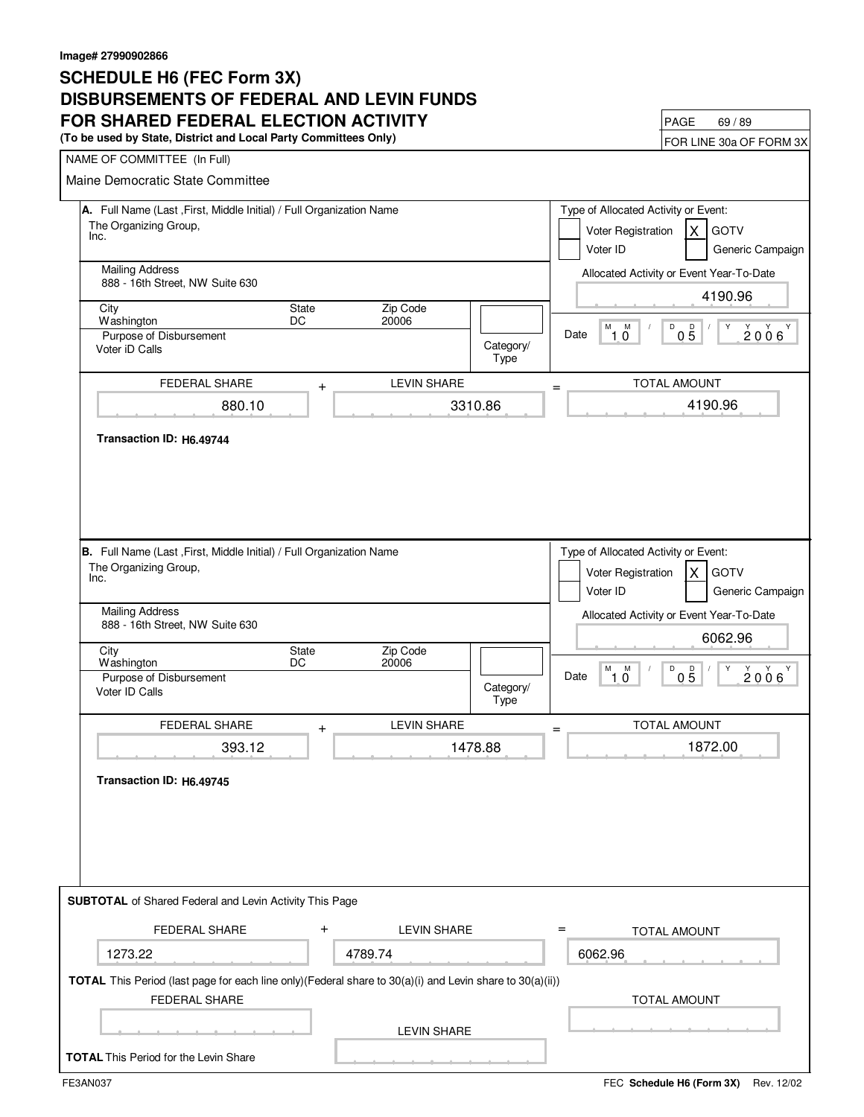### **SCHEDULE H6 (FEC Form 3X) DISBURSEMENTS OF FEDERAL AND LEVIN FUNDS FOR SHARED FEDERAL ELECTION ACTIVITY**<br>(To be used by State, District and Local Party Committees Only)<br>FOR LINE 30a OF FORM 3X

(To be used by State, District and Local Party Committees Only)

| NAME OF COMMITTEE (In Full)                                                                              |                                   |                                                                                                                  |                                                                        |
|----------------------------------------------------------------------------------------------------------|-----------------------------------|------------------------------------------------------------------------------------------------------------------|------------------------------------------------------------------------|
| Maine Democratic State Committee                                                                         |                                   |                                                                                                                  |                                                                        |
| A. Full Name (Last, First, Middle Initial) / Full Organization Name<br>The Organizing Group,<br>Inc.     |                                   | Type of Allocated Activity or Event:<br>Voter Registration<br>IX.<br><b>GOTV</b><br>Voter ID<br>Generic Campaign |                                                                        |
| <b>Mailing Address</b><br>888 - 16th Street, NW Suite 630                                                |                                   |                                                                                                                  | Allocated Activity or Event Year-To-Date<br>4190.96                    |
| City                                                                                                     | State<br>Zip Code                 |                                                                                                                  |                                                                        |
| Washington<br>Purpose of Disbursement<br>Voter iD Calls                                                  | DC<br>20006                       | Category/<br>Type                                                                                                | M<br>$^{\prime}$ 1.0<br>D<br>$0\overline{5}$<br>Υ<br>2006<br>Date      |
| <b>FEDERAL SHARE</b>                                                                                     | <b>LEVIN SHARE</b><br>$\ddag$     | =                                                                                                                | <b>TOTAL AMOUNT</b>                                                    |
| 880.10                                                                                                   |                                   | 3310.86                                                                                                          | 4190.96                                                                |
| Transaction ID: H6.49744                                                                                 |                                   |                                                                                                                  |                                                                        |
| B. Full Name (Last , First, Middle Initial) / Full Organization Name                                     |                                   |                                                                                                                  | Type of Allocated Activity or Event:                                   |
| The Organizing Group,<br>Inc.                                                                            |                                   |                                                                                                                  | Voter Registration<br><b>GOTV</b><br>X<br>Voter ID<br>Generic Campaign |
| <b>Mailing Address</b><br>888 - 16th Street, NW Suite 630                                                |                                   |                                                                                                                  | Allocated Activity or Event Year-To-Date<br>6062.96                    |
| City                                                                                                     | Zip Code<br>State                 |                                                                                                                  |                                                                        |
| Washington<br>Purpose of Disbursement<br>Voter ID Calls                                                  | 20006<br>DC                       | Category/<br>Type                                                                                                | M<br>D<br>M<br>$0\overline{5}$<br>Y<br>Y Y<br>Υ<br>Date<br>2006<br>10  |
| <b>FEDERAL SHARE</b>                                                                                     | <b>LEVIN SHARE</b><br>$\ddag$     |                                                                                                                  | TOTAL AMOUNT                                                           |
| 393.12                                                                                                   |                                   | 1478.88                                                                                                          | 1872.00                                                                |
| Transaction ID: H6.49745                                                                                 |                                   |                                                                                                                  |                                                                        |
| <b>SUBTOTAL</b> of Shared Federal and Levin Activity This Page                                           |                                   |                                                                                                                  |                                                                        |
| <b>FEDERAL SHARE</b>                                                                                     | $\mathbf +$<br><b>LEVIN SHARE</b> | $=$                                                                                                              | <b>TOTAL AMOUNT</b>                                                    |
| 1273.22                                                                                                  | 4789.74                           |                                                                                                                  | 6062.96                                                                |
| TOTAL This Period (last page for each line only)(Federal share to 30(a)(i) and Levin share to 30(a)(ii)) |                                   |                                                                                                                  |                                                                        |
| <b>FEDERAL SHARE</b>                                                                                     |                                   |                                                                                                                  | TOTAL AMOUNT                                                           |
|                                                                                                          | <b>LEVIN SHARE</b>                |                                                                                                                  |                                                                        |
| <b>TOTAL</b> This Period for the Levin Share                                                             |                                   |                                                                                                                  |                                                                        |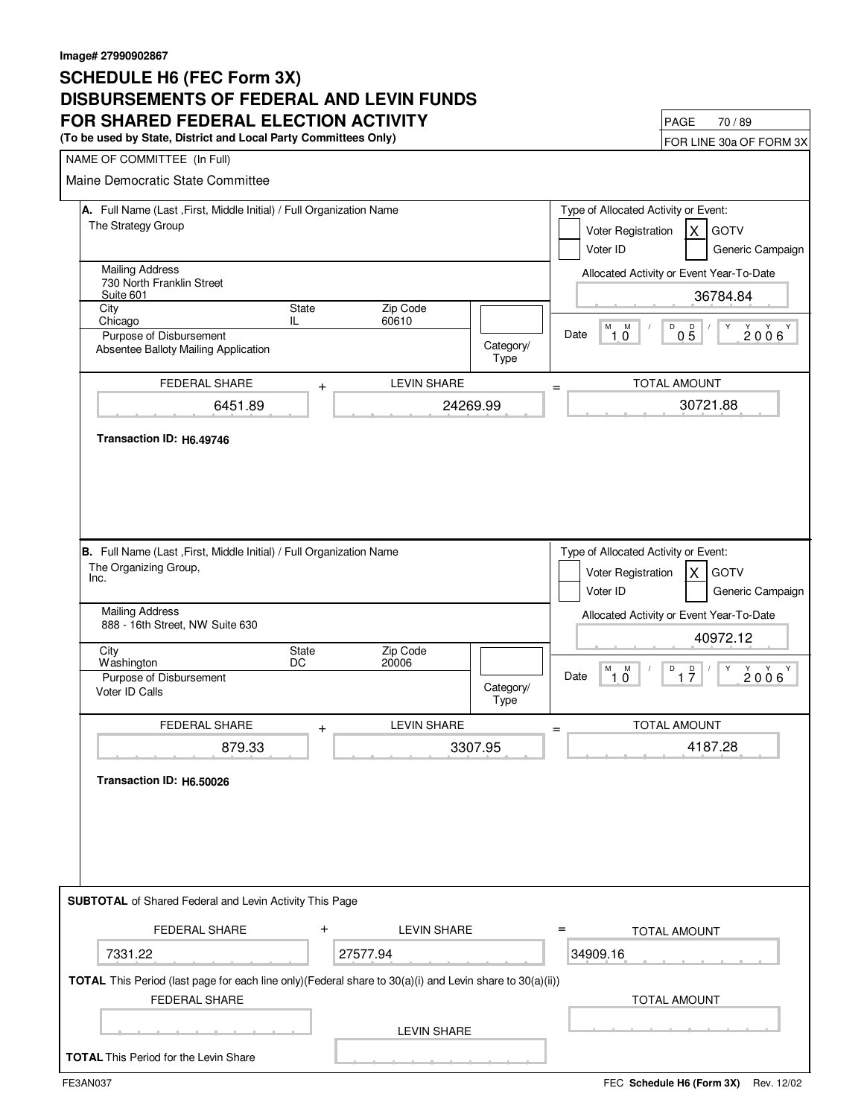### **SCHEDULE H6 (FEC Form 3X) DISBURSEMENTS OF FEDERAL AND LEVIN FUNDS FOR SHARED FEDERAL ELECTION ACTIVITY**<br>(To be used by State, District and Local Party Committees Only)

(To be used by State, District and Local Party Committees Only)

|                                                                                                                                  |                                 |                                                                                                                 | I UN LIIVE JUA UI TUNIVI JA                                                                                                                                |  |  |
|----------------------------------------------------------------------------------------------------------------------------------|---------------------------------|-----------------------------------------------------------------------------------------------------------------|------------------------------------------------------------------------------------------------------------------------------------------------------------|--|--|
| NAME OF COMMITTEE (In Full)                                                                                                      |                                 |                                                                                                                 |                                                                                                                                                            |  |  |
| Maine Democratic State Committee                                                                                                 |                                 |                                                                                                                 |                                                                                                                                                            |  |  |
| A. Full Name (Last, First, Middle Initial) / Full Organization Name<br>The Strategy Group                                        |                                 | Type of Allocated Activity or Event:<br>Voter Registration<br>ΙX<br><b>GOTV</b><br>Voter ID<br>Generic Campaign |                                                                                                                                                            |  |  |
| 730 North Franklin Street<br>Suite 601                                                                                           | <b>Mailing Address</b>          |                                                                                                                 |                                                                                                                                                            |  |  |
| State<br>City<br>Chicago<br>IL.                                                                                                  | Zip Code<br>60610               |                                                                                                                 | 36784.84                                                                                                                                                   |  |  |
| Purpose of Disbursement<br>Absentee Balloty Mailing Application                                                                  |                                 | Category/<br>Type                                                                                               | D<br>M<br>M<br>$0\overline{5}$<br>Y<br>$2006^{\gamma}$<br>Date<br>໊1 0໊                                                                                    |  |  |
| FEDERAL SHARE                                                                                                                    | <b>LEVIN SHARE</b><br>$\ddot{}$ | $=$                                                                                                             | TOTAL AMOUNT                                                                                                                                               |  |  |
| 6451.89                                                                                                                          |                                 | 24269.99                                                                                                        | 30721.88                                                                                                                                                   |  |  |
| Transaction ID: H6.49746                                                                                                         |                                 |                                                                                                                 |                                                                                                                                                            |  |  |
| B. Full Name (Last, First, Middle Initial) / Full Organization Name<br>The Organizing Group,<br>Inc.<br><b>Mailing Address</b>   |                                 |                                                                                                                 | Type of Allocated Activity or Event:<br>Voter Registration<br><b>GOTV</b><br>X<br>Voter ID<br>Generic Campaign<br>Allocated Activity or Event Year-To-Date |  |  |
| 888 - 16th Street, NW Suite 630                                                                                                  |                                 |                                                                                                                 | 40972.12                                                                                                                                                   |  |  |
| State<br>City<br>DC<br>Washington                                                                                                | Zip Code<br>20006               |                                                                                                                 |                                                                                                                                                            |  |  |
| Purpose of Disbursement<br>Voter ID Calls                                                                                        |                                 | Category/<br>Type                                                                                               | M M<br>Y<br>D<br>$\frac{D}{7}$<br>$\frac{1}{2}$<br>$2006^{\prime}$<br>Date<br>10                                                                           |  |  |
| FEDERAL SHARE                                                                                                                    | <b>LEVIN SHARE</b><br>$\pmb{+}$ | $=$                                                                                                             | TOTAL AMOUNT                                                                                                                                               |  |  |
| 879.33                                                                                                                           |                                 | 3307.95                                                                                                         | 4187.28                                                                                                                                                    |  |  |
| Transaction ID: H6.50026                                                                                                         |                                 |                                                                                                                 |                                                                                                                                                            |  |  |
| <b>SUBTOTAL</b> of Shared Federal and Levin Activity This Page                                                                   |                                 |                                                                                                                 |                                                                                                                                                            |  |  |
| <b>FEDERAL SHARE</b>                                                                                                             | $\ddot{}$<br><b>LEVIN SHARE</b> |                                                                                                                 | $=$<br><b>TOTAL AMOUNT</b>                                                                                                                                 |  |  |
| 7331.22                                                                                                                          | 27577.94                        |                                                                                                                 | 34909.16                                                                                                                                                   |  |  |
| TOTAL This Period (last page for each line only)(Federal share to 30(a)(i) and Levin share to 30(a)(ii))<br><b>FEDERAL SHARE</b> |                                 |                                                                                                                 | <b>TOTAL AMOUNT</b>                                                                                                                                        |  |  |
|                                                                                                                                  | <b>LEVIN SHARE</b>              |                                                                                                                 |                                                                                                                                                            |  |  |
| <b>TOTAL</b> This Period for the Levin Share                                                                                     |                                 |                                                                                                                 |                                                                                                                                                            |  |  |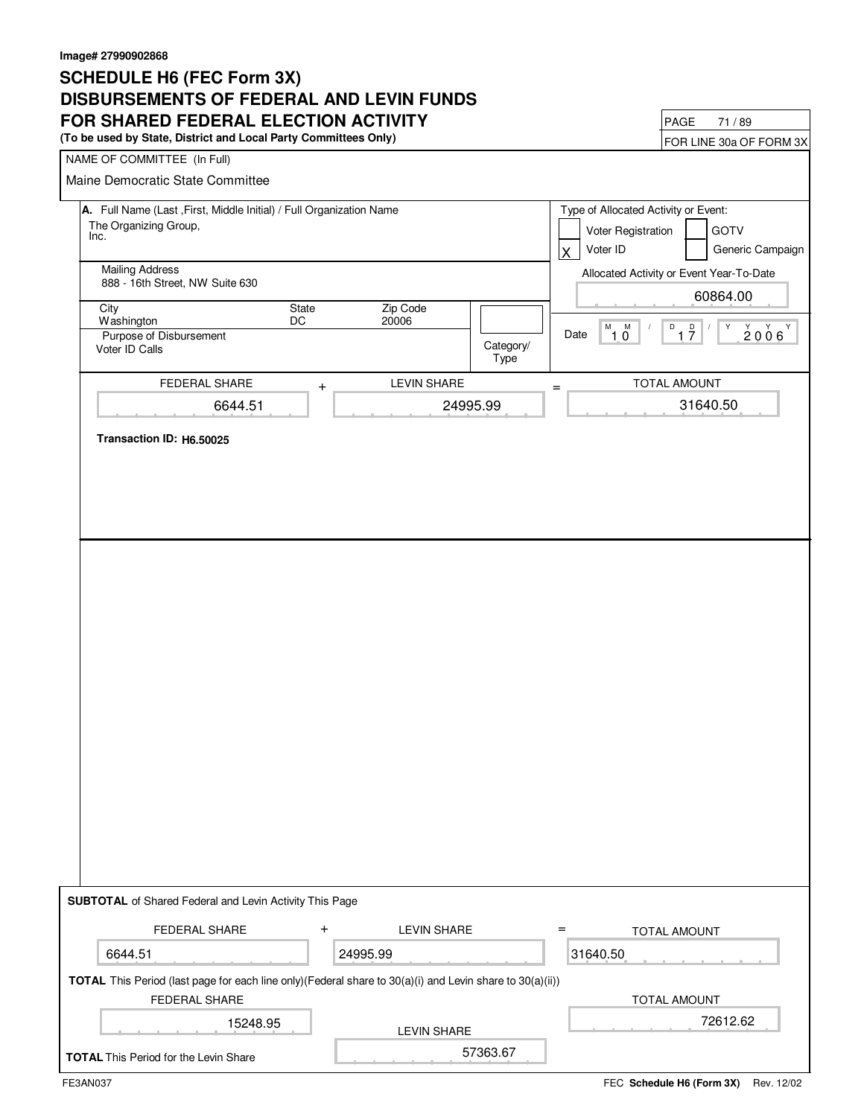### **SCHEDULE H6 (FEC Form 3X) DISBURSEMENTS OF FEDERAL AND LEVIN FUNDS FOR SHARED FEDERAL ELECTION ACTIVITY**<br>(To be used by State, District and Local Party Committees Only)<br>FOR LINE 30a OF FORM 3X

(To be used by State, District and Local Party Committees Only)

| NAME OF COMMITTEE (In Full)                                                                                                                      |                               |                   |                                                                                                                 |  |  |
|--------------------------------------------------------------------------------------------------------------------------------------------------|-------------------------------|-------------------|-----------------------------------------------------------------------------------------------------------------|--|--|
| Maine Democratic State Committee                                                                                                                 |                               |                   |                                                                                                                 |  |  |
| A. Full Name (Last , First, Middle Initial) / Full Organization Name<br>The Organizing Group,<br>Inc.                                            |                               |                   | Type of Allocated Activity or Event:<br>Voter Registration<br><b>GOTV</b><br>Voter ID<br>Generic Campaign<br>X. |  |  |
| <b>Mailing Address</b><br>888 - 16th Street, NW Suite 630                                                                                        |                               |                   | Allocated Activity or Event Year-To-Date<br>60864.00                                                            |  |  |
| City<br>State<br>Washington<br>DC                                                                                                                | Zip Code<br>20006             |                   |                                                                                                                 |  |  |
| Purpose of Disbursement<br>Voter ID Calls                                                                                                        |                               | Category/<br>Type | $M_{1,0}$<br>D<br>1 <sup>D</sup><br>Υ<br>2006<br>Date                                                           |  |  |
| FEDERAL SHARE                                                                                                                                    | <b>LEVIN SHARE</b><br>$\ddag$ | $=$               | TOTAL AMOUNT                                                                                                    |  |  |
| 6644.51                                                                                                                                          | 24995.99                      |                   | 31640.50                                                                                                        |  |  |
|                                                                                                                                                  |                               |                   |                                                                                                                 |  |  |
|                                                                                                                                                  |                               |                   |                                                                                                                 |  |  |
|                                                                                                                                                  |                               |                   |                                                                                                                 |  |  |
|                                                                                                                                                  |                               |                   |                                                                                                                 |  |  |
| <b>SUBTOTAL</b> of Shared Federal and Levin Activity This Page                                                                                   |                               |                   |                                                                                                                 |  |  |
| <b>FEDERAL SHARE</b>                                                                                                                             | $\pm$<br><b>LEVIN SHARE</b>   | $=$               | <b>TOTAL AMOUNT</b>                                                                                             |  |  |
| 6644.51                                                                                                                                          | 24995.99                      |                   | 31640.50                                                                                                        |  |  |
| TOTAL This Period (last page for each line only)(Federal share to 30(a)(i) and Levin share to 30(a)(ii))<br>FEDERAL SHARE<br><b>TOTAL AMOUNT</b> |                               |                   |                                                                                                                 |  |  |
| 15248.95                                                                                                                                         | <b>LEVIN SHARE</b>            |                   | 72612.62                                                                                                        |  |  |
| <b>TOTAL</b> This Period for the Levin Share                                                                                                     |                               | 57363.67          |                                                                                                                 |  |  |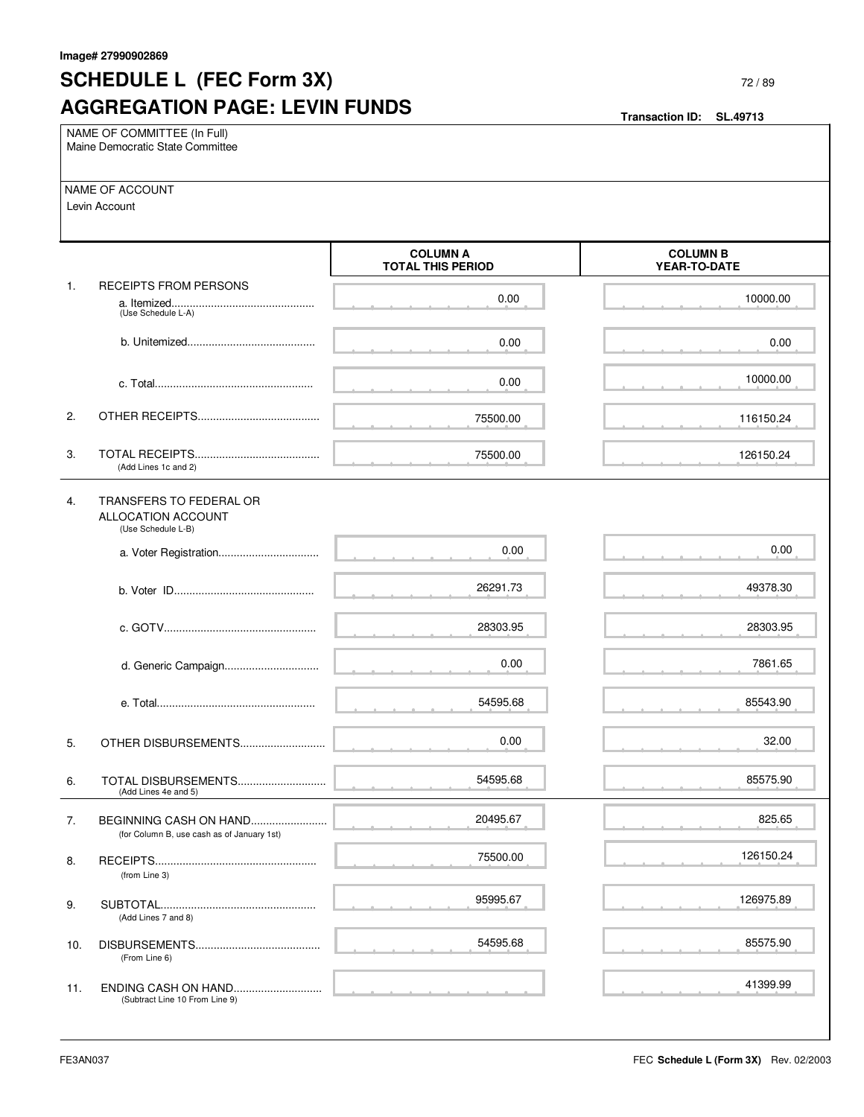## **SCHEDULE L (FEC Form 3X) AGGREGATION PAGE: LEVIN FUNDS**

| NAME OF COMMITTEE (In Full)<br>Maine Democratic State Committee |                                                                      |                                             |                                 |  |
|-----------------------------------------------------------------|----------------------------------------------------------------------|---------------------------------------------|---------------------------------|--|
|                                                                 | NAME OF ACCOUNT<br>Levin Account                                     |                                             |                                 |  |
|                                                                 |                                                                      | <b>COLUMN A</b><br><b>TOTAL THIS PERIOD</b> | <b>COLUMN B</b><br>YEAR-TO-DATE |  |
| 1.                                                              | <b>RECEIPTS FROM PERSONS</b><br>(Use Schedule L-A)                   | 0.00                                        | 10000.00                        |  |
|                                                                 |                                                                      | 0.00                                        | 0.00                            |  |
|                                                                 |                                                                      | 0.00                                        | 10000.00                        |  |
| 2.                                                              |                                                                      | 75500.00                                    | 116150.24                       |  |
| 3.                                                              | (Add Lines 1c and 2)                                                 | 75500.00                                    | 126150.24                       |  |
| 4.                                                              | TRANSFERS TO FEDERAL OR<br>ALLOCATION ACCOUNT<br>(Use Schedule L-B)  |                                             |                                 |  |
|                                                                 |                                                                      | 0.00                                        | 0.00                            |  |
|                                                                 |                                                                      | 26291.73                                    | 49378.30                        |  |
|                                                                 |                                                                      | 28303.95                                    | 28303.95                        |  |
|                                                                 | d. Generic Campaign                                                  | 0.00                                        | 7861.65                         |  |
|                                                                 |                                                                      | 54595.68                                    | 85543.90                        |  |
| 5.                                                              | OTHER DISBURSEMENTS                                                  | 0.00                                        | 32.00                           |  |
| 6.                                                              | TOTAL DISBURSEMENTS<br>(Add Lines 4e and 5)                          | 54595.68                                    | 85575.90                        |  |
| 7.                                                              | BEGINNING CASH ON HAND<br>(for Column B, use cash as of January 1st) | 20495.67                                    | 825.65                          |  |
| 8.                                                              | (from Line 3)                                                        | 75500.00                                    | 126150.24                       |  |
| 9.                                                              | (Add Lines 7 and 8)                                                  | 95995.67                                    | 126975.89                       |  |
| 10.                                                             | DISBURSEMENTS<br>(From Line 6)                                       | 54595.68                                    | 85575.90                        |  |
| 11.                                                             | ENDING CASH ON HAND<br>(Subtract Line 10 From Line 9)                |                                             | 41399.99                        |  |

**SL.49713**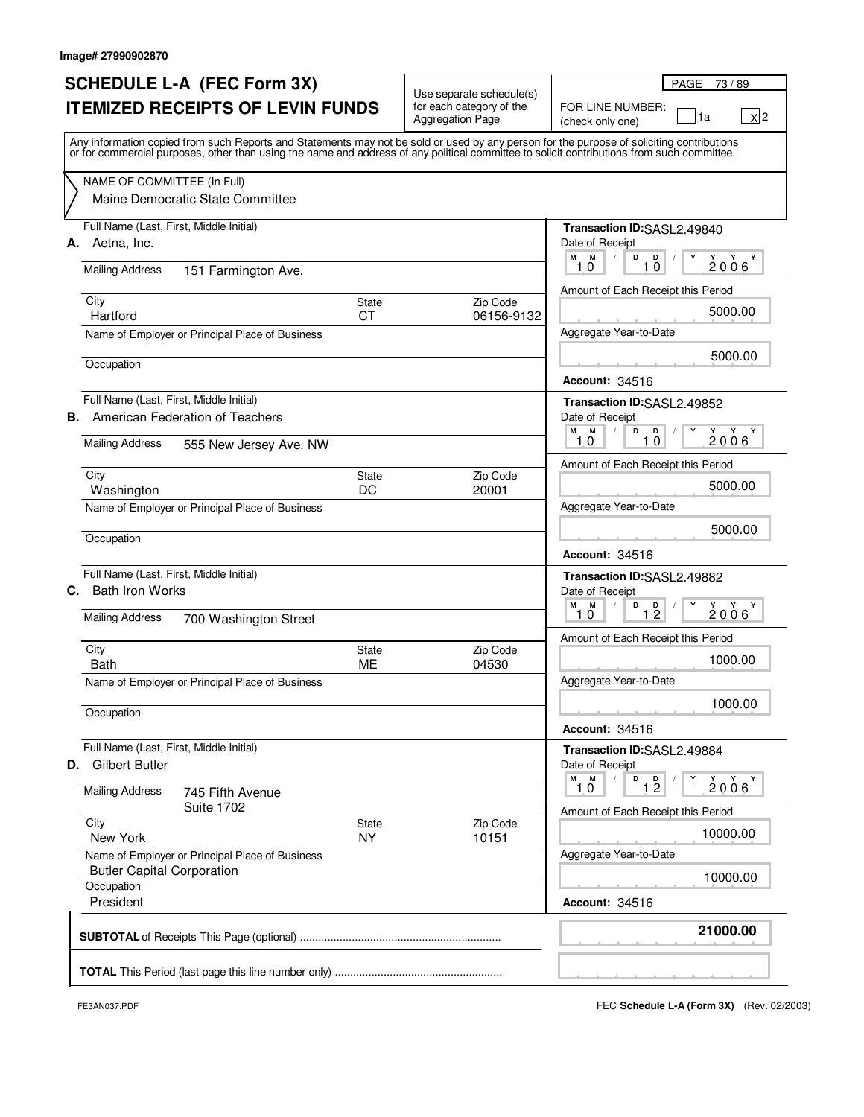### **SCHEDULE L-A (FEC Form 3X) ITEMIZED RECEIPTS OF LEVIN FUNDS**

| SCHEDULE L-A (FEC Form 3X)<br><b>ITEMIZED RECEIPTS OF LEVIN FUNDS</b>                                                                                                                                                                                                                   | Use separate schedule(s)<br>for each category of the | PAGE 73/89<br>FOR LINE NUMBER:                                                  |
|-----------------------------------------------------------------------------------------------------------------------------------------------------------------------------------------------------------------------------------------------------------------------------------------|------------------------------------------------------|---------------------------------------------------------------------------------|
|                                                                                                                                                                                                                                                                                         | <b>Aggregation Page</b>                              | $\mathbf{X}^{\mathbf{2}}$<br>1a<br>(check only one)                             |
| Any information copied from such Reports and Statements may not be sold or used by any person for the purpose of soliciting contributions<br>or for commercial purposes, other than using the name and address of any political committee to solicit contributions from such committee. |                                                      |                                                                                 |
| NAME OF COMMITTEE (In Full)<br>Maine Democratic State Committee                                                                                                                                                                                                                         |                                                      |                                                                                 |
| Full Name (Last, First, Middle Initial)                                                                                                                                                                                                                                                 |                                                      | Transaction ID:SASL2.49840                                                      |
| A. Aetna, Inc.<br><b>Mailing Address</b>                                                                                                                                                                                                                                                |                                                      | Date of Receipt<br>M M<br>D<br>$\blacksquare$<br>Υ<br>Y Y Y<br>2006<br>10<br>10 |
| 151 Farmington Ave.                                                                                                                                                                                                                                                                     |                                                      | Amount of Each Receipt this Period                                              |
| City<br>State                                                                                                                                                                                                                                                                           | Zip Code                                             | 5000.00                                                                         |
| <b>CT</b><br>Hartford                                                                                                                                                                                                                                                                   | 06156-9132                                           | Aggregate Year-to-Date                                                          |
| Name of Employer or Principal Place of Business                                                                                                                                                                                                                                         |                                                      |                                                                                 |
| Occupation                                                                                                                                                                                                                                                                              |                                                      | 5000.00<br><b>Account: 34516</b>                                                |
| Full Name (Last, First, Middle Initial)                                                                                                                                                                                                                                                 |                                                      | Transaction ID:SASL2.49852                                                      |
| American Federation of Teachers<br>В.                                                                                                                                                                                                                                                   |                                                      | Date of Receipt                                                                 |
| <b>Mailing Address</b><br>555 New Jersey Ave. NW                                                                                                                                                                                                                                        |                                                      | M<br>D<br>M<br>D<br>2006<br>10<br>10                                            |
| City<br>State                                                                                                                                                                                                                                                                           | Zip Code                                             | Amount of Each Receipt this Period                                              |
| DC<br>Washington                                                                                                                                                                                                                                                                        | 20001                                                | 5000.00                                                                         |
| Name of Employer or Principal Place of Business                                                                                                                                                                                                                                         |                                                      | Aggregate Year-to-Date                                                          |
| Occupation                                                                                                                                                                                                                                                                              |                                                      | 5000.00                                                                         |
| Full Name (Last, First, Middle Initial)                                                                                                                                                                                                                                                 |                                                      | <b>Account: 34516</b>                                                           |
| <b>Bath Iron Works</b><br>С.                                                                                                                                                                                                                                                            |                                                      | Transaction ID:SASL2.49882<br>Date of Receipt<br>M<br>М<br>D<br>D<br>Y Y Y      |
| <b>Mailing Address</b><br>700 Washington Street                                                                                                                                                                                                                                         |                                                      | $1\overline{2}$<br>2006<br>1,0                                                  |
| City<br>State                                                                                                                                                                                                                                                                           | Zip Code                                             | Amount of Each Receipt this Period                                              |
| Bath<br><b>ME</b>                                                                                                                                                                                                                                                                       | 04530                                                | 1000.00                                                                         |
| Name of Employer or Principal Place of Business                                                                                                                                                                                                                                         |                                                      | Aggregate Year-to-Date                                                          |
| Occupation                                                                                                                                                                                                                                                                              |                                                      | 1000.00                                                                         |
|                                                                                                                                                                                                                                                                                         |                                                      | <b>Account: 34516</b>                                                           |
| Full Name (Last, First, Middle Initial)                                                                                                                                                                                                                                                 |                                                      | Transaction ID:SASL2.49884                                                      |
| <b>D.</b> Gilbert Butler                                                                                                                                                                                                                                                                |                                                      | Date of Receipt                                                                 |
| <b>Mailing Address</b><br>745 Fifth Avenue<br><b>Suite 1702</b>                                                                                                                                                                                                                         |                                                      | $M$ $M$<br>D<br>1 <sup>D</sup><br>Y Y<br>2006<br>10                             |
| City<br>State                                                                                                                                                                                                                                                                           | Zip Code                                             | Amount of Each Receipt this Period                                              |
| <b>NY</b><br>New York                                                                                                                                                                                                                                                                   | 10151                                                | 10000.00                                                                        |
| Name of Employer or Principal Place of Business<br><b>Butler Capital Corporation</b>                                                                                                                                                                                                    |                                                      | Aggregate Year-to-Date<br>10000.00                                              |
| Occupation<br>President                                                                                                                                                                                                                                                                 |                                                      | <b>Account: 34516</b>                                                           |
|                                                                                                                                                                                                                                                                                         |                                                      |                                                                                 |

 $\mathbf{r}$ 

FE3AN037.PDF FEC **Schedule L-A (Form 3X)** (Rev. 02/2003)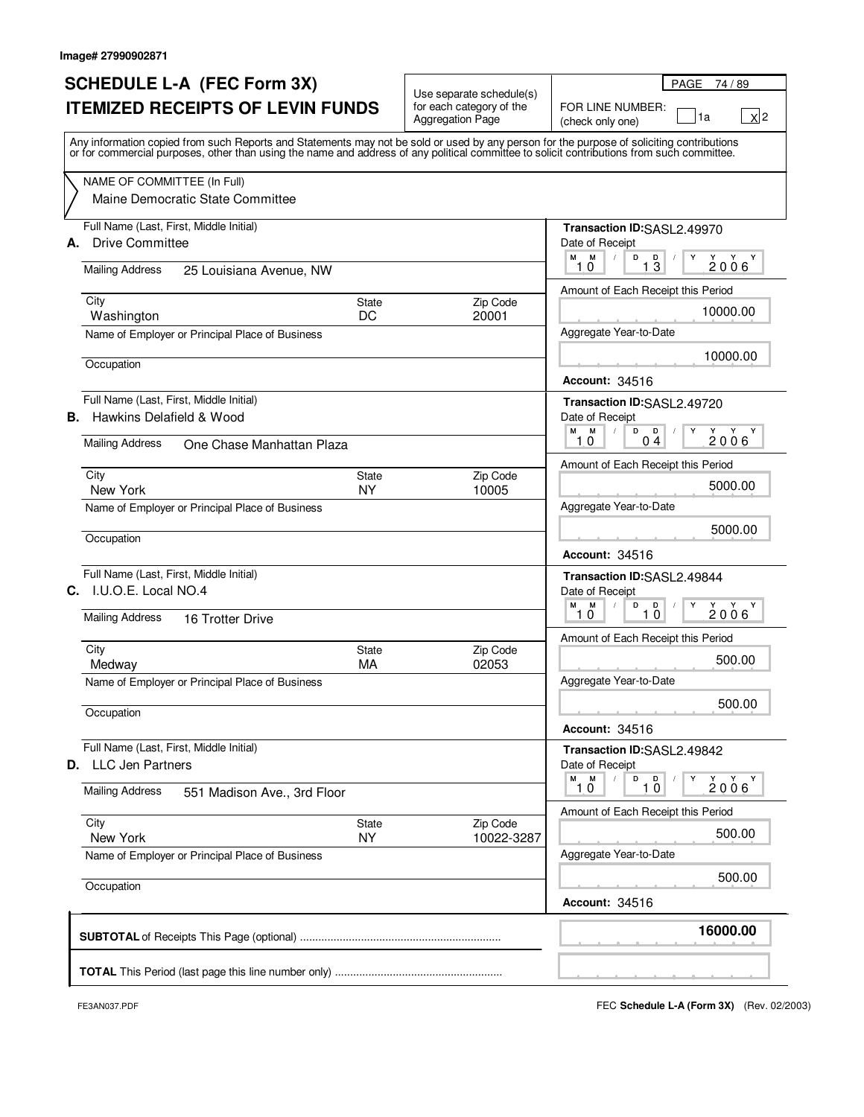# **SCHEDULE L-A (FEC Form 3X) ITEMIZED RECEIPTS OF LEVIN FUNDS**

| <b>SCHEDULE L-A (FEC Form 3X)</b>                                                                                                                                                                                                                                                       |                           |                                                                                 | PAGE<br>74/89                                                      |
|-----------------------------------------------------------------------------------------------------------------------------------------------------------------------------------------------------------------------------------------------------------------------------------------|---------------------------|---------------------------------------------------------------------------------|--------------------------------------------------------------------|
| <b>ITEMIZED RECEIPTS OF LEVIN FUNDS</b>                                                                                                                                                                                                                                                 |                           | Use separate schedule(s)<br>for each category of the<br><b>Aggregation Page</b> | FOR LINE NUMBER:<br>$\mathsf{X}$  2<br>1a<br>(check only one)      |
| Any information copied from such Reports and Statements may not be sold or used by any person for the purpose of soliciting contributions<br>or for commercial purposes, other than using the name and address of any political committee to solicit contributions from such committee. |                           |                                                                                 |                                                                    |
| NAME OF COMMITTEE (In Full)<br>Maine Democratic State Committee                                                                                                                                                                                                                         |                           |                                                                                 |                                                                    |
| Full Name (Last, First, Middle Initial)<br>A. Drive Committee                                                                                                                                                                                                                           |                           |                                                                                 | Transaction ID:SASL2.49970<br>Date of Receipt<br>M<br>M            |
| <b>Mailing Address</b><br>25 Louisiana Avenue, NW                                                                                                                                                                                                                                       |                           |                                                                                 | D<br>$1\overline{3}$<br>Y<br>$2006^{\gamma}$<br>10                 |
| City                                                                                                                                                                                                                                                                                    | State                     | Zip Code                                                                        | Amount of Each Receipt this Period                                 |
| Washington                                                                                                                                                                                                                                                                              | DC                        | 20001                                                                           | 10000.00                                                           |
| Name of Employer or Principal Place of Business                                                                                                                                                                                                                                         |                           |                                                                                 | Aggregate Year-to-Date                                             |
| Occupation                                                                                                                                                                                                                                                                              |                           |                                                                                 | 10000.00<br><b>Account: 34516</b>                                  |
| Full Name (Last, First, Middle Initial)                                                                                                                                                                                                                                                 |                           |                                                                                 | Transaction ID:SASL2.49720                                         |
| <b>B.</b> Hawkins Delafield & Wood                                                                                                                                                                                                                                                      |                           |                                                                                 | Date of Receipt<br>M<br>M<br>Y<br>$\sqrt{ }$<br>D<br>D<br>Y<br>Y Y |
| <b>Mailing Address</b><br>One Chase Manhattan Plaza                                                                                                                                                                                                                                     |                           |                                                                                 | 2006<br>10<br>04                                                   |
|                                                                                                                                                                                                                                                                                         |                           |                                                                                 | Amount of Each Receipt this Period                                 |
| City<br>New York                                                                                                                                                                                                                                                                        | <b>State</b><br><b>NY</b> | Zip Code<br>10005                                                               | 5000.00                                                            |
| Name of Employer or Principal Place of Business                                                                                                                                                                                                                                         |                           |                                                                                 | Aggregate Year-to-Date                                             |
| Occupation                                                                                                                                                                                                                                                                              |                           |                                                                                 | 5000.00                                                            |
|                                                                                                                                                                                                                                                                                         |                           |                                                                                 | <b>Account: 34516</b>                                              |
| Full Name (Last, First, Middle Initial)                                                                                                                                                                                                                                                 |                           |                                                                                 | Transaction ID:SASL2.49844                                         |
| C. I.U.O.E. Local NO.4                                                                                                                                                                                                                                                                  |                           |                                                                                 | Date of Receipt<br>М<br>M<br>$\sqrt{2}$<br>D<br>D<br>Y<br>Y<br>Y Y |
| <b>Mailing Address</b><br>16 Trotter Drive                                                                                                                                                                                                                                              |                           |                                                                                 | 2006<br>10<br>10                                                   |
| City                                                                                                                                                                                                                                                                                    | State                     | Zip Code                                                                        | Amount of Each Receipt this Period                                 |
| Medway                                                                                                                                                                                                                                                                                  | MA                        | 02053                                                                           | 500.00                                                             |
| Name of Employer or Principal Place of Business                                                                                                                                                                                                                                         |                           |                                                                                 | Aggregate Year-to-Date                                             |
| Occupation                                                                                                                                                                                                                                                                              |                           |                                                                                 | 500.00                                                             |
|                                                                                                                                                                                                                                                                                         |                           |                                                                                 | <b>Account: 34516</b>                                              |
| Full Name (Last, First, Middle Initial)                                                                                                                                                                                                                                                 |                           |                                                                                 | Transaction ID:SASL2.49842                                         |
| <b>D.</b> LLC Jen Partners                                                                                                                                                                                                                                                              |                           |                                                                                 | Date of Receipt<br>M<br>м<br>D<br>$\Box$<br>Y<br>Y<br>$Y - Y$      |
| <b>Mailing Address</b><br>551 Madison Ave., 3rd Floor                                                                                                                                                                                                                                   |                           |                                                                                 | 2006<br>10<br>1,0                                                  |
| City                                                                                                                                                                                                                                                                                    | State                     | Zip Code                                                                        | Amount of Each Receipt this Period                                 |
| New York                                                                                                                                                                                                                                                                                | <b>NY</b>                 | 10022-3287                                                                      | 500.00                                                             |
| Name of Employer or Principal Place of Business                                                                                                                                                                                                                                         |                           |                                                                                 | Aggregate Year-to-Date                                             |
| Occupation                                                                                                                                                                                                                                                                              |                           |                                                                                 | 500.00                                                             |
|                                                                                                                                                                                                                                                                                         |                           |                                                                                 | <b>Account: 34516</b>                                              |
|                                                                                                                                                                                                                                                                                         |                           |                                                                                 | 16000.00                                                           |
|                                                                                                                                                                                                                                                                                         |                           |                                                                                 |                                                                    |
|                                                                                                                                                                                                                                                                                         |                           |                                                                                 |                                                                    |

FE3AN037.PDF FEC **Schedule L-A (Form 3X)** (Rev. 02/2003)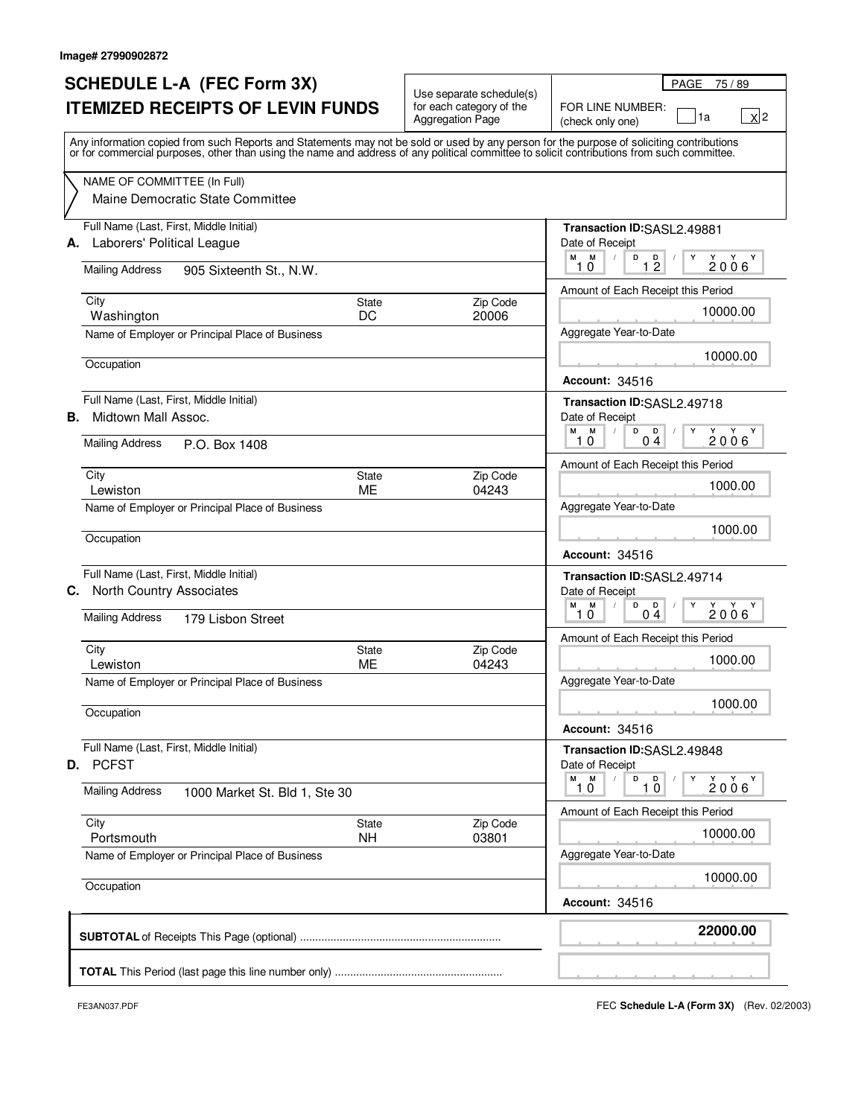# **SCHEDULE L-A (FEC Form 3X) ITEMIZED RECEIPTS OF LEVIN FUNDS**

|                                         | <b>SCHEDULE L-A (FEC Form 3X)</b>                                                                                                                                                                                                                                                       |                                                                                 | PAGE<br>75 / 89                                                                                       |
|-----------------------------------------|-----------------------------------------------------------------------------------------------------------------------------------------------------------------------------------------------------------------------------------------------------------------------------------------|---------------------------------------------------------------------------------|-------------------------------------------------------------------------------------------------------|
| <b>ITEMIZED RECEIPTS OF LEVIN FUNDS</b> |                                                                                                                                                                                                                                                                                         | Use separate schedule(s)<br>for each category of the<br><b>Aggregation Page</b> | FOR LINE NUMBER:<br>$\mathsf{X}$  2<br>1a<br>(check only one)                                         |
|                                         | Any information copied from such Reports and Statements may not be sold or used by any person for the purpose of soliciting contributions<br>or for commercial purposes, other than using the name and address of any political committee to solicit contributions from such committee. |                                                                                 |                                                                                                       |
|                                         | NAME OF COMMITTEE (In Full)<br>Maine Democratic State Committee                                                                                                                                                                                                                         |                                                                                 |                                                                                                       |
|                                         | Full Name (Last, First, Middle Initial)<br>A. Laborers' Political League                                                                                                                                                                                                                |                                                                                 | Transaction ID:SASL2.49881<br>Date of Receipt<br>М<br>M<br>D<br>Y<br>1 <sup>D</sup><br>$2006^{\circ}$ |
|                                         | <b>Mailing Address</b><br>905 Sixteenth St., N.W.                                                                                                                                                                                                                                       |                                                                                 | 10<br>Amount of Each Receipt this Period                                                              |
|                                         | City<br>State<br>DC<br>Washington                                                                                                                                                                                                                                                       | Zip Code<br>20006                                                               | 10000.00                                                                                              |
|                                         | Name of Employer or Principal Place of Business                                                                                                                                                                                                                                         |                                                                                 | Aggregate Year-to-Date                                                                                |
|                                         | Occupation                                                                                                                                                                                                                                                                              |                                                                                 | 10000.00<br><b>Account: 34516</b>                                                                     |
| В.                                      | Full Name (Last, First, Middle Initial)<br>Midtown Mall Assoc.                                                                                                                                                                                                                          |                                                                                 | Transaction ID:SASL2.49718<br>Date of Receipt<br>M                                                    |
|                                         | <b>Mailing Address</b><br>P.O. Box 1408                                                                                                                                                                                                                                                 |                                                                                 | м<br>$\sqrt{ }$<br>D<br>D<br>Y<br>Y<br>Y Y<br>$\sqrt{2}$<br>2006<br>10<br>04                          |
|                                         | City<br>State                                                                                                                                                                                                                                                                           | Zip Code                                                                        | Amount of Each Receipt this Period                                                                    |
|                                         | <b>ME</b><br>Lewiston                                                                                                                                                                                                                                                                   | 04243                                                                           | 1000.00                                                                                               |
|                                         | Name of Employer or Principal Place of Business                                                                                                                                                                                                                                         |                                                                                 | Aggregate Year-to-Date                                                                                |
|                                         | Occupation                                                                                                                                                                                                                                                                              |                                                                                 | 1000.00<br><b>Account: 34516</b>                                                                      |
|                                         | Full Name (Last, First, Middle Initial)<br>C. North Country Associates                                                                                                                                                                                                                  |                                                                                 | Transaction ID:SASL2.49714<br>Date of Receipt                                                         |
|                                         | <b>Mailing Address</b><br>179 Lisbon Street                                                                                                                                                                                                                                             |                                                                                 | М<br>M<br>$\sqrt{ }$<br>D<br>$\mathbf{D}$<br>Y<br>Y<br>Y Y<br>$\sqrt{2}$<br>2006<br>10<br>04          |
|                                         |                                                                                                                                                                                                                                                                                         |                                                                                 | Amount of Each Receipt this Period                                                                    |
|                                         | City<br>State<br>ME<br>Lewiston                                                                                                                                                                                                                                                         | Zip Code<br>04243                                                               | 1000.00                                                                                               |
|                                         | Name of Employer or Principal Place of Business                                                                                                                                                                                                                                         |                                                                                 | Aggregate Year-to-Date                                                                                |
|                                         | Occupation                                                                                                                                                                                                                                                                              |                                                                                 | 1000.00                                                                                               |
|                                         |                                                                                                                                                                                                                                                                                         |                                                                                 | <b>Account: 34516</b>                                                                                 |
|                                         | Full Name (Last, First, Middle Initial)<br><b>D.</b> PCFST                                                                                                                                                                                                                              |                                                                                 | Transaction ID:SASL2.49848<br>Date of Receipt                                                         |
|                                         | <b>Mailing Address</b><br>1000 Market St. Bld 1, Ste 30                                                                                                                                                                                                                                 |                                                                                 | м<br>M<br>D<br>$\mathbf{D}$<br>Y<br>Y<br>Y Y<br>$\sqrt{2}$<br>10<br>2006<br>1, 0                      |
|                                         | City<br>State                                                                                                                                                                                                                                                                           | Zip Code                                                                        | Amount of Each Receipt this Period                                                                    |
|                                         | <b>NH</b><br>Portsmouth                                                                                                                                                                                                                                                                 | 03801                                                                           | 10000.00                                                                                              |
|                                         | Name of Employer or Principal Place of Business                                                                                                                                                                                                                                         |                                                                                 | Aggregate Year-to-Date<br>10000.00                                                                    |
|                                         | Occupation                                                                                                                                                                                                                                                                              |                                                                                 | <b>Account: 34516</b>                                                                                 |
|                                         |                                                                                                                                                                                                                                                                                         |                                                                                 | 22000.00                                                                                              |
|                                         |                                                                                                                                                                                                                                                                                         |                                                                                 |                                                                                                       |
|                                         |                                                                                                                                                                                                                                                                                         |                                                                                 |                                                                                                       |

FE3AN037.PDF FEC **Schedule L-A (Form 3X)** (Rev. 02/2003)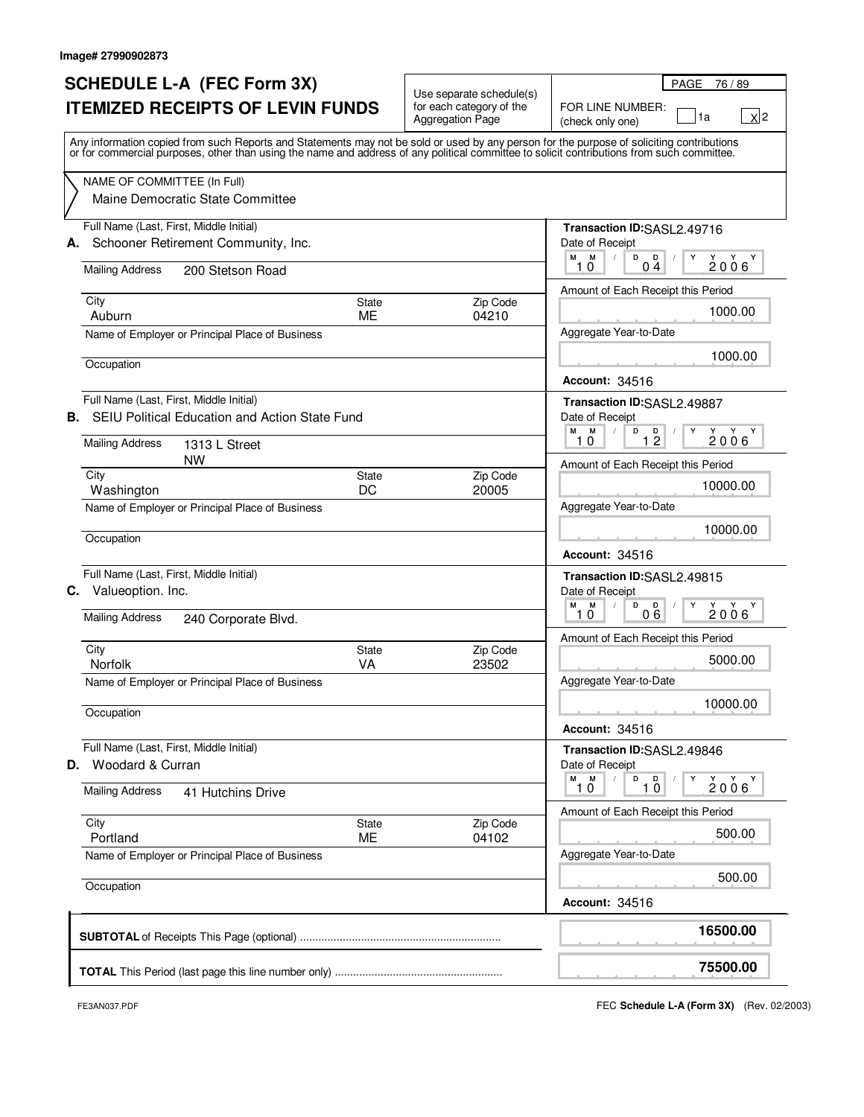# **SCHEDULE L-A (FEC Form 3X) ITEMIZED RECEIPTS OF LEVIN FUNDS**

| <b>SCHEDULE L-A (FEC Form 3X)</b>                                                                                                                                                                                                                                                       |                                                                                 | PAGE 76/89                                                                                                                                                    |
|-----------------------------------------------------------------------------------------------------------------------------------------------------------------------------------------------------------------------------------------------------------------------------------------|---------------------------------------------------------------------------------|---------------------------------------------------------------------------------------------------------------------------------------------------------------|
| <b>ITEMIZED RECEIPTS OF LEVIN FUNDS</b>                                                                                                                                                                                                                                                 | Use separate schedule(s)<br>for each category of the<br><b>Aggregation Page</b> | FOR LINE NUMBER:<br>$\mathsf{x}$  2<br>1a<br>(check only one)                                                                                                 |
| Any information copied from such Reports and Statements may not be sold or used by any person for the purpose of soliciting contributions<br>or for commercial purposes, other than using the name and address of any political committee to solicit contributions from such committee. |                                                                                 |                                                                                                                                                               |
| NAME OF COMMITTEE (In Full)<br>Maine Democratic State Committee                                                                                                                                                                                                                         |                                                                                 |                                                                                                                                                               |
| Full Name (Last, First, Middle Initial)<br>Schooner Retirement Community, Inc.<br>А.<br><b>Mailing Address</b><br>200 Stetson Road                                                                                                                                                      |                                                                                 | Transaction ID:SASL2.49716<br>Date of Receipt<br>M M<br>D<br>Υ<br>$\blacksquare$<br>2006'<br>10<br>0 <sub>4</sub>                                             |
|                                                                                                                                                                                                                                                                                         |                                                                                 | Amount of Each Receipt this Period                                                                                                                            |
| City<br>State<br>ME<br>Auburn                                                                                                                                                                                                                                                           | Zip Code<br>04210                                                               | 1000.00                                                                                                                                                       |
| Name of Employer or Principal Place of Business                                                                                                                                                                                                                                         |                                                                                 | Aggregate Year-to-Date                                                                                                                                        |
| Occupation                                                                                                                                                                                                                                                                              |                                                                                 | 1000.00<br><b>Account: 34516</b>                                                                                                                              |
| Full Name (Last, First, Middle Initial)<br>SEIU Political Education and Action State Fund<br>В.                                                                                                                                                                                         |                                                                                 | Transaction ID:SASL2.49887<br>Date of Receipt<br>M<br>M<br>$\sqrt{2}$<br>D<br>D<br>Υ<br>Y Y                                                                   |
| <b>Mailing Address</b><br>1313 L Street<br>NW                                                                                                                                                                                                                                           |                                                                                 | 12<br>2006<br>10                                                                                                                                              |
| City<br>State                                                                                                                                                                                                                                                                           | Zip Code                                                                        | Amount of Each Receipt this Period                                                                                                                            |
| DC<br>Washington                                                                                                                                                                                                                                                                        | 20005                                                                           | 10000.00                                                                                                                                                      |
| Name of Employer or Principal Place of Business                                                                                                                                                                                                                                         |                                                                                 | Aggregate Year-to-Date<br>10000.00                                                                                                                            |
| Occupation                                                                                                                                                                                                                                                                              |                                                                                 | <b>Account: 34516</b>                                                                                                                                         |
| Full Name (Last, First, Middle Initial)<br><b>C.</b> Valueoption. Inc.                                                                                                                                                                                                                  |                                                                                 | Transaction ID:SASL2.49815<br>Date of Receipt                                                                                                                 |
| <b>Mailing Address</b><br>240 Corporate Blvd.                                                                                                                                                                                                                                           |                                                                                 | м<br>M<br>D<br>D<br>$2006$ <sup>Y</sup><br>Y<br>06<br>10                                                                                                      |
| City<br>State                                                                                                                                                                                                                                                                           | Zip Code                                                                        | Amount of Each Receipt this Period                                                                                                                            |
| <b>Norfolk</b><br><b>VA</b>                                                                                                                                                                                                                                                             | 23502                                                                           | 5000.00                                                                                                                                                       |
| Name of Employer or Principal Place of Business                                                                                                                                                                                                                                         |                                                                                 | Aggregate Year-to-Date                                                                                                                                        |
| Occupation                                                                                                                                                                                                                                                                              |                                                                                 | 10000.00                                                                                                                                                      |
| Full Name (Last, First, Middle Initial)                                                                                                                                                                                                                                                 |                                                                                 | <b>Account: 34516</b><br>Transaction ID:SASL2.49846                                                                                                           |
| <b>D.</b> Woodard & Curran                                                                                                                                                                                                                                                              |                                                                                 | Date of Receipt                                                                                                                                               |
| <b>Mailing Address</b><br>41 Hutchins Drive                                                                                                                                                                                                                                             |                                                                                 | M<br>M<br>$\sqrt{2}$<br>D<br>$\Box$<br>Υ<br>$\begin{array}{c}\n\stackrel{\vee}{2} & \stackrel{\vee}{0} & \stackrel{\vee}{6}\n\end{array}$<br>Y Y<br>1,0<br>10 |
| City<br>State                                                                                                                                                                                                                                                                           | Zip Code                                                                        | Amount of Each Receipt this Period                                                                                                                            |
| Portland<br><b>ME</b>                                                                                                                                                                                                                                                                   | 04102                                                                           | 500.00                                                                                                                                                        |
| Name of Employer or Principal Place of Business                                                                                                                                                                                                                                         |                                                                                 | Aggregate Year-to-Date                                                                                                                                        |
| Occupation                                                                                                                                                                                                                                                                              |                                                                                 | 500.00<br><b>Account: 34516</b>                                                                                                                               |
|                                                                                                                                                                                                                                                                                         |                                                                                 |                                                                                                                                                               |
|                                                                                                                                                                                                                                                                                         |                                                                                 | 16500.00                                                                                                                                                      |
|                                                                                                                                                                                                                                                                                         |                                                                                 | 75500.00                                                                                                                                                      |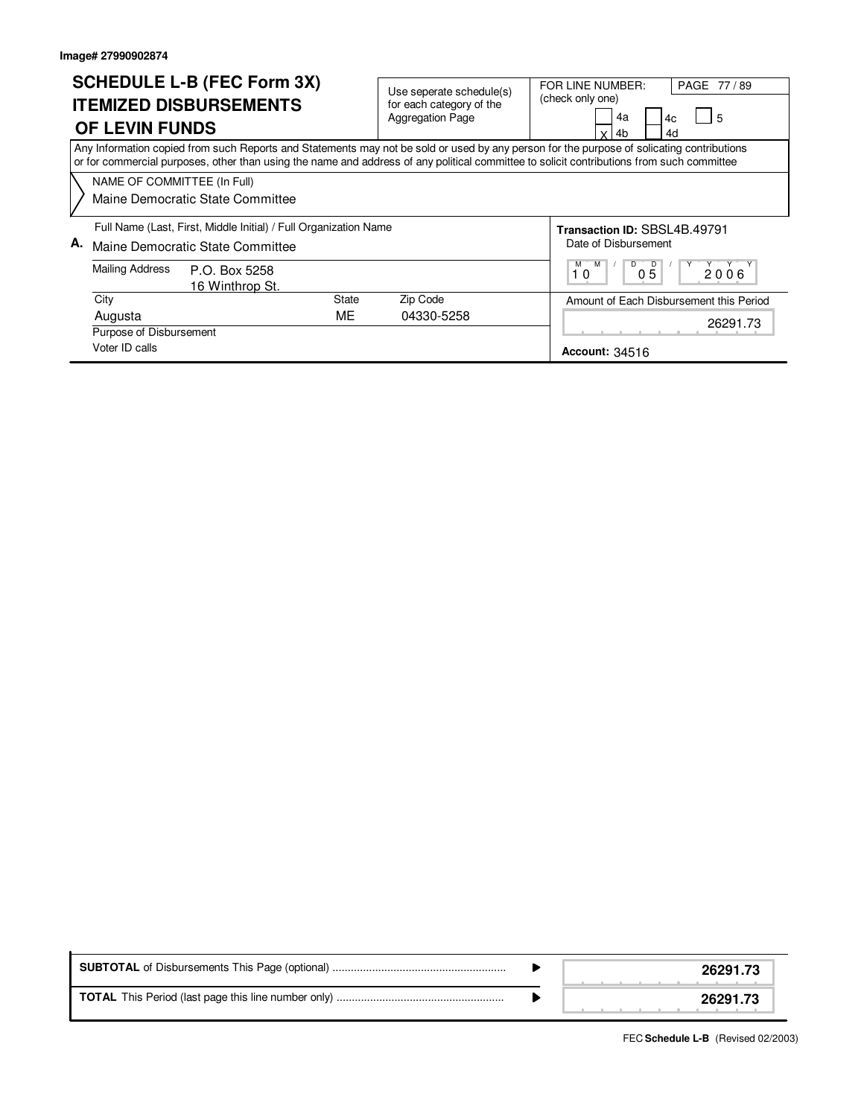$\mathbf{r}$ 

|                                                                                                            | <b>OF LEVIN FUNDS</b>       | <b>SCHEDULE L-B (FEC Form 3X)</b><br><b>ITEMIZED DISBURSEMENTS</b> | Use seperate schedule(s)<br>for each category of the<br><b>Aggregation Page</b>                                                                                                                                                                                                        | PAGE 77/89<br>FOR LINE NUMBER:<br>(check only one)<br>4a<br>$\overline{5}$<br>4c<br>4b<br>4d<br>v |
|------------------------------------------------------------------------------------------------------------|-----------------------------|--------------------------------------------------------------------|----------------------------------------------------------------------------------------------------------------------------------------------------------------------------------------------------------------------------------------------------------------------------------------|---------------------------------------------------------------------------------------------------|
|                                                                                                            |                             |                                                                    | Any Information copied from such Reports and Statements may not be sold or used by any person for the purpose of solicating contributions<br>or for commercial purposes, other than using the name and address of any political committee to solicit contributions from such committee |                                                                                                   |
|                                                                                                            | NAME OF COMMITTEE (In Full) | Maine Democratic State Committee                                   |                                                                                                                                                                                                                                                                                        |                                                                                                   |
| Full Name (Last, First, Middle Initial) / Full Organization Name<br>А.<br>Maine Democratic State Committee |                             |                                                                    |                                                                                                                                                                                                                                                                                        | Transaction ID: SBSL4B.49791<br>Date of Disbursement                                              |
| Mailing Address<br>P.O. Box 5258<br>16 Winthrop St.                                                        |                             |                                                                    | D<br>M<br>D<br>2006<br>05<br>10                                                                                                                                                                                                                                                        |                                                                                                   |
|                                                                                                            | City                        | <b>State</b>                                                       | Zip Code                                                                                                                                                                                                                                                                               | Amount of Each Disbursement this Period                                                           |
|                                                                                                            | Augusta                     | МE                                                                 | 04330-5258                                                                                                                                                                                                                                                                             | 26291.73                                                                                          |
|                                                                                                            | Purpose of Disbursement     |                                                                    |                                                                                                                                                                                                                                                                                        |                                                                                                   |
|                                                                                                            | Voter ID calls              |                                                                    |                                                                                                                                                                                                                                                                                        | <b>Account: 34516</b>                                                                             |

|  |  | 26291.73 |
|--|--|----------|
|  |  | 26291.73 |

FEC **Schedule L-B** (Revised 02/2003)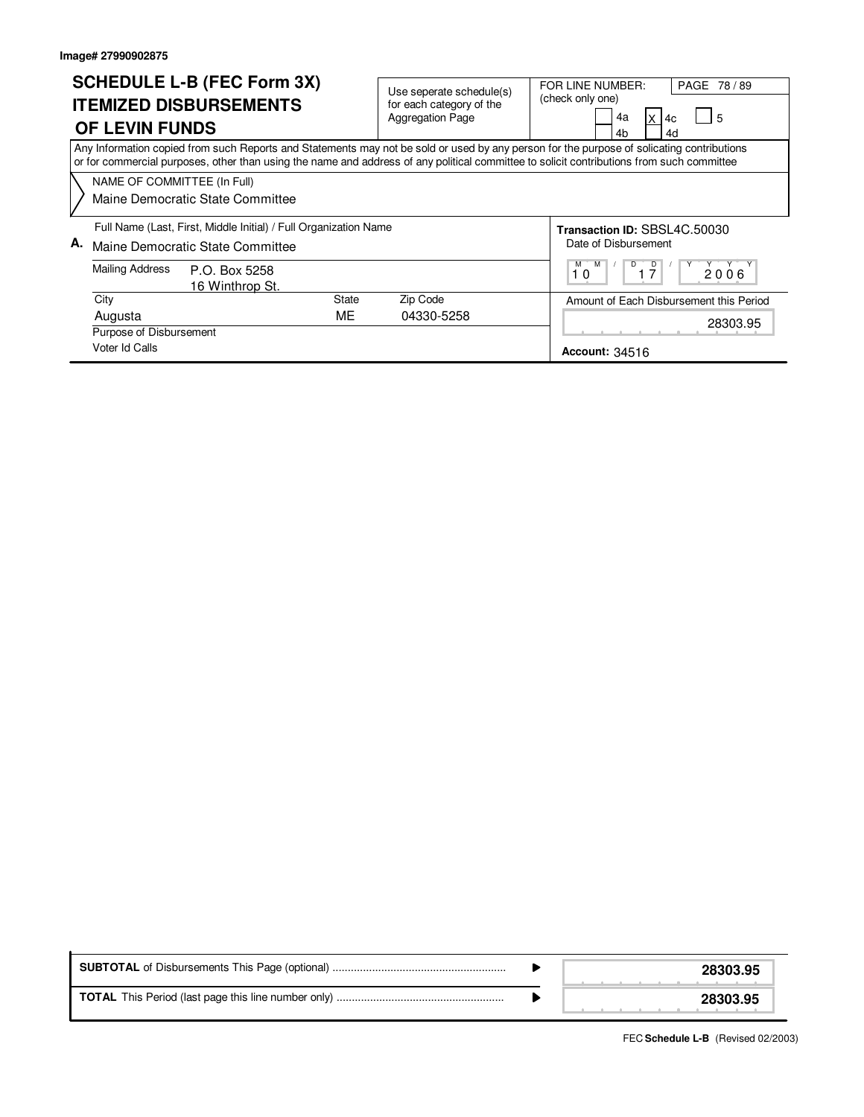$\mathbf{r}$ 

|                                                                                                                                                                                                                                                                                        | <b>OF LEVIN FUNDS</b>       | <b>SCHEDULE L-B (FEC Form 3X)</b><br><b>ITEMIZED DISBURSEMENTS</b> |              | Use seperate schedule(s)<br>for each category of the<br><b>Aggregation Page</b> | FOR LINE NUMBER:<br>(check only one) | 4a<br>4c<br>4h<br>4d  | PAGE 78/89<br>5                         |  |  |
|----------------------------------------------------------------------------------------------------------------------------------------------------------------------------------------------------------------------------------------------------------------------------------------|-----------------------------|--------------------------------------------------------------------|--------------|---------------------------------------------------------------------------------|--------------------------------------|-----------------------|-----------------------------------------|--|--|
| Any Information copied from such Reports and Statements may not be sold or used by any person for the purpose of solicating contributions<br>or for commercial purposes, other than using the name and address of any political committee to solicit contributions from such committee |                             |                                                                    |              |                                                                                 |                                      |                       |                                         |  |  |
|                                                                                                                                                                                                                                                                                        | NAME OF COMMITTEE (In Full) |                                                                    |              |                                                                                 |                                      |                       |                                         |  |  |
| Maine Democratic State Committee                                                                                                                                                                                                                                                       |                             |                                                                    |              |                                                                                 |                                      |                       |                                         |  |  |
| Full Name (Last, First, Middle Initial) / Full Organization Name                                                                                                                                                                                                                       |                             |                                                                    |              |                                                                                 | Transaction ID: SBSL4C.50030         |                       |                                         |  |  |
| А.<br>Maine Democratic State Committee<br><b>Mailing Address</b><br>P.O. Box 5258<br>16 Winthrop St.                                                                                                                                                                                   |                             |                                                                    |              |                                                                                 | Date of Disbursement                 |                       |                                         |  |  |
|                                                                                                                                                                                                                                                                                        |                             |                                                                    | м<br>M<br>10 | D                                                                               | 2006                                 |                       |                                         |  |  |
|                                                                                                                                                                                                                                                                                        | City                        |                                                                    | <b>State</b> | Zip Code                                                                        |                                      |                       | Amount of Each Disbursement this Period |  |  |
|                                                                                                                                                                                                                                                                                        | Augusta                     |                                                                    | ME.          | 04330-5258                                                                      |                                      | 28303.95              |                                         |  |  |
|                                                                                                                                                                                                                                                                                        |                             | Purpose of Disbursement                                            |              |                                                                                 |                                      |                       |                                         |  |  |
|                                                                                                                                                                                                                                                                                        | Voter Id Calls              |                                                                    |              |                                                                                 |                                      | <b>Account: 34516</b> |                                         |  |  |

|  |  | 28303.95 |
|--|--|----------|
|  |  | 28303.95 |

FEC **Schedule L-B** (Revised 02/2003)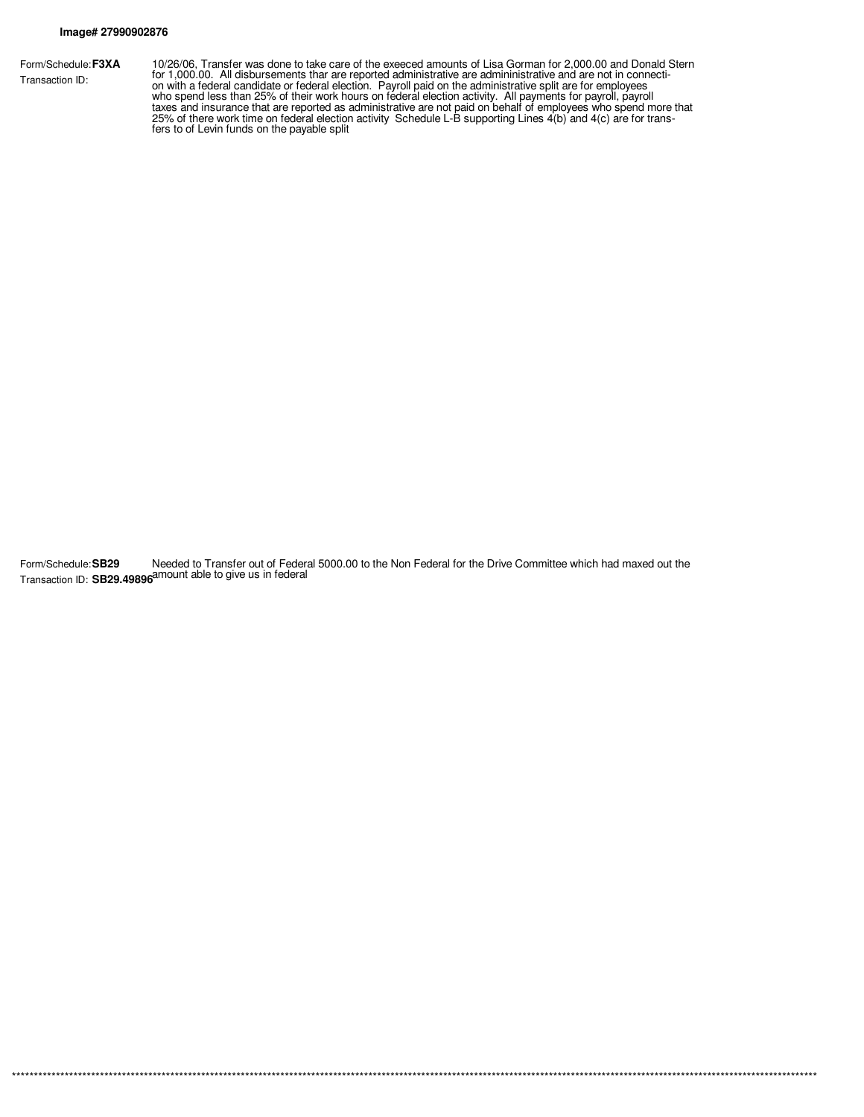Form/Schedule: F3XA Transaction ID:

10/26/06, Transfer was done to take care of the exeeced amounts of Lisa Gorman for 2,000.00 and Donald Stern<br>for 1,000.00. All disbursements thar are reported administrative are admininistrative and are not in connecti-<br>on

Form/Schedule:SB29 Needed to Transfer out of Federal 5000.00 to the Non Federal for the Drive Committee which had maxed out the<br>Transaction ID: SB29.49896<sup>amount</sup> able to give us in federal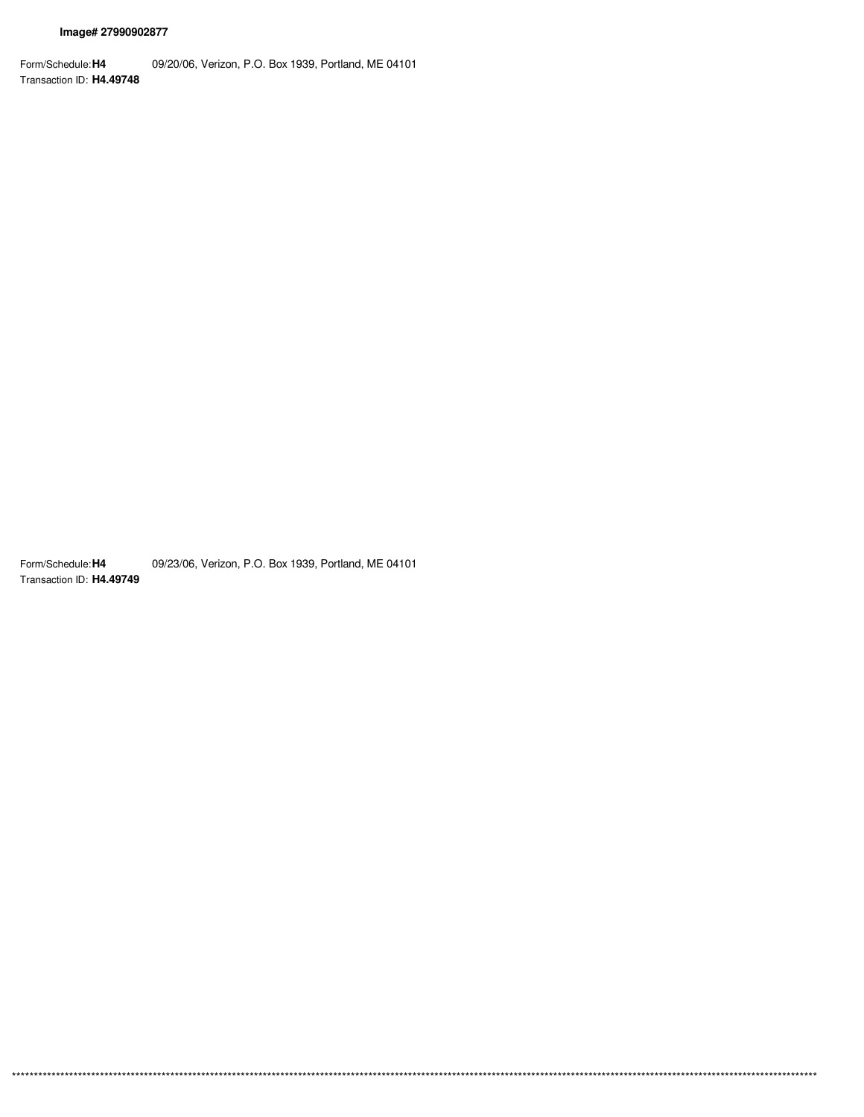Form/Schedule: H4 09/20/06, Verizon, P.O. Box 1939, Portland, ME 04101 Transaction ID: H4.49748

Form/Schedule: H4 09/23/06, Verizon, P.O. Box 1939, Portland, ME 04101 Transaction ID: H4.49749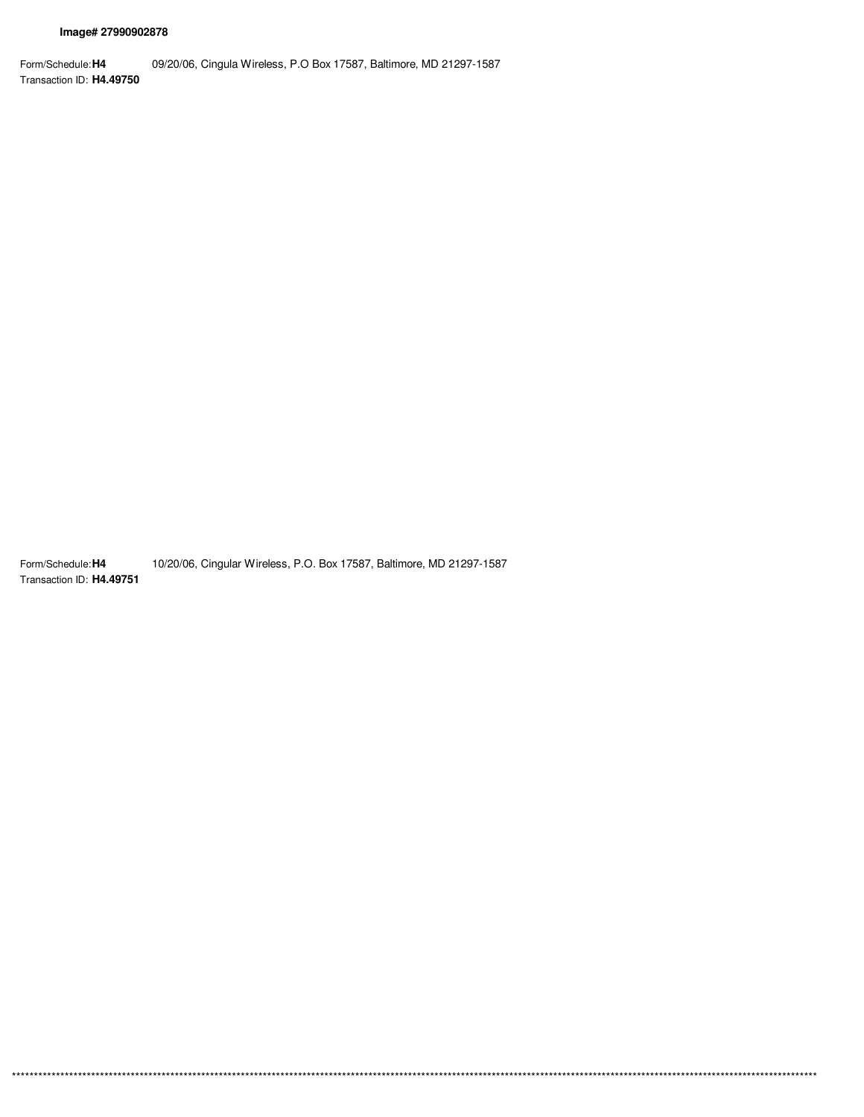Form/Schedule: **H4** Transaction ID: **H4.49750** 09/20/06, Cingula Wireless, P.O Box 17587, Baltimore, MD 21297-1587

Form/Schedule: **H4** Transaction ID: **H4.49751** 10/20/06, Cingular Wireless, P.O. Box 17587, Baltimore, MD 21297-1587

\*\*\*\*\*\*\*\*\*\*\*\*\*\*\*\*\*\*\*\*\*\*\*\*\*\*\*\*\*\*\*\*\*\*\*\*\*\*\*\*\*\*\*\*\*\*\*\*\*\*\*\*\*\*\*\*\*\*\*\*\*\*\*\*\*\*\*\*\*\*\*\*\*\*\*\*\*\*\*\*\*\*\*\*\*\*\*\*\*\*\*\*\*\*\*\*\*\*\*\*\*\*\*\*\*\*\*\*\*\*\*\*\*\*\*\*\*\*\*\*\*\*\*\*\*\*\*\*\*\*\*\*\*\*\*\*\*\*\*\*\*\*\*\*\*\*\*\*\*\*\*\*\*\*\*\*\*\*\*\*\*\*\*\*\*\*\*\*\*\*\*\*\*\*\*\*\*\*\*\*\*\*\*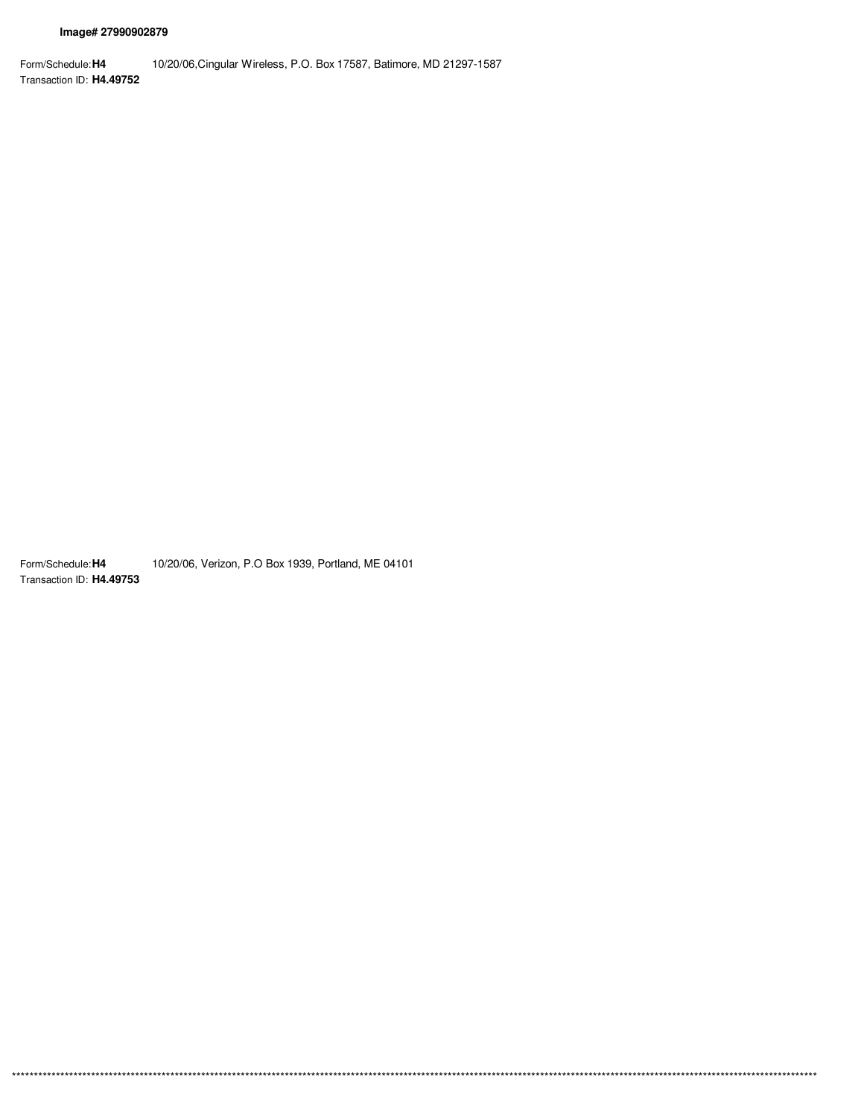Form/Schedule: H4 10/20/06, Cingular Wireless, P.O. Box 17587, Batimore, MD 21297-1587 Transaction ID: H4.49752

Form/Schedule: H4 10/20/06, Verizon, P.O Box 1939, Portland, ME 04101 Transaction ID: H4.49753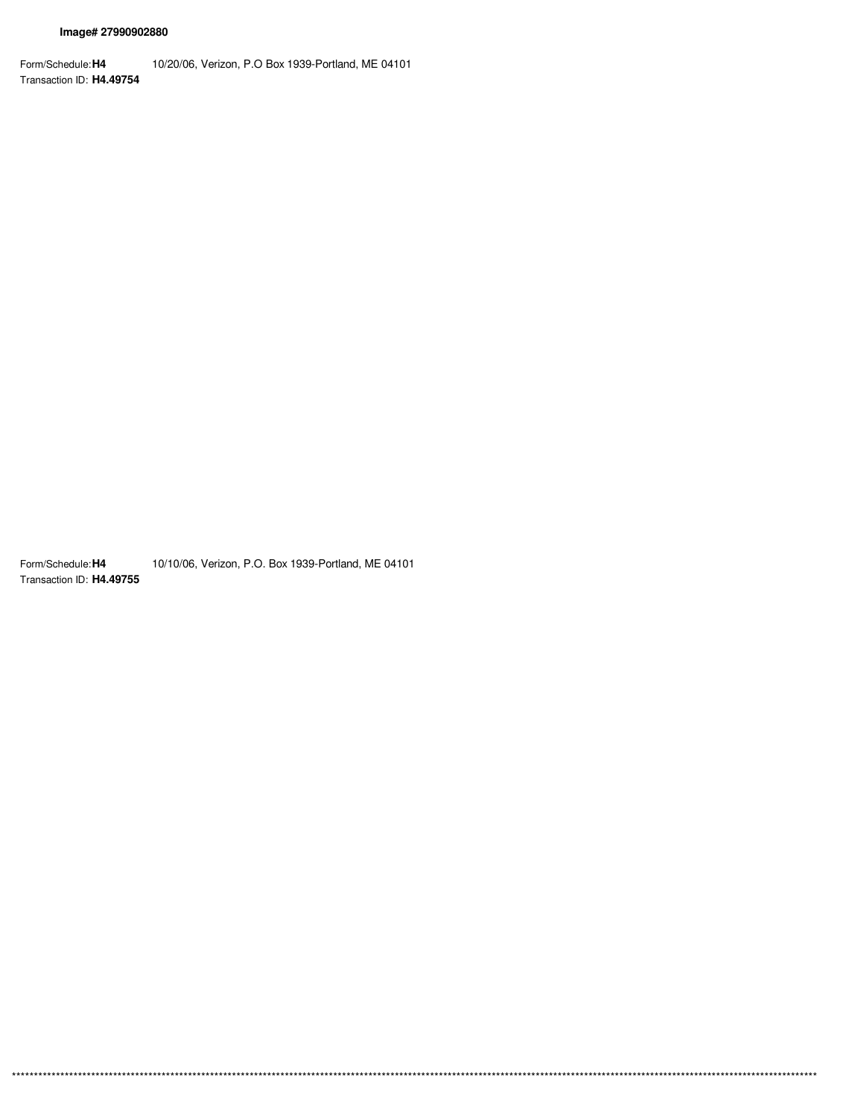Form/Schedule: H4 10/20/06, Verizon, P.O Box 1939-Portland, ME 04101 Transaction ID: H4.49754

Form/Schedule: H4 10/10/06, Verizon, P.O. Box 1939-Portland, ME 04101 Transaction ID: H4.49755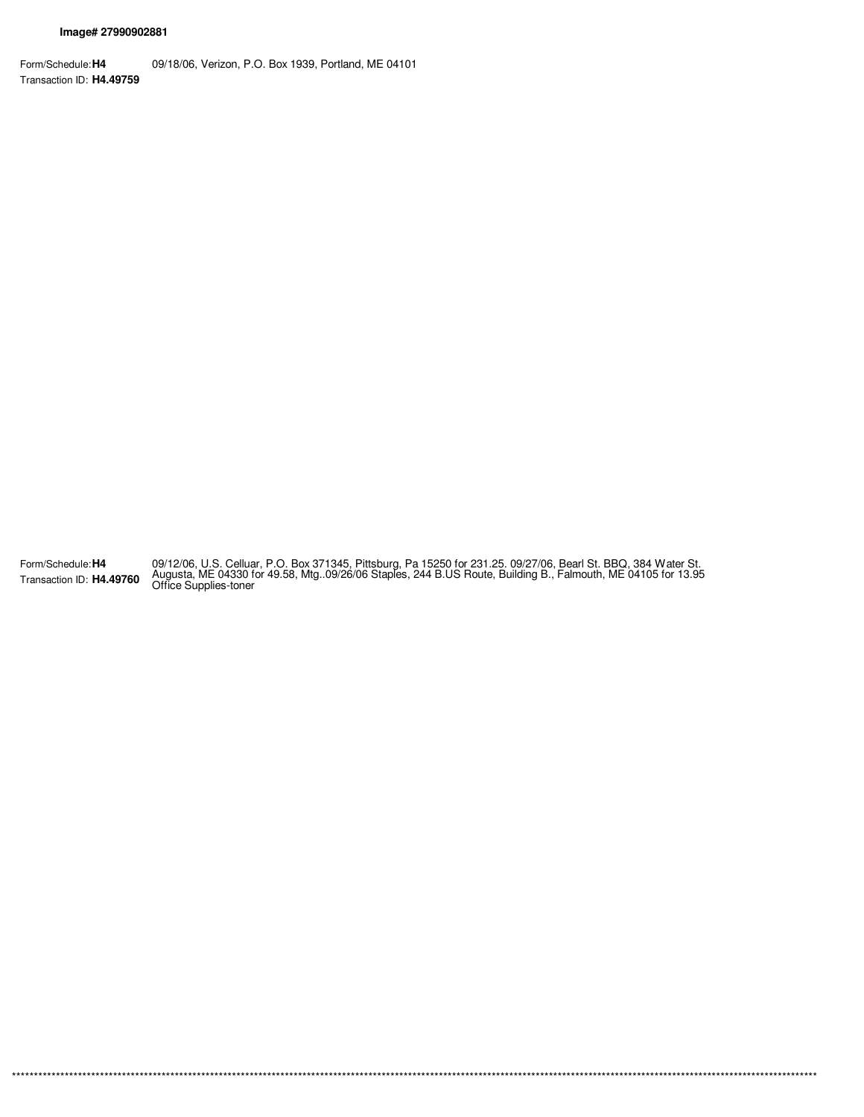Form/Schedule: **H4** Transaction ID: **H4.49759** 09/18/06, Verizon, P.O. Box 1939, Portland, ME 04101

Form/Schedule: **H4** Transaction ID: **H4.49760** 09/12/06, U.S. Celluar, P.O. Box 371345, Pittsburg, Pa 15250 for 231.25. 09/27/06, Bearl St. BBQ, 384 Water St.<br>Augusta, ME 04330 for 49.58, Mtg..09/26/06 Staples, 244 B.US Route, Building B., Falmouth, ME 04105 for 13.95<br>

\*\*\*\*\*\*\*\*\*\*\*\*\*\*\*\*\*\*\*\*\*\*\*\*\*\*\*\*\*\*\*\*\*\*\*\*\*\*\*\*\*\*\*\*\*\*\*\*\*\*\*\*\*\*\*\*\*\*\*\*\*\*\*\*\*\*\*\*\*\*\*\*\*\*\*\*\*\*\*\*\*\*\*\*\*\*\*\*\*\*\*\*\*\*\*\*\*\*\*\*\*\*\*\*\*\*\*\*\*\*\*\*\*\*\*\*\*\*\*\*\*\*\*\*\*\*\*\*\*\*\*\*\*\*\*\*\*\*\*\*\*\*\*\*\*\*\*\*\*\*\*\*\*\*\*\*\*\*\*\*\*\*\*\*\*\*\*\*\*\*\*\*\*\*\*\*\*\*\*\*\*\*\*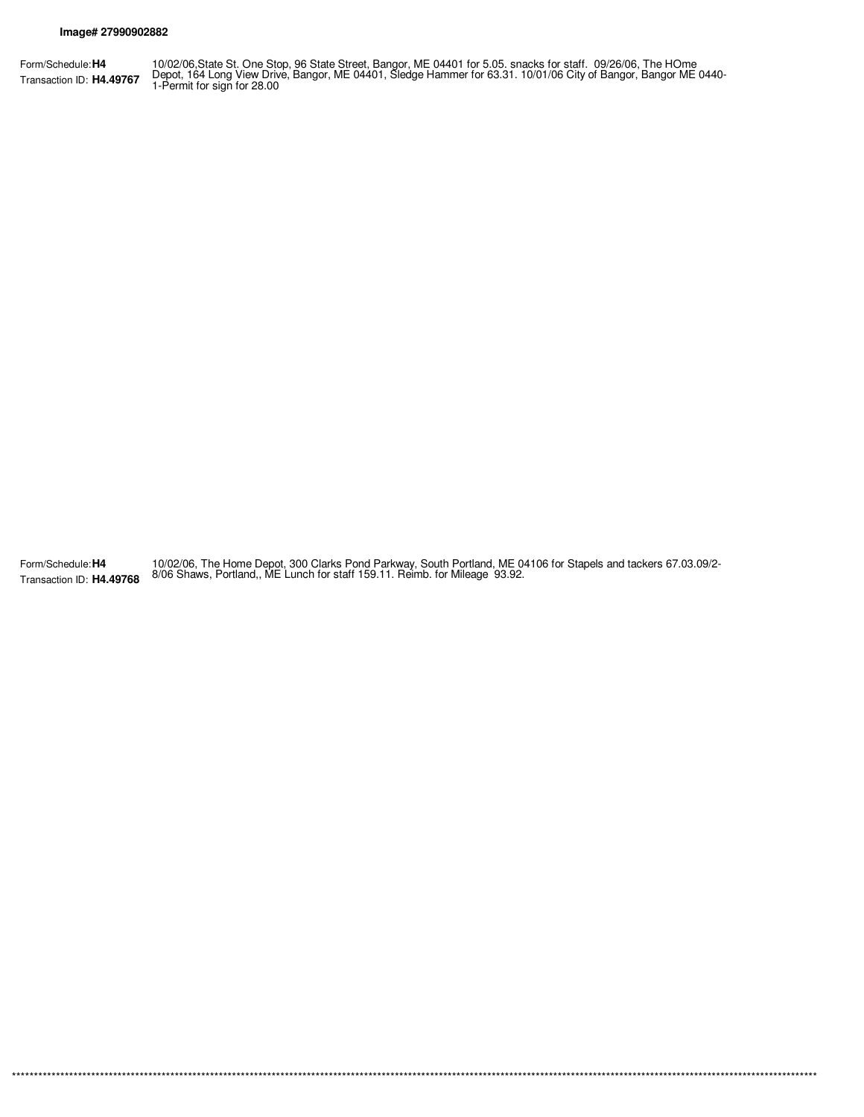Form/Schedule: **H4** Transaction ID: **H4.49767** 10/02/06,State St. One Stop, 96 State Street, Bangor, ME 04401 for 5.05. snacks for staff. 09/26/06, The HOme<br>Depot, 164 Long View Drive, Bangor, ME 04401, Sledge Hammer for 63.31. 10/01/06 City of Bangor, Bangor ME 0440-

Form/Schedule: **H4** Transaction ID: **H4.49768** 10/02/06, The Home Depot, 300 Clarks Pond Parkway, South Portland, ME 04106 for Stapels and tackers 67.03.09/2- 8/06 Shaws, Portland,, ME Lunch for staff 159.11. Reimb. for Mileage 93.92.

\*\*\*\*\*\*\*\*\*\*\*\*\*\*\*\*\*\*\*\*\*\*\*\*\*\*\*\*\*\*\*\*\*\*\*\*\*\*\*\*\*\*\*\*\*\*\*\*\*\*\*\*\*\*\*\*\*\*\*\*\*\*\*\*\*\*\*\*\*\*\*\*\*\*\*\*\*\*\*\*\*\*\*\*\*\*\*\*\*\*\*\*\*\*\*\*\*\*\*\*\*\*\*\*\*\*\*\*\*\*\*\*\*\*\*\*\*\*\*\*\*\*\*\*\*\*\*\*\*\*\*\*\*\*\*\*\*\*\*\*\*\*\*\*\*\*\*\*\*\*\*\*\*\*\*\*\*\*\*\*\*\*\*\*\*\*\*\*\*\*\*\*\*\*\*\*\*\*\*\*\*\*\*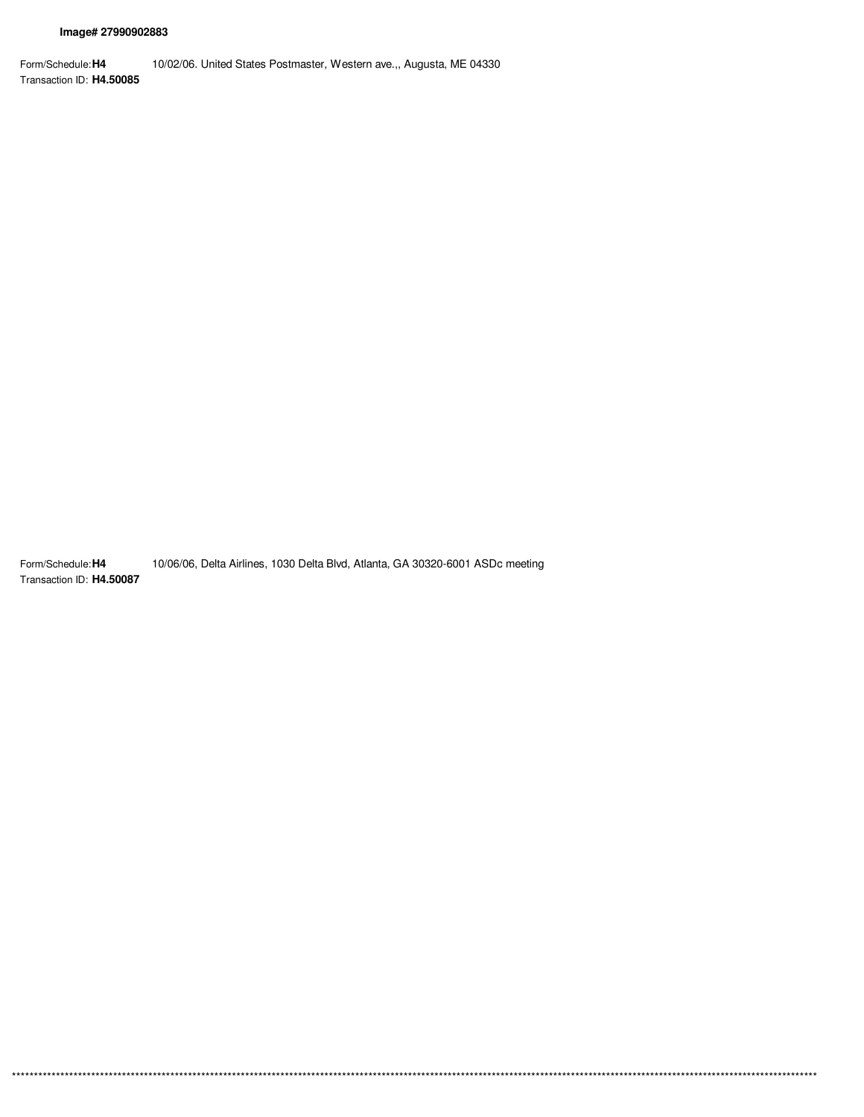Form/Schedule: H4 10/02/06. United States Postmaster, Western ave.,, Augusta, ME 04330 Transaction ID: H4.50085

10/06/06, Delta Airlines, 1030 Delta Blvd, Atlanta, GA 30320-6001 ASDc meeting Form/Schedule: H4 Transaction ID: H4.50087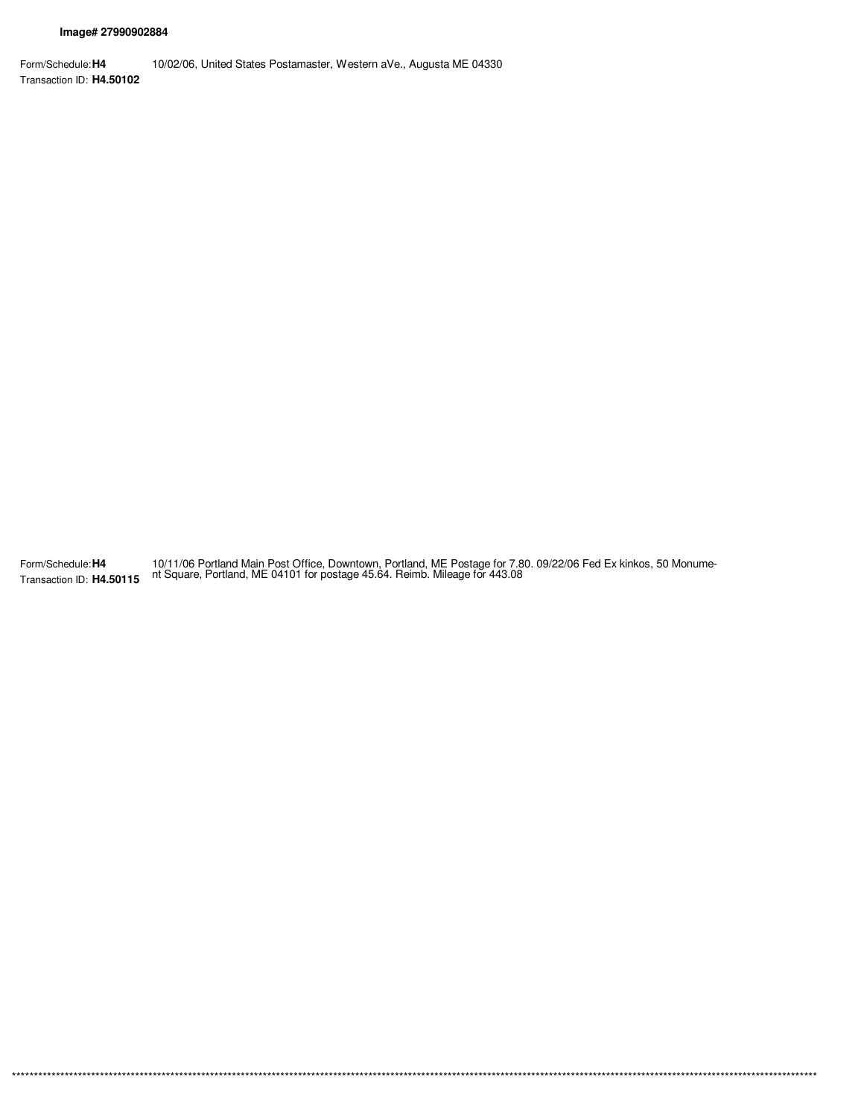$***$ 

Form/Schedule: H4 10/02/06, United States Postamaster, Western aVe., Augusta ME 04330 Transaction ID: H4.50102

10/11/06 Portland Main Post Office, Downtown, Portland, ME Postage for 7.80. 09/22/06 Fed Ex kinkos, 50 Monume-<br>nt Square, Portland, ME 04101 for postage 45.64. Reimb. Mileage for 443.08 Form/Schedule: H4 Transaction ID: H4.50115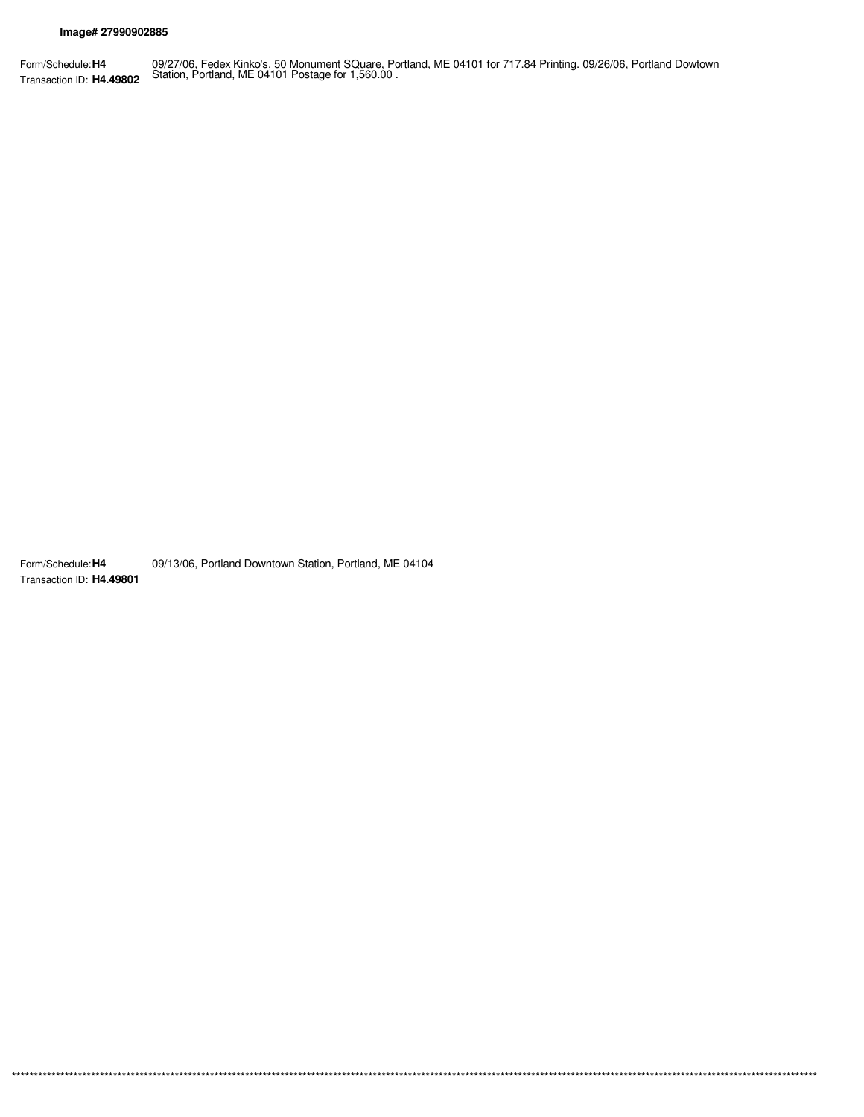09/27/06, Fedex Kinko's, 50 Monument SQuare, Portland, ME 04101 for 717.84 Printing. 09/26/06, Portland Dowtown<br>Station, Portland, ME 04101 Postage for 1,560.00. Form/Schedule: H4 Transaction ID: H4.49802

09/13/06, Portland Downtown Station, Portland, ME 04104 Form/Schedule: H4 Transaction ID: H4.49801